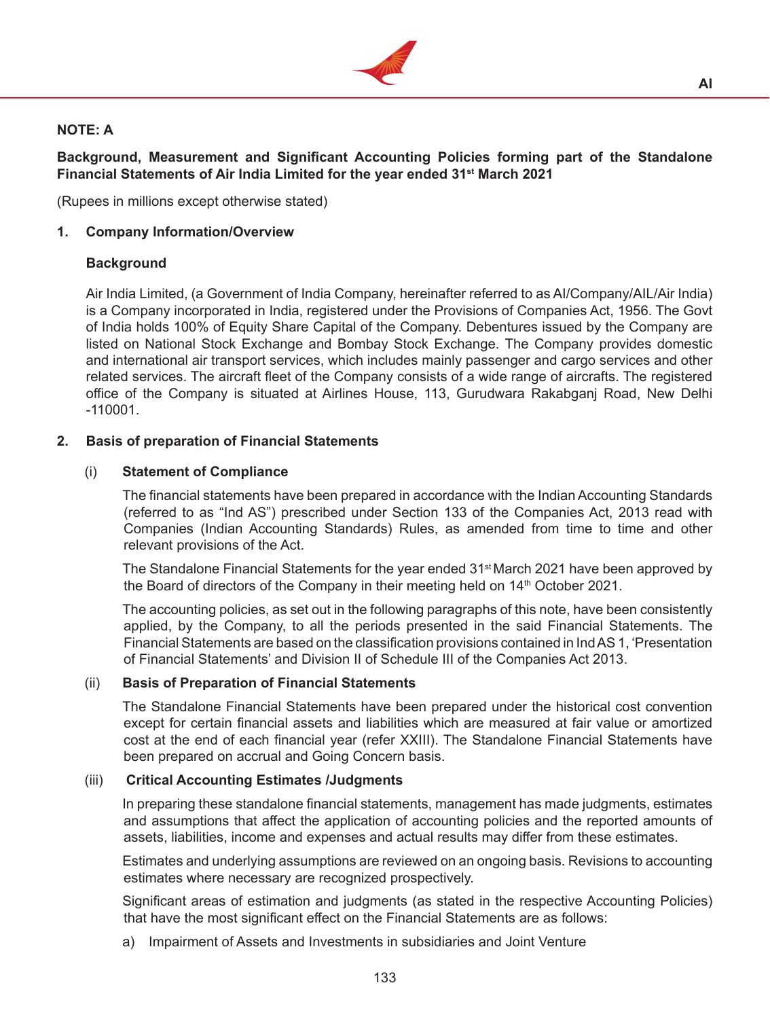

# **NOTE: A**

**Background, Measurement and Significant Accounting Policies forming part of the Standalone Financial Statements of Air India Limited for the year ended 31st March 2021**

(Rupees in millions except otherwise stated)

### **1. Company Information/Overview**

### **Background**

Air India Limited, (a Government of India Company, hereinafter referred to as AI/Company/AIL/Air India) is a Company incorporated in India, registered under the Provisions of Companies Act, 1956. The Govt of India holds 100% of Equity Share Capital of the Company. Debentures issued by the Company are listed on National Stock Exchange and Bombay Stock Exchange. The Company provides domestic and international air transport services, which includes mainly passenger and cargo services and other related services. The aircraft fleet of the Company consists of a wide range of aircrafts. The registered office of the Company is situated at Airlines House, 113, Gurudwara Rakabganj Road, New Delhi -110001.

### **2. Basis of preparation of Financial Statements**

### (i) **Statement of Compliance**

The financial statements have been prepared in accordance with the Indian Accounting Standards (referred to as "Ind AS") prescribed under Section 133 of the Companies Act, 2013 read with Companies (Indian Accounting Standards) Rules, as amended from time to time and other relevant provisions of the Act.

The Standalone Financial Statements for the year ended 31<sup>st</sup> March 2021 have been approved by the Board of directors of the Company in their meeting held on 14<sup>th</sup> October 2021.

 The accounting policies, as set out in the following paragraphs of this note, have been consistently applied, by the Company, to all the periods presented in the said Financial Statements. The Financial Statements are based on the classification provisions contained in IndAS 1, 'Presentation of Financial Statements' and Division II of Schedule III of the Companies Act 2013.

#### (ii) **Basis of Preparation of Financial Statements**

 The Standalone Financial Statements have been prepared under the historical cost convention except for certain financial assets and liabilities which are measured at fair value or amortized cost at the end of each financial year (refer XXIII). The Standalone Financial Statements have been prepared on accrual and Going Concern basis.

#### (iii) **Critical Accounting Estimates /Judgments**

In preparing these standalone financial statements, management has made judgments, estimates and assumptions that affect the application of accounting policies and the reported amounts of assets, liabilities, income and expenses and actual results may differ from these estimates.

 Estimates and underlying assumptions are reviewed on an ongoing basis. Revisions to accounting estimates where necessary are recognized prospectively.

 Significant areas of estimation and judgments (as stated in the respective Accounting Policies) that have the most significant effect on the Financial Statements are as follows:

a) Impairment of Assets and Investments in subsidiaries and Joint Venture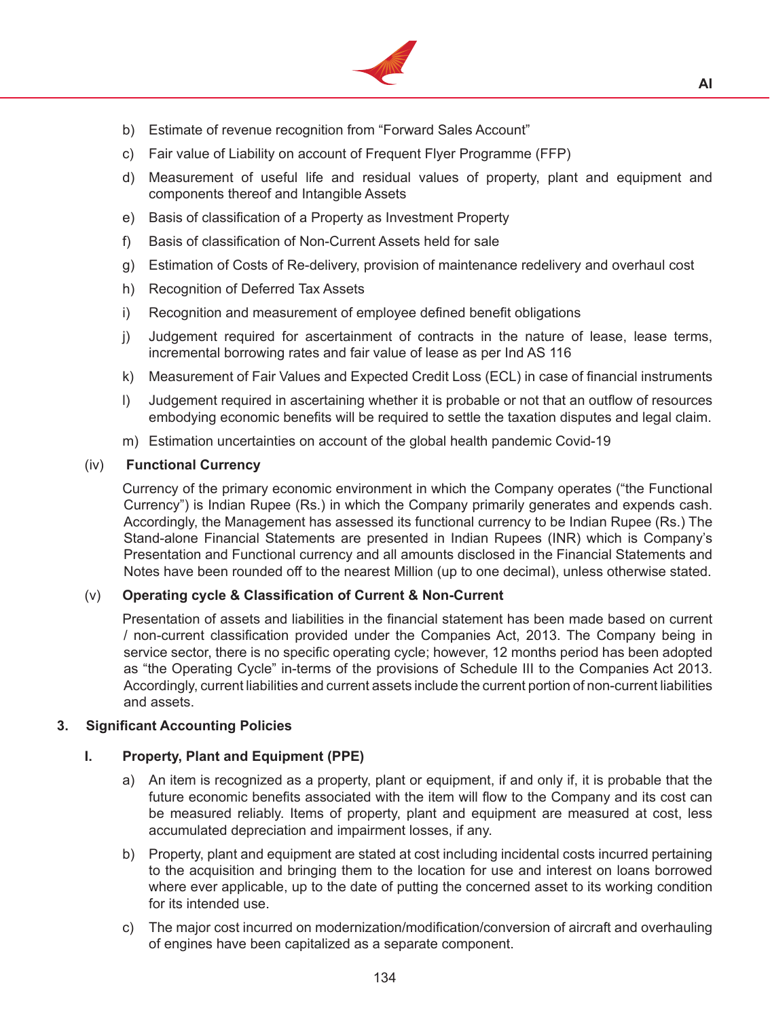

- b) Estimate of revenue recognition from "Forward Sales Account"
- c) Fair value of Liability on account of Frequent Flyer Programme (FFP)
- d) Measurement of useful life and residual values of property, plant and equipment and components thereof and Intangible Assets
- e) Basis of classification of a Property as Investment Property
- f) Basis of classification of Non-Current Assets held for sale
- g) Estimation of Costs of Re-delivery, provision of maintenance redelivery and overhaul cost
- h) Recognition of Deferred Tax Assets
- i) Recognition and measurement of employee defined benefit obligations
- j) Judgement required for ascertainment of contracts in the nature of lease, lease terms, incremental borrowing rates and fair value of lease as per Ind AS 116
- k) Measurement of Fair Values and Expected Credit Loss (ECL) in case of financial instruments
- I) Judgement required in ascertaining whether it is probable or not that an outflow of resources embodying economic benefits will be required to settle the taxation disputes and legal claim.
- m) Estimation uncertainties on account of the global health pandemic Covid-19

### (iv) **Functional Currency**

Currency of the primary economic environment in which the Company operates ("the Functional Currency") is Indian Rupee (Rs.) in which the Company primarily generates and expends cash. Accordingly, the Management has assessed its functional currency to be Indian Rupee (Rs.) The Stand-alone Financial Statements are presented in Indian Rupees (INR) which is Company's Presentation and Functional currency and all amounts disclosed in the Financial Statements and Notes have been rounded off to the nearest Million (up to one decimal), unless otherwise stated.

## (v) **Operating cycle & Classification of Current & Non-Current**

Presentation of assets and liabilities in the financial statement has been made based on current / non-current classification provided under the Companies Act, 2013. The Company being in service sector, there is no specific operating cycle; however, 12 months period has been adopted as "the Operating Cycle" in-terms of the provisions of Schedule III to the Companies Act 2013. Accordingly, current liabilities and current assets include the current portion of non-current liabilities and assets.

#### **3. Significant Accounting Policies**

## **I. Property, Plant and Equipment (PPE)**

- a) An item is recognized as a property, plant or equipment, if and only if, it is probable that the future economic benefits associated with the item will flow to the Company and its cost can be measured reliably. Items of property, plant and equipment are measured at cost, less accumulated depreciation and impairment losses, if any.
- b) Property, plant and equipment are stated at cost including incidental costs incurred pertaining to the acquisition and bringing them to the location for use and interest on loans borrowed where ever applicable, up to the date of putting the concerned asset to its working condition for its intended use.
- c) The major cost incurred on modernization/modification/conversion of aircraft and overhauling of engines have been capitalized as a separate component.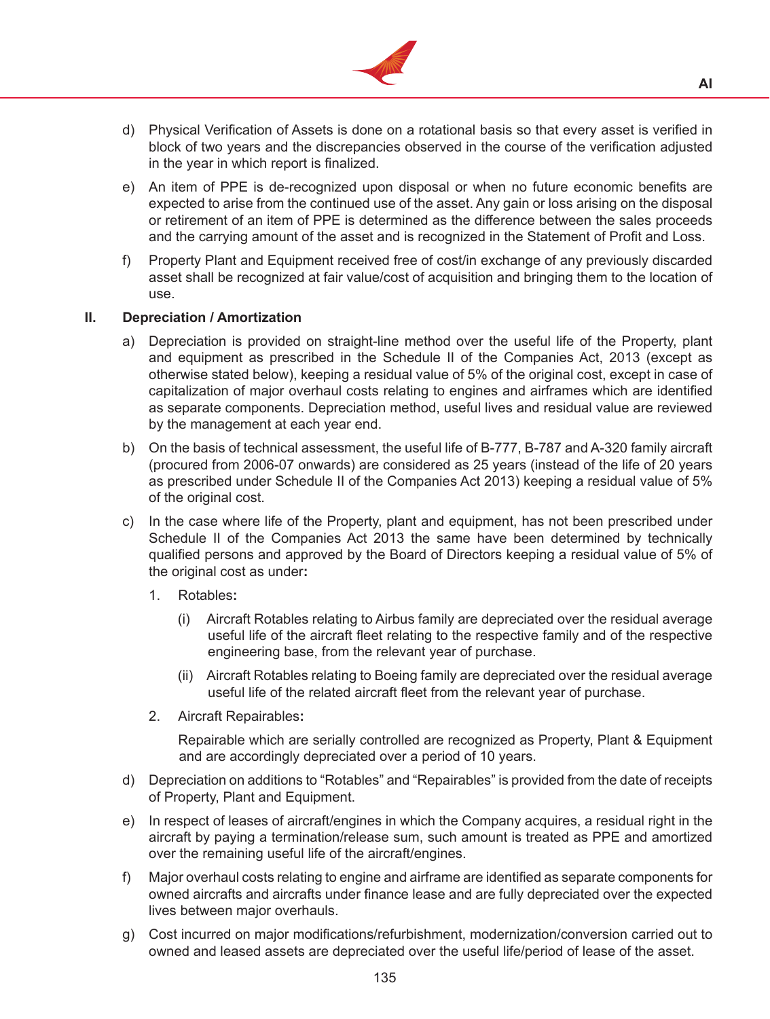

- d) Physical Verification of Assets is done on a rotational basis so that every asset is verified in block of two years and the discrepancies observed in the course of the verification adjusted in the year in which report is finalized.
- e) An item of PPE is de-recognized upon disposal or when no future economic benefits are expected to arise from the continued use of the asset. Any gain or loss arising on the disposal or retirement of an item of PPE is determined as the difference between the sales proceeds and the carrying amount of the asset and is recognized in the Statement of Profit and Loss.
- f) Property Plant and Equipment received free of cost/in exchange of any previously discarded asset shall be recognized at fair value/cost of acquisition and bringing them to the location of use.

#### **II. Depreciation / Amortization**

- a) Depreciation is provided on straight-line method over the useful life of the Property, plant and equipment as prescribed in the Schedule II of the Companies Act, 2013 (except as otherwise stated below), keeping a residual value of 5% of the original cost, except in case of capitalization of major overhaul costs relating to engines and airframes which are identified as separate components. Depreciation method, useful lives and residual value are reviewed by the management at each year end.
- b) On the basis of technical assessment, the useful life of B-777, B-787 and A-320 family aircraft (procured from 2006-07 onwards) are considered as 25 years (instead of the life of 20 years as prescribed under Schedule II of the Companies Act 2013) keeping a residual value of 5% of the original cost.
- c) In the case where life of the Property, plant and equipment, has not been prescribed under Schedule II of the Companies Act 2013 the same have been determined by technically qualified persons and approved by the Board of Directors keeping a residual value of 5% of the original cost as under**:**
	- 1. Rotables**:**
		- (i) Aircraft Rotables relating to Airbus family are depreciated over the residual average useful life of the aircraft fleet relating to the respective family and of the respective engineering base, from the relevant year of purchase.
		- (ii) Aircraft Rotables relating to Boeing family are depreciated over the residual average useful life of the related aircraft fleet from the relevant year of purchase.
	- 2. Aircraft Repairables**:**

Repairable which are serially controlled are recognized as Property, Plant & Equipment and are accordingly depreciated over a period of 10 years.

- d) Depreciation on additions to "Rotables" and "Repairables" is provided from the date of receipts of Property, Plant and Equipment.
- e) In respect of leases of aircraft/engines in which the Company acquires, a residual right in the aircraft by paying a termination/release sum, such amount is treated as PPE and amortized over the remaining useful life of the aircraft/engines.
- f) Major overhaul costs relating to engine and airframe are identified as separate components for owned aircrafts and aircrafts under finance lease and are fully depreciated over the expected lives between major overhauls.
- g) Cost incurred on major modifications/refurbishment, modernization/conversion carried out to owned and leased assets are depreciated over the useful life/period of lease of the asset.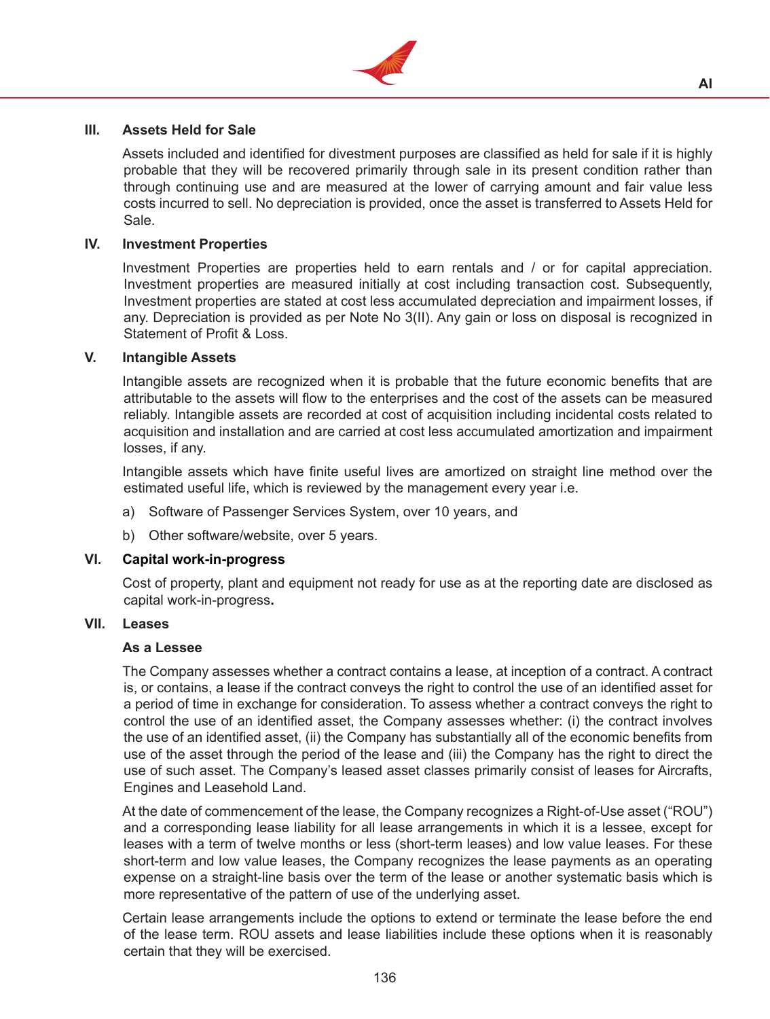

### **III. Assets Held for Sale**

 Assets included and identified for divestment purposes are classified as held for sale if it is highly probable that they will be recovered primarily through sale in its present condition rather than through continuing use and are measured at the lower of carrying amount and fair value less costs incurred to sell. No depreciation is provided, once the asset is transferred to Assets Held for Sale.

#### **IV. Investment Properties**

Investment Properties are properties held to earn rentals and / or for capital appreciation. Investment properties are measured initially at cost including transaction cost. Subsequently, Investment properties are stated at cost less accumulated depreciation and impairment losses, if any. Depreciation is provided as per Note No 3(II). Any gain or loss on disposal is recognized in Statement of Profit & Loss.

#### **V. Intangible Assets**

 Intangible assets are recognized when it is probable that the future economic benefits that are attributable to the assets will flow to the enterprises and the cost of the assets can be measured reliably. Intangible assets are recorded at cost of acquisition including incidental costs related to acquisition and installation and are carried at cost less accumulated amortization and impairment losses, if any.

 Intangible assets which have finite useful lives are amortized on straight line method over the estimated useful life, which is reviewed by the management every year i.e.

- a) Software of Passenger Services System, over 10 years, and
- b) Other software/website, over 5 years.

#### **VI. Capital work-in-progress**

 Cost of property, plant and equipment not ready for use as at the reporting date are disclosed as capital work-in-progress**.**

#### **VII. Leases**

#### **As a Lessee**

The Company assesses whether a contract contains a lease, at inception of a contract. A contract is, or contains, a lease if the contract conveys the right to control the use of an identified asset for a period of time in exchange for consideration. To assess whether a contract conveys the right to control the use of an identified asset, the Company assesses whether: (i) the contract involves the use of an identified asset, (ii) the Company has substantially all of the economic benefits from use of the asset through the period of the lease and (iii) the Company has the right to direct the use of such asset. The Company's leased asset classes primarily consist of leases for Aircrafts, Engines and Leasehold Land.

 At the date of commencement of the lease, the Company recognizes a Right-of-Use asset ("ROU") and a corresponding lease liability for all lease arrangements in which it is a lessee, except for leases with a term of twelve months or less (short-term leases) and low value leases. For these short-term and low value leases, the Company recognizes the lease payments as an operating expense on a straight-line basis over the term of the lease or another systematic basis which is more representative of the pattern of use of the underlying asset.

 Certain lease arrangements include the options to extend or terminate the lease before the end of the lease term. ROU assets and lease liabilities include these options when it is reasonably certain that they will be exercised.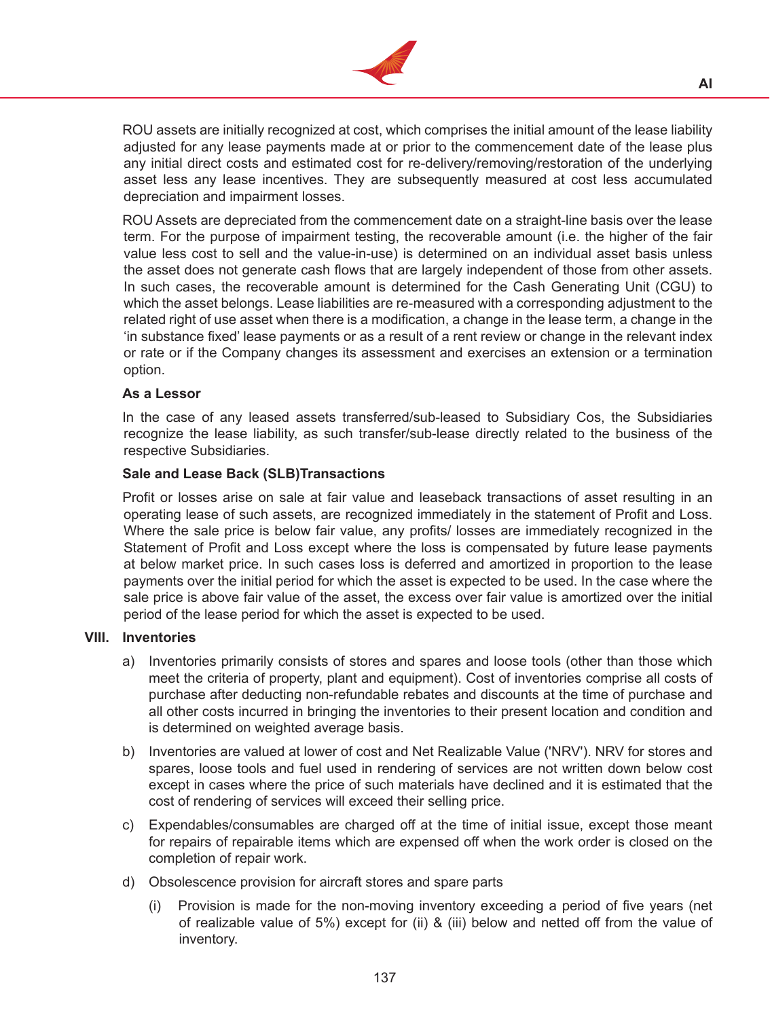

 ROU assets are initially recognized at cost, which comprises the initial amount of the lease liability adjusted for any lease payments made at or prior to the commencement date of the lease plus any initial direct costs and estimated cost for re-delivery/removing/restoration of the underlying asset less any lease incentives. They are subsequently measured at cost less accumulated depreciation and impairment losses.

 ROU Assets are depreciated from the commencement date on a straight-line basis over the lease term. For the purpose of impairment testing, the recoverable amount (i.e. the higher of the fair value less cost to sell and the value-in-use) is determined on an individual asset basis unless the asset does not generate cash flows that are largely independent of those from other assets. In such cases, the recoverable amount is determined for the Cash Generating Unit (CGU) to which the asset belongs. Lease liabilities are re-measured with a corresponding adjustment to the related right of use asset when there is a modification, a change in the lease term, a change in the 'in substance fixed' lease payments or as a result of a rent review or change in the relevant index or rate or if the Company changes its assessment and exercises an extension or a termination option.

#### **As a Lessor**

In the case of any leased assets transferred/sub-leased to Subsidiary Cos, the Subsidiaries recognize the lease liability, as such transfer/sub-lease directly related to the business of the respective Subsidiaries.

#### **Sale and Lease Back (SLB)Transactions**

Profit or losses arise on sale at fair value and leaseback transactions of asset resulting in an operating lease of such assets, are recognized immediately in the statement of Profit and Loss. Where the sale price is below fair value, any profits/ losses are immediately recognized in the Statement of Profit and Loss except where the loss is compensated by future lease payments at below market price. In such cases loss is deferred and amortized in proportion to the lease payments over the initial period for which the asset is expected to be used. In the case where the sale price is above fair value of the asset, the excess over fair value is amortized over the initial period of the lease period for which the asset is expected to be used.

#### **VIII. Inventories**

- a) Inventories primarily consists of stores and spares and loose tools (other than those which meet the criteria of property, plant and equipment). Cost of inventories comprise all costs of purchase after deducting non-refundable rebates and discounts at the time of purchase and all other costs incurred in bringing the inventories to their present location and condition and is determined on weighted average basis.
- b) Inventories are valued at lower of cost and Net Realizable Value ('NRV'). NRV for stores and spares, loose tools and fuel used in rendering of services are not written down below cost except in cases where the price of such materials have declined and it is estimated that the cost of rendering of services will exceed their selling price.
- c) Expendables/consumables are charged off at the time of initial issue, except those meant for repairs of repairable items which are expensed off when the work order is closed on the completion of repair work.
- d) Obsolescence provision for aircraft stores and spare parts
	- Provision is made for the non-moving inventory exceeding a period of five years (net of realizable value of 5%) except for (ii) & (iii) below and netted off from the value of inventory.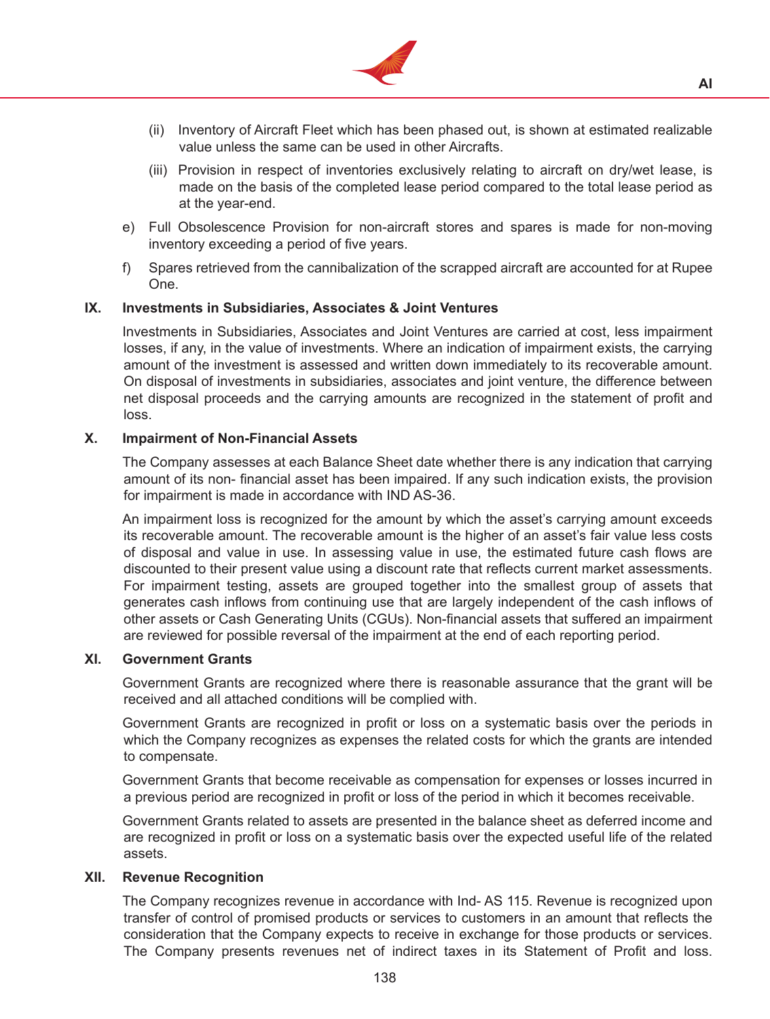

- (ii) Inventory of Aircraft Fleet which has been phased out, is shown at estimated realizable value unless the same can be used in other Aircrafts.
- (iii) Provision in respect of inventories exclusively relating to aircraft on dry/wet lease, is made on the basis of the completed lease period compared to the total lease period as at the year-end.
- e) Full Obsolescence Provision for non-aircraft stores and spares is made for non-moving inventory exceeding a period of five years.
- f) Spares retrieved from the cannibalization of the scrapped aircraft are accounted for at Rupee One.

#### **IX. Investments in Subsidiaries, Associates & Joint Ventures**

Investments in Subsidiaries, Associates and Joint Ventures are carried at cost, less impairment losses, if any, in the value of investments. Where an indication of impairment exists, the carrying amount of the investment is assessed and written down immediately to its recoverable amount. On disposal of investments in subsidiaries, associates and joint venture, the difference between net disposal proceeds and the carrying amounts are recognized in the statement of profit and loss.

#### **X. Impairment of Non-Financial Assets**

The Company assesses at each Balance Sheet date whether there is any indication that carrying amount of its non- financial asset has been impaired. If any such indication exists, the provision for impairment is made in accordance with IND AS-36.

 An impairment loss is recognized for the amount by which the asset's carrying amount exceeds its recoverable amount. The recoverable amount is the higher of an asset's fair value less costs of disposal and value in use. In assessing value in use, the estimated future cash flows are discounted to their present value using a discount rate that reflects current market assessments. For impairment testing, assets are grouped together into the smallest group of assets that generates cash inflows from continuing use that are largely independent of the cash inflows of other assets or Cash Generating Units (CGUs). Non-financial assets that suffered an impairment are reviewed for possible reversal of the impairment at the end of each reporting period.

#### **XI. Government Grants**

Government Grants are recognized where there is reasonable assurance that the grant will be received and all attached conditions will be complied with.

 Government Grants are recognized in profit or loss on a systematic basis over the periods in which the Company recognizes as expenses the related costs for which the grants are intended to compensate.

 Government Grants that become receivable as compensation for expenses or losses incurred in a previous period are recognized in profit or loss of the period in which it becomes receivable.

 Government Grants related to assets are presented in the balance sheet as deferred income and are recognized in profit or loss on a systematic basis over the expected useful life of the related assets.

#### **XII. Revenue Recognition**

The Company recognizes revenue in accordance with Ind- AS 115. Revenue is recognized upon transfer of control of promised products or services to customers in an amount that reflects the consideration that the Company expects to receive in exchange for those products or services. The Company presents revenues net of indirect taxes in its Statement of Profit and loss.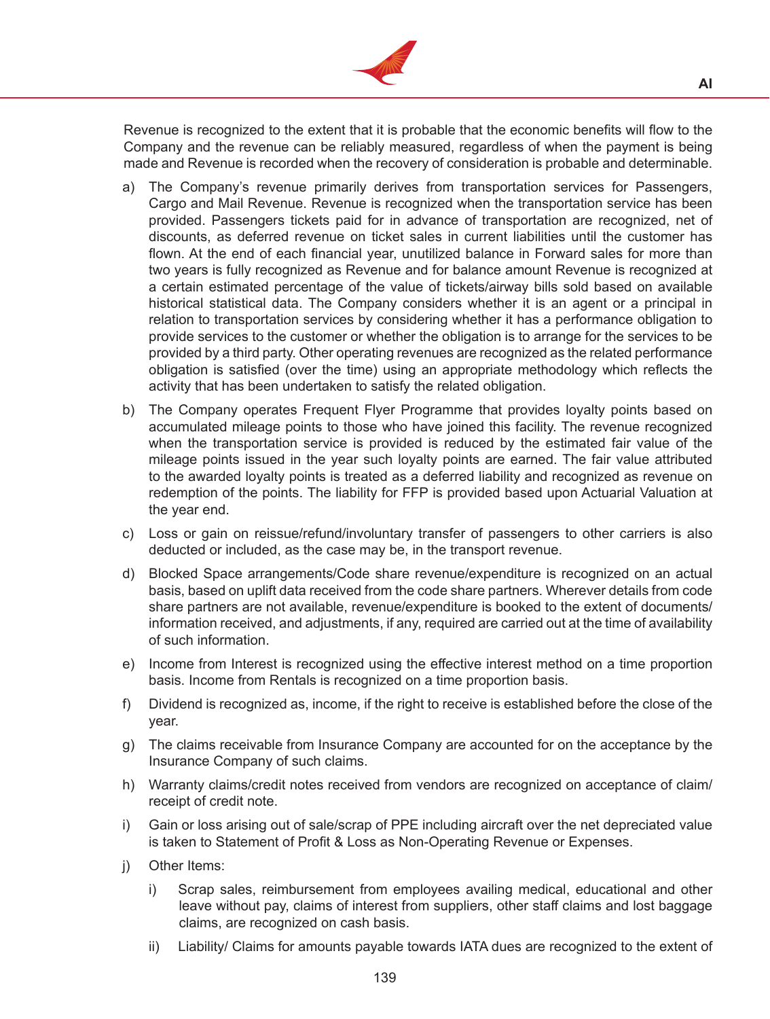

Revenue is recognized to the extent that it is probable that the economic benefits will flow to the Company and the revenue can be reliably measured, regardless of when the payment is being made and Revenue is recorded when the recovery of consideration is probable and determinable.

- a) The Company's revenue primarily derives from transportation services for Passengers, Cargo and Mail Revenue. Revenue is recognized when the transportation service has been provided. Passengers tickets paid for in advance of transportation are recognized, net of discounts, as deferred revenue on ticket sales in current liabilities until the customer has flown. At the end of each financial year, unutilized balance in Forward sales for more than two years is fully recognized as Revenue and for balance amount Revenue is recognized at a certain estimated percentage of the value of tickets/airway bills sold based on available historical statistical data. The Company considers whether it is an agent or a principal in relation to transportation services by considering whether it has a performance obligation to provide services to the customer or whether the obligation is to arrange for the services to be provided by a third party. Other operating revenues are recognized as the related performance obligation is satisfied (over the time) using an appropriate methodology which reflects the activity that has been undertaken to satisfy the related obligation.
- b) The Company operates Frequent Flyer Programme that provides loyalty points based on accumulated mileage points to those who have joined this facility. The revenue recognized when the transportation service is provided is reduced by the estimated fair value of the mileage points issued in the year such loyalty points are earned. The fair value attributed to the awarded loyalty points is treated as a deferred liability and recognized as revenue on redemption of the points. The liability for FFP is provided based upon Actuarial Valuation at the year end.
- c) Loss or gain on reissue/refund/involuntary transfer of passengers to other carriers is also deducted or included, as the case may be, in the transport revenue.
- d) Blocked Space arrangements/Code share revenue/expenditure is recognized on an actual basis, based on uplift data received from the code share partners. Wherever details from code share partners are not available, revenue/expenditure is booked to the extent of documents/ information received, and adjustments, if any, required are carried out at the time of availability of such information.
- e) Income from Interest is recognized using the effective interest method on a time proportion basis. Income from Rentals is recognized on a time proportion basis.
- f) Dividend is recognized as, income, if the right to receive is established before the close of the year.
- g) The claims receivable from Insurance Company are accounted for on the acceptance by the Insurance Company of such claims.
- h) Warranty claims/credit notes received from vendors are recognized on acceptance of claim/ receipt of credit note.
- i) Gain or loss arising out of sale/scrap of PPE including aircraft over the net depreciated value is taken to Statement of Profit & Loss as Non-Operating Revenue or Expenses.
- i) Other Items:
	- i) Scrap sales, reimbursement from employees availing medical, educational and other leave without pay, claims of interest from suppliers, other staff claims and lost baggage claims, are recognized on cash basis.
	- ii) Liability/ Claims for amounts payable towards IATA dues are recognized to the extent of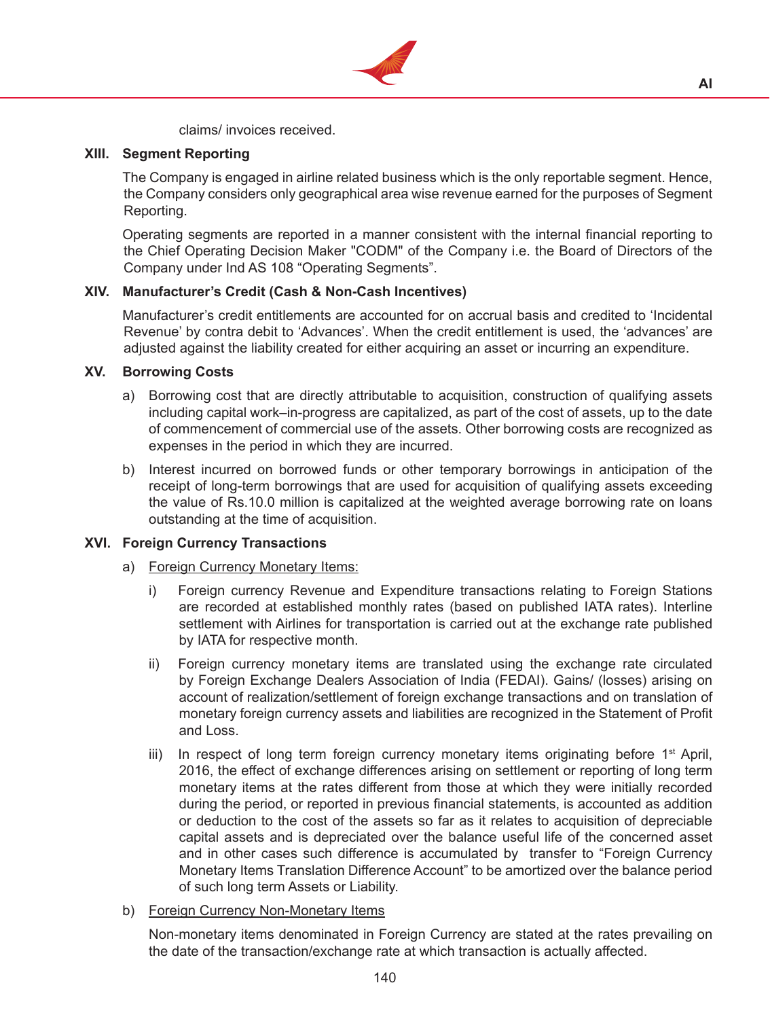

claims/ invoices received.

### **XIII. Segment Reporting**

The Company is engaged in airline related business which is the only reportable segment. Hence, the Company considers only geographical area wise revenue earned for the purposes of Segment Reporting.

 Operating segments are reported in a manner consistent with the internal financial reporting to the Chief Operating Decision Maker "CODM" of the Company i.e. the Board of Directors of the Company under Ind AS 108 "Operating Segments".

## **XIV. Manufacturer's Credit (Cash & Non-Cash Incentives)**

Manufacturer's credit entitlements are accounted for on accrual basis and credited to 'Incidental Revenue' by contra debit to 'Advances'. When the credit entitlement is used, the 'advances' are adjusted against the liability created for either acquiring an asset or incurring an expenditure.

### **XV. Borrowing Costs**

- a) Borrowing cost that are directly attributable to acquisition, construction of qualifying assets including capital work–in-progress are capitalized, as part of the cost of assets, up to the date of commencement of commercial use of the assets. Other borrowing costs are recognized as expenses in the period in which they are incurred.
- b) Interest incurred on borrowed funds or other temporary borrowings in anticipation of the receipt of long-term borrowings that are used for acquisition of qualifying assets exceeding the value of Rs.10.0 million is capitalized at the weighted average borrowing rate on loans outstanding at the time of acquisition.

## **XVI. Foreign Currency Transactions**

- a) Foreign Currency Monetary Items:
	- i) Foreign currency Revenue and Expenditure transactions relating to Foreign Stations are recorded at established monthly rates (based on published IATA rates). Interline settlement with Airlines for transportation is carried out at the exchange rate published by IATA for respective month.
	- ii) Foreign currency monetary items are translated using the exchange rate circulated by Foreign Exchange Dealers Association of India (FEDAI). Gains/ (losses) arising on account of realization/settlement of foreign exchange transactions and on translation of monetary foreign currency assets and liabilities are recognized in the Statement of Profit and Loss.
	- iii) In respect of long term foreign currency monetary items originating before  $1<sup>st</sup>$  April, 2016, the effect of exchange differences arising on settlement or reporting of long term monetary items at the rates different from those at which they were initially recorded during the period, or reported in previous financial statements, is accounted as addition or deduction to the cost of the assets so far as it relates to acquisition of depreciable capital assets and is depreciated over the balance useful life of the concerned asset and in other cases such difference is accumulated by transfer to "Foreign Currency Monetary Items Translation Difference Account" to be amortized over the balance period of such long term Assets or Liability.
- b) Foreign Currency Non-Monetary Items

Non-monetary items denominated in Foreign Currency are stated at the rates prevailing on the date of the transaction/exchange rate at which transaction is actually affected.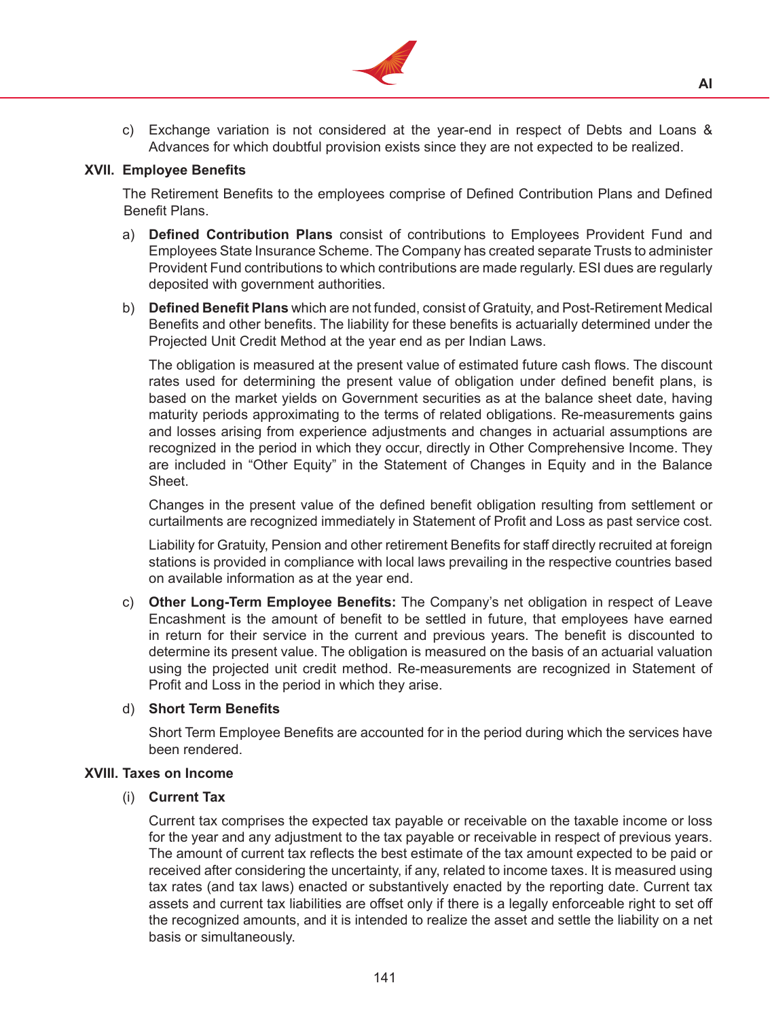

c) Exchange variation is not considered at the year-end in respect of Debts and Loans & Advances for which doubtful provision exists since they are not expected to be realized.

#### **XVII. Employee Benefits**

The Retirement Benefits to the employees comprise of Defined Contribution Plans and Defined Benefit Plans.

- a) **Defined Contribution Plans** consist of contributions to Employees Provident Fund and Employees State Insurance Scheme. The Company has created separate Trusts to administer Provident Fund contributions to which contributions are made regularly. ESI dues are regularly deposited with government authorities.
- b) **Defined Benefit Plans** which are not funded, consist of Gratuity, and Post-Retirement Medical Benefits and other benefits. The liability for these benefits is actuarially determined under the Projected Unit Credit Method at the year end as per Indian Laws.

 The obligation is measured at the present value of estimated future cash flows. The discount rates used for determining the present value of obligation under defined benefit plans, is based on the market yields on Government securities as at the balance sheet date, having maturity periods approximating to the terms of related obligations. Re-measurements gains and losses arising from experience adjustments and changes in actuarial assumptions are recognized in the period in which they occur, directly in Other Comprehensive Income. They are included in "Other Equity" in the Statement of Changes in Equity and in the Balance Sheet.

 Changes in the present value of the defined benefit obligation resulting from settlement or curtailments are recognized immediately in Statement of Profit and Loss as past service cost.

 Liability for Gratuity, Pension and other retirement Benefits for staff directly recruited at foreign stations is provided in compliance with local laws prevailing in the respective countries based on available information as at the year end.

c) **Other Long-Term Employee Benefits:** The Company's net obligation in respect of Leave Encashment is the amount of benefit to be settled in future, that employees have earned in return for their service in the current and previous years. The benefit is discounted to determine its present value. The obligation is measured on the basis of an actuarial valuation using the projected unit credit method. Re-measurements are recognized in Statement of Profit and Loss in the period in which they arise.

#### d) **Short Term Benefits**

Short Term Employee Benefits are accounted for in the period during which the services have been rendered.

#### **XVIII. Taxes on Income**

#### (i) **Current Tax**

Current tax comprises the expected tax payable or receivable on the taxable income or loss for the year and any adjustment to the tax payable or receivable in respect of previous years. The amount of current tax reflects the best estimate of the tax amount expected to be paid or received after considering the uncertainty, if any, related to income taxes. It is measured using tax rates (and tax laws) enacted or substantively enacted by the reporting date. Current tax assets and current tax liabilities are offset only if there is a legally enforceable right to set off the recognized amounts, and it is intended to realize the asset and settle the liability on a net basis or simultaneously.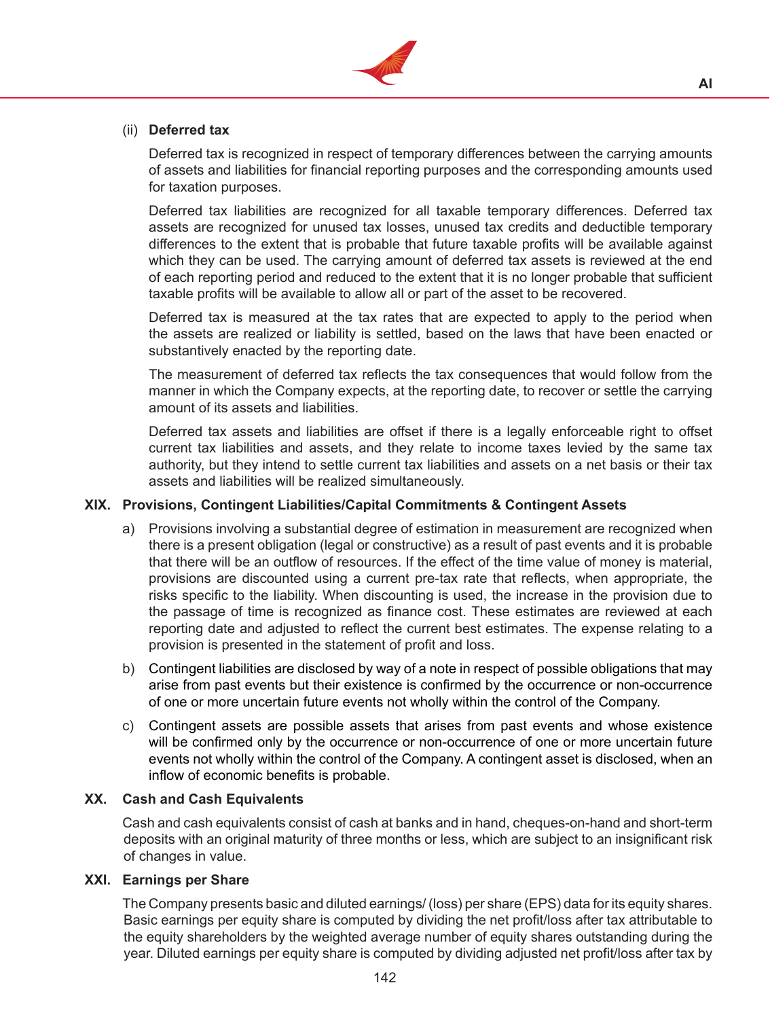

## (ii) **Deferred tax**

Deferred tax is recognized in respect of temporary differences between the carrying amounts of assets and liabilities for financial reporting purposes and the corresponding amounts used for taxation purposes.

 Deferred tax liabilities are recognized for all taxable temporary differences. Deferred tax assets are recognized for unused tax losses, unused tax credits and deductible temporary differences to the extent that is probable that future taxable profits will be available against which they can be used. The carrying amount of deferred tax assets is reviewed at the end of each reporting period and reduced to the extent that it is no longer probable that sufficient taxable profits will be available to allow all or part of the asset to be recovered.

Deferred tax is measured at the tax rates that are expected to apply to the period when the assets are realized or liability is settled, based on the laws that have been enacted or substantively enacted by the reporting date.

 The measurement of deferred tax reflects the tax consequences that would follow from the manner in which the Company expects, at the reporting date, to recover or settle the carrying amount of its assets and liabilities.

 Deferred tax assets and liabilities are offset if there is a legally enforceable right to offset current tax liabilities and assets, and they relate to income taxes levied by the same tax authority, but they intend to settle current tax liabilities and assets on a net basis or their tax assets and liabilities will be realized simultaneously.

#### **XIX. Provisions, Contingent Liabilities/Capital Commitments & Contingent Assets**

- a) Provisions involving a substantial degree of estimation in measurement are recognized when there is a present obligation (legal or constructive) as a result of past events and it is probable that there will be an outflow of resources. If the effect of the time value of money is material, provisions are discounted using a current pre-tax rate that reflects, when appropriate, the risks specific to the liability. When discounting is used, the increase in the provision due to the passage of time is recognized as finance cost. These estimates are reviewed at each reporting date and adjusted to reflect the current best estimates. The expense relating to a provision is presented in the statement of profit and loss.
- b) Contingent liabilities are disclosed by way of a note in respect of possible obligations that may arise from past events but their existence is confirmed by the occurrence or non-occurrence of one or more uncertain future events not wholly within the control of the Company.
- c) Contingent assets are possible assets that arises from past events and whose existence will be confirmed only by the occurrence or non-occurrence of one or more uncertain future events not wholly within the control of the Company. A contingent asset is disclosed, when an inflow of economic benefits is probable.

#### **XX. Cash and Cash Equivalents**

Cash and cash equivalents consist of cash at banks and in hand, cheques-on-hand and short-term deposits with an original maturity of three months or less, which are subject to an insignificant risk of changes in value.

#### **XXI. Earnings per Share**

The Company presents basic and diluted earnings/ (loss) per share (EPS) data for its equity shares. Basic earnings per equity share is computed by dividing the net profit/loss after tax attributable to the equity shareholders by the weighted average number of equity shares outstanding during the year. Diluted earnings per equity share is computed by dividing adjusted net profit/loss after tax by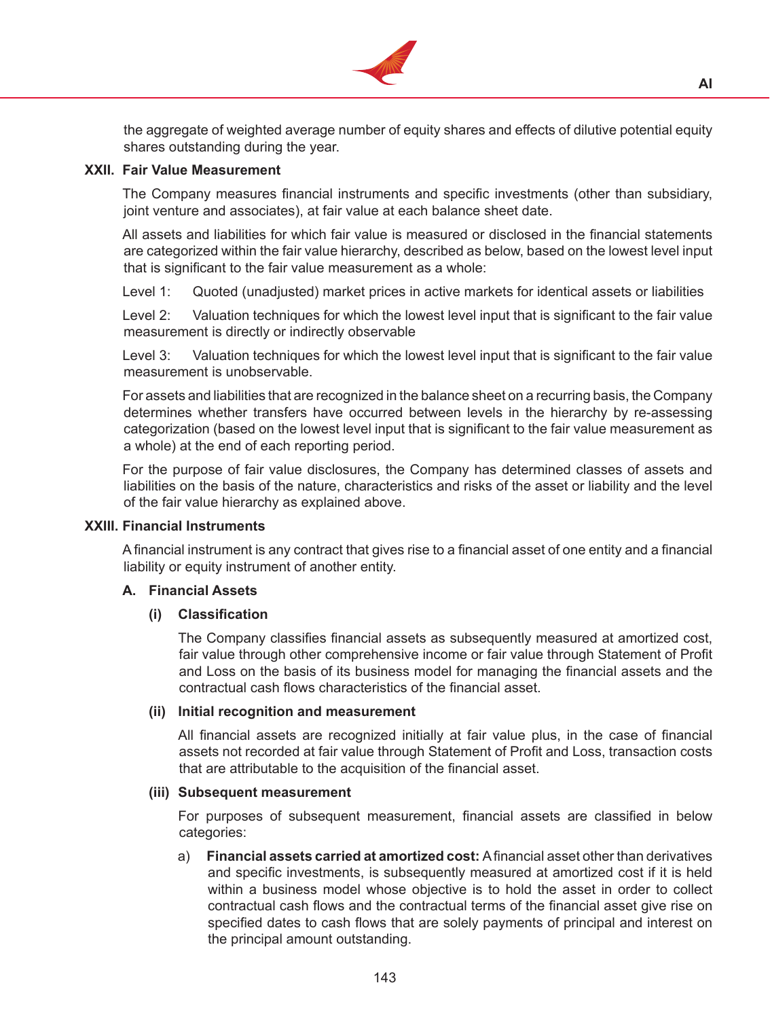

the aggregate of weighted average number of equity shares and effects of dilutive potential equity shares outstanding during the year.

**AI**

#### **XXII. Fair Value Measurement**

The Company measures financial instruments and specific investments (other than subsidiary, joint venture and associates), at fair value at each balance sheet date.

 All assets and liabilities for which fair value is measured or disclosed in the financial statements are categorized within the fair value hierarchy, described as below, based on the lowest level input that is significant to the fair value measurement as a whole:

Level 1: Quoted (unadjusted) market prices in active markets for identical assets or liabilities

Level 2: Valuation techniques for which the lowest level input that is significant to the fair value measurement is directly or indirectly observable

Level 3: Valuation techniques for which the lowest level input that is significant to the fair value measurement is unobservable.

 For assets and liabilities that are recognized in the balance sheet on a recurring basis, the Company determines whether transfers have occurred between levels in the hierarchy by re-assessing categorization (based on the lowest level input that is significant to the fair value measurement as a whole) at the end of each reporting period.

 For the purpose of fair value disclosures, the Company has determined classes of assets and liabilities on the basis of the nature, characteristics and risks of the asset or liability and the level of the fair value hierarchy as explained above.

#### **XXIII. Financial Instruments**

Afinancial instrument is any contract that gives rise to a financial asset of one entity and a financial liability or equity instrument of another entity.

#### **A. Financial Assets**

#### **(i) Classification**

The Company classifies financial assets as subsequently measured at amortized cost, fair value through other comprehensive income or fair value through Statement of Profit and Loss on the basis of its business model for managing the financial assets and the contractual cash flows characteristics of the financial asset.

### **(ii) Initial recognition and measurement**

All financial assets are recognized initially at fair value plus, in the case of financial assets not recorded at fair value through Statement of Profit and Loss, transaction costs that are attributable to the acquisition of the financial asset.

#### **(iii) Subsequent measurement**

For purposes of subsequent measurement, financial assets are classified in below categories:

a) **Financial assets carried at amortized cost:** Afinancial asset other than derivatives and specific investments, is subsequently measured at amortized cost if it is held within a business model whose objective is to hold the asset in order to collect contractual cash flows and the contractual terms of the financial asset give rise on specified dates to cash flows that are solely payments of principal and interest on the principal amount outstanding.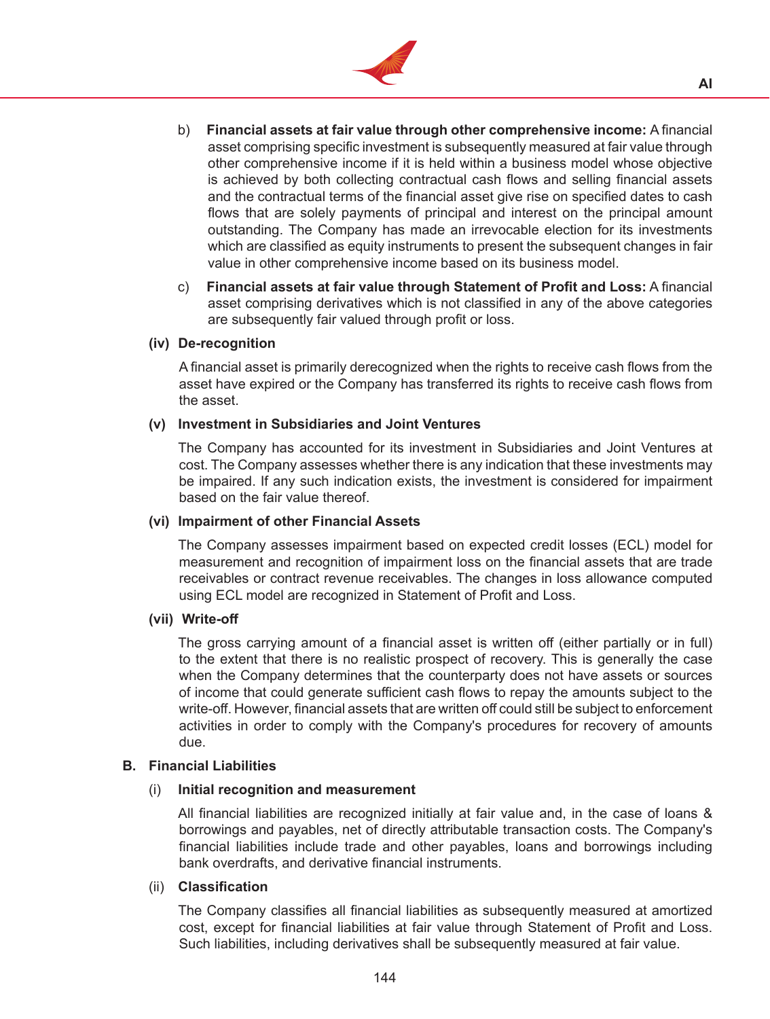

- b) **Financial assets at fair value through other comprehensive income:** A financial asset comprising specific investment is subsequently measured at fair value through other comprehensive income if it is held within a business model whose objective is achieved by both collecting contractual cash flows and selling financial assets and the contractual terms of the financial asset give rise on specified dates to cash flows that are solely payments of principal and interest on the principal amount outstanding. The Company has made an irrevocable election for its investments which are classified as equity instruments to present the subsequent changes in fair value in other comprehensive income based on its business model.
- c) **Financial assets at fair value through Statement of Profit and Loss:** A financial asset comprising derivatives which is not classified in any of the above categories are subsequently fair valued through profit or loss.

#### **(iv) De-recognition**

A financial asset is primarily derecognized when the rights to receive cash flows from the asset have expired or the Company has transferred its rights to receive cash flows from the asset.

### **(v) Investment in Subsidiaries and Joint Ventures**

The Company has accounted for its investment in Subsidiaries and Joint Ventures at cost. The Company assesses whether there is any indication that these investments may be impaired. If any such indication exists, the investment is considered for impairment based on the fair value thereof.

#### **(vi) Impairment of other Financial Assets**

The Company assesses impairment based on expected credit losses (ECL) model for measurement and recognition of impairment loss on the financial assets that are trade receivables or contract revenue receivables. The changes in loss allowance computed using ECL model are recognized in Statement of Profit and Loss.

#### **(vii) Write-off**

The gross carrying amount of a financial asset is written off (either partially or in full) to the extent that there is no realistic prospect of recovery. This is generally the case when the Company determines that the counterparty does not have assets or sources of income that could generate sufficient cash flows to repay the amounts subject to the write-off. However, financial assets that are written off could still be subject to enforcement activities in order to comply with the Company's procedures for recovery of amounts due.

#### **B. Financial Liabilities**

#### (i) **Initial recognition and measurement**

All financial liabilities are recognized initially at fair value and, in the case of loans & borrowings and payables, net of directly attributable transaction costs. The Company's financial liabilities include trade and other payables, loans and borrowings including bank overdrafts, and derivative financial instruments.

#### (ii) **Classification**

The Company classifies all financial liabilities as subsequently measured at amortized cost, except for financial liabilities at fair value through Statement of Profit and Loss. Such liabilities, including derivatives shall be subsequently measured at fair value.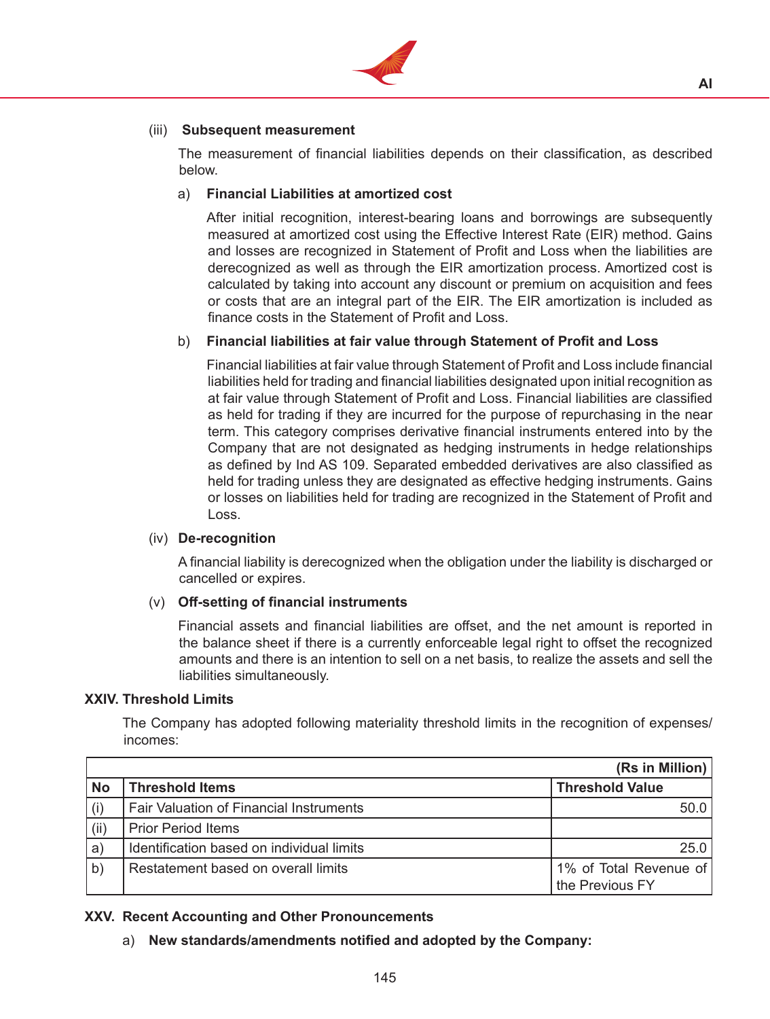

### (iii) **Subsequent measurement**

The measurement of financial liabilities depends on their classification, as described below.

### a) **Financial Liabilities at amortized cost**

 After initial recognition, interest-bearing loans and borrowings are subsequently measured at amortized cost using the Effective Interest Rate (EIR) method. Gains and losses are recognized in Statement of Profit and Loss when the liabilities are derecognized as well as through the EIR amortization process. Amortized cost is calculated by taking into account any discount or premium on acquisition and fees or costs that are an integral part of the EIR. The EIR amortization is included as finance costs in the Statement of Profit and Loss.

### b) **Financial liabilities at fair value through Statement of Profit and Loss**

Financial liabilities at fair value through Statement of Profit and Loss include financial liabilities held for trading and financial liabilities designated upon initial recognition as at fair value through Statement of Profit and Loss. Financial liabilities are classified as held for trading if they are incurred for the purpose of repurchasing in the near term. This category comprises derivative financial instruments entered into by the Company that are not designated as hedging instruments in hedge relationships as defined by Ind AS 109. Separated embedded derivatives are also classified as held for trading unless they are designated as effective hedging instruments. Gains or losses on liabilities held for trading are recognized in the Statement of Profit and Loss.

#### (iv) **De-recognition**

A financial liability is derecognized when the obligation under the liability is discharged or cancelled or expires.

#### (v) **Off-setting of financial instruments**

Financial assets and financial liabilities are offset, and the net amount is reported in the balance sheet if there is a currently enforceable legal right to offset the recognized amounts and there is an intention to sell on a net basis, to realize the assets and sell the liabilities simultaneously.

#### **XXIV. Threshold Limits**

The Company has adopted following materiality threshold limits in the recognition of expenses/ incomes:

|              |                                                | (Rs in Million)                           |
|--------------|------------------------------------------------|-------------------------------------------|
| <b>No</b>    | <b>Threshold Items</b>                         | <b>Threshold Value</b>                    |
| (i)          | <b>Fair Valuation of Financial Instruments</b> | 50.0                                      |
| (ii)         | <b>Prior Period Items</b>                      |                                           |
| a            | Identification based on individual limits      | 25.0                                      |
| $\mathsf{b}$ | Restatement based on overall limits            | 1% of Total Revenue of<br>the Previous FY |

#### **XXV. Recent Accounting and Other Pronouncements**

a) **New standards/amendments notified and adopted by the Company:**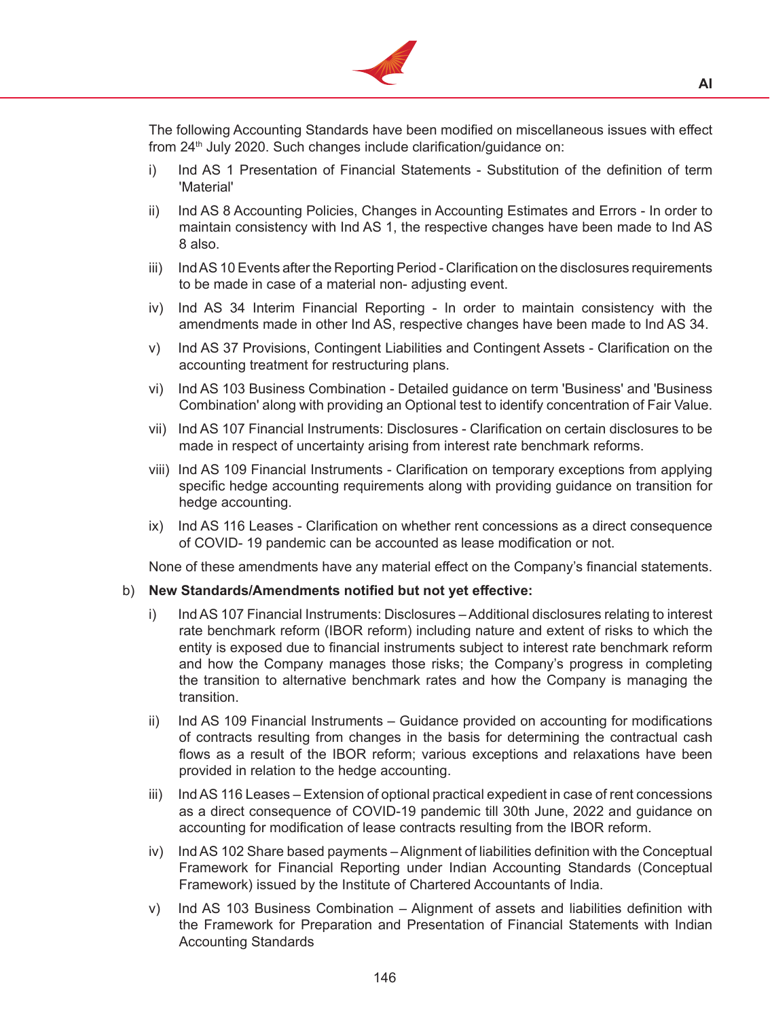

The following Accounting Standards have been modified on miscellaneous issues with effect from 24<sup>th</sup> July 2020. Such changes include clarification/guidance on:

- i) Ind AS 1 Presentation of Financial Statements Substitution of the definition of term 'Material'
- ii) Ind AS 8 Accounting Policies, Changes in Accounting Estimates and Errors In order to maintain consistency with Ind AS 1, the respective changes have been made to Ind AS 8 also.
- iii) Ind AS 10 Events after the Reporting Period Clarification on the disclosures requirements to be made in case of a material non- adjusting event.
- iv) Ind AS 34 Interim Financial Reporting In order to maintain consistency with the amendments made in other Ind AS, respective changes have been made to Ind AS 34.
- v) Ind AS 37 Provisions, Contingent Liabilities and Contingent Assets Clarification on the accounting treatment for restructuring plans.
- vi) Ind AS 103 Business Combination Detailed guidance on term 'Business' and 'Business Combination' along with providing an Optional test to identify concentration of Fair Value.
- vii) Ind AS 107 Financial Instruments: Disclosures Clarification on certain disclosures to be made in respect of uncertainty arising from interest rate benchmark reforms.
- viii) Ind AS 109 Financial Instruments Clarification on temporary exceptions from applying specific hedge accounting requirements along with providing guidance on transition for hedge accounting.
- ix) Ind AS 116 Leases Clarification on whether rent concessions as a direct consequence of COVID- 19 pandemic can be accounted as lease modification or not.

None of these amendments have any material effect on the Company's financial statements.

#### b) New Standards/Amendments notified but not yet effective:

- i) Ind AS 107 Financial Instruments: Disclosures Additional disclosures relating to interest rate benchmark reform (IBOR reform) including nature and extent of risks to which the entity is exposed due to financial instruments subject to interest rate benchmark reform and how the Company manages those risks; the Company's progress in completing the transition to alternative benchmark rates and how the Company is managing the transition.
- ii) Ind AS 109 Financial Instruments Guidance provided on accounting for modifications of contracts resulting from changes in the basis for determining the contractual cash flows as a result of the IBOR reform; various exceptions and relaxations have been provided in relation to the hedge accounting.
- iii) Ind AS 116 Leases Extension of optional practical expedient in case of rent concessions as a direct consequence of COVID-19 pandemic till 30th June, 2022 and guidance on accounting for modification of lease contracts resulting from the IBOR reform.
- iv) Ind AS 102 Share based payments Alignment of liabilities definition with the Conceptual Framework for Financial Reporting under Indian Accounting Standards (Conceptual Framework) issued by the Institute of Chartered Accountants of India.
- v) Ind AS 103 Business Combination Alignment of assets and liabilities definition with the Framework for Preparation and Presentation of Financial Statements with Indian Accounting Standards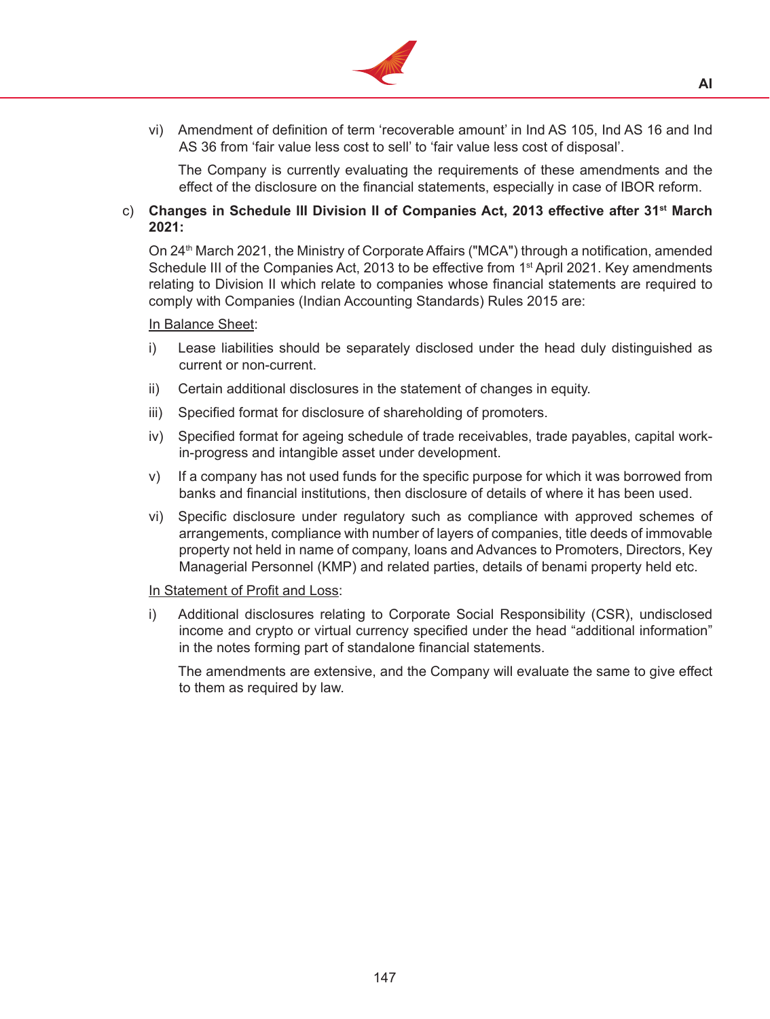

vi) Amendment of definition of term 'recoverable amount' in Ind AS 105, Ind AS 16 and Ind AS 36 from 'fair value less cost to sell' to 'fair value less cost of disposal'.

The Company is currently evaluating the requirements of these amendments and the effect of the disclosure on the financial statements, especially in case of IBOR reform.

### c) **Changes in Schedule III Division II of Companies Act, 2013 effective after 31st March 2021:**

On 24<sup>th</sup> March 2021, the Ministry of Corporate Affairs ("MCA") through a notification, amended Schedule III of the Companies Act, 2013 to be effective from 1<sup>st</sup> April 2021. Key amendments relating to Division II which relate to companies whose financial statements are required to comply with Companies (Indian Accounting Standards) Rules 2015 are:

#### In Balance Sheet:

- i) Lease liabilities should be separately disclosed under the head duly distinguished as current or non-current.
- ii) Certain additional disclosures in the statement of changes in equity.
- iii) Specified format for disclosure of shareholding of promoters.
- iv) Specified format for ageing schedule of trade receivables, trade payables, capital workin-progress and intangible asset under development.
- v) If a company has not used funds for the specific purpose for which it was borrowed from banks and financial institutions, then disclosure of details of where it has been used.
- vi) Specific disclosure under regulatory such as compliance with approved schemes of arrangements, compliance with number of layers of companies, title deeds of immovable property not held in name of company, loans and Advances to Promoters, Directors, Key Managerial Personnel (KMP) and related parties, details of benami property held etc.

#### In Statement of Profit and Loss:

i) Additional disclosures relating to Corporate Social Responsibility (CSR), undisclosed income and crypto or virtual currency specified under the head "additional information" in the notes forming part of standalone financial statements.

 The amendments are extensive, and the Company will evaluate the same to give effect to them as required by law.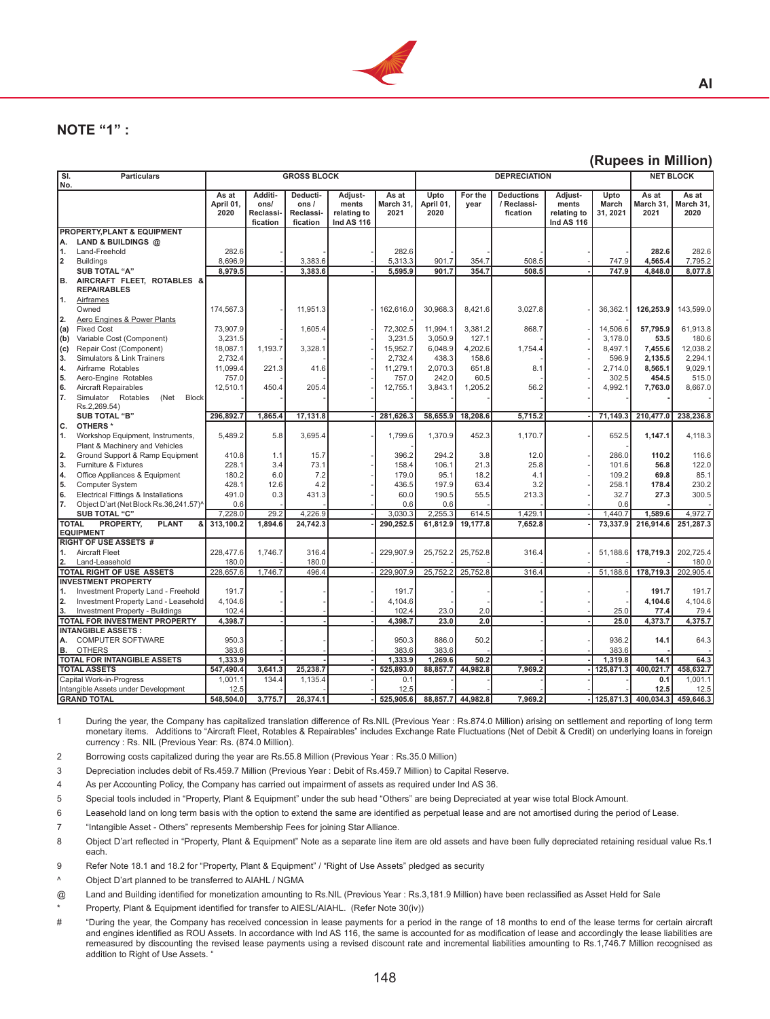

# **NOTE "1" :**

#### **(Rupees in Million)**

**AI**

| Additi-<br>Adjust-<br>As at<br>Upto<br>For the<br><b>Deductions</b><br>Adjust-<br>Upto<br>As at<br>As at<br>As at<br>Deducti-<br>ments<br>March 31.<br>April 01,<br>March<br>March 31,<br>April 01,<br>ons/<br>ons/<br>year<br>/ Reclassi-<br>ments<br>March 31,<br>31, 2021<br>2020<br>relating to<br>2021<br>2020<br><b>Reclassi</b><br>Reclassi-<br>fication<br>relating to<br>2021<br>2020<br>fication<br>fication<br><b>Ind AS 116</b><br><b>Ind AS 116</b><br>PROPERTY, PLANT & EQUIPMENT<br>LAND & BUILDINGS @<br>Land-Freehold<br>282.6<br>282.6<br>282.6<br>282.6<br>8,696.9<br>3,383.6<br>5,313.3<br>4.565.4<br>7,795.2<br><b>Buildings</b><br>901.7<br>354.7<br>508.5<br>747.9<br><b>SUB TOTAL "A"</b><br>8,979.5<br>3,383.6<br>5,595.9<br>901.7<br>354.7<br>508.5<br>747.9<br>4,848.0<br>8.077.8<br>B.<br>AIRCRAFT FLEET, ROTABLES &<br><b>REPAIRABLES</b><br>1.<br>Airframes<br>143,599.0<br>Owned<br>174,567.3<br>11,951.3<br>162,616.0<br>30,968.3<br>8,421.6<br>3,027.8<br>36,362.1<br>126,253.9<br>Aero Engines & Power Plants<br><b>Fixed Cost</b><br>1,605.4<br>72,302.5<br>11,994.1<br>3,381.2<br>868.7<br>14,506.6<br>57,795.9<br>61,913.8<br>73,907.9<br>Variable Cost (Component)<br>3,231.5<br>3,231.5<br>3,050.9<br>127.1<br>3,178.0<br>180.6<br>(b)<br>53.5<br>1.193.7<br>4,202.6<br>7.455.6<br>12,038.2<br>Repair Cost (Component)<br>18,087.1<br>3,328.1<br>15,952.7<br>6,048.9<br>1,754.4<br>8,497.1<br>2,732.4<br>2,732.4<br>2,294.1<br>Simulators & Link Trainers<br>438.3<br>158.6<br>596.9<br>2.135.5<br>11,099.4<br>221.3<br>2,070.3<br>651.8<br>8.1<br>8,565.1<br>9,029.1<br>Airframe Rotables<br>41.6<br>11,279.1<br>2,714.0<br>5.<br>757.0<br>757.0<br>242.0<br>60.5<br>302.5<br>454.5<br>515.0<br>Aero-Engine Rotables<br>6.<br>12,510.1<br>450.4<br>205.4<br>12,755.1<br>1,205.2<br>56.2<br>8,667.0<br><b>Aircraft Repairables</b><br>3,843.1<br>4,992.1<br>7,763.0<br>Simulator Rotables<br><b>Block</b><br>(Net<br>Rs.2,269.54)<br>296,892.7<br>1,865.4<br>17,131.8<br>281,626.3<br>58,655.9<br>18,208.6<br>5,715.2<br>71,149.3<br>210,477.0<br>238,236.8<br><b>SUB TOTAL "B"</b><br>c.<br>OTHERS <sup>*</sup><br>1.<br>Workshop Equipment, Instruments,<br>5,489.2<br>5.8<br>3,695.4<br>1,799.6<br>1,370.9<br>452.3<br>1,170.7<br>652.5<br>1,147.1<br>4,118.3<br>Plant & Machinery and Vehicles<br>2.<br>1.1<br>15.7<br>396.2<br>294.2<br>3.8<br>286.0<br>116.6<br>Ground Support & Ramp Equipment<br>410.8<br>12.0<br>110.2<br>3.<br>Furniture & Fixtures<br>228.1<br>3.4<br>73.1<br>158.4<br>106.1<br>21.3<br>25.8<br>56.8<br>122.0<br>101.6<br>Office Appliances & Equipment<br>180.2<br>6.0<br>7.2<br>179.0<br>95.1<br>18.2<br>4.1<br>109.2<br>69.8<br>85.1<br>5.<br>230.2<br><b>Computer System</b><br>428.1<br>12.6<br>4.2<br>436.5<br>197.9<br>63.4<br>3.2<br>258.1<br>178.4<br>6.<br>431.3<br>300.5<br>Electrical Fittings & Installations<br>491.0<br>0.3<br>60.0<br>190.5<br>55.5<br>213.3<br>27.3<br>32.7<br>7.<br>Object D'art (Net Block Rs.36,241.57)^<br>0.6<br>0.6<br>0.6<br>0.6<br>4,972.7<br>29.2<br>4,226.9<br>1.589.6<br><b>SUB TOTAL "C"</b><br>7,228.0<br>3.030.3<br>2,255.3<br>614.5<br>1,429.1<br>1.440.7<br><b>TOTAL</b><br>PROPERTY,<br><b>PLANT</b><br>313,100.2<br>1,894.6<br>24,742.3<br>290,252.5<br>61,812.9<br>19,177.8<br>7,652.8<br>73,337.9<br>216,914.6<br>251,287.3<br>ا &<br><b>EQUIPMENT</b><br><b>RIGHT OF USE ASSETS #</b><br>Aircraft Fleet<br>228.477.6<br>1.746.7<br>316.4<br>229.907.9<br>25.752.2<br>25.752.8<br>316.4<br>51.188.6<br>178.719.3<br>202.725.4<br>1.<br>180.0<br>180.0<br>180.0<br>2.<br>Land-Leasehold<br>316.4<br>TOTAL RIGHT OF USE ASSETS<br>228,657.6<br>1,746.7<br>496.4<br>229,907.9<br>25,752.2<br>25,752.8<br>51,188.6<br>178,719.3<br>202,905.4<br><b>INVESTMENT PROPERTY</b><br>191.7<br>191.7<br>191.7<br>191.7<br>1.<br>Investment Property Land - Freehold<br>4,104.6<br>4,104.6<br>4,104.6<br>4,104.6<br>2.<br>Investment Property Land - Leasehold<br>102.4<br>102.4<br>2.0<br>3.<br>Investment Property - Buildings<br>23.0<br>25.0<br>77.4<br>79.4<br>TOTAL FOR INVESTMENT PROPERTY<br>4,398.7<br>23.0<br>2.0<br>25.0<br>4,373.7<br>4,375.7<br>4,398.7<br><b>INTANGIBLE ASSETS:</b><br>50.2<br>64.3<br><b>COMPUTER SOFTWARE</b><br>950.3<br>950.3<br>886.0<br>936.2<br>14.1<br>А.<br>383.6<br>383.6<br>B.<br><b>OTHERS</b><br>383.6<br>383.6<br><b>TOTAL FOR INTANGIBLE ASSETS</b><br>1.333.9<br>1,333.9<br>1.269.6<br>50.2<br>1,319.8<br>14.1<br>64.3<br>25.238.7<br>7,969.2<br>400.021.7<br>458.632.7<br><b>TOTAL ASSETS</b><br>547.490.4<br>3,641.3<br>525,893.0<br>88,857.7<br>44.982.8<br>125,871.3<br>Capital Work-in-Progress<br>1,001.1<br>134.4<br>1,135.4<br>0.1<br>1.001.1<br>0.1<br>Intangible Assets under Development<br>12.5<br>12.5<br>12.5<br>12.5 | SI. | <b>Particulars</b> |  | <b>GROSS BLOCK</b> |  | <b>DEPRECIATION</b> |  |  |  | <b>NET BLOCK</b> |
|---------------------------------------------------------------------------------------------------------------------------------------------------------------------------------------------------------------------------------------------------------------------------------------------------------------------------------------------------------------------------------------------------------------------------------------------------------------------------------------------------------------------------------------------------------------------------------------------------------------------------------------------------------------------------------------------------------------------------------------------------------------------------------------------------------------------------------------------------------------------------------------------------------------------------------------------------------------------------------------------------------------------------------------------------------------------------------------------------------------------------------------------------------------------------------------------------------------------------------------------------------------------------------------------------------------------------------------------------------------------------------------------------------------------------------------------------------------------------------------------------------------------------------------------------------------------------------------------------------------------------------------------------------------------------------------------------------------------------------------------------------------------------------------------------------------------------------------------------------------------------------------------------------------------------------------------------------------------------------------------------------------------------------------------------------------------------------------------------------------------------------------------------------------------------------------------------------------------------------------------------------------------------------------------------------------------------------------------------------------------------------------------------------------------------------------------------------------------------------------------------------------------------------------------------------------------------------------------------------------------------------------------------------------------------------------------------------------------------------------------------------------------------------------------------------------------------------------------------------------------------------------------------------------------------------------------------------------------------------------------------------------------------------------------------------------------------------------------------------------------------------------------------------------------------------------------------------------------------------------------------------------------------------------------------------------------------------------------------------------------------------------------------------------------------------------------------------------------------------------------------------------------------------------------------------------------------------------------------------------------------------------------------------------------------------------------------------------------------------------------------------------------------------------------------------------------------------------------------------------------------------------------------------------------------------------------------------------------------------------------------------------------------------------------------------------------------------------------------------------------------------------------------------------------------------------------------------------------------------------------------------------------------------------------------------------------------------------------------------------------------------------------------------------------------------------------------------------------------------------------------------------------------------------------------------------------------------------------------------------------------------------------------------------------------------------------------------------------------------------------------------------------------------------------|-----|--------------------|--|--------------------|--|---------------------|--|--|--|------------------|
|                                                                                                                                                                                                                                                                                                                                                                                                                                                                                                                                                                                                                                                                                                                                                                                                                                                                                                                                                                                                                                                                                                                                                                                                                                                                                                                                                                                                                                                                                                                                                                                                                                                                                                                                                                                                                                                                                                                                                                                                                                                                                                                                                                                                                                                                                                                                                                                                                                                                                                                                                                                                                                                                                                                                                                                                                                                                                                                                                                                                                                                                                                                                                                                                                                                                                                                                                                                                                                                                                                                                                                                                                                                                                                                                                                                                                                                                                                                                                                                                                                                                                                                                                                                                                                                                                                                                                                                                                                                                                                                                                                                                                                                                                                                                                                                             | No. |                    |  |                    |  |                     |  |  |  |                  |
|                                                                                                                                                                                                                                                                                                                                                                                                                                                                                                                                                                                                                                                                                                                                                                                                                                                                                                                                                                                                                                                                                                                                                                                                                                                                                                                                                                                                                                                                                                                                                                                                                                                                                                                                                                                                                                                                                                                                                                                                                                                                                                                                                                                                                                                                                                                                                                                                                                                                                                                                                                                                                                                                                                                                                                                                                                                                                                                                                                                                                                                                                                                                                                                                                                                                                                                                                                                                                                                                                                                                                                                                                                                                                                                                                                                                                                                                                                                                                                                                                                                                                                                                                                                                                                                                                                                                                                                                                                                                                                                                                                                                                                                                                                                                                                                             |     |                    |  |                    |  |                     |  |  |  |                  |
|                                                                                                                                                                                                                                                                                                                                                                                                                                                                                                                                                                                                                                                                                                                                                                                                                                                                                                                                                                                                                                                                                                                                                                                                                                                                                                                                                                                                                                                                                                                                                                                                                                                                                                                                                                                                                                                                                                                                                                                                                                                                                                                                                                                                                                                                                                                                                                                                                                                                                                                                                                                                                                                                                                                                                                                                                                                                                                                                                                                                                                                                                                                                                                                                                                                                                                                                                                                                                                                                                                                                                                                                                                                                                                                                                                                                                                                                                                                                                                                                                                                                                                                                                                                                                                                                                                                                                                                                                                                                                                                                                                                                                                                                                                                                                                                             |     |                    |  |                    |  |                     |  |  |  |                  |
|                                                                                                                                                                                                                                                                                                                                                                                                                                                                                                                                                                                                                                                                                                                                                                                                                                                                                                                                                                                                                                                                                                                                                                                                                                                                                                                                                                                                                                                                                                                                                                                                                                                                                                                                                                                                                                                                                                                                                                                                                                                                                                                                                                                                                                                                                                                                                                                                                                                                                                                                                                                                                                                                                                                                                                                                                                                                                                                                                                                                                                                                                                                                                                                                                                                                                                                                                                                                                                                                                                                                                                                                                                                                                                                                                                                                                                                                                                                                                                                                                                                                                                                                                                                                                                                                                                                                                                                                                                                                                                                                                                                                                                                                                                                                                                                             |     |                    |  |                    |  |                     |  |  |  |                  |
|                                                                                                                                                                                                                                                                                                                                                                                                                                                                                                                                                                                                                                                                                                                                                                                                                                                                                                                                                                                                                                                                                                                                                                                                                                                                                                                                                                                                                                                                                                                                                                                                                                                                                                                                                                                                                                                                                                                                                                                                                                                                                                                                                                                                                                                                                                                                                                                                                                                                                                                                                                                                                                                                                                                                                                                                                                                                                                                                                                                                                                                                                                                                                                                                                                                                                                                                                                                                                                                                                                                                                                                                                                                                                                                                                                                                                                                                                                                                                                                                                                                                                                                                                                                                                                                                                                                                                                                                                                                                                                                                                                                                                                                                                                                                                                                             |     |                    |  |                    |  |                     |  |  |  |                  |
|                                                                                                                                                                                                                                                                                                                                                                                                                                                                                                                                                                                                                                                                                                                                                                                                                                                                                                                                                                                                                                                                                                                                                                                                                                                                                                                                                                                                                                                                                                                                                                                                                                                                                                                                                                                                                                                                                                                                                                                                                                                                                                                                                                                                                                                                                                                                                                                                                                                                                                                                                                                                                                                                                                                                                                                                                                                                                                                                                                                                                                                                                                                                                                                                                                                                                                                                                                                                                                                                                                                                                                                                                                                                                                                                                                                                                                                                                                                                                                                                                                                                                                                                                                                                                                                                                                                                                                                                                                                                                                                                                                                                                                                                                                                                                                                             | А.  |                    |  |                    |  |                     |  |  |  |                  |
|                                                                                                                                                                                                                                                                                                                                                                                                                                                                                                                                                                                                                                                                                                                                                                                                                                                                                                                                                                                                                                                                                                                                                                                                                                                                                                                                                                                                                                                                                                                                                                                                                                                                                                                                                                                                                                                                                                                                                                                                                                                                                                                                                                                                                                                                                                                                                                                                                                                                                                                                                                                                                                                                                                                                                                                                                                                                                                                                                                                                                                                                                                                                                                                                                                                                                                                                                                                                                                                                                                                                                                                                                                                                                                                                                                                                                                                                                                                                                                                                                                                                                                                                                                                                                                                                                                                                                                                                                                                                                                                                                                                                                                                                                                                                                                                             | 1.  |                    |  |                    |  |                     |  |  |  |                  |
|                                                                                                                                                                                                                                                                                                                                                                                                                                                                                                                                                                                                                                                                                                                                                                                                                                                                                                                                                                                                                                                                                                                                                                                                                                                                                                                                                                                                                                                                                                                                                                                                                                                                                                                                                                                                                                                                                                                                                                                                                                                                                                                                                                                                                                                                                                                                                                                                                                                                                                                                                                                                                                                                                                                                                                                                                                                                                                                                                                                                                                                                                                                                                                                                                                                                                                                                                                                                                                                                                                                                                                                                                                                                                                                                                                                                                                                                                                                                                                                                                                                                                                                                                                                                                                                                                                                                                                                                                                                                                                                                                                                                                                                                                                                                                                                             | 2   |                    |  |                    |  |                     |  |  |  |                  |
|                                                                                                                                                                                                                                                                                                                                                                                                                                                                                                                                                                                                                                                                                                                                                                                                                                                                                                                                                                                                                                                                                                                                                                                                                                                                                                                                                                                                                                                                                                                                                                                                                                                                                                                                                                                                                                                                                                                                                                                                                                                                                                                                                                                                                                                                                                                                                                                                                                                                                                                                                                                                                                                                                                                                                                                                                                                                                                                                                                                                                                                                                                                                                                                                                                                                                                                                                                                                                                                                                                                                                                                                                                                                                                                                                                                                                                                                                                                                                                                                                                                                                                                                                                                                                                                                                                                                                                                                                                                                                                                                                                                                                                                                                                                                                                                             |     |                    |  |                    |  |                     |  |  |  |                  |
|                                                                                                                                                                                                                                                                                                                                                                                                                                                                                                                                                                                                                                                                                                                                                                                                                                                                                                                                                                                                                                                                                                                                                                                                                                                                                                                                                                                                                                                                                                                                                                                                                                                                                                                                                                                                                                                                                                                                                                                                                                                                                                                                                                                                                                                                                                                                                                                                                                                                                                                                                                                                                                                                                                                                                                                                                                                                                                                                                                                                                                                                                                                                                                                                                                                                                                                                                                                                                                                                                                                                                                                                                                                                                                                                                                                                                                                                                                                                                                                                                                                                                                                                                                                                                                                                                                                                                                                                                                                                                                                                                                                                                                                                                                                                                                                             |     |                    |  |                    |  |                     |  |  |  |                  |
|                                                                                                                                                                                                                                                                                                                                                                                                                                                                                                                                                                                                                                                                                                                                                                                                                                                                                                                                                                                                                                                                                                                                                                                                                                                                                                                                                                                                                                                                                                                                                                                                                                                                                                                                                                                                                                                                                                                                                                                                                                                                                                                                                                                                                                                                                                                                                                                                                                                                                                                                                                                                                                                                                                                                                                                                                                                                                                                                                                                                                                                                                                                                                                                                                                                                                                                                                                                                                                                                                                                                                                                                                                                                                                                                                                                                                                                                                                                                                                                                                                                                                                                                                                                                                                                                                                                                                                                                                                                                                                                                                                                                                                                                                                                                                                                             |     |                    |  |                    |  |                     |  |  |  |                  |
|                                                                                                                                                                                                                                                                                                                                                                                                                                                                                                                                                                                                                                                                                                                                                                                                                                                                                                                                                                                                                                                                                                                                                                                                                                                                                                                                                                                                                                                                                                                                                                                                                                                                                                                                                                                                                                                                                                                                                                                                                                                                                                                                                                                                                                                                                                                                                                                                                                                                                                                                                                                                                                                                                                                                                                                                                                                                                                                                                                                                                                                                                                                                                                                                                                                                                                                                                                                                                                                                                                                                                                                                                                                                                                                                                                                                                                                                                                                                                                                                                                                                                                                                                                                                                                                                                                                                                                                                                                                                                                                                                                                                                                                                                                                                                                                             |     |                    |  |                    |  |                     |  |  |  |                  |
|                                                                                                                                                                                                                                                                                                                                                                                                                                                                                                                                                                                                                                                                                                                                                                                                                                                                                                                                                                                                                                                                                                                                                                                                                                                                                                                                                                                                                                                                                                                                                                                                                                                                                                                                                                                                                                                                                                                                                                                                                                                                                                                                                                                                                                                                                                                                                                                                                                                                                                                                                                                                                                                                                                                                                                                                                                                                                                                                                                                                                                                                                                                                                                                                                                                                                                                                                                                                                                                                                                                                                                                                                                                                                                                                                                                                                                                                                                                                                                                                                                                                                                                                                                                                                                                                                                                                                                                                                                                                                                                                                                                                                                                                                                                                                                                             |     |                    |  |                    |  |                     |  |  |  |                  |
|                                                                                                                                                                                                                                                                                                                                                                                                                                                                                                                                                                                                                                                                                                                                                                                                                                                                                                                                                                                                                                                                                                                                                                                                                                                                                                                                                                                                                                                                                                                                                                                                                                                                                                                                                                                                                                                                                                                                                                                                                                                                                                                                                                                                                                                                                                                                                                                                                                                                                                                                                                                                                                                                                                                                                                                                                                                                                                                                                                                                                                                                                                                                                                                                                                                                                                                                                                                                                                                                                                                                                                                                                                                                                                                                                                                                                                                                                                                                                                                                                                                                                                                                                                                                                                                                                                                                                                                                                                                                                                                                                                                                                                                                                                                                                                                             | 2.  |                    |  |                    |  |                     |  |  |  |                  |
|                                                                                                                                                                                                                                                                                                                                                                                                                                                                                                                                                                                                                                                                                                                                                                                                                                                                                                                                                                                                                                                                                                                                                                                                                                                                                                                                                                                                                                                                                                                                                                                                                                                                                                                                                                                                                                                                                                                                                                                                                                                                                                                                                                                                                                                                                                                                                                                                                                                                                                                                                                                                                                                                                                                                                                                                                                                                                                                                                                                                                                                                                                                                                                                                                                                                                                                                                                                                                                                                                                                                                                                                                                                                                                                                                                                                                                                                                                                                                                                                                                                                                                                                                                                                                                                                                                                                                                                                                                                                                                                                                                                                                                                                                                                                                                                             | (a) |                    |  |                    |  |                     |  |  |  |                  |
|                                                                                                                                                                                                                                                                                                                                                                                                                                                                                                                                                                                                                                                                                                                                                                                                                                                                                                                                                                                                                                                                                                                                                                                                                                                                                                                                                                                                                                                                                                                                                                                                                                                                                                                                                                                                                                                                                                                                                                                                                                                                                                                                                                                                                                                                                                                                                                                                                                                                                                                                                                                                                                                                                                                                                                                                                                                                                                                                                                                                                                                                                                                                                                                                                                                                                                                                                                                                                                                                                                                                                                                                                                                                                                                                                                                                                                                                                                                                                                                                                                                                                                                                                                                                                                                                                                                                                                                                                                                                                                                                                                                                                                                                                                                                                                                             |     |                    |  |                    |  |                     |  |  |  |                  |
|                                                                                                                                                                                                                                                                                                                                                                                                                                                                                                                                                                                                                                                                                                                                                                                                                                                                                                                                                                                                                                                                                                                                                                                                                                                                                                                                                                                                                                                                                                                                                                                                                                                                                                                                                                                                                                                                                                                                                                                                                                                                                                                                                                                                                                                                                                                                                                                                                                                                                                                                                                                                                                                                                                                                                                                                                                                                                                                                                                                                                                                                                                                                                                                                                                                                                                                                                                                                                                                                                                                                                                                                                                                                                                                                                                                                                                                                                                                                                                                                                                                                                                                                                                                                                                                                                                                                                                                                                                                                                                                                                                                                                                                                                                                                                                                             | (c) |                    |  |                    |  |                     |  |  |  |                  |
|                                                                                                                                                                                                                                                                                                                                                                                                                                                                                                                                                                                                                                                                                                                                                                                                                                                                                                                                                                                                                                                                                                                                                                                                                                                                                                                                                                                                                                                                                                                                                                                                                                                                                                                                                                                                                                                                                                                                                                                                                                                                                                                                                                                                                                                                                                                                                                                                                                                                                                                                                                                                                                                                                                                                                                                                                                                                                                                                                                                                                                                                                                                                                                                                                                                                                                                                                                                                                                                                                                                                                                                                                                                                                                                                                                                                                                                                                                                                                                                                                                                                                                                                                                                                                                                                                                                                                                                                                                                                                                                                                                                                                                                                                                                                                                                             | 3.  |                    |  |                    |  |                     |  |  |  |                  |
|                                                                                                                                                                                                                                                                                                                                                                                                                                                                                                                                                                                                                                                                                                                                                                                                                                                                                                                                                                                                                                                                                                                                                                                                                                                                                                                                                                                                                                                                                                                                                                                                                                                                                                                                                                                                                                                                                                                                                                                                                                                                                                                                                                                                                                                                                                                                                                                                                                                                                                                                                                                                                                                                                                                                                                                                                                                                                                                                                                                                                                                                                                                                                                                                                                                                                                                                                                                                                                                                                                                                                                                                                                                                                                                                                                                                                                                                                                                                                                                                                                                                                                                                                                                                                                                                                                                                                                                                                                                                                                                                                                                                                                                                                                                                                                                             | 4.  |                    |  |                    |  |                     |  |  |  |                  |
|                                                                                                                                                                                                                                                                                                                                                                                                                                                                                                                                                                                                                                                                                                                                                                                                                                                                                                                                                                                                                                                                                                                                                                                                                                                                                                                                                                                                                                                                                                                                                                                                                                                                                                                                                                                                                                                                                                                                                                                                                                                                                                                                                                                                                                                                                                                                                                                                                                                                                                                                                                                                                                                                                                                                                                                                                                                                                                                                                                                                                                                                                                                                                                                                                                                                                                                                                                                                                                                                                                                                                                                                                                                                                                                                                                                                                                                                                                                                                                                                                                                                                                                                                                                                                                                                                                                                                                                                                                                                                                                                                                                                                                                                                                                                                                                             |     |                    |  |                    |  |                     |  |  |  |                  |
|                                                                                                                                                                                                                                                                                                                                                                                                                                                                                                                                                                                                                                                                                                                                                                                                                                                                                                                                                                                                                                                                                                                                                                                                                                                                                                                                                                                                                                                                                                                                                                                                                                                                                                                                                                                                                                                                                                                                                                                                                                                                                                                                                                                                                                                                                                                                                                                                                                                                                                                                                                                                                                                                                                                                                                                                                                                                                                                                                                                                                                                                                                                                                                                                                                                                                                                                                                                                                                                                                                                                                                                                                                                                                                                                                                                                                                                                                                                                                                                                                                                                                                                                                                                                                                                                                                                                                                                                                                                                                                                                                                                                                                                                                                                                                                                             |     |                    |  |                    |  |                     |  |  |  |                  |
|                                                                                                                                                                                                                                                                                                                                                                                                                                                                                                                                                                                                                                                                                                                                                                                                                                                                                                                                                                                                                                                                                                                                                                                                                                                                                                                                                                                                                                                                                                                                                                                                                                                                                                                                                                                                                                                                                                                                                                                                                                                                                                                                                                                                                                                                                                                                                                                                                                                                                                                                                                                                                                                                                                                                                                                                                                                                                                                                                                                                                                                                                                                                                                                                                                                                                                                                                                                                                                                                                                                                                                                                                                                                                                                                                                                                                                                                                                                                                                                                                                                                                                                                                                                                                                                                                                                                                                                                                                                                                                                                                                                                                                                                                                                                                                                             | 7.  |                    |  |                    |  |                     |  |  |  |                  |
|                                                                                                                                                                                                                                                                                                                                                                                                                                                                                                                                                                                                                                                                                                                                                                                                                                                                                                                                                                                                                                                                                                                                                                                                                                                                                                                                                                                                                                                                                                                                                                                                                                                                                                                                                                                                                                                                                                                                                                                                                                                                                                                                                                                                                                                                                                                                                                                                                                                                                                                                                                                                                                                                                                                                                                                                                                                                                                                                                                                                                                                                                                                                                                                                                                                                                                                                                                                                                                                                                                                                                                                                                                                                                                                                                                                                                                                                                                                                                                                                                                                                                                                                                                                                                                                                                                                                                                                                                                                                                                                                                                                                                                                                                                                                                                                             |     |                    |  |                    |  |                     |  |  |  |                  |
|                                                                                                                                                                                                                                                                                                                                                                                                                                                                                                                                                                                                                                                                                                                                                                                                                                                                                                                                                                                                                                                                                                                                                                                                                                                                                                                                                                                                                                                                                                                                                                                                                                                                                                                                                                                                                                                                                                                                                                                                                                                                                                                                                                                                                                                                                                                                                                                                                                                                                                                                                                                                                                                                                                                                                                                                                                                                                                                                                                                                                                                                                                                                                                                                                                                                                                                                                                                                                                                                                                                                                                                                                                                                                                                                                                                                                                                                                                                                                                                                                                                                                                                                                                                                                                                                                                                                                                                                                                                                                                                                                                                                                                                                                                                                                                                             |     |                    |  |                    |  |                     |  |  |  |                  |
|                                                                                                                                                                                                                                                                                                                                                                                                                                                                                                                                                                                                                                                                                                                                                                                                                                                                                                                                                                                                                                                                                                                                                                                                                                                                                                                                                                                                                                                                                                                                                                                                                                                                                                                                                                                                                                                                                                                                                                                                                                                                                                                                                                                                                                                                                                                                                                                                                                                                                                                                                                                                                                                                                                                                                                                                                                                                                                                                                                                                                                                                                                                                                                                                                                                                                                                                                                                                                                                                                                                                                                                                                                                                                                                                                                                                                                                                                                                                                                                                                                                                                                                                                                                                                                                                                                                                                                                                                                                                                                                                                                                                                                                                                                                                                                                             |     |                    |  |                    |  |                     |  |  |  |                  |
|                                                                                                                                                                                                                                                                                                                                                                                                                                                                                                                                                                                                                                                                                                                                                                                                                                                                                                                                                                                                                                                                                                                                                                                                                                                                                                                                                                                                                                                                                                                                                                                                                                                                                                                                                                                                                                                                                                                                                                                                                                                                                                                                                                                                                                                                                                                                                                                                                                                                                                                                                                                                                                                                                                                                                                                                                                                                                                                                                                                                                                                                                                                                                                                                                                                                                                                                                                                                                                                                                                                                                                                                                                                                                                                                                                                                                                                                                                                                                                                                                                                                                                                                                                                                                                                                                                                                                                                                                                                                                                                                                                                                                                                                                                                                                                                             |     |                    |  |                    |  |                     |  |  |  |                  |
|                                                                                                                                                                                                                                                                                                                                                                                                                                                                                                                                                                                                                                                                                                                                                                                                                                                                                                                                                                                                                                                                                                                                                                                                                                                                                                                                                                                                                                                                                                                                                                                                                                                                                                                                                                                                                                                                                                                                                                                                                                                                                                                                                                                                                                                                                                                                                                                                                                                                                                                                                                                                                                                                                                                                                                                                                                                                                                                                                                                                                                                                                                                                                                                                                                                                                                                                                                                                                                                                                                                                                                                                                                                                                                                                                                                                                                                                                                                                                                                                                                                                                                                                                                                                                                                                                                                                                                                                                                                                                                                                                                                                                                                                                                                                                                                             |     |                    |  |                    |  |                     |  |  |  |                  |
|                                                                                                                                                                                                                                                                                                                                                                                                                                                                                                                                                                                                                                                                                                                                                                                                                                                                                                                                                                                                                                                                                                                                                                                                                                                                                                                                                                                                                                                                                                                                                                                                                                                                                                                                                                                                                                                                                                                                                                                                                                                                                                                                                                                                                                                                                                                                                                                                                                                                                                                                                                                                                                                                                                                                                                                                                                                                                                                                                                                                                                                                                                                                                                                                                                                                                                                                                                                                                                                                                                                                                                                                                                                                                                                                                                                                                                                                                                                                                                                                                                                                                                                                                                                                                                                                                                                                                                                                                                                                                                                                                                                                                                                                                                                                                                                             |     |                    |  |                    |  |                     |  |  |  |                  |
|                                                                                                                                                                                                                                                                                                                                                                                                                                                                                                                                                                                                                                                                                                                                                                                                                                                                                                                                                                                                                                                                                                                                                                                                                                                                                                                                                                                                                                                                                                                                                                                                                                                                                                                                                                                                                                                                                                                                                                                                                                                                                                                                                                                                                                                                                                                                                                                                                                                                                                                                                                                                                                                                                                                                                                                                                                                                                                                                                                                                                                                                                                                                                                                                                                                                                                                                                                                                                                                                                                                                                                                                                                                                                                                                                                                                                                                                                                                                                                                                                                                                                                                                                                                                                                                                                                                                                                                                                                                                                                                                                                                                                                                                                                                                                                                             |     |                    |  |                    |  |                     |  |  |  |                  |
|                                                                                                                                                                                                                                                                                                                                                                                                                                                                                                                                                                                                                                                                                                                                                                                                                                                                                                                                                                                                                                                                                                                                                                                                                                                                                                                                                                                                                                                                                                                                                                                                                                                                                                                                                                                                                                                                                                                                                                                                                                                                                                                                                                                                                                                                                                                                                                                                                                                                                                                                                                                                                                                                                                                                                                                                                                                                                                                                                                                                                                                                                                                                                                                                                                                                                                                                                                                                                                                                                                                                                                                                                                                                                                                                                                                                                                                                                                                                                                                                                                                                                                                                                                                                                                                                                                                                                                                                                                                                                                                                                                                                                                                                                                                                                                                             | 4.  |                    |  |                    |  |                     |  |  |  |                  |
|                                                                                                                                                                                                                                                                                                                                                                                                                                                                                                                                                                                                                                                                                                                                                                                                                                                                                                                                                                                                                                                                                                                                                                                                                                                                                                                                                                                                                                                                                                                                                                                                                                                                                                                                                                                                                                                                                                                                                                                                                                                                                                                                                                                                                                                                                                                                                                                                                                                                                                                                                                                                                                                                                                                                                                                                                                                                                                                                                                                                                                                                                                                                                                                                                                                                                                                                                                                                                                                                                                                                                                                                                                                                                                                                                                                                                                                                                                                                                                                                                                                                                                                                                                                                                                                                                                                                                                                                                                                                                                                                                                                                                                                                                                                                                                                             |     |                    |  |                    |  |                     |  |  |  |                  |
|                                                                                                                                                                                                                                                                                                                                                                                                                                                                                                                                                                                                                                                                                                                                                                                                                                                                                                                                                                                                                                                                                                                                                                                                                                                                                                                                                                                                                                                                                                                                                                                                                                                                                                                                                                                                                                                                                                                                                                                                                                                                                                                                                                                                                                                                                                                                                                                                                                                                                                                                                                                                                                                                                                                                                                                                                                                                                                                                                                                                                                                                                                                                                                                                                                                                                                                                                                                                                                                                                                                                                                                                                                                                                                                                                                                                                                                                                                                                                                                                                                                                                                                                                                                                                                                                                                                                                                                                                                                                                                                                                                                                                                                                                                                                                                                             |     |                    |  |                    |  |                     |  |  |  |                  |
|                                                                                                                                                                                                                                                                                                                                                                                                                                                                                                                                                                                                                                                                                                                                                                                                                                                                                                                                                                                                                                                                                                                                                                                                                                                                                                                                                                                                                                                                                                                                                                                                                                                                                                                                                                                                                                                                                                                                                                                                                                                                                                                                                                                                                                                                                                                                                                                                                                                                                                                                                                                                                                                                                                                                                                                                                                                                                                                                                                                                                                                                                                                                                                                                                                                                                                                                                                                                                                                                                                                                                                                                                                                                                                                                                                                                                                                                                                                                                                                                                                                                                                                                                                                                                                                                                                                                                                                                                                                                                                                                                                                                                                                                                                                                                                                             |     |                    |  |                    |  |                     |  |  |  |                  |
|                                                                                                                                                                                                                                                                                                                                                                                                                                                                                                                                                                                                                                                                                                                                                                                                                                                                                                                                                                                                                                                                                                                                                                                                                                                                                                                                                                                                                                                                                                                                                                                                                                                                                                                                                                                                                                                                                                                                                                                                                                                                                                                                                                                                                                                                                                                                                                                                                                                                                                                                                                                                                                                                                                                                                                                                                                                                                                                                                                                                                                                                                                                                                                                                                                                                                                                                                                                                                                                                                                                                                                                                                                                                                                                                                                                                                                                                                                                                                                                                                                                                                                                                                                                                                                                                                                                                                                                                                                                                                                                                                                                                                                                                                                                                                                                             |     |                    |  |                    |  |                     |  |  |  |                  |
|                                                                                                                                                                                                                                                                                                                                                                                                                                                                                                                                                                                                                                                                                                                                                                                                                                                                                                                                                                                                                                                                                                                                                                                                                                                                                                                                                                                                                                                                                                                                                                                                                                                                                                                                                                                                                                                                                                                                                                                                                                                                                                                                                                                                                                                                                                                                                                                                                                                                                                                                                                                                                                                                                                                                                                                                                                                                                                                                                                                                                                                                                                                                                                                                                                                                                                                                                                                                                                                                                                                                                                                                                                                                                                                                                                                                                                                                                                                                                                                                                                                                                                                                                                                                                                                                                                                                                                                                                                                                                                                                                                                                                                                                                                                                                                                             |     |                    |  |                    |  |                     |  |  |  |                  |
|                                                                                                                                                                                                                                                                                                                                                                                                                                                                                                                                                                                                                                                                                                                                                                                                                                                                                                                                                                                                                                                                                                                                                                                                                                                                                                                                                                                                                                                                                                                                                                                                                                                                                                                                                                                                                                                                                                                                                                                                                                                                                                                                                                                                                                                                                                                                                                                                                                                                                                                                                                                                                                                                                                                                                                                                                                                                                                                                                                                                                                                                                                                                                                                                                                                                                                                                                                                                                                                                                                                                                                                                                                                                                                                                                                                                                                                                                                                                                                                                                                                                                                                                                                                                                                                                                                                                                                                                                                                                                                                                                                                                                                                                                                                                                                                             |     |                    |  |                    |  |                     |  |  |  |                  |
|                                                                                                                                                                                                                                                                                                                                                                                                                                                                                                                                                                                                                                                                                                                                                                                                                                                                                                                                                                                                                                                                                                                                                                                                                                                                                                                                                                                                                                                                                                                                                                                                                                                                                                                                                                                                                                                                                                                                                                                                                                                                                                                                                                                                                                                                                                                                                                                                                                                                                                                                                                                                                                                                                                                                                                                                                                                                                                                                                                                                                                                                                                                                                                                                                                                                                                                                                                                                                                                                                                                                                                                                                                                                                                                                                                                                                                                                                                                                                                                                                                                                                                                                                                                                                                                                                                                                                                                                                                                                                                                                                                                                                                                                                                                                                                                             |     |                    |  |                    |  |                     |  |  |  |                  |
|                                                                                                                                                                                                                                                                                                                                                                                                                                                                                                                                                                                                                                                                                                                                                                                                                                                                                                                                                                                                                                                                                                                                                                                                                                                                                                                                                                                                                                                                                                                                                                                                                                                                                                                                                                                                                                                                                                                                                                                                                                                                                                                                                                                                                                                                                                                                                                                                                                                                                                                                                                                                                                                                                                                                                                                                                                                                                                                                                                                                                                                                                                                                                                                                                                                                                                                                                                                                                                                                                                                                                                                                                                                                                                                                                                                                                                                                                                                                                                                                                                                                                                                                                                                                                                                                                                                                                                                                                                                                                                                                                                                                                                                                                                                                                                                             |     |                    |  |                    |  |                     |  |  |  |                  |
|                                                                                                                                                                                                                                                                                                                                                                                                                                                                                                                                                                                                                                                                                                                                                                                                                                                                                                                                                                                                                                                                                                                                                                                                                                                                                                                                                                                                                                                                                                                                                                                                                                                                                                                                                                                                                                                                                                                                                                                                                                                                                                                                                                                                                                                                                                                                                                                                                                                                                                                                                                                                                                                                                                                                                                                                                                                                                                                                                                                                                                                                                                                                                                                                                                                                                                                                                                                                                                                                                                                                                                                                                                                                                                                                                                                                                                                                                                                                                                                                                                                                                                                                                                                                                                                                                                                                                                                                                                                                                                                                                                                                                                                                                                                                                                                             |     |                    |  |                    |  |                     |  |  |  |                  |
|                                                                                                                                                                                                                                                                                                                                                                                                                                                                                                                                                                                                                                                                                                                                                                                                                                                                                                                                                                                                                                                                                                                                                                                                                                                                                                                                                                                                                                                                                                                                                                                                                                                                                                                                                                                                                                                                                                                                                                                                                                                                                                                                                                                                                                                                                                                                                                                                                                                                                                                                                                                                                                                                                                                                                                                                                                                                                                                                                                                                                                                                                                                                                                                                                                                                                                                                                                                                                                                                                                                                                                                                                                                                                                                                                                                                                                                                                                                                                                                                                                                                                                                                                                                                                                                                                                                                                                                                                                                                                                                                                                                                                                                                                                                                                                                             |     |                    |  |                    |  |                     |  |  |  |                  |
|                                                                                                                                                                                                                                                                                                                                                                                                                                                                                                                                                                                                                                                                                                                                                                                                                                                                                                                                                                                                                                                                                                                                                                                                                                                                                                                                                                                                                                                                                                                                                                                                                                                                                                                                                                                                                                                                                                                                                                                                                                                                                                                                                                                                                                                                                                                                                                                                                                                                                                                                                                                                                                                                                                                                                                                                                                                                                                                                                                                                                                                                                                                                                                                                                                                                                                                                                                                                                                                                                                                                                                                                                                                                                                                                                                                                                                                                                                                                                                                                                                                                                                                                                                                                                                                                                                                                                                                                                                                                                                                                                                                                                                                                                                                                                                                             |     |                    |  |                    |  |                     |  |  |  |                  |
|                                                                                                                                                                                                                                                                                                                                                                                                                                                                                                                                                                                                                                                                                                                                                                                                                                                                                                                                                                                                                                                                                                                                                                                                                                                                                                                                                                                                                                                                                                                                                                                                                                                                                                                                                                                                                                                                                                                                                                                                                                                                                                                                                                                                                                                                                                                                                                                                                                                                                                                                                                                                                                                                                                                                                                                                                                                                                                                                                                                                                                                                                                                                                                                                                                                                                                                                                                                                                                                                                                                                                                                                                                                                                                                                                                                                                                                                                                                                                                                                                                                                                                                                                                                                                                                                                                                                                                                                                                                                                                                                                                                                                                                                                                                                                                                             |     |                    |  |                    |  |                     |  |  |  |                  |
|                                                                                                                                                                                                                                                                                                                                                                                                                                                                                                                                                                                                                                                                                                                                                                                                                                                                                                                                                                                                                                                                                                                                                                                                                                                                                                                                                                                                                                                                                                                                                                                                                                                                                                                                                                                                                                                                                                                                                                                                                                                                                                                                                                                                                                                                                                                                                                                                                                                                                                                                                                                                                                                                                                                                                                                                                                                                                                                                                                                                                                                                                                                                                                                                                                                                                                                                                                                                                                                                                                                                                                                                                                                                                                                                                                                                                                                                                                                                                                                                                                                                                                                                                                                                                                                                                                                                                                                                                                                                                                                                                                                                                                                                                                                                                                                             |     |                    |  |                    |  |                     |  |  |  |                  |
|                                                                                                                                                                                                                                                                                                                                                                                                                                                                                                                                                                                                                                                                                                                                                                                                                                                                                                                                                                                                                                                                                                                                                                                                                                                                                                                                                                                                                                                                                                                                                                                                                                                                                                                                                                                                                                                                                                                                                                                                                                                                                                                                                                                                                                                                                                                                                                                                                                                                                                                                                                                                                                                                                                                                                                                                                                                                                                                                                                                                                                                                                                                                                                                                                                                                                                                                                                                                                                                                                                                                                                                                                                                                                                                                                                                                                                                                                                                                                                                                                                                                                                                                                                                                                                                                                                                                                                                                                                                                                                                                                                                                                                                                                                                                                                                             |     |                    |  |                    |  |                     |  |  |  |                  |
|                                                                                                                                                                                                                                                                                                                                                                                                                                                                                                                                                                                                                                                                                                                                                                                                                                                                                                                                                                                                                                                                                                                                                                                                                                                                                                                                                                                                                                                                                                                                                                                                                                                                                                                                                                                                                                                                                                                                                                                                                                                                                                                                                                                                                                                                                                                                                                                                                                                                                                                                                                                                                                                                                                                                                                                                                                                                                                                                                                                                                                                                                                                                                                                                                                                                                                                                                                                                                                                                                                                                                                                                                                                                                                                                                                                                                                                                                                                                                                                                                                                                                                                                                                                                                                                                                                                                                                                                                                                                                                                                                                                                                                                                                                                                                                                             |     |                    |  |                    |  |                     |  |  |  |                  |
|                                                                                                                                                                                                                                                                                                                                                                                                                                                                                                                                                                                                                                                                                                                                                                                                                                                                                                                                                                                                                                                                                                                                                                                                                                                                                                                                                                                                                                                                                                                                                                                                                                                                                                                                                                                                                                                                                                                                                                                                                                                                                                                                                                                                                                                                                                                                                                                                                                                                                                                                                                                                                                                                                                                                                                                                                                                                                                                                                                                                                                                                                                                                                                                                                                                                                                                                                                                                                                                                                                                                                                                                                                                                                                                                                                                                                                                                                                                                                                                                                                                                                                                                                                                                                                                                                                                                                                                                                                                                                                                                                                                                                                                                                                                                                                                             |     |                    |  |                    |  |                     |  |  |  |                  |
|                                                                                                                                                                                                                                                                                                                                                                                                                                                                                                                                                                                                                                                                                                                                                                                                                                                                                                                                                                                                                                                                                                                                                                                                                                                                                                                                                                                                                                                                                                                                                                                                                                                                                                                                                                                                                                                                                                                                                                                                                                                                                                                                                                                                                                                                                                                                                                                                                                                                                                                                                                                                                                                                                                                                                                                                                                                                                                                                                                                                                                                                                                                                                                                                                                                                                                                                                                                                                                                                                                                                                                                                                                                                                                                                                                                                                                                                                                                                                                                                                                                                                                                                                                                                                                                                                                                                                                                                                                                                                                                                                                                                                                                                                                                                                                                             |     |                    |  |                    |  |                     |  |  |  |                  |
|                                                                                                                                                                                                                                                                                                                                                                                                                                                                                                                                                                                                                                                                                                                                                                                                                                                                                                                                                                                                                                                                                                                                                                                                                                                                                                                                                                                                                                                                                                                                                                                                                                                                                                                                                                                                                                                                                                                                                                                                                                                                                                                                                                                                                                                                                                                                                                                                                                                                                                                                                                                                                                                                                                                                                                                                                                                                                                                                                                                                                                                                                                                                                                                                                                                                                                                                                                                                                                                                                                                                                                                                                                                                                                                                                                                                                                                                                                                                                                                                                                                                                                                                                                                                                                                                                                                                                                                                                                                                                                                                                                                                                                                                                                                                                                                             |     |                    |  |                    |  |                     |  |  |  |                  |
|                                                                                                                                                                                                                                                                                                                                                                                                                                                                                                                                                                                                                                                                                                                                                                                                                                                                                                                                                                                                                                                                                                                                                                                                                                                                                                                                                                                                                                                                                                                                                                                                                                                                                                                                                                                                                                                                                                                                                                                                                                                                                                                                                                                                                                                                                                                                                                                                                                                                                                                                                                                                                                                                                                                                                                                                                                                                                                                                                                                                                                                                                                                                                                                                                                                                                                                                                                                                                                                                                                                                                                                                                                                                                                                                                                                                                                                                                                                                                                                                                                                                                                                                                                                                                                                                                                                                                                                                                                                                                                                                                                                                                                                                                                                                                                                             |     |                    |  |                    |  |                     |  |  |  |                  |
|                                                                                                                                                                                                                                                                                                                                                                                                                                                                                                                                                                                                                                                                                                                                                                                                                                                                                                                                                                                                                                                                                                                                                                                                                                                                                                                                                                                                                                                                                                                                                                                                                                                                                                                                                                                                                                                                                                                                                                                                                                                                                                                                                                                                                                                                                                                                                                                                                                                                                                                                                                                                                                                                                                                                                                                                                                                                                                                                                                                                                                                                                                                                                                                                                                                                                                                                                                                                                                                                                                                                                                                                                                                                                                                                                                                                                                                                                                                                                                                                                                                                                                                                                                                                                                                                                                                                                                                                                                                                                                                                                                                                                                                                                                                                                                                             |     |                    |  |                    |  |                     |  |  |  |                  |
|                                                                                                                                                                                                                                                                                                                                                                                                                                                                                                                                                                                                                                                                                                                                                                                                                                                                                                                                                                                                                                                                                                                                                                                                                                                                                                                                                                                                                                                                                                                                                                                                                                                                                                                                                                                                                                                                                                                                                                                                                                                                                                                                                                                                                                                                                                                                                                                                                                                                                                                                                                                                                                                                                                                                                                                                                                                                                                                                                                                                                                                                                                                                                                                                                                                                                                                                                                                                                                                                                                                                                                                                                                                                                                                                                                                                                                                                                                                                                                                                                                                                                                                                                                                                                                                                                                                                                                                                                                                                                                                                                                                                                                                                                                                                                                                             |     |                    |  |                    |  |                     |  |  |  |                  |
| 548,504.0<br>3,775.7<br>26,374.1<br>525,905.6<br>88,857.7 44,982.8<br>7,969.2<br>125,871.3 400,034.3<br>459,646.3<br><b>GRAND TOTAL</b>                                                                                                                                                                                                                                                                                                                                                                                                                                                                                                                                                                                                                                                                                                                                                                                                                                                                                                                                                                                                                                                                                                                                                                                                                                                                                                                                                                                                                                                                                                                                                                                                                                                                                                                                                                                                                                                                                                                                                                                                                                                                                                                                                                                                                                                                                                                                                                                                                                                                                                                                                                                                                                                                                                                                                                                                                                                                                                                                                                                                                                                                                                                                                                                                                                                                                                                                                                                                                                                                                                                                                                                                                                                                                                                                                                                                                                                                                                                                                                                                                                                                                                                                                                                                                                                                                                                                                                                                                                                                                                                                                                                                                                                     |     |                    |  |                    |  |                     |  |  |  |                  |

1 During the year, the Company has capitalized translation difference of Rs.NIL (Previous Year : Rs.874.0 Million) arising on settlement and reporting of long term monetary items. Additions to "Aircraft Fleet, Rotables & Repairables" includes Exchange Rate Fluctuations (Net of Debit & Credit) on underlying loans in foreign currency : Rs. NIL (Previous Year: Rs. (874.0 Million).

2 Borrowing costs capitalized during the year are Rs.55.8 Million (Previous Year : Rs.35.0 Million)

3 Depreciation includes debit of Rs.459.7 Million (Previous Year : Debit of Rs.459.7 Million) to Capital Reserve.

4 As per Accounting Policy, the Company has carried out impairment of assets as required under Ind AS 36.

5 Special tools included in "Property, Plant & Equipment" under the sub head "Others" are being Depreciated at year wise total Block Amount.

6 Leasehold land on long term basis with the option to extend the same are identified as perpetual lease and are not amortised during the period of Lease.

7 "Intangible Asset - Others" represents Membership Fees for joining Star Alliance. 

8 Object D'art reflected in "Property, Plant & Equipment" Note as a separate line item are old assets and have been fully depreciated retaining residual value Rs.1 each.

9 Refer Note 18.1 and 18.2 for "Property, Plant & Equipment" / "Right of Use Assets" pledged as security

^ Object D'art planned to be transferred to AIAHL / NGMA 

@ Land and Building identified for monetization amounting to Rs.NIL (Previous Year : Rs.3,181.9 Million) have been reclassified as Asset Held for Sale

Property, Plant & Equipment identified for transfer to AIESL/AIAHL. (Refer Note 30(iv))

# "During the year, the Company has received concession in lease payments for a period in the range of 18 months to end of the lease terms for certain aircraft and engines identified as ROU Assets. In accordance with Ind AS 116, the same is accounted for as modification of lease and accordingly the lease liabilities are remeasured by discounting the revised lease payments using a revised discount rate and incremental liabilities amounting to Rs.1,746.7 Million recognised as addition to Right of Use Assets. '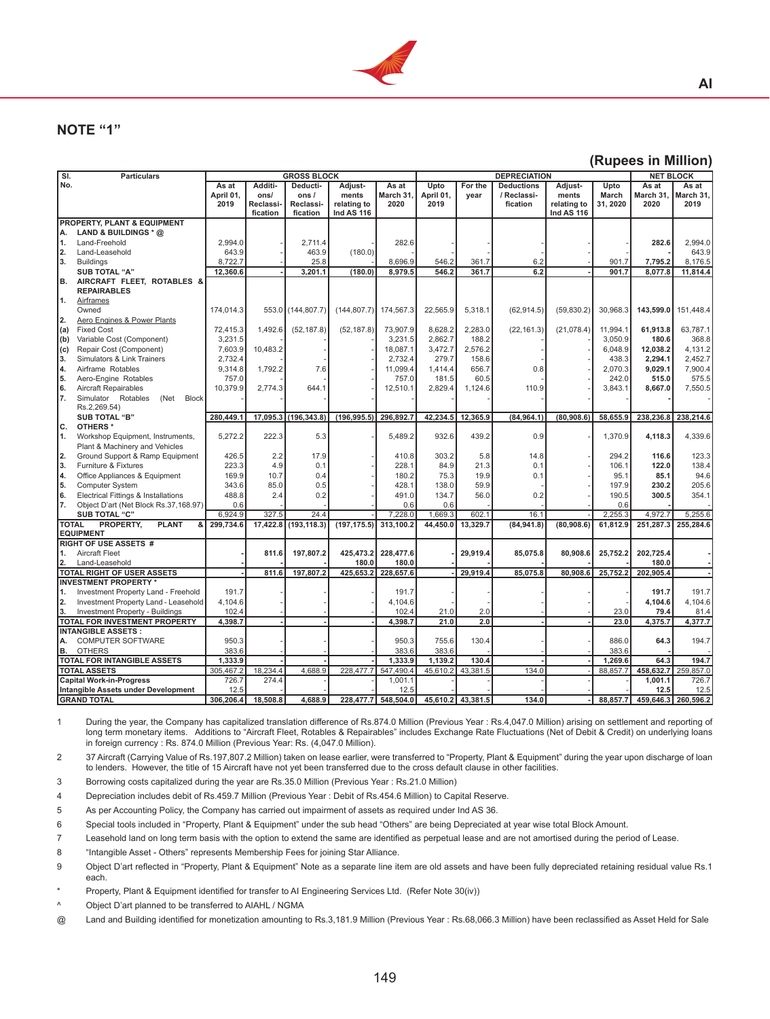

## **NOTE "1"**

#### **(Rupees in Million)**

**AI**

| $\overline{\mathsf{SI}}$ . | <b>Particulars</b>                                         |           |                 | <b>GROSS BLOCK</b> |                          |                     |           |                   | <b>DEPRECIATION</b> |                   | <b>NET BLOCK</b> |           |                     |
|----------------------------|------------------------------------------------------------|-----------|-----------------|--------------------|--------------------------|---------------------|-----------|-------------------|---------------------|-------------------|------------------|-----------|---------------------|
| No.                        |                                                            | As at     | Additi-         | Deducti-           | Adjust-                  | As at               | Upto      | For the           | <b>Deductions</b>   | Adjust-           | Upto             | As at     | As at               |
|                            |                                                            | April 01, | ons/            | ons/               | ments                    | March 31,           | April 01, | year              | / Reclassi-         | ments             | March            | March 31, | March 31,           |
|                            |                                                            | 2019      | <b>Reclassi</b> | Reclassi-          | relating to              | 2020                | 2019      |                   | fication            | relating to       | 31, 2020         | 2020      | 2019                |
|                            |                                                            |           | fication        | fication           | <b>Ind AS 116</b>        |                     |           |                   |                     | <b>Ind AS 116</b> |                  |           |                     |
|                            | PROPERTY, PLANT & EQUIPMENT                                |           |                 |                    |                          |                     |           |                   |                     |                   |                  |           |                     |
| А.                         | LAND & BUILDINGS * @                                       |           |                 |                    |                          |                     |           |                   |                     |                   |                  |           |                     |
| 1.                         | Land-Freehold                                              | 2,994.0   |                 | 2,711.4            |                          | 282.6               |           |                   |                     |                   |                  | 282.6     | 2,994.0             |
| 2.                         | Land-Leasehold                                             | 643.9     |                 | 463.9              | (180.0)                  |                     |           |                   |                     |                   |                  |           | 643.9               |
| 3.                         | <b>Buildings</b>                                           | 8,722.7   |                 | 25.8               |                          | 8,696.9             | 546.2     | 361.7             | 6.2                 |                   | 901.7            | 7,795.2   | 8,176.5             |
|                            | <b>SUB TOTAL "A"</b>                                       | 12,360.6  |                 | 3,201.1            | (180.0)                  | 8,979.5             | 546.2     | 361.7             | 6.2                 |                   | 901.7            | 8.077.8   | 11,814.4            |
| B.                         | AIRCRAFT FLEET, ROTABLES &<br><b>REPAIRABLES</b>           |           |                 |                    |                          |                     |           |                   |                     |                   |                  |           |                     |
| 1.                         | <b>Airframes</b>                                           |           |                 |                    |                          |                     |           |                   |                     |                   |                  |           |                     |
|                            | Owned                                                      | 174,014.3 |                 | 553.0 (144,807.7)  | $(144, 807.7)$ 174,567.3 |                     | 22,565.9  | 5,318.1           | (62, 914.5)         | (59, 830.2)       | 30,968.3         | 143,599.0 | 151,448.4           |
| 2.                         | Aero Engines & Power Plants                                |           |                 |                    |                          |                     |           |                   |                     |                   |                  |           |                     |
| (a)                        | <b>Fixed Cost</b>                                          | 72,415.3  | 1.492.6         | (52, 187.8)        | (52, 187.8)              | 73,907.9            | 8,628.2   | 2.283.0           | (22, 161.3)         | (21, 078.4)       | 11,994.1         | 61.913.8  | 63,787.1            |
| (b)                        | Variable Cost (Component)                                  | 3,231.5   |                 |                    |                          | 3,231.5             | 2,862.7   | 188.2             |                     |                   | 3,050.9          | 180.6     | 368.8               |
| (c)                        | Repair Cost (Component)                                    | 7,603.9   | 10.483.2        |                    |                          | 18,087.1            | 3,472.7   | 2,576.2           |                     |                   | 6,048.9          | 12,038.2  | 4,131.2             |
| 3.                         | Simulators & Link Trainers                                 | 2,732.4   |                 |                    |                          | 2,732.4             | 279.7     | 158.6             |                     |                   | 438.3            | 2,294.1   | 2,452.7             |
| 4.                         | Airframe Rotables                                          | 9,314.8   | 1.792.2         | 7.6                |                          | 11,099.4            | 1.414.4   | 656.7             | 0.8                 |                   | 2.070.3          | 9.029.1   | 7.900.4             |
| 5.                         | Aero-Engine Rotables                                       | 757.0     |                 |                    |                          | 757.0               | 181.5     | 60.5              |                     |                   | 242.0            | 515.0     | 575.5               |
| 6.                         | Aircraft Repairables                                       | 10,379.9  | 2.774.3         | 644.1              |                          | 12,510.1            | 2,829.4   | 1,124.6           | 110.9               |                   | 3,843.1          | 8,667.0   | 7,550.5             |
| 7.                         | Simulator Rotables<br>(Net<br><b>Block</b><br>Rs.2,269.54) |           |                 |                    |                          |                     |           |                   |                     |                   |                  |           |                     |
|                            | <b>SUB TOTAL "B"</b>                                       | 280,449.1 | 17,095.3        | (196, 343.8)       | (196, 995.5)             | 296,892.7           | 42,234.5  | 12,365.9          | (84, 964.1          | (80, 908.6)       | 58,655.9         | 238,236.8 | 238,214.6           |
| c.                         | OTHERS *                                                   |           |                 |                    |                          |                     |           |                   |                     |                   |                  |           |                     |
| 1.                         | Workshop Equipment, Instruments,                           | 5,272.2   | 222.3           | 5.3                |                          | 5,489.2             | 932.6     | 439.2             | 0.9                 |                   | 1,370.9          | 4,118.3   | 4,339.6             |
|                            | Plant & Machinery and Vehicles                             |           |                 |                    |                          |                     |           |                   |                     |                   |                  |           |                     |
| 2.                         | Ground Support & Ramp Equipment                            | 426.5     | 2.2             | 17.9               |                          | 410.8               | 303.2     | 5.8               | 14.8                |                   | 294.2            | 116.6     | 123.3               |
| 3.                         | Furniture & Fixtures                                       | 223.3     | 4.9             | 0.1                |                          | 228.1               | 84.9      | 21.3              | 0.1                 |                   | 106.1            | 122.0     | 138.4               |
| 4.                         | Office Appliances & Equipment                              | 169.9     | 10.7            | 0.4                |                          | 180.2               | 75.3      | 19.9              | 0.1                 |                   | 95.1             | 85.1      | 94.6                |
| 5.                         | <b>Computer System</b>                                     | 343.6     | 85.0            | 0.5                |                          | 428.1               | 138.0     | 59.9              |                     |                   | 197.9            | 230.2     | 205.6               |
| 6.                         | Electrical Fittings & Installations                        | 488.8     | 2.4             | 0.2                |                          | 491.0               | 134.7     | 56.0              | 0.2                 |                   | 190.5            | 300.5     | 354.1               |
| 7.                         | Object D'art (Net Block Rs.37,168.97)                      | 0.6       |                 |                    |                          | 0.6                 | 0.6       |                   |                     |                   | 0.6              |           |                     |
|                            | SUB TOTAL "C"                                              | 6.924.9   | 327.5           | 24.4               |                          | 7,228.0             | 1.669.3   | 602.1             | 16.1                |                   | 2,255.3          | 4.972.7   | 5.255.6             |
|                            | <b>TOTAL</b><br><b>PLANT</b><br>PROPERTY,<br>&             | 299,734.6 | 17,422.8        | (193, 118.3)       | (197, 175.5)             | 313,100.2           | 44,450.0  | 13,329.7          | (84, 941.8)         | (80, 908.6)       | 61,812.9         | 251,287.3 | 255,284.6           |
|                            | <b>EQUIPMENT</b>                                           |           |                 |                    |                          |                     |           |                   |                     |                   |                  |           |                     |
|                            | <b>RIGHT OF USE ASSETS #</b>                               |           |                 |                    |                          |                     |           |                   |                     |                   |                  |           |                     |
| 1.                         | <b>Aircraft Fleet</b>                                      |           | 811.6           | 197,807.2          | 425,473.2                | 228,477.6           |           | 29,919.4          | 85,075.8            | 80,908.6          | 25,752.2         | 202,725.4 |                     |
| 2.                         | Land-Leasehold                                             |           |                 |                    | 180.0                    | 180.0               |           |                   |                     |                   |                  | 180.0     |                     |
|                            | TOTAL RIGHT OF USER ASSETS                                 |           | 811.6           | 197.807.2          |                          | 425,653.2 228,657.6 |           | 29,919.4          | 85,075.8            | 80.908.6          | 25,752.2         | 202.905.4 |                     |
|                            | <b>INVESTMENT PROPERTY*</b>                                |           |                 |                    |                          |                     |           |                   |                     |                   |                  |           |                     |
| 11.                        | Investment Property Land - Freehold                        | 191.7     |                 |                    |                          | 191.7               |           |                   |                     |                   |                  | 191.7     | 191.7               |
| 2.                         | Investment Property Land - Leasehold                       | 4,104.6   |                 |                    |                          | 4,104.6             |           |                   |                     |                   |                  | 4,104.6   | 4,104.6             |
|                            | Investment Property - Buildings                            | 102.4     |                 |                    |                          | 102.4               | 21.0      | 2.0               |                     |                   | 23.0             | 79.4      | 81.4                |
|                            | TOTAL FOR INVESTMENT PROPERTY                              | 4,398.7   |                 |                    |                          | 4,398.7             | 21.0      | 2.0               |                     |                   | 23.0             | 4,375.7   | 4,377.7             |
|                            | <b>INTANGIBLE ASSETS:</b>                                  |           |                 |                    |                          |                     |           |                   |                     |                   |                  |           |                     |
| А.                         | <b>COMPUTER SOFTWARE</b>                                   | 950.3     |                 |                    |                          | 950.3               | 755.6     | 130.4             |                     |                   | 886.0            | 64.3      | 194.7               |
| В.                         | <b>OTHERS</b>                                              | 383.6     |                 |                    |                          | 383.6               | 383.6     |                   |                     |                   | 383.6            |           |                     |
|                            | <b>TOTAL FOR INTANGIBLE ASSETS</b>                         | 1,333.9   |                 |                    |                          | 1,333.9             | 1,139.2   | 130.4             |                     |                   | 1,269.6          | 64.3      | 194.7               |
|                            | <b>TOTAL ASSETS</b>                                        | 305,467.2 | 18,234.4        | 4.688.9            | 228,477.7                | 547,490.4           | 45,610.2  | 43,381.5          | 134.0               |                   | 88,857.7         | 458,632.7 | 259,857.0           |
|                            | <b>Capital Work-in-Progress</b>                            | 726.7     | 274.4           |                    |                          | 1,001.1             |           |                   |                     |                   |                  | 1.001.1   | 726.7               |
|                            | Intangible Assets under Development                        | 12.5      |                 |                    |                          | 12.5                |           |                   |                     |                   |                  | 12.5      | 12.5                |
|                            | <b>GRAND TOTAL</b>                                         | 306,206.4 | 18,508.8        | 4,688.9            |                          | 228,477.7 548,504.0 |           | 45,610.2 43,381.5 | 134.0               |                   | 88,857.7         |           | 459,646.3 260,596.2 |

1 During the year, the Company has capitalized translation difference of Rs.874.0 Million (Previous Year : Rs.4,047.0 Million) arising on settlement and reporting of long term monetary items. Additions to "Aircraft Fleet, Rotables & Repairables" includes Exchange Rate Fluctuations (Net of Debit & Credit) on underlying loans in foreign currency : Rs. 874.0 Million (Previous Year: Rs. (4,047.0 Million).

2 37 Aircraft (Carrying Value of Rs.197,807.2 Million) taken on lease earlier, were transferred to "Property, Plant & Equipment" during the year upon discharge of loan to lenders. However, the title of 15 Aircraft have not yet been transferred due to the cross default clause in other facilities.

3 Borrowing costs capitalized during the year are Rs.35.0 Million (Previous Year : Rs.21.0 Million) 

4 Depreciation includes debit of Rs.459.7 Million (Previous Year : Debit of Rs.454.6 Million) to Capital Reserve. 

5 As per Accounting Policy, the Company has carried out impairment of assets as required under Ind AS 36.

6 Special tools included in "Property, Plant & Equipment" under the sub head "Others" are being Depreciated at year wise total Block Amount.

7 Leasehold land on long term basis with the option to extend the same are identified as perpetual lease and are not amortised during the period of Lease.

8 "Intangible Asset - Others" represents Membership Fees for joining Star Alliance.

9 Object D'art reflected in "Property, Plant & Equipment" Note as a separate line item are old assets and have been fully depreciated retaining residual value Rs.1 each.

Property, Plant & Equipment identified for transfer to AI Engineering Services Ltd. (Refer Note 30(iv))

^ Object D'art planned to be transferred to AIAHL / NGMA

@ Land and Building identified for monetization amounting to Rs.3,181.9 Million (Previous Year : Rs.68,066.3 Million) have been reclassified as Asset Held for Sale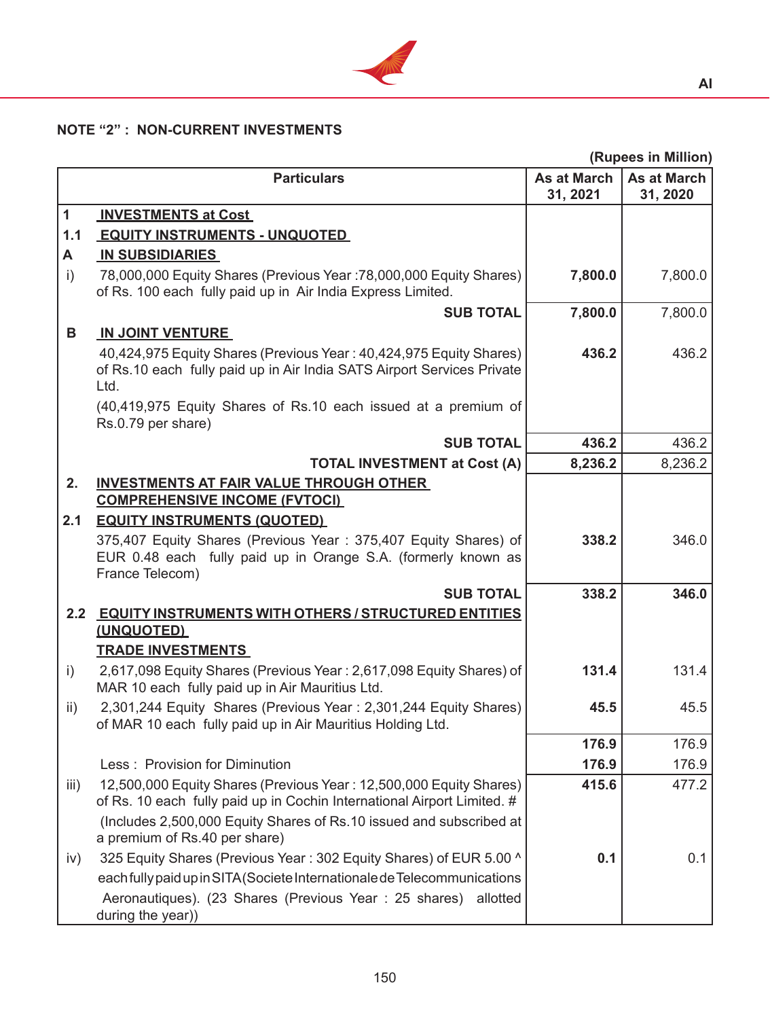

# **NOTE "2" : NON-CURRENT INVESTMENTS**

|                 |                                                                                                                                                      |                                | (Rupees in Million)            |
|-----------------|------------------------------------------------------------------------------------------------------------------------------------------------------|--------------------------------|--------------------------------|
|                 | <b>Particulars</b>                                                                                                                                   | <b>As at March</b><br>31, 2021 | <b>As at March</b><br>31, 2020 |
| $\mathbf{1}$    | <b>INVESTMENTS at Cost</b>                                                                                                                           |                                |                                |
| 1.1             | <b>EQUITY INSTRUMENTS - UNQUOTED</b>                                                                                                                 |                                |                                |
| A               | <b>IN SUBSIDIARIES</b>                                                                                                                               |                                |                                |
| i)              | 78,000,000 Equity Shares (Previous Year: 78,000,000 Equity Shares)<br>of Rs. 100 each fully paid up in Air India Express Limited.                    | 7,800.0                        | 7,800.0                        |
|                 | <b>SUB TOTAL</b>                                                                                                                                     | 7,800.0                        | 7,800.0                        |
| B               | <b>IN JOINT VENTURE</b>                                                                                                                              |                                |                                |
|                 | 40,424,975 Equity Shares (Previous Year: 40,424,975 Equity Shares)<br>of Rs.10 each fully paid up in Air India SATS Airport Services Private<br>Ltd. | 436.2                          | 436.2                          |
|                 | (40,419,975 Equity Shares of Rs.10 each issued at a premium of<br>Rs.0.79 per share)                                                                 |                                |                                |
|                 | <b>SUB TOTAL</b>                                                                                                                                     | 436.2                          | 436.2                          |
|                 | <b>TOTAL INVESTMENT at Cost (A)</b>                                                                                                                  | 8,236.2                        | 8,236.2                        |
| 2.              | <b>INVESTMENTS AT FAIR VALUE THROUGH OTHER</b>                                                                                                       |                                |                                |
|                 | <b>COMPREHENSIVE INCOME (FVTOCI)</b>                                                                                                                 |                                |                                |
| 2.1             | <b>EQUITY INSTRUMENTS (QUOTED)</b>                                                                                                                   |                                |                                |
|                 | 375,407 Equity Shares (Previous Year: 375,407 Equity Shares) of<br>EUR 0.48 each fully paid up in Orange S.A. (formerly known as<br>France Telecom)  | 338.2                          | 346.0                          |
|                 | <b>SUB TOTAL</b>                                                                                                                                     | 338.2                          | 346.0                          |
|                 | 2.2 EQUITY INSTRUMENTS WITH OTHERS / STRUCTURED ENTITIES<br>(UNQUOTED)                                                                               |                                |                                |
|                 | <b>TRADE INVESTMENTS</b>                                                                                                                             |                                |                                |
| $\mathsf{i}$    | 2,617,098 Equity Shares (Previous Year: 2,617,098 Equity Shares) of<br>MAR 10 each fully paid up in Air Mauritius Ltd.                               | 131.4                          | 131.4                          |
| $\mathsf{ii}$ ) | 2,301,244 Equity Shares (Previous Year: 2,301,244 Equity Shares)<br>of MAR 10 each fully paid up in Air Mauritius Holding Ltd.                       | 45.5                           | 45.5                           |
|                 |                                                                                                                                                      | 176.9                          | 176.9                          |
|                 | Less: Provision for Diminution                                                                                                                       | 176.9                          | 176.9                          |
| iii)            | 12,500,000 Equity Shares (Previous Year: 12,500,000 Equity Shares)                                                                                   | 415.6                          | 477.2                          |
|                 | of Rs. 10 each fully paid up in Cochin International Airport Limited. #                                                                              |                                |                                |
|                 | (Includes 2,500,000 Equity Shares of Rs.10 issued and subscribed at<br>a premium of Rs.40 per share)                                                 |                                |                                |
| iv)             | 325 Equity Shares (Previous Year: 302 Equity Shares) of EUR 5.00 ^                                                                                   | 0.1                            | 0.1                            |
|                 | each fully paid up in SITA (Societe Internationale de Telecommunications                                                                             |                                |                                |
|                 | Aeronautiques). (23 Shares (Previous Year: 25 shares) allotted<br>during the year))                                                                  |                                |                                |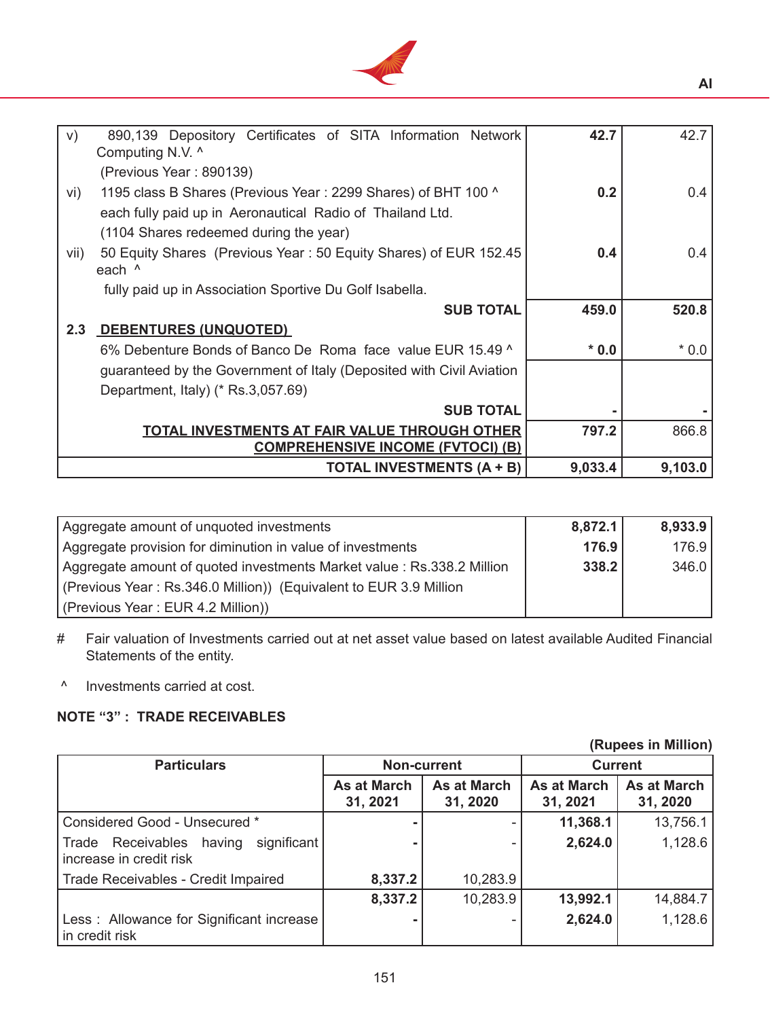

| V)   | 890,139 Depository Certificates of SITA Information Network          | 42.7   | 42.7   |
|------|----------------------------------------------------------------------|--------|--------|
|      | Computing N.V. ^                                                     |        |        |
|      | (Previous Year: 890139)                                              |        |        |
| vi)  | 1195 class B Shares (Previous Year: 2299 Shares) of BHT 100 ^        | 0.2    | 0.4    |
|      | each fully paid up in Aeronautical Radio of Thailand Ltd.            |        |        |
|      | (1104 Shares redeemed during the year)                               |        |        |
| vii) | 50 Equity Shares (Previous Year: 50 Equity Shares) of EUR 152.45     | 0.4    | 0.4    |
|      | each ^                                                               |        |        |
|      | fully paid up in Association Sportive Du Golf Isabella.              |        |        |
|      |                                                                      |        |        |
|      | <b>SUB TOTAL</b>                                                     | 459.0  | 520.8  |
| 2.3  | DEBENTURES (UNQUOTED)                                                |        |        |
|      | 6% Debenture Bonds of Banco De Roma face value EUR 15.49 ^           | $*0.0$ | $*0.0$ |
|      | guaranteed by the Government of Italy (Deposited with Civil Aviation |        |        |
|      | Department, Italy) (* Rs.3,057.69)                                   |        |        |
|      | <b>SUB TOTAL</b>                                                     |        |        |
|      | <b>TOTAL INVESTMENTS AT FAIR VALUE THROUGH OTHER</b>                 | 797.2  | 866.8  |
|      | <b>COMPREHENSIVE INCOME (FVTOCI) (B)</b>                             |        |        |

| Aggregate amount of unquoted investments                               | 8,872.1 | 8,933.9 |
|------------------------------------------------------------------------|---------|---------|
| Aggregate provision for diminution in value of investments             | 176.9   | 176.9   |
| Aggregate amount of quoted investments Market value : Rs.338.2 Million | 338.2   | 346.0   |
| (Previous Year: Rs.346.0 Million)) (Equivalent to EUR 3.9 Million      |         |         |
| (Previous Year: EUR 4.2 Million))                                      |         |         |

- # Fair valuation of Investments carried out at net asset value based on latest available Audited Financial Statements of the entity.
- ^ Investments carried at cost.

# **NOTE "3" : TRADE RECEIVABLES**

| \;\\~pvvv :.:: \;\:\;\;\;\;                                           |                    |                    |                    |                    |  |  |
|-----------------------------------------------------------------------|--------------------|--------------------|--------------------|--------------------|--|--|
| <b>Particulars</b>                                                    |                    | <b>Non-current</b> |                    | <b>Current</b>     |  |  |
|                                                                       | <b>As at March</b> | <b>As at March</b> | <b>As at March</b> | <b>As at March</b> |  |  |
|                                                                       | 31, 2021           | 31, 2020           | 31, 2021           | 31, 2020           |  |  |
| Considered Good - Unsecured *                                         |                    |                    | 11,368.1           | 13,756.1           |  |  |
| Receivables having<br>significant<br>Trade<br>increase in credit risk |                    |                    | 2,624.0            | 1,128.6            |  |  |
| Trade Receivables - Credit Impaired                                   | 8,337.2            | 10,283.9           |                    |                    |  |  |
|                                                                       | 8,337.2            | 10,283.9           | 13,992.1           | 14,884.7           |  |  |
| Less: Allowance for Significant increase<br>in credit risk            |                    |                    | 2,624.0            | 1,128.6            |  |  |

#### **(Rupees in Million)**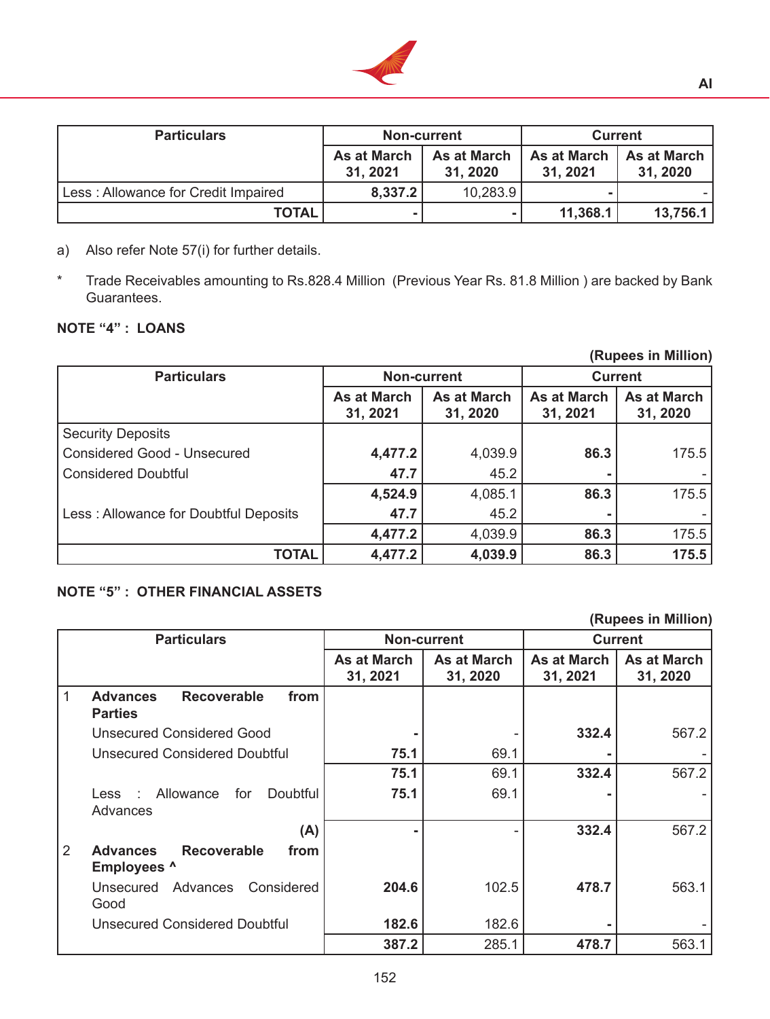

| <b>Particulars</b>                  | <b>Non-current</b>             |                         | <b>Current</b>                 |                                |  |
|-------------------------------------|--------------------------------|-------------------------|--------------------------------|--------------------------------|--|
|                                     | <b>As at March</b><br>31, 2021 | As at March<br>31, 2020 | <b>As at March</b><br>31, 2021 | <b>As at March</b><br>31, 2020 |  |
| Less: Allowance for Credit Impaired | 8,337.2                        | 10,283.9                |                                |                                |  |
| <b>TOTAL</b>                        |                                |                         | 11,368.1                       | 13,756.1                       |  |

- a) Also refer Note 57(i) for further details.
- \* Trade Receivables amounting to Rs.828.4 Million (Previous Year Rs. 81.8 Million ) are backed by Bank Guarantees.

## **NOTE "4" : LOANS**

|                                       |                                |                                |                                | (Rupees in Million)            |
|---------------------------------------|--------------------------------|--------------------------------|--------------------------------|--------------------------------|
| <b>Particulars</b>                    |                                | <b>Non-current</b>             | <b>Current</b>                 |                                |
|                                       | <b>As at March</b><br>31, 2021 | <b>As at March</b><br>31, 2020 | <b>As at March</b><br>31, 2021 | <b>As at March</b><br>31, 2020 |
| <b>Security Deposits</b>              |                                |                                |                                |                                |
| <b>Considered Good - Unsecured</b>    | 4,477.2                        | 4,039.9                        | 86.3                           | 175.5                          |
| <b>Considered Doubtful</b>            | 47.7                           | 45.2                           |                                |                                |
|                                       | 4,524.9                        | 4,085.1                        | 86.3                           | 175.5                          |
| Less: Allowance for Doubtful Deposits | 47.7                           | 45.2                           |                                |                                |
|                                       | 4,477.2                        | 4,039.9                        | 86.3                           | 175.5                          |
| <b>TOTAL</b>                          | 4,477.2                        | 4,039.9                        | 86.3                           | 175.5                          |

## **NOTE "5" : OTHER FINANCIAL ASSETS**

**(Rupees in Million)**

| <b>Particulars</b>                                                   |                                | <b>Non-current</b>             | <b>Current</b>          |                                |  |
|----------------------------------------------------------------------|--------------------------------|--------------------------------|-------------------------|--------------------------------|--|
|                                                                      | <b>As at March</b><br>31, 2021 | <b>As at March</b><br>31, 2020 | As at March<br>31, 2021 | <b>As at March</b><br>31, 2020 |  |
| 1<br><b>Recoverable</b><br><b>Advances</b><br>from<br><b>Parties</b> |                                |                                |                         |                                |  |
| <b>Unsecured Considered Good</b>                                     |                                |                                | 332.4                   | 567.2                          |  |
| Unsecured Considered Doubtful                                        | 75.1                           | 69.1                           |                         |                                |  |
|                                                                      | 75.1                           | 69.1                           | 332.4                   | 567.2                          |  |
| Allowance<br>for<br><b>Doubtful</b><br>Less<br>$\sim$<br>Advances    | 75.1                           | 69.1                           |                         |                                |  |
| (A)                                                                  |                                |                                | 332.4                   | 567.2                          |  |
| 2<br><b>Recoverable</b><br><b>Advances</b><br>from<br>Employees ^    |                                |                                |                         |                                |  |
| Advances<br>Considered<br>Unsecured<br>Good                          | 204.6                          | 102.5                          | 478.7                   | 563.1                          |  |
| <b>Unsecured Considered Doubtful</b>                                 | 182.6                          | 182.6                          |                         |                                |  |
|                                                                      | 387.2                          | 285.1                          | 478.7                   | 563.1                          |  |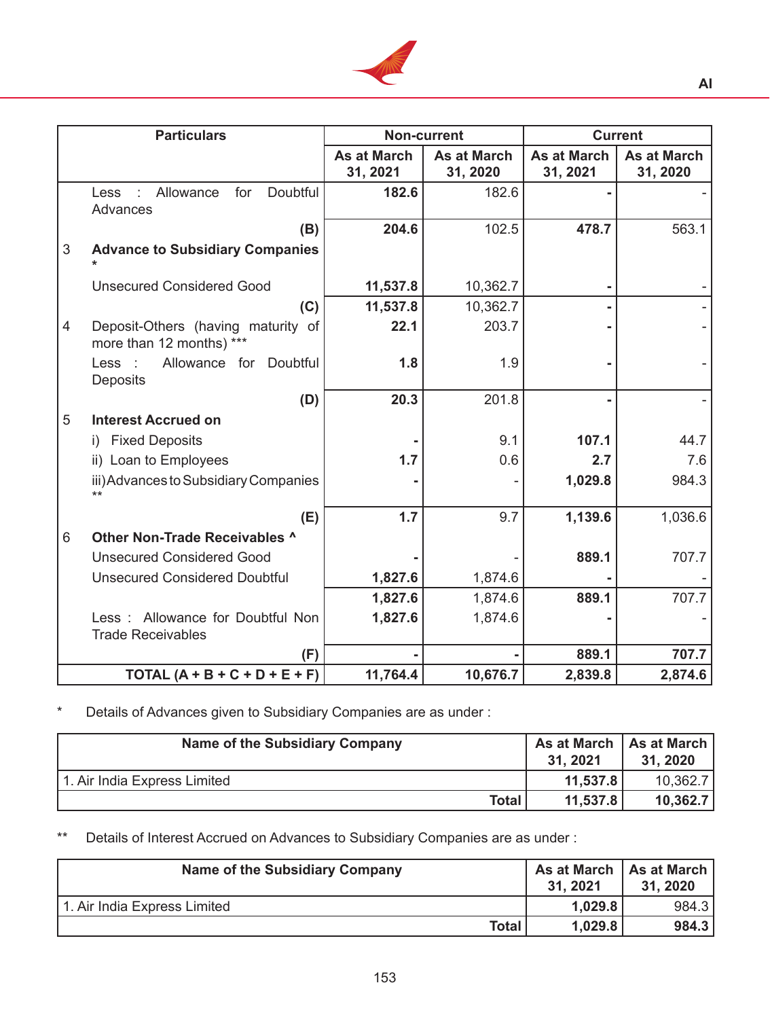

| <b>Particulars</b>                                                  | Non-current                    |                                |                                | <b>Current</b>                 |
|---------------------------------------------------------------------|--------------------------------|--------------------------------|--------------------------------|--------------------------------|
|                                                                     | <b>As at March</b><br>31, 2021 | <b>As at March</b><br>31, 2020 | <b>As at March</b><br>31, 2021 | <b>As at March</b><br>31, 2020 |
| Doubtful<br>Allowance<br>for<br>Less<br>Advances                    | 182.6                          | 182.6                          |                                |                                |
| (B)                                                                 | 204.6                          | 102.5                          | 478.7                          | 563.1                          |
| $\mathfrak{S}$<br><b>Advance to Subsidiary Companies</b>            |                                |                                |                                |                                |
| <b>Unsecured Considered Good</b>                                    | 11,537.8                       | 10,362.7                       |                                |                                |
| (C)                                                                 | 11,537.8                       | 10,362.7                       |                                |                                |
| Deposit-Others (having maturity of<br>4<br>more than 12 months) *** | 22.1                           | 203.7                          |                                |                                |
| Less :<br>Allowance for Doubtful<br>Deposits                        | 1.8                            | 1.9                            |                                |                                |
| (D)                                                                 | 20.3                           | 201.8                          |                                |                                |
| 5<br><b>Interest Accrued on</b>                                     |                                |                                |                                |                                |
| i) Fixed Deposits                                                   |                                | 9.1                            | 107.1                          | 44.7                           |
| ii) Loan to Employees                                               | 1.7                            | 0.6                            | 2.7                            | 7.6                            |
| iii) Advances to Subsidiary Companies<br>$***$                      |                                |                                | 1,029.8                        | 984.3                          |
| (E)                                                                 | 1.7                            | 9.7                            | 1,139.6                        | 1,036.6                        |
| 6<br>Other Non-Trade Receivables ^                                  |                                |                                |                                |                                |
| <b>Unsecured Considered Good</b>                                    |                                |                                | 889.1                          | 707.7                          |
| <b>Unsecured Considered Doubtful</b>                                | 1,827.6                        | 1,874.6                        |                                |                                |
|                                                                     | 1,827.6                        | 1,874.6                        | 889.1                          | 707.7                          |
| Less: Allowance for Doubtful Non<br><b>Trade Receivables</b>        | 1,827.6                        | 1,874.6                        |                                |                                |
| (F)                                                                 |                                |                                | 889.1                          | 707.7                          |
| TOTAL $(A + B + C + D + E + F)$                                     | 11,764.4                       | 10,676.7                       | 2,839.8                        | 2,874.6                        |

\* Details of Advances given to Subsidiary Companies are as under :

| Name of the Subsidiary Company | As at March   As at March  <br>31.2021 | 31.2020  |
|--------------------------------|----------------------------------------|----------|
| 1. Air India Express Limited   | 11,537.8                               | 10,362.7 |
| Total                          | 11,537.8                               | 10,362.7 |

\*\* Details of Interest Accrued on Advances to Subsidiary Companies are as under :

| Name of the Subsidiary Company | As at March   As at March  <br>31.2021 | 31.2020 |
|--------------------------------|----------------------------------------|---------|
| 1. Air India Express Limited   | 1,029.8                                | 984.3   |
| Total                          | 1.029.8                                | 984.3   |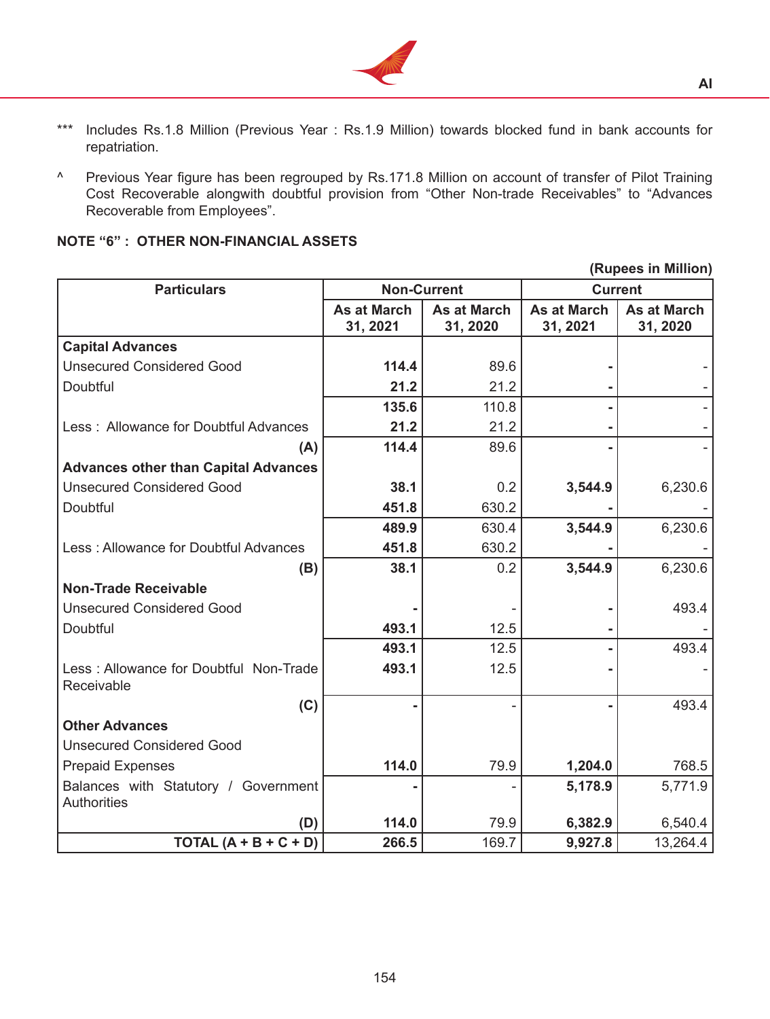

- \*\*\* Includes Rs.1.8 Million (Previous Year : Rs.1.9 Million) towards blocked fund in bank accounts for repatriation.
- ^ Previous Year figure has been regrouped by Rs.171.8 Million on account of transfer of Pilot Training Cost Recoverable alongwith doubtful provision from "Other Non-trade Receivables" to "Advances Recoverable from Employees".

# **NOTE "6" : OTHER NON-FINANCIAL ASSETS**

**(Rupees in Million)**

| <b>Particulars</b>                                         | <b>Non-Current</b>      |                                | <b>Current</b>                 |                                |
|------------------------------------------------------------|-------------------------|--------------------------------|--------------------------------|--------------------------------|
|                                                            | As at March<br>31, 2021 | <b>As at March</b><br>31, 2020 | <b>As at March</b><br>31, 2021 | <b>As at March</b><br>31, 2020 |
| <b>Capital Advances</b>                                    |                         |                                |                                |                                |
| <b>Unsecured Considered Good</b>                           | 114.4                   | 89.6                           |                                |                                |
| Doubtful                                                   | 21.2                    | 21.2                           |                                |                                |
|                                                            | 135.6                   | 110.8                          |                                |                                |
| Less: Allowance for Doubtful Advances                      | 21.2                    | 21.2                           |                                |                                |
| (A)                                                        | 114.4                   | 89.6                           |                                |                                |
| <b>Advances other than Capital Advances</b>                |                         |                                |                                |                                |
| <b>Unsecured Considered Good</b>                           | 38.1                    | 0.2                            | 3,544.9                        | 6,230.6                        |
| Doubtful                                                   | 451.8                   | 630.2                          |                                |                                |
|                                                            | 489.9                   | 630.4                          | 3,544.9                        | 6,230.6                        |
| Less: Allowance for Doubtful Advances                      | 451.8                   | 630.2                          |                                |                                |
| (B)                                                        | 38.1                    | 0.2                            | 3,544.9                        | 6,230.6                        |
| <b>Non-Trade Receivable</b>                                |                         |                                |                                |                                |
| <b>Unsecured Considered Good</b>                           |                         |                                |                                | 493.4                          |
| Doubtful                                                   | 493.1                   | 12.5                           |                                |                                |
|                                                            | 493.1                   | 12.5                           |                                | 493.4                          |
| Less: Allowance for Doubtful Non-Trade<br>Receivable       | 493.1                   | 12.5                           |                                |                                |
| (C)                                                        |                         |                                |                                | 493.4                          |
| <b>Other Advances</b>                                      |                         |                                |                                |                                |
| <b>Unsecured Considered Good</b>                           |                         |                                |                                |                                |
| <b>Prepaid Expenses</b>                                    | 114.0                   | 79.9                           | 1,204.0                        | 768.5                          |
| Balances with Statutory / Government<br><b>Authorities</b> |                         |                                | 5,178.9                        | 5,771.9                        |
| (D)                                                        | 114.0                   | 79.9                           | 6,382.9                        | 6,540.4                        |
| TOTAL $(A + B + C + D)$                                    | 266.5                   | 169.7                          | 9,927.8                        | 13,264.4                       |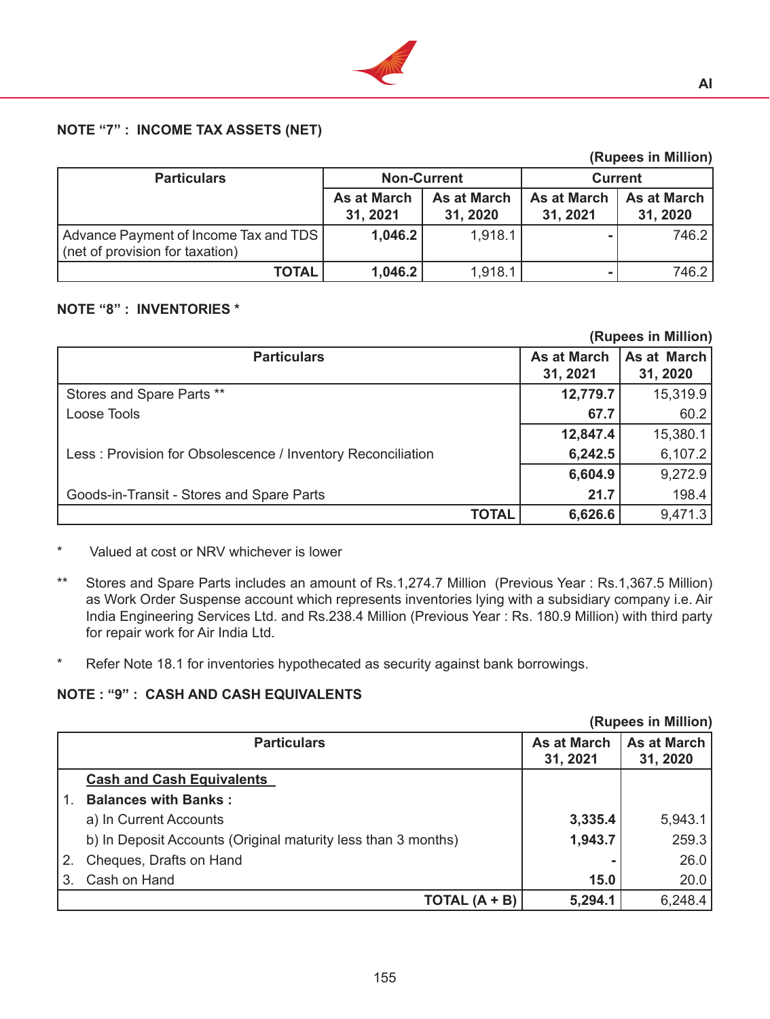

# **NOTE "7" : INCOME TAX ASSETS (NET)**

|                                                                          |                                |                                |                                | (Rupees in Million)            |
|--------------------------------------------------------------------------|--------------------------------|--------------------------------|--------------------------------|--------------------------------|
| <b>Particulars</b>                                                       |                                | <b>Non-Current</b>             | <b>Current</b>                 |                                |
|                                                                          | <b>As at March</b><br>31, 2021 | <b>As at March</b><br>31, 2020 | <b>As at March</b><br>31, 2021 | <b>As at March</b><br>31, 2020 |
| Advance Payment of Income Tax and TDS<br>(net of provision for taxation) | 1,046.2                        | 1,918.1                        |                                | 746.2                          |
| <b>TOTAL</b>                                                             | 1,046.2                        | 1,918.1                        |                                | 746.2                          |

### **NOTE "8" : INVENTORIES \***

|                                                             |                    | (Rupees in Million) |
|-------------------------------------------------------------|--------------------|---------------------|
| <b>Particulars</b>                                          | <b>As at March</b> | As at March         |
|                                                             | 31, 2021           | 31, 2020            |
| Stores and Spare Parts **                                   | 12,779.7           | 15,319.9            |
| Loose Tools                                                 | 67.7               | 60.2                |
|                                                             | 12,847.4           | 15,380.1            |
| Less: Provision for Obsolescence / Inventory Reconciliation | 6,242.5            | 6,107.2             |
|                                                             | 6,604.9            | 9,272.9             |
| Goods-in-Transit - Stores and Spare Parts                   | 21.7               | 198.4               |
| <b>TOTAL</b>                                                | 6,626.6            | 9,471.3             |

\* Valued at cost or NRV whichever is lower

- \*\* Stores and Spare Parts includes an amount of Rs.1,274.7 Million (Previous Year : Rs.1,367.5 Million) as Work Order Suspense account which represents inventories lying with a subsidiary company i.e. Air India Engineering Services Ltd. and Rs.238.4 Million (Previous Year : Rs. 180.9 Million) with third party for repair work for Air India Ltd.
- \* Refer Note 18.1 for inventories hypothecated as security against bank borrowings.

# **NOTE : "9" : CASH AND CASH EQUIVALENTS**

|    |                                                               |                    | (Rupees in Million) |
|----|---------------------------------------------------------------|--------------------|---------------------|
|    | <b>Particulars</b>                                            | <b>As at March</b> | <b>As at March</b>  |
|    |                                                               | 31, 2021           | 31, 2020            |
|    | <b>Cash and Cash Equivalents</b>                              |                    |                     |
|    | <b>Balances with Banks:</b>                                   |                    |                     |
|    | a) In Current Accounts                                        | 3,335.4            | 5,943.1             |
|    | b) In Deposit Accounts (Original maturity less than 3 months) | 1,943.7            | 259.3               |
| 2. | Cheques, Drafts on Hand                                       |                    | 26.0                |
| 3. | Cash on Hand                                                  | 15.0               | 20.0                |
|    | TOTAL $(A + B)$                                               | 5,294.1            | 6,248.4             |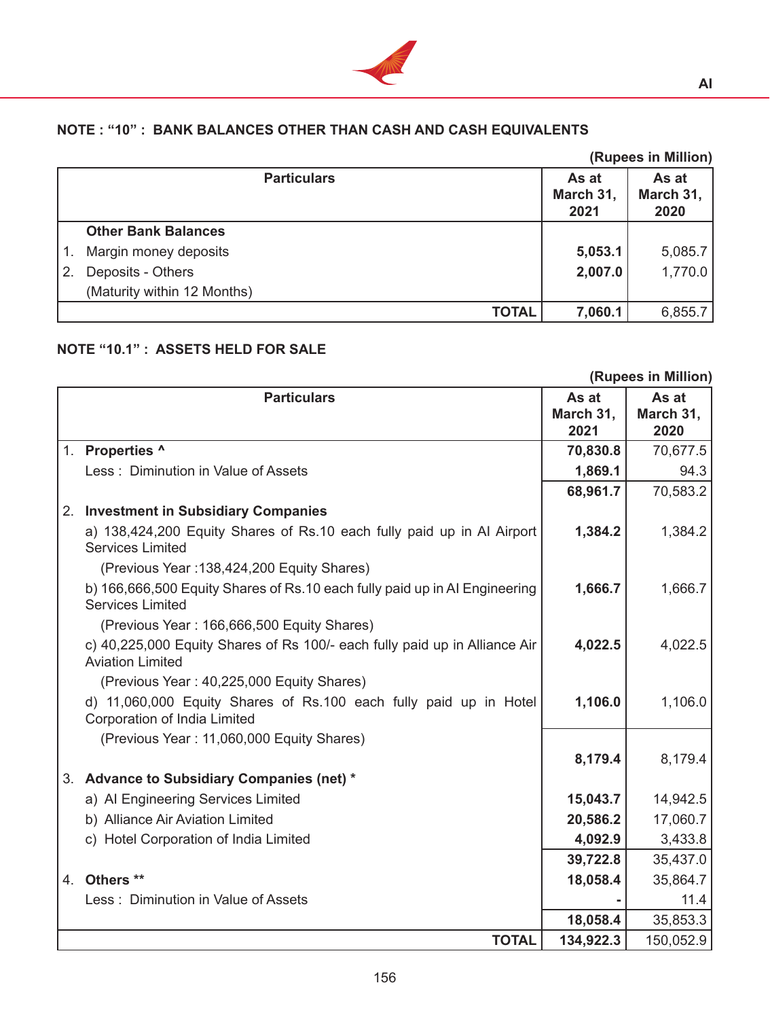

# **NOTE : "10" : BANK BALANCES OTHER THAN CASH AND CASH EQUIVALENTS**

|    |                             |                            | (Rupees in Million)        |
|----|-----------------------------|----------------------------|----------------------------|
|    | <b>Particulars</b>          | As at<br>March 31,<br>2021 | As at<br>March 31,<br>2020 |
|    | <b>Other Bank Balances</b>  |                            |                            |
|    | Margin money deposits       | 5,053.1                    | 5,085.7                    |
| 2. | Deposits - Others           | 2,007.0                    | 1,770.0                    |
|    | (Maturity within 12 Months) |                            |                            |
|    | <b>TOTAL</b>                | 7,060.1                    | 6,855.7                    |

# **NOTE "10.1" : ASSETS HELD FOR SALE**

|                                                                                                       |           | (Rupees in Million) |
|-------------------------------------------------------------------------------------------------------|-----------|---------------------|
| <b>Particulars</b>                                                                                    | As at     | As at               |
|                                                                                                       | March 31, | March 31,           |
|                                                                                                       | 2021      | 2020                |
| 1. Properties ^                                                                                       | 70,830.8  | 70,677.5            |
| Less: Diminution in Value of Assets                                                                   | 1,869.1   | 94.3                |
|                                                                                                       | 68,961.7  | 70,583.2            |
| 2. Investment in Subsidiary Companies                                                                 |           |                     |
| a) 138,424,200 Equity Shares of Rs.10 each fully paid up in Al Airport<br><b>Services Limited</b>     | 1,384.2   | 1,384.2             |
| (Previous Year: 138,424,200 Equity Shares)                                                            |           |                     |
| b) 166,666,500 Equity Shares of Rs.10 each fully paid up in AI Engineering<br><b>Services Limited</b> | 1,666.7   | 1,666.7             |
| (Previous Year: 166,666,500 Equity Shares)                                                            |           |                     |
| c) 40,225,000 Equity Shares of Rs 100/- each fully paid up in Alliance Air<br><b>Aviation Limited</b> | 4,022.5   | 4,022.5             |
|                                                                                                       |           |                     |
| (Previous Year: 40,225,000 Equity Shares)                                                             |           |                     |
| d) 11,060,000 Equity Shares of Rs.100 each fully paid up in Hotel<br>Corporation of India Limited     | 1,106.0   | 1,106.0             |
| (Previous Year: 11,060,000 Equity Shares)                                                             |           |                     |
|                                                                                                       | 8,179.4   | 8,179.4             |
| 3. Advance to Subsidiary Companies (net) *                                                            |           |                     |
| a) Al Engineering Services Limited                                                                    | 15,043.7  | 14,942.5            |
| b) Alliance Air Aviation Limited                                                                      | 20,586.2  | 17,060.7            |
| c) Hotel Corporation of India Limited                                                                 | 4,092.9   | 3,433.8             |
|                                                                                                       | 39,722.8  | 35,437.0            |
| 4. Others **                                                                                          | 18,058.4  | 35,864.7            |
| Less: Diminution in Value of Assets                                                                   |           | 11.4                |
|                                                                                                       | 18,058.4  | 35,853.3            |
| <b>TOTAL</b>                                                                                          | 134,922.3 | 150,052.9           |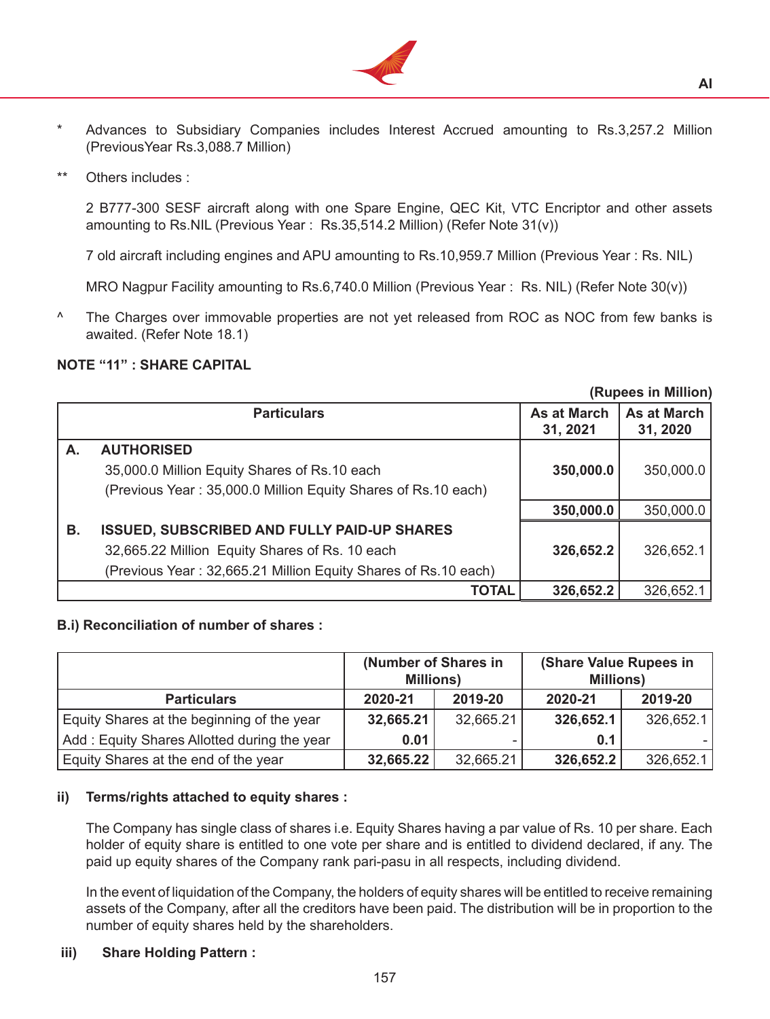

- \* Advances to Subsidiary Companies includes Interest Accrued amounting to Rs.3,257.2 Million (PreviousYear Rs.3,088.7 Million)
- \*\* Others includes :

 2 B777-300 SESF aircraft along with one Spare Engine, QEC Kit, VTC Encriptor and other assets amounting to Rs.NIL (Previous Year : Rs.35,514.2 Million) (Refer Note 31(v))

 7 old aircraft including engines and APU amounting to Rs.10,959.7 Million (Previous Year : Rs. NIL)

 MRO Nagpur Facility amounting to Rs.6,740.0 Million (Previous Year : Rs. NIL) (Refer Note 30(v))

 $\textsuperscript{\textdegree}$  The Charges over immovable properties are not yet released from ROC as NOC from few banks is awaited. (Refer Note 18.1)

### **NOTE "11" : SHARE CAPITAL**

|    | (Rupees in Million)                                            |                                |                                |  |
|----|----------------------------------------------------------------|--------------------------------|--------------------------------|--|
|    | <b>Particulars</b>                                             | <b>As at March</b><br>31, 2021 | <b>As at March</b><br>31, 2020 |  |
| А. | <b>AUTHORISED</b>                                              |                                |                                |  |
|    | 35,000.0 Million Equity Shares of Rs.10 each                   | 350,000.0                      | 350,000.0                      |  |
|    | (Previous Year: 35,000.0 Million Equity Shares of Rs.10 each)  |                                |                                |  |
|    |                                                                | 350,000.0                      | 350,000.0                      |  |
| В. | <b>ISSUED, SUBSCRIBED AND FULLY PAID-UP SHARES</b>             |                                |                                |  |
|    | 32,665.22 Million Equity Shares of Rs. 10 each                 | 326,652.2                      | 326,652.1                      |  |
|    | (Previous Year: 32,665.21 Million Equity Shares of Rs.10 each) |                                |                                |  |
|    | <b>TOTAL</b>                                                   | 326,652.2                      | 326,652.1                      |  |

#### **B.i) Reconciliation of number of shares :**

| (Number of Shares in<br><b>Millions)</b>    |           |           |           | (Share Value Rupees in<br><b>Millions)</b> |
|---------------------------------------------|-----------|-----------|-----------|--------------------------------------------|
| <b>Particulars</b>                          | 2020-21   | 2019-20   | 2020-21   | 2019-20                                    |
| Equity Shares at the beginning of the year  | 32,665.21 | 32,665.21 | 326,652.1 | 326,652.1                                  |
| Add: Equity Shares Allotted during the year | 0.01      |           | 0.1       |                                            |
| Equity Shares at the end of the year        | 32,665.22 | 32,665.21 | 326,652.2 | 326,652.1                                  |

#### **ii) Terms/rights attached to equity shares :**

The Company has single class of shares i.e. Equity Shares having a par value of Rs. 10 per share. Each holder of equity share is entitled to one vote per share and is entitled to dividend declared, if any. The paid up equity shares of the Company rank pari-pasu in all respects, including dividend.

 In the event of liquidation of the Company, the holders of equity shares will be entitled to receive remaining assets of the Company, after all the creditors have been paid. The distribution will be in proportion to the number of equity shares held by the shareholders.

## **iii) Share Holding Pattern :**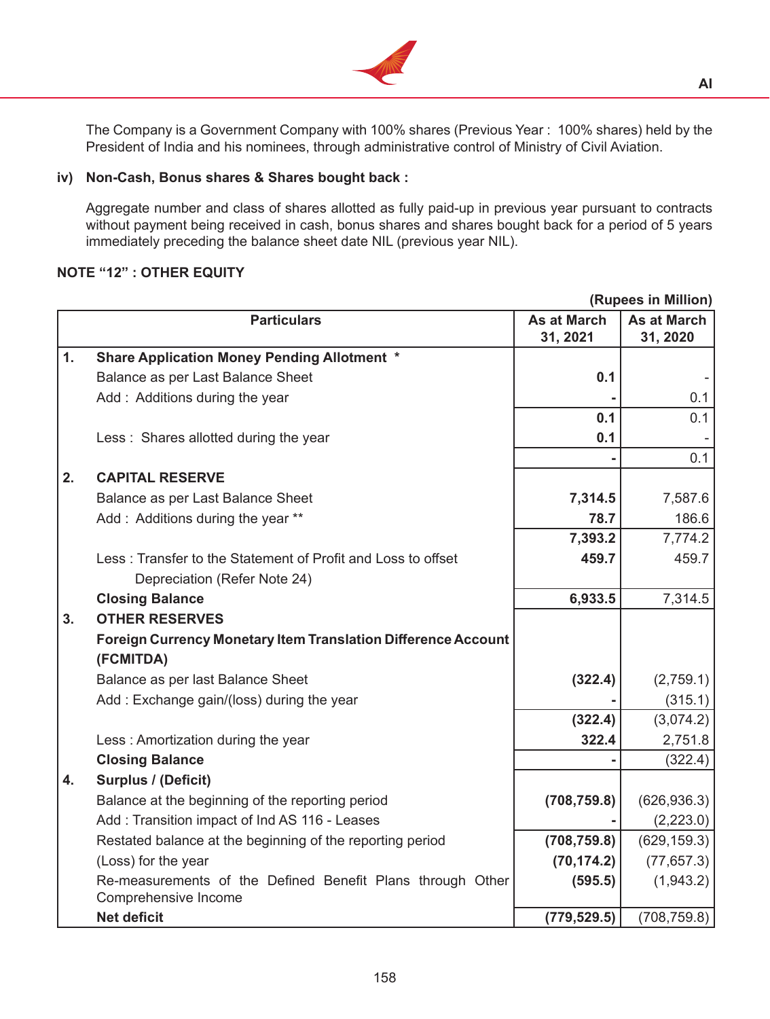

 The Company is a Government Company with 100% shares (Previous Year : 100% shares) held by the President of India and his nominees, through administrative control of Ministry of Civil Aviation.

### **iv) Non-Cash, Bonus shares & Shares bought back :**

Aggregate number and class of shares allotted as fully paid-up in previous year pursuant to contracts without payment being received in cash, bonus shares and shares bought back for a period of 5 years immediately preceding the balance sheet date NIL (previous year NIL).

# **NOTE "12" : OTHER EQUITY**

|    |                                                                                    |                                | (Rupees in Million)            |
|----|------------------------------------------------------------------------------------|--------------------------------|--------------------------------|
|    | <b>Particulars</b>                                                                 | <b>As at March</b><br>31, 2021 | <b>As at March</b><br>31, 2020 |
| 1. | <b>Share Application Money Pending Allotment *</b>                                 |                                |                                |
|    | Balance as per Last Balance Sheet                                                  | 0.1                            |                                |
|    | Add: Additions during the year                                                     |                                | 0.1                            |
|    |                                                                                    | 0.1                            | 0.1                            |
|    | Less: Shares allotted during the year                                              | 0.1                            |                                |
|    |                                                                                    |                                | 0.1                            |
| 2. | <b>CAPITAL RESERVE</b>                                                             |                                |                                |
|    | Balance as per Last Balance Sheet                                                  | 7,314.5                        | 7,587.6                        |
|    | Add: Additions during the year **                                                  | 78.7                           | 186.6                          |
|    |                                                                                    | 7,393.2                        | 7,774.2                        |
|    | Less: Transfer to the Statement of Profit and Loss to offset                       | 459.7                          | 459.7                          |
|    | Depreciation (Refer Note 24)                                                       |                                |                                |
|    | <b>Closing Balance</b>                                                             | 6,933.5                        | 7,314.5                        |
| 3. | <b>OTHER RESERVES</b>                                                              |                                |                                |
|    | <b>Foreign Currency Monetary Item Translation Difference Account</b>               |                                |                                |
|    | (FCMITDA)                                                                          |                                |                                |
|    | Balance as per last Balance Sheet                                                  | (322.4)                        | (2,759.1)                      |
|    | Add: Exchange gain/(loss) during the year                                          |                                | (315.1)                        |
|    |                                                                                    | (322.4)                        | (3,074.2)                      |
|    | Less: Amortization during the year                                                 | 322.4                          | 2,751.8                        |
|    | <b>Closing Balance</b>                                                             |                                | (322.4)                        |
| 4. | <b>Surplus / (Deficit)</b>                                                         |                                |                                |
|    | Balance at the beginning of the reporting period                                   | (708, 759.8)                   | (626, 936.3)                   |
|    | Add: Transition impact of Ind AS 116 - Leases                                      |                                | (2,223.0)                      |
|    | Restated balance at the beginning of the reporting period                          | (708, 759.8)                   | (629, 159.3)                   |
|    | (Loss) for the year                                                                | (70, 174.2)                    | (77, 657.3)                    |
|    | Re-measurements of the Defined Benefit Plans through Other<br>Comprehensive Income | (595.5)                        | (1,943.2)                      |
|    | <b>Net deficit</b>                                                                 | (779, 529.5)                   | (708, 759.8)                   |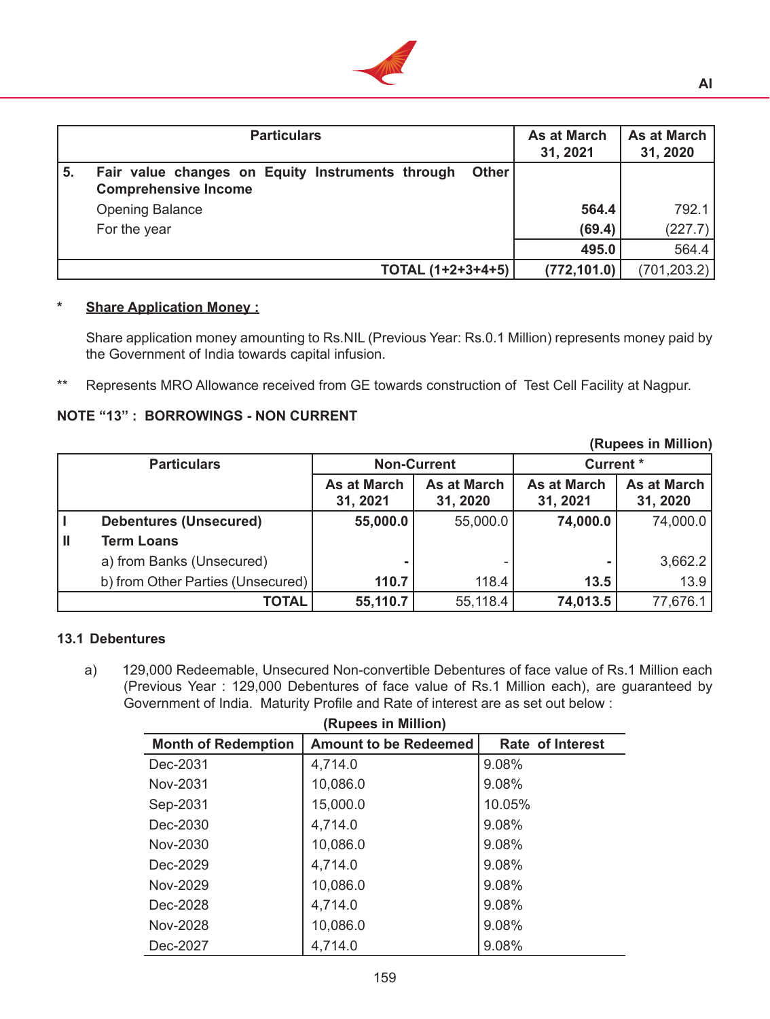

|    | <b>Particulars</b>                                                                       | <b>As at March</b><br>31, 2021 | <b>As at March</b><br>31, 2020 |
|----|------------------------------------------------------------------------------------------|--------------------------------|--------------------------------|
| 5. | Fair value changes on Equity Instruments through<br>Other<br><b>Comprehensive Income</b> |                                |                                |
|    | <b>Opening Balance</b>                                                                   | 564.4                          | 792.1                          |
|    | For the year                                                                             | (69.4)                         | (227.7)                        |
|    |                                                                                          | 495.0                          | 564.4                          |
|    | TOTAL (1+2+3+4+5)                                                                        | (772, 101.0)                   | (701, 203.2)                   |

# **\* Share Application Money :**

 Share application money amounting to Rs.NIL (Previous Year: Rs.0.1 Million) represents money paid by the Government of India towards capital infusion.

\*\* Represents MRO Allowance received from GE towards construction of Test Cell Facility at Nagpur.

### **NOTE "13" : BORROWINGS - NON CURRENT**

|                    | <b>INDRES III MILITOIL</b>        |                                |                                        |                                |                                |
|--------------------|-----------------------------------|--------------------------------|----------------------------------------|--------------------------------|--------------------------------|
| <b>Particulars</b> |                                   |                                | <b>Current</b> *<br><b>Non-Current</b> |                                |                                |
|                    |                                   | <b>As at March</b><br>31, 2021 | <b>As at March</b><br>31, 2020         | <b>As at March</b><br>31, 2021 | <b>As at March</b><br>31, 2020 |
|                    | <b>Debentures (Unsecured)</b>     | 55,000.0                       | 55,000.0                               | 74,000.0                       | 74,000.0                       |
| IШ                 | <b>Term Loans</b>                 |                                |                                        |                                |                                |
|                    | a) from Banks (Unsecured)         |                                |                                        |                                | 3,662.2                        |
|                    | b) from Other Parties (Unsecured) | 110.7                          | 118.4                                  | 13.5                           | 13.9                           |
|                    | <b>TOTAL</b>                      | 55,110.7                       | 55,118.4                               | 74,013.5                       | 77,676.1                       |

### **13.1 Debentures**

a) 129,000 Redeemable, Unsecured Non-convertible Debentures of face value of Rs.1 Million each (Previous Year : 129,000 Debentures of face value of Rs.1 Million each), are guaranteed by Government of India. Maturity Profile and Rate of interest are as set out below :

| (Rupees in Million)        |                              |                         |  |  |  |
|----------------------------|------------------------------|-------------------------|--|--|--|
| <b>Month of Redemption</b> | <b>Amount to be Redeemed</b> | <b>Rate of Interest</b> |  |  |  |
| Dec-2031                   | 4,714.0                      | 9.08%                   |  |  |  |
| Nov-2031                   | 10,086.0                     | 9.08%                   |  |  |  |
| Sep-2031                   | 15,000.0                     | 10.05%                  |  |  |  |
| Dec-2030                   | 4,714.0                      | 9.08%                   |  |  |  |
| Nov-2030                   | 10,086.0                     | 9.08%                   |  |  |  |
| Dec-2029                   | 4,714.0                      | 9.08%                   |  |  |  |
| Nov-2029                   | 10,086.0                     | 9.08%                   |  |  |  |
| Dec-2028                   | 4,714.0                      | 9.08%                   |  |  |  |
| Nov-2028                   | 10,086.0                     | 9.08%                   |  |  |  |
| Dec-2027                   | 4,714.0                      | 9.08%                   |  |  |  |

**(Rupees in Million)**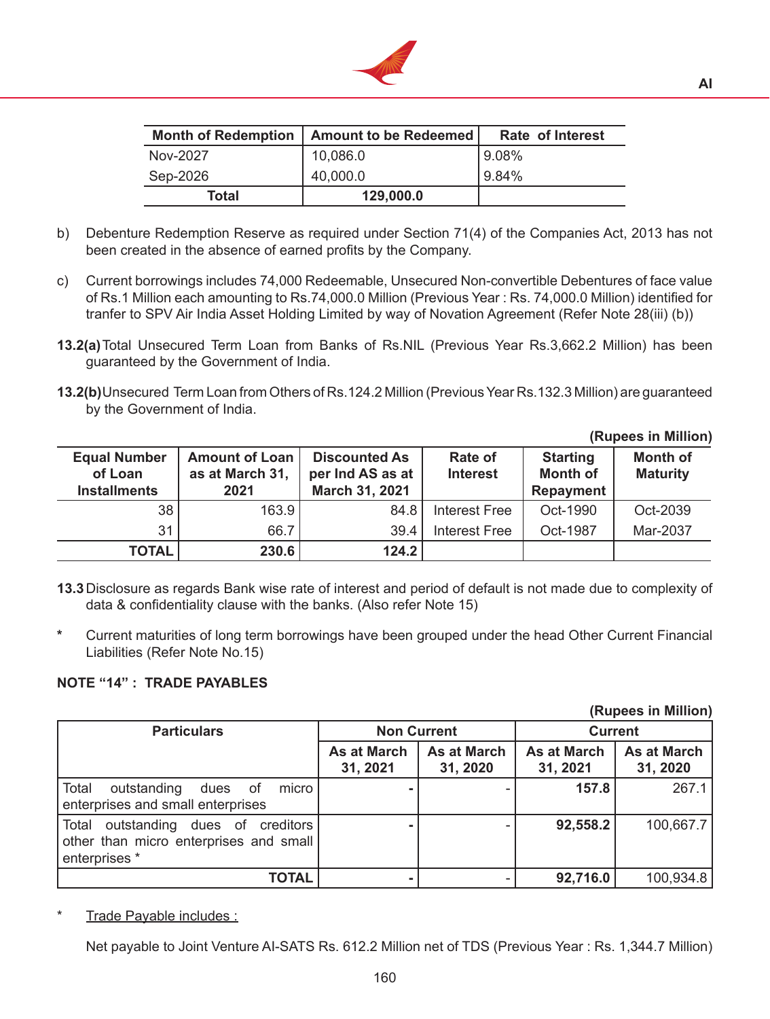

|          | Month of Redemption   Amount to be Redeemed | <b>Rate of Interest</b> |
|----------|---------------------------------------------|-------------------------|
| Nov-2027 | 10,086.0                                    | 19.08%                  |
| Sep-2026 | 40,000.0                                    | 19.84%                  |
| Total    | 129,000.0                                   |                         |

- b) Debenture Redemption Reserve as required under Section 71(4) of the Companies Act, 2013 has not been created in the absence of earned profits by the Company.
- c) Current borrowings includes 74,000 Redeemable, Unsecured Non-convertible Debentures of face value of Rs.1 Million each amounting to Rs.74,000.0 Million (Previous Year : Rs. 74,000.0 Million) identified for tranfer to SPV Air India Asset Holding Limited by way of Novation Agreement (Refer Note 28(iii) (b))
- **13.2(a)**Total Unsecured Term Loan from Banks of Rs.NIL (Previous Year Rs.3,662.2 Million) has been guaranteed by the Government of India.
- **13.2(b)** Unsecured Term Loan from Others of Rs.124.2 Million (Previous Year Rs.132.3 Million) are guaranteed by the Government of India.

|                                                       |                                                  |                                                            |                            |                                                        | (Rupees in Million)                |
|-------------------------------------------------------|--------------------------------------------------|------------------------------------------------------------|----------------------------|--------------------------------------------------------|------------------------------------|
| <b>Equal Number</b><br>of Loan<br><b>Installments</b> | <b>Amount of Loan</b><br>as at March 31,<br>2021 | <b>Discounted As</b><br>per Ind AS as at<br>March 31, 2021 | Rate of<br><b>Interest</b> | <b>Starting</b><br><b>Month of</b><br><b>Repayment</b> | <b>Month of</b><br><b>Maturity</b> |
| 38                                                    | 163.9                                            | 84.8                                                       | <b>Interest Free</b>       | Oct-1990                                               | Oct-2039                           |
| 31                                                    | 66.7                                             | 39.4                                                       | <b>Interest Free</b>       | Oct-1987                                               | Mar-2037                           |
| <b>TOTAL</b>                                          | 230.6                                            | 124.2                                                      |                            |                                                        |                                    |

- **13.3** Disclosure as regards Bank wise rate of interest and period of default is not made due to complexity of data & confidentiality clause with the banks. (Also refer Note 15)
- **\***  Current maturities of long term borrowings have been grouped under the head Other Current Financial Liabilities (Refer Note No.15)

## **NOTE "14" : TRADE PAYABLES**

#### **(Rupees in Million)**

| <b>Particulars</b>                                                                                  | <b>Non Current</b>             |                                | <b>Current</b>                 |                                |
|-----------------------------------------------------------------------------------------------------|--------------------------------|--------------------------------|--------------------------------|--------------------------------|
|                                                                                                     | <b>As at March</b><br>31, 2021 | <b>As at March</b><br>31, 2020 | <b>As at March</b><br>31, 2021 | <b>As at March</b><br>31, 2020 |
| Total<br>outstanding<br>micro<br>dues of<br>enterprises and small enterprises                       |                                |                                | 157.8                          | 267.1                          |
| outstanding dues of creditors<br>  Total<br>other than micro enterprises and small<br>enterprises * | -                              |                                | 92,558.2                       | 100,667.7                      |
| <b>TOTAL</b>                                                                                        | $\blacksquare$                 |                                | 92,716.0                       | 100,934.8                      |

Trade Payable includes :

 Net payable to Joint Venture AI-SATS Rs. 612.2 Million net of TDS (Previous Year : Rs. 1,344.7 Million)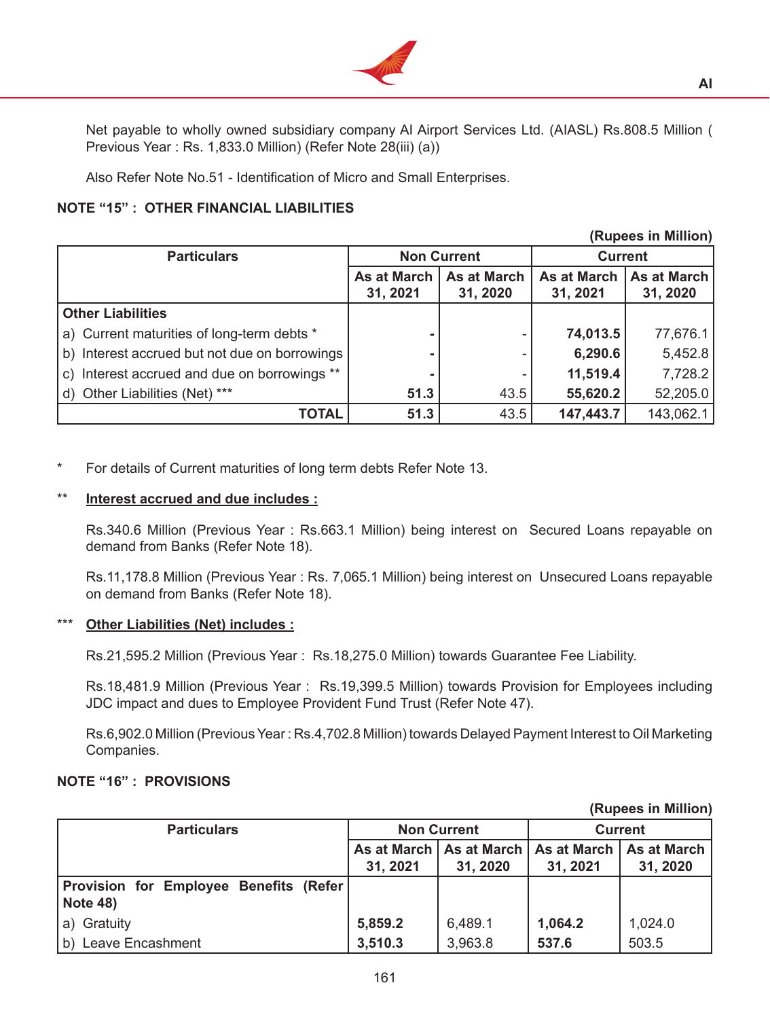

 Net payable to wholly owned subsidiary company AI Airport Services Ltd. (AIASL) Rs.808.5 Million ( Previous Year : Rs. 1,833.0 Million) (Refer Note 28(iii) (a))

 Also Refer Note No.51 - Identification of Micro and Small Enterprises.

## **NOTE "15" : OTHER FINANCIAL LIABILITIES**

| (Rupees in Million)                           |                                |                                |                                |                                |
|-----------------------------------------------|--------------------------------|--------------------------------|--------------------------------|--------------------------------|
| <b>Particulars</b>                            | <b>Non Current</b>             |                                | <b>Current</b>                 |                                |
|                                               | <b>As at March</b><br>31, 2021 | <b>As at March</b><br>31, 2020 | <b>As at March</b><br>31, 2021 | <b>As at March</b><br>31, 2020 |
| <b>Other Liabilities</b>                      |                                |                                |                                |                                |
| a) Current maturities of long-term debts *    |                                |                                | 74,013.5                       | 77,676.1                       |
| b) Interest accrued but not due on borrowings | ۰                              |                                | 6,290.6                        | 5,452.8                        |
| c) Interest accrued and due on borrowings **  | $\blacksquare$                 |                                | 11,519.4                       | 7,728.2                        |
| d) Other Liabilities (Net) ***                | 51.3                           | 43.5                           | 55,620.2                       | 52,205.0                       |
| <b>TOTAL</b>                                  | 51.3                           | 43.5                           | 147,443.7                      | 143,062.1                      |

For details of Current maturities of long term debts Refer Note 13.

### **Interest accrued and due includes :**

 Rs.340.6 Million (Previous Year : Rs.663.1 Million) being interest on Secured Loans repayable on demand from Banks (Refer Note 18).

 Rs.11,178.8 Million (Previous Year : Rs. 7,065.1 Million) being interest on Unsecured Loans repayable on demand from Banks (Refer Note 18).

#### **Other Liabilities (Net) includes :**

 Rs.21,595.2 Million (Previous Year : Rs.18,275.0 Million) towards Guarantee Fee Liability.

 Rs.18,481.9 Million (Previous Year : Rs.19,399.5 Million) towards Provision for Employees including JDC impact and dues to Employee Provident Fund Trust (Refer Note 47).

Rs.6,902.0 Million (Previous Year: Rs.4,702.8 Million) towards Delayed Payment Interest to Oil Marketing Companies.

# **NOTE "16" : PROVISIONS**

| <b>Particulars</b>                                        |          | <b>Non Current</b> |          | <b>Current</b>                                        |
|-----------------------------------------------------------|----------|--------------------|----------|-------------------------------------------------------|
|                                                           |          |                    |          | As at March   As at March   As at March   As at March |
|                                                           | 31, 2021 | 31, 2020           | 31, 2021 | 31, 2020                                              |
| Provision for Employee Benefits (Refer<br><b>Note 48)</b> |          |                    |          |                                                       |
| a) Gratuity                                               | 5,859.2  | 6,489.1            | 1,064.2  | 1,024.0                                               |
| b) Leave Encashment                                       | 3,510.3  | 3,963.8            | 537.6    | 503.5                                                 |

**(Rupees in Million)**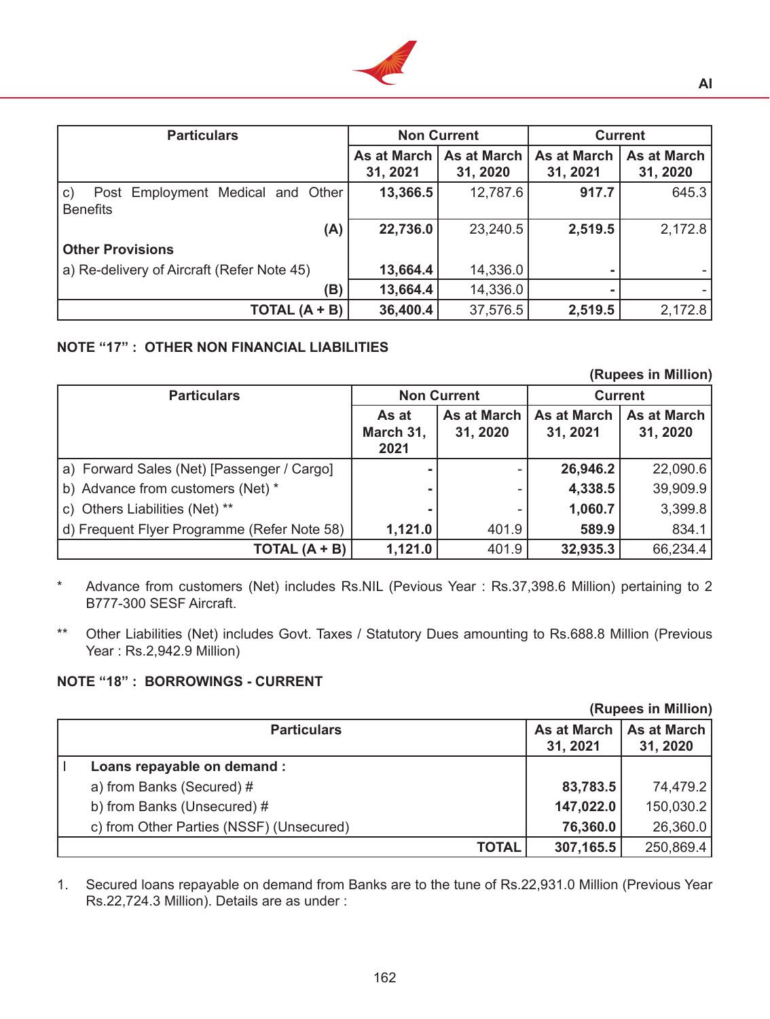

| <b>Particulars</b>                                                     | <b>Non Current</b>      |                                | <b>Current</b>                 |                                |
|------------------------------------------------------------------------|-------------------------|--------------------------------|--------------------------------|--------------------------------|
|                                                                        | As at March<br>31, 2021 | <b>As at March</b><br>31, 2020 | <b>As at March</b><br>31, 2021 | <b>As at March</b><br>31, 2020 |
| $\mathsf{C}$ )<br>Post Employment Medical and Other<br><b>Benefits</b> | 13,366.5                | 12,787.6                       | 917.7                          | 645.3                          |
| (A)                                                                    | 22,736.0                | 23,240.5                       | 2,519.5                        | 2,172.8                        |
| <b>Other Provisions</b>                                                |                         |                                |                                |                                |
| a) Re-delivery of Aircraft (Refer Note 45)                             | 13,664.4                | 14,336.0                       |                                |                                |
| (B)                                                                    | 13,664.4                | 14,336.0                       |                                |                                |
| TOTAL $(A + B)$                                                        | 36,400.4                | 37,576.5                       | 2,519.5                        | 2,172.8                        |

## **NOTE "17" : OTHER NON FINANCIAL LIABILITIES**

**(Rupees in Million)**

| <b>Particulars</b>                          | <b>Non Current</b>         |                         |                                |                                | <b>Current</b> |  |
|---------------------------------------------|----------------------------|-------------------------|--------------------------------|--------------------------------|----------------|--|
|                                             | As at<br>March 31,<br>2021 | As at March<br>31, 2020 | <b>As at March</b><br>31, 2021 | <b>As at March</b><br>31, 2020 |                |  |
| a) Forward Sales (Net) [Passenger / Cargo]  |                            |                         | 26,946.2                       | 22,090.6                       |                |  |
| b) Advance from customers (Net) *           |                            |                         | 4,338.5                        | 39,909.9                       |                |  |
| c) Others Liabilities (Net) **              | $\blacksquare$             |                         | 1,060.7                        | 3,399.8                        |                |  |
| d) Frequent Flyer Programme (Refer Note 58) | 1,121.0                    | 401.9                   | 589.9                          | 834.1                          |                |  |
| TOTAL (A + B)                               | 1,121.0                    | 401.9                   | 32,935.3                       | 66,234.4                       |                |  |

- \* Advance from customers (Net) includes Rs.NIL (Pevious Year : Rs.37,398.6 Million) pertaining to 2 B777-300 SESF Aircraft.
- \*\* Other Liabilities (Net) includes Govt. Taxes / Statutory Dues amounting to Rs.688.8 Million (Previous Year : Rs.2,942.9 Million)

# **NOTE "18" : BORROWINGS - CURRENT**

|                                          |                         | (Rupees in Million)            |
|------------------------------------------|-------------------------|--------------------------------|
| <b>Particulars</b>                       | As at March<br>31, 2021 | <b>As at March</b><br>31, 2020 |
| Loans repayable on demand :              |                         |                                |
| a) from Banks (Secured) #                | 83,783.5                | 74,479.2                       |
| b) from Banks (Unsecured) #              | 147,022.0               | 150,030.2                      |
| c) from Other Parties (NSSF) (Unsecured) | 76,360.0                | 26,360.0                       |
| <b>TOTAL</b>                             | 307,165.5               | 250,869.4                      |

1. Secured loans repayable on demand from Banks are to the tune of Rs.22,931.0 Million (Previous Year Rs.22,724.3 Million). Details are as under :

162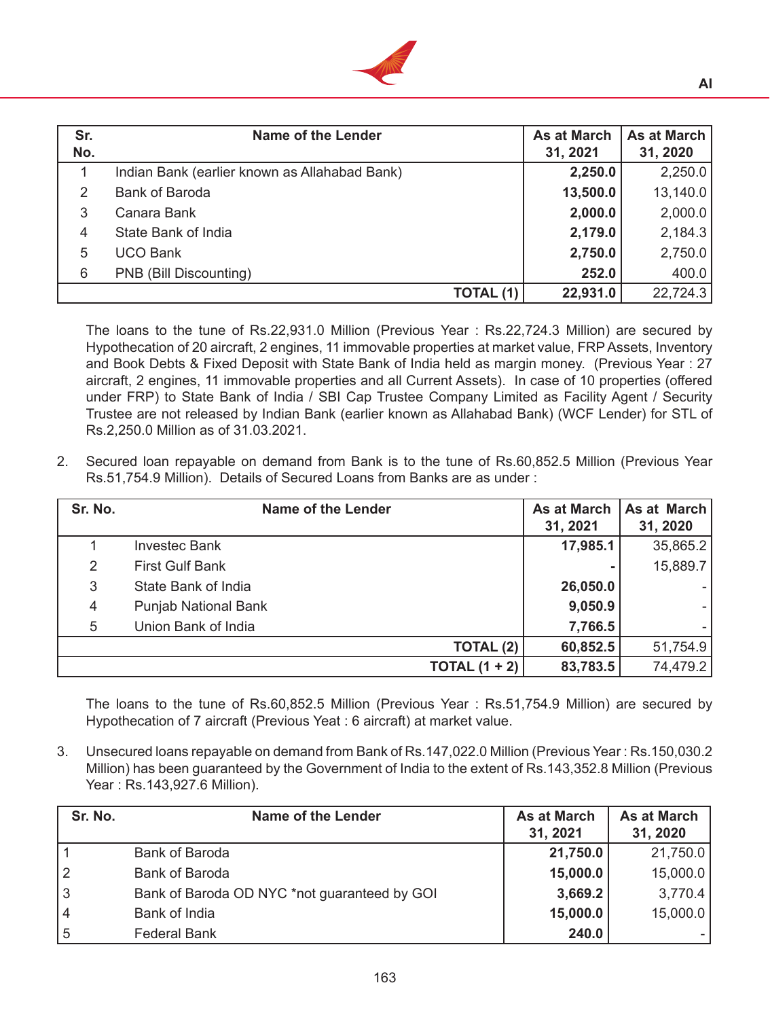

| Sr.<br>No.    | <b>Name of the Lender</b>                     |           | <b>As at March</b><br>31, 2021 | <b>As at March</b><br>31, 2020 |
|---------------|-----------------------------------------------|-----------|--------------------------------|--------------------------------|
| 1             | Indian Bank (earlier known as Allahabad Bank) |           | 2,250.0                        | 2,250.0                        |
| $\mathcal{P}$ | <b>Bank of Baroda</b>                         |           | 13,500.0                       | 13,140.0                       |
| 3             | Canara Bank                                   |           | 2,000.0                        | 2,000.0                        |
| 4             | State Bank of India                           |           | 2,179.0                        | 2,184.3                        |
| 5             | <b>UCO Bank</b>                               |           | 2,750.0                        | 2,750.0                        |
| 6             | PNB (Bill Discounting)                        |           | 252.0                          | 400.0                          |
|               |                                               | TOTAL (1) | 22,931.0                       | 22,724.3                       |

 The loans to the tune of Rs.22,931.0 Million (Previous Year : Rs.22,724.3 Million) are secured by Hypothecation of 20 aircraft, 2 engines, 11 immovable properties at market value, FRP Assets, Inventory and Book Debts & Fixed Deposit with State Bank of India held as margin money. (Previous Year : 27 aircraft, 2 engines, 11 immovable properties and all Current Assets). In case of 10 properties (offered under FRP) to State Bank of India / SBI Cap Trustee Company Limited as Facility Agent / Security Trustee are not released by Indian Bank (earlier known as Allahabad Bank) (WCF Lender) for STL of Rs.2,250.0 Million as of 31.03.2021.

2. Secured loan repayable on demand from Bank is to the tune of Rs.60,852.5 Million (Previous Year Rs.51,754.9 Million). Details of Secured Loans from Banks are as under :

| Sr. No. | <b>Name of the Lender</b>   | <b>As at March</b><br>31, 2021 | As at March<br>31, 2020 |
|---------|-----------------------------|--------------------------------|-------------------------|
|         | <b>Investec Bank</b>        | 17,985.1                       | 35,865.2                |
| 2       | <b>First Gulf Bank</b>      |                                | 15,889.7                |
| 3       | State Bank of India         | 26,050.0                       |                         |
| 4       | <b>Punjab National Bank</b> | 9,050.9                        |                         |
| 5       | Union Bank of India         | 7,766.5                        |                         |
|         | TOTAL (2)                   | 60,852.5                       | 51,754.9                |
|         | TOTAL $(1 + 2)$             | 83,783.5                       | 74,479.2                |

 The loans to the tune of Rs.60,852.5 Million (Previous Year : Rs.51,754.9 Million) are secured by Hypothecation of 7 aircraft (Previous Yeat : 6 aircraft) at market value.

3. Unsecured loans repayable on demand from Bank of Rs.147,022.0 Million (Previous Year : Rs.150,030.2 Million) has been guaranteed by the Government of India to the extent of Rs.143,352.8 Million (Previous Year : Rs.143,927.6 Million).

| Sr. No.        | <b>Name of the Lender</b>                    | <b>As at March</b><br>31, 2021 | <b>As at March</b><br>31, 2020 |
|----------------|----------------------------------------------|--------------------------------|--------------------------------|
|                | <b>Bank of Baroda</b>                        | 21,750.0                       | 21,750.0                       |
| $\overline{2}$ | <b>Bank of Baroda</b>                        | 15,000.0                       | 15,000.0                       |
| 3              | Bank of Baroda OD NYC *not guaranteed by GOI | 3,669.2                        | 3,770.4                        |
| 4              | Bank of India                                | 15,000.0                       | 15,000.0                       |
| 5              | <b>Federal Bank</b>                          | 240.0                          |                                |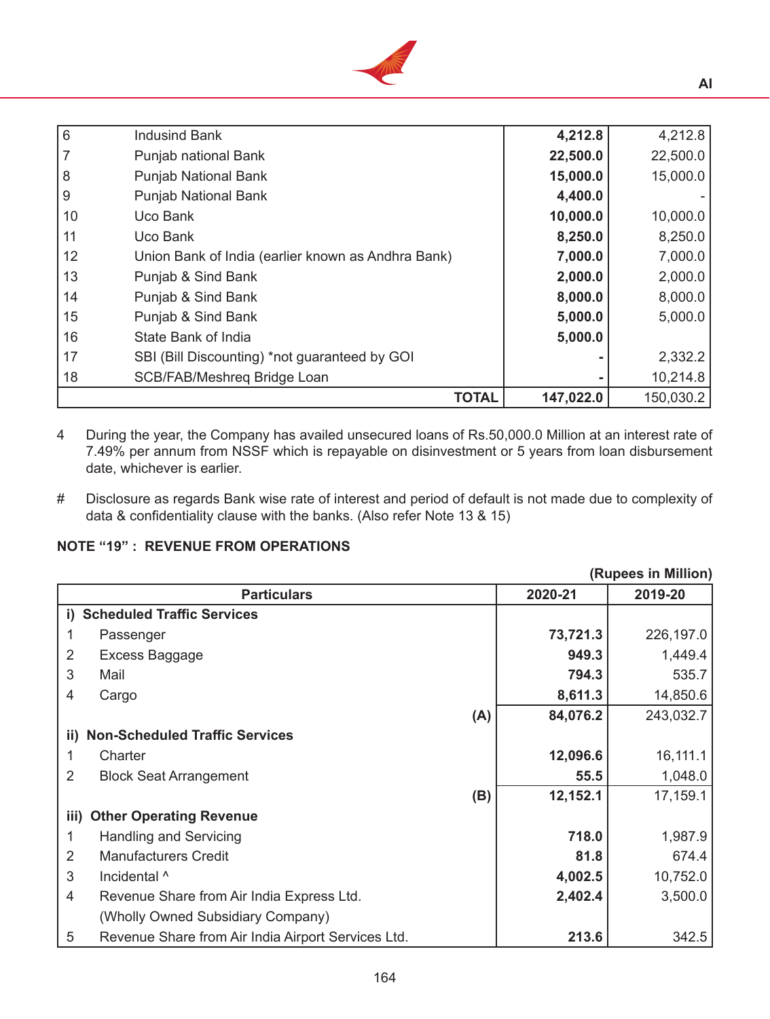

| l 6 | <b>Indusind Bank</b>                               | 4,212.8   | 4,212.8   |
|-----|----------------------------------------------------|-----------|-----------|
| 7   | Punjab national Bank                               | 22,500.0  | 22,500.0  |
| 8   | <b>Punjab National Bank</b>                        | 15,000.0  | 15,000.0  |
| l 9 | <b>Punjab National Bank</b>                        | 4,400.0   |           |
| 10  | Uco Bank                                           | 10,000.0  | 10,000.0  |
| 11  | Uco Bank                                           | 8,250.0   | 8,250.0   |
| 12  | Union Bank of India (earlier known as Andhra Bank) | 7,000.0   | 7,000.0   |
| 13  | Punjab & Sind Bank                                 | 2,000.0   | 2,000.0   |
| 14  | Punjab & Sind Bank                                 | 8,000.0   | 8,000.0   |
| 15  | Punjab & Sind Bank                                 | 5,000.0   | 5,000.0   |
| 16  | State Bank of India                                | 5,000.0   |           |
| 17  | SBI (Bill Discounting) *not guaranteed by GOI      |           | 2,332.2   |
| 18  | SCB/FAB/Meshreq Bridge Loan                        |           | 10,214.8  |
|     | <b>TOTAL</b>                                       | 147,022.0 | 150,030.2 |

4 During the year, the Company has availed unsecured loans of Rs.50,000.0 Million at an interest rate of 7.49% per annum from NSSF which is repayable on disinvestment or 5 years from loan disbursement date, whichever is earlier.

# Disclosure as regards Bank wise rate of interest and period of default is not made due to complexity of data & confidentiality clause with the banks. (Also refer Note 13 & 15)

# **NOTE "19" : REVENUE FROM OPERATIONS**

|                | (Rupees in Million)                                |     |          |           |
|----------------|----------------------------------------------------|-----|----------|-----------|
|                | <b>Particulars</b>                                 |     | 2020-21  | 2019-20   |
|                | i) Scheduled Traffic Services                      |     |          |           |
|                | Passenger                                          |     | 73,721.3 | 226,197.0 |
| 2              | Excess Baggage                                     |     | 949.3    | 1,449.4   |
| 3              | Mail                                               |     | 794.3    | 535.7     |
| 4              | Cargo                                              |     | 8,611.3  | 14,850.6  |
|                |                                                    | (A) | 84,076.2 | 243,032.7 |
| ii)            | <b>Non-Scheduled Traffic Services</b>              |     |          |           |
| 1              | Charter                                            |     | 12,096.6 | 16,111.1  |
| 2              | <b>Block Seat Arrangement</b>                      |     | 55.5     | 1,048.0   |
|                |                                                    | (B) | 12,152.1 | 17,159.1  |
|                | iii) Other Operating Revenue                       |     |          |           |
| 1              | <b>Handling and Servicing</b>                      |     | 718.0    | 1,987.9   |
| $\overline{2}$ | <b>Manufacturers Credit</b>                        |     | 81.8     | 674.4     |
| 3              | Incidental ^                                       |     | 4,002.5  | 10,752.0  |
| 4              | Revenue Share from Air India Express Ltd.          |     | 2,402.4  | 3,500.0   |
|                | (Wholly Owned Subsidiary Company)                  |     |          |           |
| 5              | Revenue Share from Air India Airport Services Ltd. |     | 213.6    | 342.5     |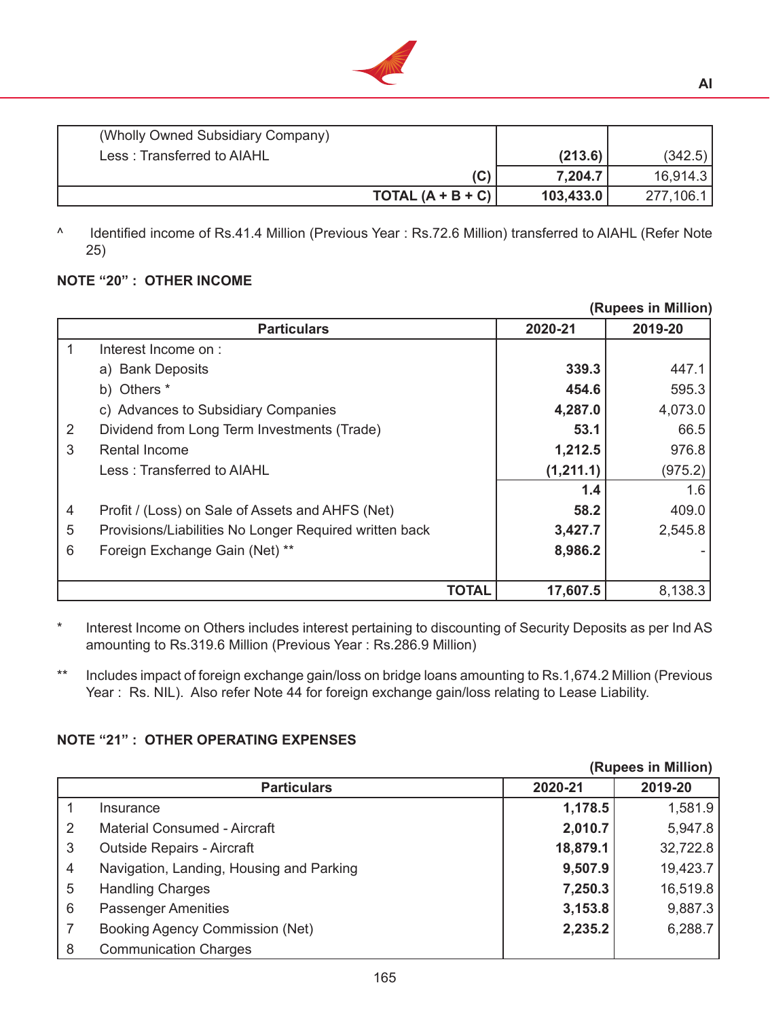

| (Wholly Owned Subsidiary Company) |                     |           |           |
|-----------------------------------|---------------------|-----------|-----------|
| Less: Transferred to AIAHL        |                     | (213.6)   | (342.5)   |
|                                   | (C)                 | 7,204.7   | 16,914.3  |
|                                   | TOTAL $(A + B + C)$ | 103,433.0 | 277,106.1 |

^ Identified income of Rs.41.4 Million (Previous Year : Rs.72.6 Million) transferred to AIAHL (Refer Note 25)

# **NOTE "20" : OTHER INCOME**

|   |                                                        |           | (Rupees in Million) |
|---|--------------------------------------------------------|-----------|---------------------|
|   | <b>Particulars</b>                                     | 2020-21   | 2019-20             |
|   | Interest Income on:                                    |           |                     |
|   | a) Bank Deposits                                       | 339.3     | 447.1               |
|   | b) Others *                                            | 454.6     | 595.3               |
|   | c) Advances to Subsidiary Companies                    | 4,287.0   | 4,073.0             |
| 2 | Dividend from Long Term Investments (Trade)            | 53.1      | 66.5                |
| 3 | <b>Rental Income</b>                                   | 1,212.5   | 976.8               |
|   | Less: Transferred to AIAHL                             | (1,211.1) | (975.2)             |
|   |                                                        | 1.4       | 1.6                 |
| 4 | Profit / (Loss) on Sale of Assets and AHFS (Net)       | 58.2      | 409.0               |
| 5 | Provisions/Liabilities No Longer Required written back | 3,427.7   | 2,545.8             |
| 6 | Foreign Exchange Gain (Net) **                         | 8,986.2   |                     |
|   |                                                        |           |                     |
|   | <b>TOTAL</b>                                           | 17,607.5  | 8,138.3             |

\* Interest Income on Others includes interest pertaining to discounting of Security Deposits as per Ind AS amounting to Rs.319.6 Million (Previous Year : Rs.286.9 Million)

\*\* Includes impact of foreign exchange gain/loss on bridge loans amounting to Rs.1,674.2 Million (Previous Year : Rs. NIL). Also refer Note 44 for foreign exchange gain/loss relating to Lease Liability.

# **NOTE "21" : OTHER OPERATING EXPENSES**

|    |                                          |          | (Rupees in Million) |
|----|------------------------------------------|----------|---------------------|
|    | <b>Particulars</b>                       | 2020-21  | 2019-20             |
|    | Insurance                                | 1,178.5  | 1,581.9             |
| -2 | <b>Material Consumed - Aircraft</b>      | 2,010.7  | 5,947.8             |
| 3  | <b>Outside Repairs - Aircraft</b>        | 18,879.1 | 32,722.8            |
| 4  | Navigation, Landing, Housing and Parking | 9,507.9  | 19,423.7            |
| 5  | <b>Handling Charges</b>                  | 7,250.3  | 16,519.8            |
| 6  | <b>Passenger Amenities</b>               | 3,153.8  | 9,887.3             |
|    | <b>Booking Agency Commission (Net)</b>   | 2,235.2  | 6,288.7             |
| 8  | <b>Communication Charges</b>             |          |                     |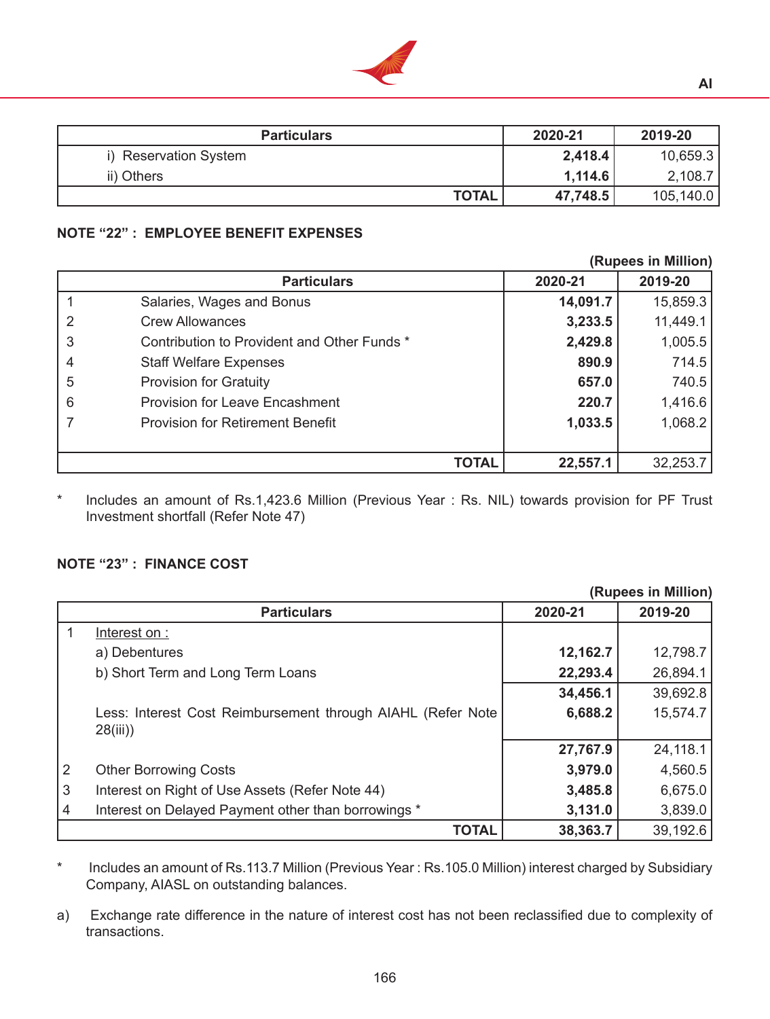

## **NOTE "22" : EMPLOYEE BENEFIT EXPENSES**

|   |                                             |              | (Rupees in Million) |          |  |
|---|---------------------------------------------|--------------|---------------------|----------|--|
|   | <b>Particulars</b>                          |              | 2020-21             | 2019-20  |  |
|   | Salaries, Wages and Bonus                   |              | 14,091.7            | 15,859.3 |  |
|   | <b>Crew Allowances</b>                      |              | 3,233.5             | 11,449.1 |  |
| 3 | Contribution to Provident and Other Funds * |              | 2,429.8             | 1,005.5  |  |
|   | <b>Staff Welfare Expenses</b>               |              | 890.9               | 714.5    |  |
| 5 | <b>Provision for Gratuity</b>               |              | 657.0               | 740.5    |  |
| 6 | <b>Provision for Leave Encashment</b>       |              | 220.7               | 1,416.6  |  |
|   | <b>Provision for Retirement Benefit</b>     |              | 1,033.5             | 1,068.2  |  |
|   |                                             |              |                     |          |  |
|   |                                             | <b>TOTAL</b> | 22,557.1            | 32,253.7 |  |

\* Includes an amount of Rs.1,423.6 Million (Previous Year : Rs. NIL) towards provision for PF Trust Investment shortfall (Refer Note 47)

#### **NOTE "23" : FINANCE COST**

|                |                                                             |          | (Rupees in Million) |
|----------------|-------------------------------------------------------------|----------|---------------------|
|                | <b>Particulars</b>                                          | 2020-21  | 2019-20             |
|                | Interest on :                                               |          |                     |
|                | a) Debentures                                               | 12,162.7 | 12,798.7            |
|                | b) Short Term and Long Term Loans                           | 22,293.4 | 26,894.1            |
|                |                                                             | 34,456.1 | 39,692.8            |
|                | Less: Interest Cost Reimbursement through AIAHL (Refer Note | 6,688.2  | 15,574.7            |
|                | 28(iii)                                                     |          |                     |
|                |                                                             | 27,767.9 | 24,118.1            |
| 2              | <b>Other Borrowing Costs</b>                                | 3,979.0  | 4,560.5             |
| $\mathfrak{S}$ | Interest on Right of Use Assets (Refer Note 44)             | 3,485.8  | 6,675.0             |
| 4              | Interest on Delayed Payment other than borrowings *         | 3,131.0  | 3,839.0             |
|                | <b>TOTAL</b>                                                | 38,363.7 | 39,192.6            |

\* Includes an amount of Rs.113.7 Million (Previous Year : Rs.105.0 Million) interest charged by Subsidiary Company, AIASL on outstanding balances. 

a) Exchange rate difference in the nature of interest cost has not been reclassified due to complexity of transactions.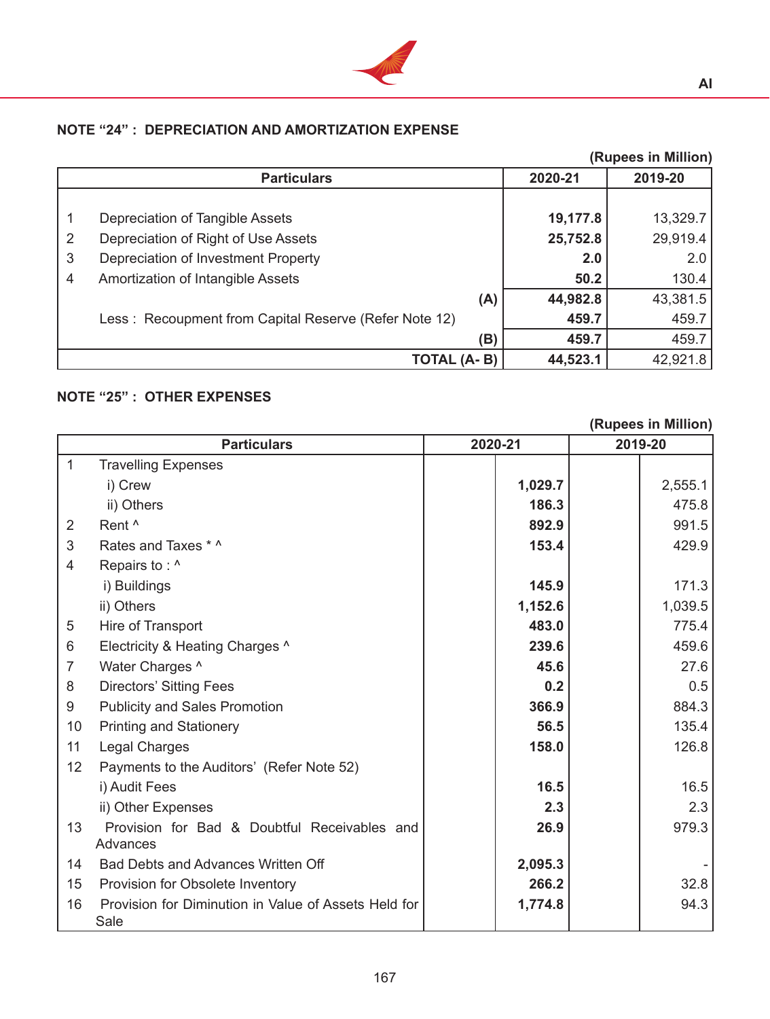

# **NOTE "24" : DEPRECIATION AND AMORTIZATION EXPENSE**

|   | (Rupees in Million)                                   |          |          |  |
|---|-------------------------------------------------------|----------|----------|--|
|   | <b>Particulars</b>                                    | 2020-21  | 2019-20  |  |
|   |                                                       |          |          |  |
|   | Depreciation of Tangible Assets                       | 19,177.8 | 13,329.7 |  |
| 2 | Depreciation of Right of Use Assets                   | 25,752.8 | 29,919.4 |  |
| 3 | Depreciation of Investment Property                   | 2.0      | 2.0      |  |
| 4 | Amortization of Intangible Assets                     | 50.2     | 130.4    |  |
|   | (A)                                                   | 44,982.8 | 43,381.5 |  |
|   | Less: Recoupment from Capital Reserve (Refer Note 12) | 459.7    | 459.7    |  |
|   | (B)                                                   | 459.7    | 459.7    |  |
|   | <b>TOTAL (A-B)</b>                                    | 44,523.1 | 42,921.8 |  |

# **NOTE "25" : OTHER EXPENSES**

|                | (Rupees in Million)                                          |         |         |  |         |
|----------------|--------------------------------------------------------------|---------|---------|--|---------|
|                | <b>Particulars</b>                                           | 2020-21 |         |  | 2019-20 |
| $\mathbf{1}$   | <b>Travelling Expenses</b>                                   |         |         |  |         |
|                | i) Crew                                                      |         | 1,029.7 |  | 2,555.1 |
|                | ii) Others                                                   |         | 186.3   |  | 475.8   |
| 2              | Rent <sup>^</sup>                                            |         | 892.9   |  | 991.5   |
| 3              | Rates and Taxes * ^                                          |         | 153.4   |  | 429.9   |
| $\overline{4}$ | Repairs to : ^                                               |         |         |  |         |
|                | i) Buildings                                                 |         | 145.9   |  | 171.3   |
|                | ii) Others                                                   |         | 1,152.6 |  | 1,039.5 |
| 5              | Hire of Transport                                            |         | 483.0   |  | 775.4   |
| 6              | Electricity & Heating Charges ^                              |         | 239.6   |  | 459.6   |
| $\overline{7}$ | Water Charges ^                                              |         | 45.6    |  | 27.6    |
| 8              | <b>Directors' Sitting Fees</b>                               |         | 0.2     |  | 0.5     |
| 9              | <b>Publicity and Sales Promotion</b>                         |         | 366.9   |  | 884.3   |
| 10             | <b>Printing and Stationery</b>                               |         | 56.5    |  | 135.4   |
| 11             | <b>Legal Charges</b>                                         |         | 158.0   |  | 126.8   |
| 12             | Payments to the Auditors' (Refer Note 52)                    |         |         |  |         |
|                | i) Audit Fees                                                |         | 16.5    |  | 16.5    |
|                | ii) Other Expenses                                           |         | 2.3     |  | 2.3     |
| 13             | Provision for Bad & Doubtful Receivables and                 |         | 26.9    |  | 979.3   |
|                | Advances                                                     |         |         |  |         |
| 14             | <b>Bad Debts and Advances Written Off</b>                    |         | 2,095.3 |  |         |
| 15             | Provision for Obsolete Inventory                             |         | 266.2   |  | 32.8    |
| 16             | Provision for Diminution in Value of Assets Held for<br>Sale |         | 1,774.8 |  | 94.3    |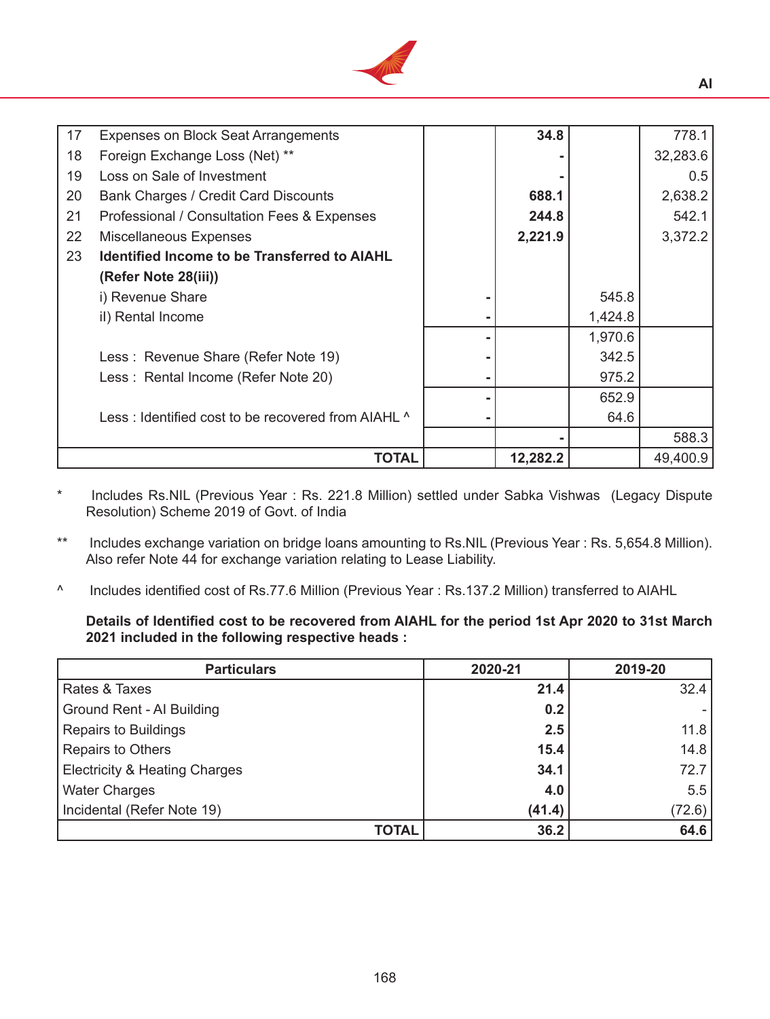

| 17 | <b>Expenses on Block Seat Arrangements</b>          | 34.8     |         | 778.1    |
|----|-----------------------------------------------------|----------|---------|----------|
| 18 | Foreign Exchange Loss (Net) **                      |          |         | 32,283.6 |
|    |                                                     |          |         |          |
| 19 | Loss on Sale of Investment                          |          |         | 0.5      |
| 20 | <b>Bank Charges / Credit Card Discounts</b>         | 688.1    |         | 2,638.2  |
| 21 | Professional / Consultation Fees & Expenses         | 244.8    |         | 542.1    |
| 22 | <b>Miscellaneous Expenses</b>                       | 2,221.9  |         | 3,372.2  |
| 23 | <b>Identified Income to be Transferred to AIAHL</b> |          |         |          |
|    | (Refer Note 28(iii))                                |          |         |          |
|    | i) Revenue Share                                    |          | 545.8   |          |
|    | il) Rental Income                                   |          | 1,424.8 |          |
|    |                                                     |          | 1,970.6 |          |
|    | Less: Revenue Share (Refer Note 19)                 |          | 342.5   |          |
|    | Less: Rental Income (Refer Note 20)                 |          | 975.2   |          |
|    |                                                     |          | 652.9   |          |
|    | Less: Identified cost to be recovered from AIAHL ^  |          | 64.6    |          |
|    |                                                     |          |         | 588.3    |
|    | TOTAL                                               | 12,282.2 |         | 49,400.9 |

Includes Rs.NIL (Previous Year : Rs. 221.8 Million) settled under Sabka Vishwas (Legacy Dispute Resolution) Scheme 2019 of Govt. of India

\*\* Includes exchange variation on bridge loans amounting to Rs.NIL (Previous Year : Rs. 5,654.8 Million). Also refer Note 44 for exchange variation relating to Lease Liability.

^ Includes identified cost of Rs.77.6 Million (Previous Year : Rs.137.2 Million) transferred to AIAHL

**Details of Identified cost to be recovered from AIAHL for the period 1st Apr 2020 to 31st March 2021 included in the following respective heads :** 

| <b>Particulars</b>                       | 2020-21 | 2019-20 |
|------------------------------------------|---------|---------|
| Rates & Taxes                            | 21.4    | 32.4    |
| Ground Rent - Al Building                | 0.2     |         |
| <b>Repairs to Buildings</b>              | 2.5     | 11.8    |
| Repairs to Others                        | 15.4    | 14.8    |
| <b>Electricity &amp; Heating Charges</b> | 34.1    | 72.7    |
| <b>Water Charges</b>                     | 4.0     | 5.5     |
| Incidental (Refer Note 19)               | (41.4)  | (72.6)  |
| <b>TOTAL</b>                             | 36.2    | 64.6    |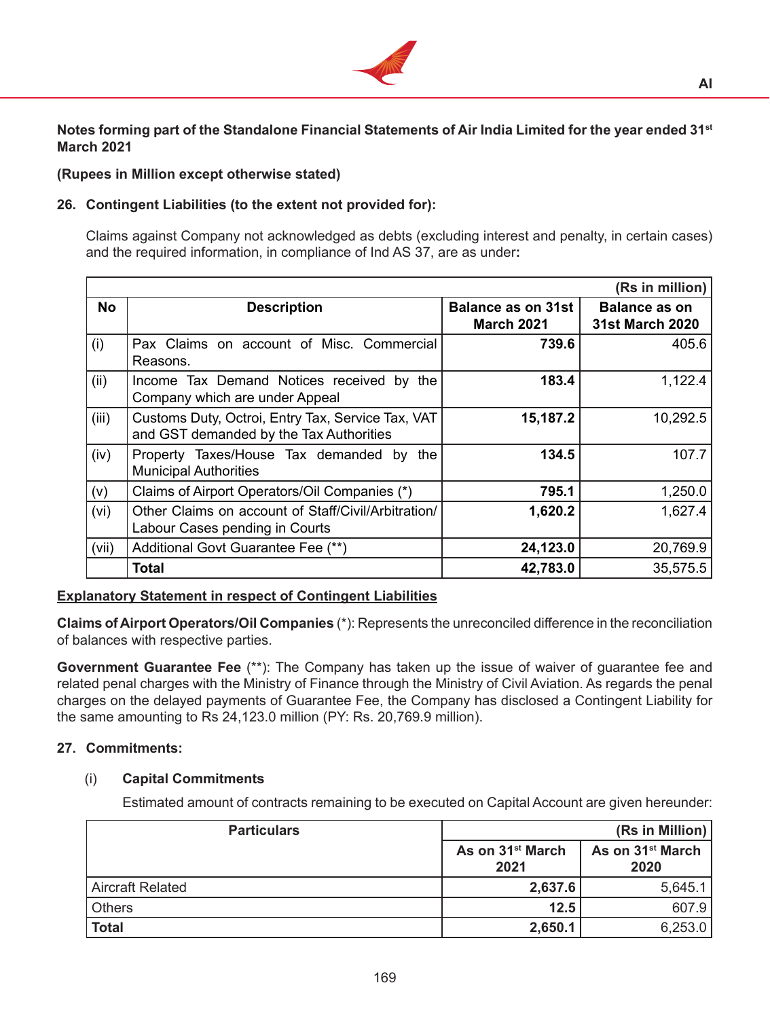

**Notes forming part of the Standalone Financial Statements of Air India Limited for the year ended 31st March 2021**

# **(Rupees in Million except otherwise stated)**

# **26. Contingent Liabilities (to the extent not provided for):**

 Claims against Company not acknowledged as debts (excluding interest and penalty, in certain cases) and the required information, in compliance of Ind AS 37, are as under**:**

|           |                                                                                                          |                                         | (Rs in million)                                |
|-----------|----------------------------------------------------------------------------------------------------------|-----------------------------------------|------------------------------------------------|
| <b>No</b> | <b>Description</b>                                                                                       | Balance as on 31st<br><b>March 2021</b> | <b>Balance as on</b><br><b>31st March 2020</b> |
| (i)       | Pax Claims on account of Misc. Commercial<br>Reasons.                                                    | 739.6                                   | 405.6                                          |
| (ii)      | Income Tax Demand Notices received by the<br>Company which are under Appeal                              | 183.4                                   | 1,122.4                                        |
| (iii)     | 15,187.2<br>Customs Duty, Octroi, Entry Tax, Service Tax, VAT<br>and GST demanded by the Tax Authorities |                                         | 10,292.5                                       |
| (iv)      | Property Taxes/House Tax demanded by the<br><b>Municipal Authorities</b>                                 | 134.5                                   | 107.7                                          |
| (v)       | Claims of Airport Operators/Oil Companies (*)                                                            | 795.1                                   | 1,250.0                                        |
| (vi)      | Other Claims on account of Staff/Civil/Arbitration/<br>Labour Cases pending in Courts                    | 1,620.2                                 | 1,627.4                                        |
| (vii)     | Additional Govt Guarantee Fee (**)                                                                       | 24,123.0                                | 20,769.9                                       |
|           | <b>Total</b>                                                                                             | 42,783.0                                | 35,575.5                                       |

# **Explanatory Statement in respect of Contingent Liabilities**

**Claims of Airport Operators/Oil Companies** (\*): Represents the unreconciled difference in the reconciliation of balances with respective parties.

**Government Guarantee Fee** (\*\*): The Company has taken up the issue of waiver of guarantee fee and related penal charges with the Ministry of Finance through the Ministry of Civil Aviation. As regards the penal charges on the delayed payments of Guarantee Fee, the Company has disclosed a Contingent Liability for the same amounting to Rs 24,123.0 million (PY: Rs. 20,769.9 million).

# **27. Commitments:**

# (i) **Capital Commitments**

Estimated amount of contracts remaining to be executed on Capital Account are given hereunder:

| <b>Particulars</b>      |                                                                              | (Rs in Million) |  |
|-------------------------|------------------------------------------------------------------------------|-----------------|--|
|                         | As on 31 <sup>st</sup> March<br>As on 31 <sup>st</sup> March<br>2021<br>2020 |                 |  |
| <b>Aircraft Related</b> | 2,637.6                                                                      | 5,645.1         |  |
| <b>Others</b>           | 12.5                                                                         | 607.9           |  |
| <b>Total</b>            | 2,650.1                                                                      | 6,253.0         |  |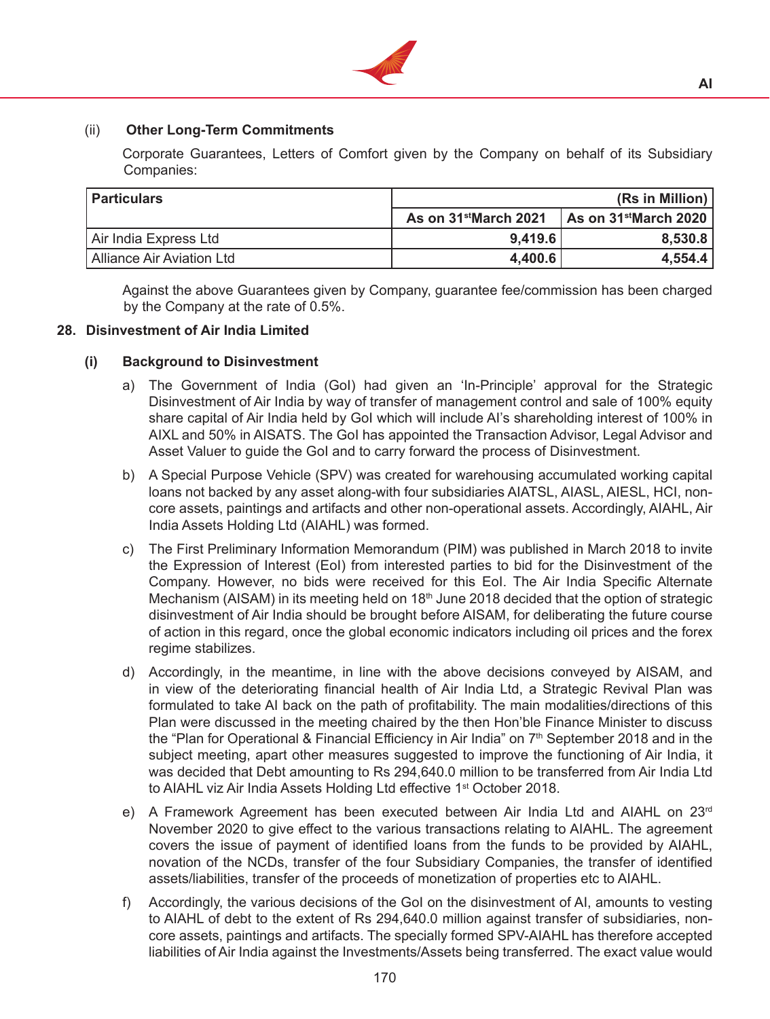

# (ii) **Other Long-Term Commitments**

 Corporate Guarantees, Letters of Comfort given by the Company on behalf of its Subsidiary Companies:

| <b>Particulars</b>        | (Rs in Million)                   |                                           |  |
|---------------------------|-----------------------------------|-------------------------------------------|--|
|                           | As on 31 <sup>st</sup> March 2021 | $\vert$ As on 31 <sup>st</sup> March 2020 |  |
| Air India Express Ltd     | 9,419.6                           | 8,530.8                                   |  |
| Alliance Air Aviation Ltd | 4,400.6                           | 4,554.4                                   |  |

 Against the above Guarantees given by Company, guarantee fee/commission has been charged by the Company at the rate of 0.5%.

#### **28. Disinvestment of Air India Limited**

#### **(i) Background to Disinvestment**

- a) The Government of India (GoI) had given an 'In-Principle' approval for the Strategic Disinvestment of Air India by way of transfer of management control and sale of 100% equity share capital of Air India held by GoI which will include AI's shareholding interest of 100% in AIXL and 50% in AISATS. The GoI has appointed the Transaction Advisor, Legal Advisor and Asset Valuer to guide the GoI and to carry forward the process of Disinvestment.
- b) A Special Purpose Vehicle (SPV) was created for warehousing accumulated working capital loans not backed by any asset along-with four subsidiaries AIATSL, AIASL, AIESL, HCI, noncore assets, paintings and artifacts and other non-operational assets. Accordingly, AIAHL, Air India Assets Holding Ltd (AIAHL) was formed.
- c) The First Preliminary Information Memorandum (PIM) was published in March 2018 to invite the Expression of Interest (EoI) from interested parties to bid for the Disinvestment of the Company. However, no bids were received for this EoI. The Air India Specific Alternate Mechanism (AISAM) in its meeting held on 18<sup>th</sup> June 2018 decided that the option of strategic disinvestment of Air India should be brought before AISAM, for deliberating the future course of action in this regard, once the global economic indicators including oil prices and the forex regime stabilizes.
- d) Accordingly, in the meantime, in line with the above decisions conveyed by AISAM, and in view of the deteriorating financial health of Air India Ltd, a Strategic Revival Plan was formulated to take AI back on the path of profitability. The main modalities/directions of this Plan were discussed in the meeting chaired by the then Hon'ble Finance Minister to discuss the "Plan for Operational & Financial Efficiency in Air India" on  $7<sup>th</sup>$  September 2018 and in the subject meeting, apart other measures suggested to improve the functioning of Air India, it was decided that Debt amounting to Rs 294,640.0 million to be transferred from Air India Ltd to AIAHL viz Air India Assets Holding Ltd effective 1<sup>st</sup> October 2018.
- e) A Framework Agreement has been executed between Air India Ltd and AIAHL on 23<sup>rd</sup> November 2020 to give effect to the various transactions relating to AIAHL. The agreement covers the issue of payment of identified loans from the funds to be provided by AIAHL, novation of the NCDs, transfer of the four Subsidiary Companies, the transfer of identified assets/liabilities, transfer of the proceeds of monetization of properties etc to AIAHL.
- f) Accordingly, the various decisions of the GoI on the disinvestment of AI, amounts to vesting to AIAHL of debt to the extent of Rs 294,640.0 million against transfer of subsidiaries, noncore assets, paintings and artifacts. The specially formed SPV-AIAHL has therefore accepted liabilities of Air India against the Investments/Assets being transferred. The exact value would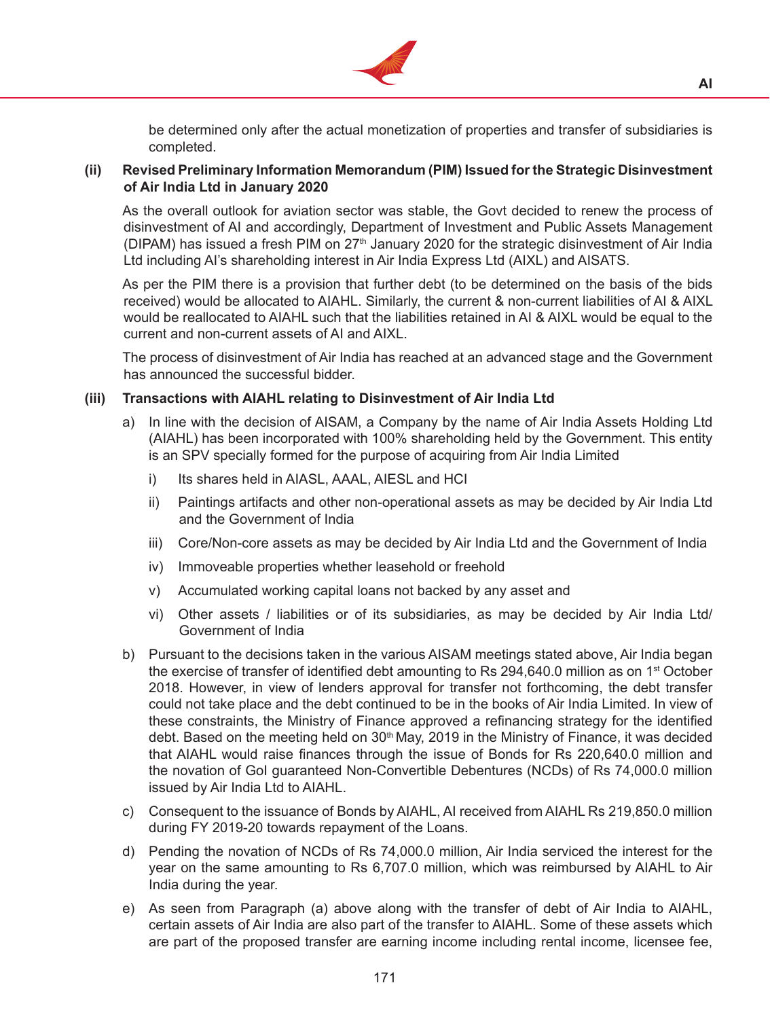

be determined only after the actual monetization of properties and transfer of subsidiaries is completed.

## **(ii) Revised Preliminary Information Memorandum (PIM) Issued for the Strategic Disinvestment of Air India Ltd in January 2020**

As the overall outlook for aviation sector was stable, the Govt decided to renew the process of disinvestment of AI and accordingly, Department of Investment and Public Assets Management (DIPAM) has issued a fresh PIM on 27<sup>th</sup> January 2020 for the strategic disinvestment of Air India Ltd including AI's shareholding interest in Air India Express Ltd (AIXL) and AISATS.

 As per the PIM there is a provision that further debt (to be determined on the basis of the bids received) would be allocated to AIAHL. Similarly, the current & non-current liabilities of AI & AIXL would be reallocated to AIAHL such that the liabilities retained in AI & AIXL would be equal to the current and non-current assets of AI and AIXL.

The process of disinvestment of Air India has reached at an advanced stage and the Government has announced the successful bidder.

## **(iii) Transactions with AIAHL relating to Disinvestment of Air India Ltd**

- a) In line with the decision of AISAM, a Company by the name of Air India Assets Holding Ltd (AIAHL) has been incorporated with 100% shareholding held by the Government. This entity is an SPV specially formed for the purpose of acquiring from Air India Limited
	- i) Its shares held in AIASL, AAAL, AIESL and HCI
	- ii) Paintings artifacts and other non-operational assets as may be decided by Air India Ltd and the Government of India
	- iii) Core/Non-core assets as may be decided by Air India Ltd and the Government of India
	- iv) Immoveable properties whether leasehold or freehold
	- v) Accumulated working capital loans not backed by any asset and
	- vi) Other assets / liabilities or of its subsidiaries, as may be decided by Air India Ltd/ Government of India
- b) Pursuant to the decisions taken in the various AISAM meetings stated above, Air India began the exercise of transfer of identified debt amounting to Rs  $294,640.0$  million as on  $1<sup>st</sup>$  October 2018. However, in view of lenders approval for transfer not forthcoming, the debt transfer could not take place and the debt continued to be in the books of Air India Limited. In view of these constraints, the Ministry of Finance approved a refinancing strategy for the identified debt. Based on the meeting held on 30<sup>th</sup> May, 2019 in the Ministry of Finance, it was decided that AIAHL would raise finances through the issue of Bonds for Rs 220,640.0 million and the novation of GoI guaranteed Non-Convertible Debentures (NCDs) of Rs 74,000.0 million issued by Air India Ltd to AIAHL.
- c) Consequent to the issuance of Bonds by AIAHL, AI received from AIAHL Rs 219,850.0 million during FY 2019-20 towards repayment of the Loans.
- d) Pending the novation of NCDs of Rs 74,000.0 million, Air India serviced the interest for the year on the same amounting to Rs 6,707.0 million, which was reimbursed by AIAHL to Air India during the year.
- e) As seen from Paragraph (a) above along with the transfer of debt of Air India to AIAHL, certain assets of Air India are also part of the transfer to AIAHL. Some of these assets which are part of the proposed transfer are earning income including rental income, licensee fee,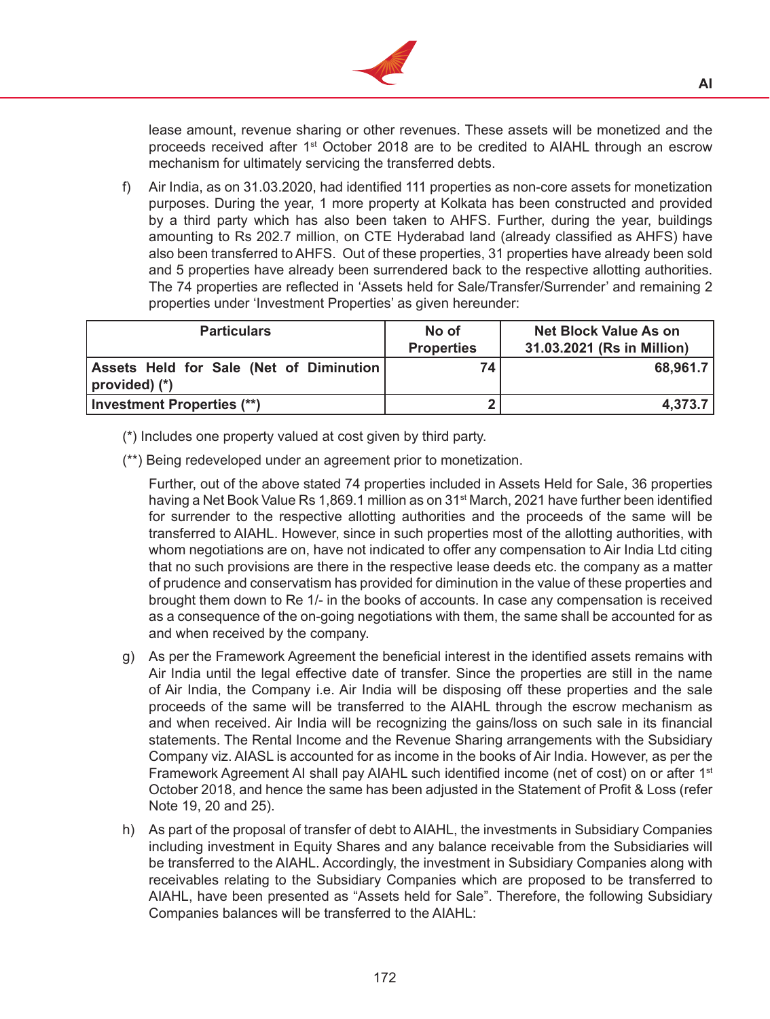

lease amount, revenue sharing or other revenues. These assets will be monetized and the proceeds received after  $1<sup>st</sup>$  October 2018 are to be credited to AIAHL through an escrow mechanism for ultimately servicing the transferred debts.

f) Air India, as on 31.03.2020, had identified 111 properties as non-core assets for monetization purposes. During the year, 1 more property at Kolkata has been constructed and provided by a third party which has also been taken to AHFS. Further, during the year, buildings amounting to Rs 202.7 million, on CTE Hyderabad land (already classified as AHFS) have also been transferred to AHFS. Out of these properties, 31 properties have already been sold and 5 properties have already been surrendered back to the respective allotting authorities. The 74 properties are reflected in 'Assets held for Sale/Transfer/Surrender' and remaining 2 properties under 'Investment Properties' as given hereunder:

| <b>Particulars</b>                                        | No of<br><b>Properties</b> | <b>Net Block Value As on</b><br>31.03.2021 (Rs in Million) |
|-----------------------------------------------------------|----------------------------|------------------------------------------------------------|
| Assets Held for Sale (Net of Diminution)<br>(*) (provided | 74                         | 68,961.7                                                   |
| Investment Properties (**)                                |                            | 4,373.7                                                    |

- (\*) Includes one property valued at cost given by third party.
- (\*\*) Being redeveloped under an agreement prior to monetization.

 Further, out of the above stated 74 properties included in Assets Held for Sale, 36 properties having a Net Book Value Rs 1,869.1 million as on 31<sup>st</sup> March, 2021 have further been identified for surrender to the respective allotting authorities and the proceeds of the same will be transferred to AIAHL. However, since in such properties most of the allotting authorities, with whom negotiations are on, have not indicated to offer any compensation to Air India Ltd citing that no such provisions are there in the respective lease deeds etc. the company as a matter of prudence and conservatism has provided for diminution in the value of these properties and brought them down to Re 1/- in the books of accounts. In case any compensation is received as a consequence of the on-going negotiations with them, the same shall be accounted for as and when received by the company.

- g) As per the Framework Agreement the beneficial interest in the identified assets remains with Air India until the legal effective date of transfer. Since the properties are still in the name of Air India, the Company i.e. Air India will be disposing off these properties and the sale proceeds of the same will be transferred to the AIAHL through the escrow mechanism as and when received. Air India will be recognizing the gains/loss on such sale in its financial statements. The Rental Income and the Revenue Sharing arrangements with the Subsidiary Company viz. AIASL is accounted for as income in the books of Air India. However, as per the Framework Agreement AI shall pay AIAHL such identified income (net of cost) on or after 1<sup>st</sup> October 2018, and hence the same has been adjusted in the Statement of Profit & Loss (refer Note 19, 20 and 25).
- h) As part of the proposal of transfer of debt to AIAHL, the investments in Subsidiary Companies including investment in Equity Shares and any balance receivable from the Subsidiaries will be transferred to the AIAHL. Accordingly, the investment in Subsidiary Companies along with receivables relating to the Subsidiary Companies which are proposed to be transferred to AIAHL, have been presented as "Assets held for Sale". Therefore, the following Subsidiary Companies balances will be transferred to the AIAHL: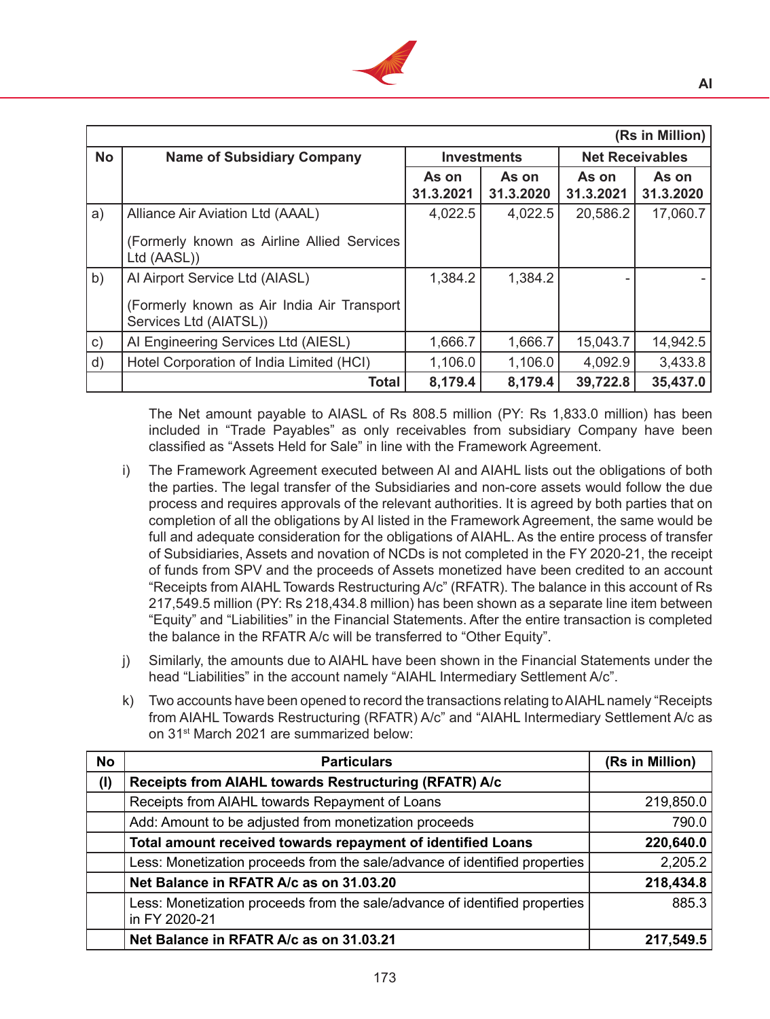

|               | (Rs in Million)                                                      |                    |                    |                        |                    |  |
|---------------|----------------------------------------------------------------------|--------------------|--------------------|------------------------|--------------------|--|
| <b>No</b>     | <b>Name of Subsidiary Company</b>                                    | <b>Investments</b> |                    | <b>Net Receivables</b> |                    |  |
|               |                                                                      | As on<br>31.3.2021 | As on<br>31.3.2020 | As on<br>31.3.2021     | As on<br>31.3.2020 |  |
| a)            | Alliance Air Aviation Ltd (AAAL)                                     | 4,022.5            | 4,022.5            | 20,586.2               | 17,060.7           |  |
|               | (Formerly known as Airline Allied Services)<br>Ltd (AASL))           |                    |                    |                        |                    |  |
| b)            | Al Airport Service Ltd (AIASL)                                       | 1,384.2            | 1,384.2            |                        |                    |  |
|               | (Formerly known as Air India Air Transport<br>Services Ltd (AIATSL)) |                    |                    |                        |                    |  |
| $\mathsf{c})$ | Al Engineering Services Ltd (AIESL)                                  | 1,666.7            | 1,666.7            | 15,043.7               | 14,942.5           |  |
| d)            | Hotel Corporation of India Limited (HCI)                             | 1,106.0            | 1,106.0            | 4,092.9                | 3,433.8            |  |
|               | <b>Total</b>                                                         | 8,179.4            | 8,179.4            | 39,722.8               | 35,437.0           |  |

 The Net amount payable to AIASL of Rs 808.5 million (PY: Rs 1,833.0 million) has been included in "Trade Payables" as only receivables from subsidiary Company have been classified as "Assets Held for Sale" in line with the Framework Agreement.

- i) The Framework Agreement executed between AI and AIAHL lists out the obligations of both the parties. The legal transfer of the Subsidiaries and non-core assets would follow the due process and requires approvals of the relevant authorities. It is agreed by both parties that on completion of all the obligations by AI listed in the Framework Agreement, the same would be full and adequate consideration for the obligations of AIAHL. As the entire process of transfer of Subsidiaries, Assets and novation of NCDs is not completed in the FY 2020-21, the receipt of funds from SPV and the proceeds of Assets monetized have been credited to an account "Receipts from AIAHL Towards Restructuring A/c" (RFATR). The balance in this account of Rs 217,549.5 million (PY: Rs 218,434.8 million) has been shown as a separate line item between "Equity" and "Liabilities" in the Financial Statements. After the entire transaction is completed the balance in the RFATR A/c will be transferred to "Other Equity".
- j) Similarly, the amounts due to AIAHL have been shown in the Financial Statements under the head "Liabilities" in the account namely "AIAHL Intermediary Settlement A/c".
- k) Two accounts have been opened to record the transactions relating to AIAHL namely "Receipts" from AIAHL Towards Restructuring (RFATR) A/c" and "AIAHL Intermediary Settlement A/c as on 31<sup>st</sup> March 2021 are summarized below:

| <b>No</b> | <b>Particulars</b>                                                                          | (Rs in Million) |
|-----------|---------------------------------------------------------------------------------------------|-----------------|
| $($ l     | Receipts from AIAHL towards Restructuring (RFATR) A/c                                       |                 |
|           | Receipts from AIAHL towards Repayment of Loans                                              | 219,850.0       |
|           | Add: Amount to be adjusted from monetization proceeds                                       | 790.0           |
|           | Total amount received towards repayment of identified Loans                                 | 220,640.0       |
|           | Less: Monetization proceeds from the sale/advance of identified properties                  | 2,205.2         |
|           | Net Balance in RFATR A/c as on 31.03.20                                                     | 218,434.8       |
|           | Less: Monetization proceeds from the sale/advance of identified properties<br>in FY 2020-21 | 885.3           |
|           | Net Balance in RFATR A/c as on 31.03.21                                                     | 217,549.5       |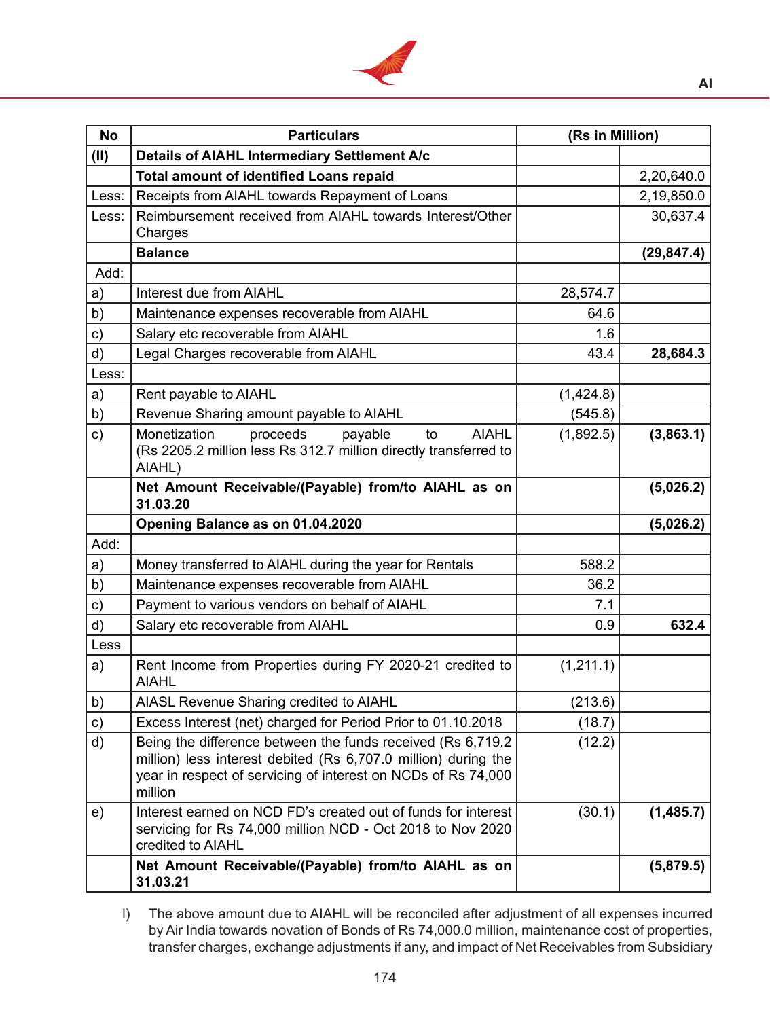

| <b>No</b>     | <b>Particulars</b>                                                                                                                                                                                         | (Rs in Million) |             |
|---------------|------------------------------------------------------------------------------------------------------------------------------------------------------------------------------------------------------------|-----------------|-------------|
| (II)          | Details of AIAHL Intermediary Settlement A/c                                                                                                                                                               |                 |             |
|               | <b>Total amount of identified Loans repaid</b>                                                                                                                                                             |                 | 2,20,640.0  |
| Less:         | Receipts from AIAHL towards Repayment of Loans                                                                                                                                                             |                 | 2,19,850.0  |
| Less:         | Reimbursement received from AIAHL towards Interest/Other                                                                                                                                                   |                 | 30,637.4    |
|               | Charges<br><b>Balance</b>                                                                                                                                                                                  |                 |             |
| Add:          |                                                                                                                                                                                                            |                 | (29, 847.4) |
|               | Interest due from AIAHL                                                                                                                                                                                    | 28,574.7        |             |
| a)            |                                                                                                                                                                                                            |                 |             |
| b)            | Maintenance expenses recoverable from AIAHL                                                                                                                                                                | 64.6            |             |
| c)            | Salary etc recoverable from AIAHL                                                                                                                                                                          | 1.6             |             |
| d)            | Legal Charges recoverable from AIAHL                                                                                                                                                                       | 43.4            | 28,684.3    |
| Less:         |                                                                                                                                                                                                            |                 |             |
| a)            | Rent payable to AIAHL                                                                                                                                                                                      | (1,424.8)       |             |
| b)            | Revenue Sharing amount payable to AIAHL                                                                                                                                                                    | (545.8)         |             |
| $\mathbf{c})$ | Monetization<br>proceeds<br><b>AIAHL</b><br>payable<br>to<br>(Rs 2205.2 million less Rs 312.7 million directly transferred to<br>AIAHL)                                                                    | (1,892.5)       | (3,863.1)   |
|               | Net Amount Receivable/(Payable) from/to AIAHL as on<br>31.03.20                                                                                                                                            |                 | (5,026.2)   |
|               | Opening Balance as on 01.04.2020                                                                                                                                                                           |                 | (5,026.2)   |
| Add:          |                                                                                                                                                                                                            |                 |             |
| a)            | Money transferred to AIAHL during the year for Rentals                                                                                                                                                     | 588.2           |             |
| b)            | Maintenance expenses recoverable from AIAHL                                                                                                                                                                | 36.2            |             |
| c)            | Payment to various vendors on behalf of AIAHL                                                                                                                                                              | 7.1             |             |
| d)            | Salary etc recoverable from AIAHL                                                                                                                                                                          | 0.9             | 632.4       |
| Less          |                                                                                                                                                                                                            |                 |             |
| a)            | Rent Income from Properties during FY 2020-21 credited to<br>AIAHL                                                                                                                                         | (1, 211.1)      |             |
| b)            | AIASL Revenue Sharing credited to AIAHL                                                                                                                                                                    | (213.6)         |             |
| $\mathbf{c})$ | Excess Interest (net) charged for Period Prior to 01.10.2018                                                                                                                                               | (18.7)          |             |
| d)            | Being the difference between the funds received (Rs 6,719.2)<br>million) less interest debited (Rs 6,707.0 million) during the<br>year in respect of servicing of interest on NCDs of Rs 74,000<br>million | (12.2)          |             |
| e)            | Interest earned on NCD FD's created out of funds for interest<br>servicing for Rs 74,000 million NCD - Oct 2018 to Nov 2020<br>credited to AIAHL                                                           | (30.1)          | (1,485.7)   |
|               | Net Amount Receivable/(Payable) from/to AIAHL as on<br>31.03.21                                                                                                                                            |                 | (5,879.5)   |

l) The above amount due to AIAHL will be reconciled after adjustment of all expenses incurred by Air India towards novation of Bonds of Rs 74,000.0 million, maintenance cost of properties, transfer charges, exchange adjustments if any, and impact of Net Receivables from Subsidiary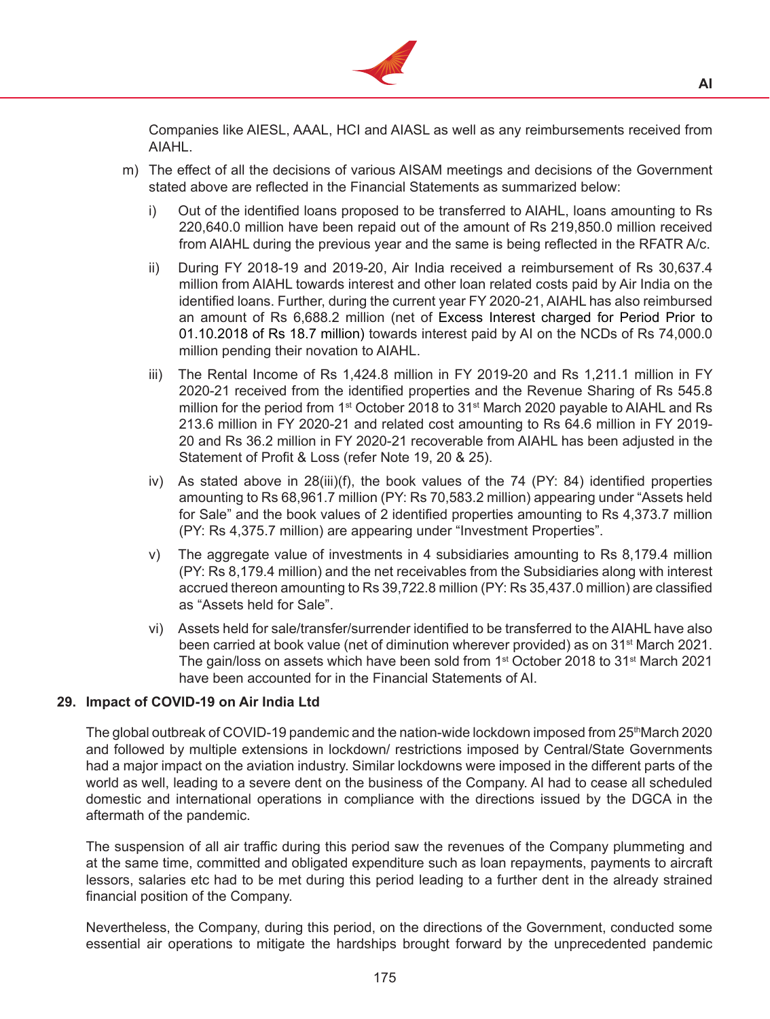

Companies like AIESL, AAAL, HCI and AIASL as well as any reimbursements received from AIAHL.

- m) The effect of all the decisions of various AISAM meetings and decisions of the Government stated above are reflected in the Financial Statements as summarized below:
	- i) Out of the identified loans proposed to be transferred to AIAHL, loans amounting to Rs 220,640.0 million have been repaid out of the amount of Rs 219,850.0 million received from AIAHL during the previous year and the same is being reflected in the RFATR A/c.
	- ii) During FY 2018-19 and 2019-20, Air India received a reimbursement of Rs  $30.637.4$ million from AIAHL towards interest and other loan related costs paid by Air India on the identified loans. Further, during the current year FY 2020-21, AIAHL has also reimbursed an amount of Rs 6,688.2 million (net of Excess Interest charged for Period Prior to 01.10.2018 of Rs 18.7 million) towards interest paid by AI on the NCDs of Rs 74,000.0 million pending their novation to AIAHL.
	- iii) The Rental Income of Rs 1,424.8 million in FY 2019-20 and Rs 1,211.1 million in FY 2020-21 received from the identified properties and the Revenue Sharing of Rs 545.8 million for the period from 1<sup>st</sup> October 2018 to 31<sup>st</sup> March 2020 payable to AIAHL and Rs 213.6 million in FY 2020-21 and related cost amounting to Rs 64.6 million in FY 2019- 20 and Rs 36.2 million in FY 2020-21 recoverable from AIAHL has been adjusted in the Statement of Profit & Loss (refer Note 19, 20 & 25).
	- iv) As stated above in  $28(iii)(f)$ , the book values of the 74 (PY: 84) identified properties amounting to Rs 68,961.7 million (PY: Rs 70,583.2 million) appearing under "Assets held for Sale" and the book values of 2 identified properties amounting to Rs 4,373.7 million (PY: Rs 4,375.7 million) are appearing under "Investment Properties".
	- v) The aggregate value of investments in 4 subsidiaries amounting to Rs  $8,179.4$  million (PY: Rs 8,179.4 million) and the net receivables from the Subsidiaries along with interest accrued thereon amounting to Rs 39,722.8 million (PY: Rs 35,437.0 million) are classified as "Assets held for Sale".
	- vi) Assets held for sale/transfer/surrender identified to be transferred to the AIAHL have also been carried at book value (net of diminution wherever provided) as on 31<sup>st</sup> March 2021. The gain/loss on assets which have been sold from 1<sup>st</sup> October 2018 to 31<sup>st</sup> March 2021 have been accounted for in the Financial Statements of AI.

### **29. Impact of COVID-19 on Air India Ltd**

The global outbreak of COVID-19 pandemic and the nation-wide lockdown imposed from 25<sup>th</sup>March 2020 and followed by multiple extensions in lockdown/ restrictions imposed by Central/State Governments had a major impact on the aviation industry. Similar lockdowns were imposed in the different parts of the world as well, leading to a severe dent on the business of the Company. AI had to cease all scheduled domestic and international operations in compliance with the directions issued by the DGCA in the aftermath of the pandemic.

 The suspension of all air traffic during this period saw the revenues of the Company plummeting and at the same time, committed and obligated expenditure such as loan repayments, payments to aircraft lessors, salaries etc had to be met during this period leading to a further dent in the already strained financial position of the Company.

 Nevertheless, the Company, during this period, on the directions of the Government, conducted some essential air operations to mitigate the hardships brought forward by the unprecedented pandemic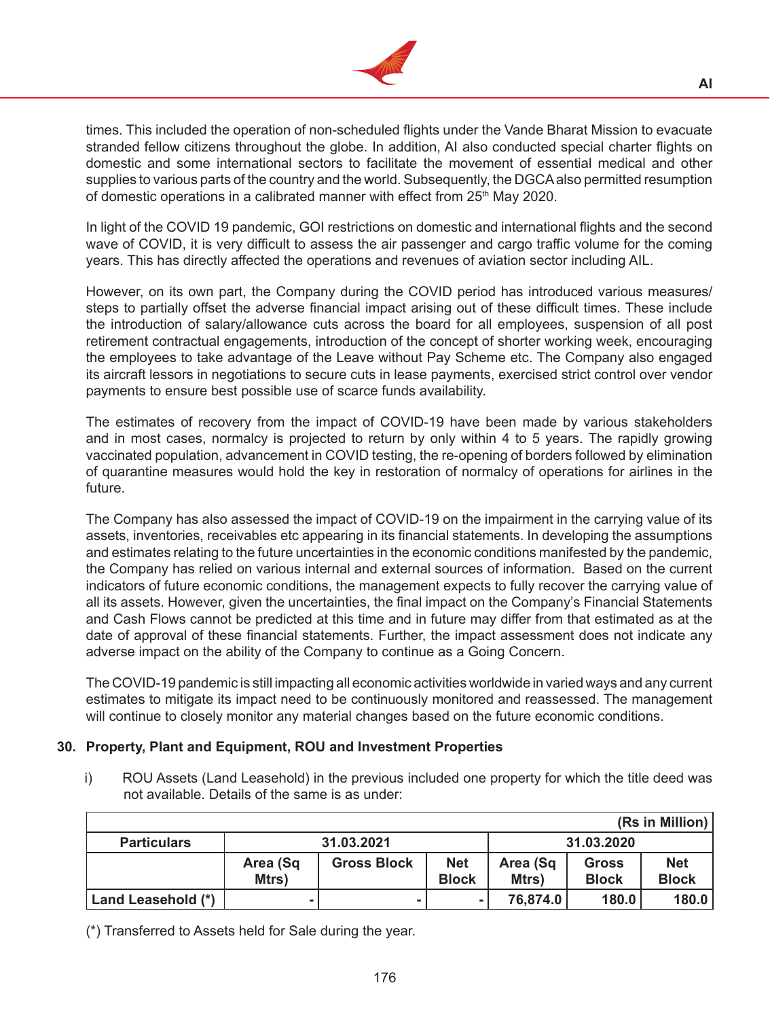

times. This included the operation of non-scheduled flights under the Vande Bharat Mission to evacuate stranded fellow citizens throughout the globe. In addition, AI also conducted special charter flights on domestic and some international sectors to facilitate the movement of essential medical and other supplies to various parts of the country and the world. Subsequently, the DGCAalso permitted resumption of domestic operations in a calibrated manner with effect from 25<sup>th</sup> May 2020.

 In light of the COVID 19 pandemic, GOI restrictions on domestic and international flights and the second wave of COVID, it is very difficult to assess the air passenger and cargo traffic volume for the coming years. This has directly affected the operations and revenues of aviation sector including AIL.

 However, on its own part, the Company during the COVID period has introduced various measures/ steps to partially offset the adverse financial impact arising out of these difficult times. These include the introduction of salary/allowance cuts across the board for all employees, suspension of all post retirement contractual engagements, introduction of the concept of shorter working week, encouraging the employees to take advantage of the Leave without Pay Scheme etc. The Company also engaged its aircraft lessors in negotiations to secure cuts in lease payments, exercised strict control over vendor payments to ensure best possible use of scarce funds availability.

 The estimates of recovery from the impact of COVID-19 have been made by various stakeholders and in most cases, normalcy is projected to return by only within 4 to 5 years. The rapidly growing vaccinated population, advancement in COVID testing, the re-opening of borders followed by elimination of quarantine measures would hold the key in restoration of normalcy of operations for airlines in the future.

The Company has also assessed the impact of COVID-19 on the impairment in the carrying value of its assets, inventories, receivables etc appearing in its financial statements. In developing the assumptions and estimates relating to the future uncertainties in the economic conditions manifested by the pandemic, the Company has relied on various internal and external sources of information. Based on the current indicators of future economic conditions, the management expects to fully recover the carrying value of all its assets. However, given the uncertainties, the final impact on the Company's Financial Statements and Cash Flows cannot be predicted at this time and in future may differ from that estimated as at the date of approval of these financial statements. Further, the impact assessment does not indicate any adverse impact on the ability of the Company to continue as a Going Concern.

The COVID-19 pandemic is still impacting all economic activities worldwide in varied ways and any current estimates to mitigate its impact need to be continuously monitored and reassessed. The management will continue to closely monitor any material changes based on the future economic conditions.

# **30. Property, Plant and Equipment, ROU and Investment Properties**

i) ROU Assets (Land Leasehold) in the previous included one property for which the title deed was not available. Details of the same is as under:

|                    |                   |                    |                            |                   |                              | (Rs in Million)            |
|--------------------|-------------------|--------------------|----------------------------|-------------------|------------------------------|----------------------------|
| <b>Particulars</b> | 31.03.2021        |                    |                            | 31.03.2020        |                              |                            |
|                    | Area (Sq<br>Mtrs) | <b>Gross Block</b> | <b>Net</b><br><b>Block</b> | Area (Sq<br>Mtrs) | <b>Gross</b><br><b>Block</b> | <b>Net</b><br><b>Block</b> |
| Land Leasehold (*) |                   |                    | -                          | 76,874.0          | 180.0                        | 180.0                      |

(\*) Transferred to Assets held for Sale during the year.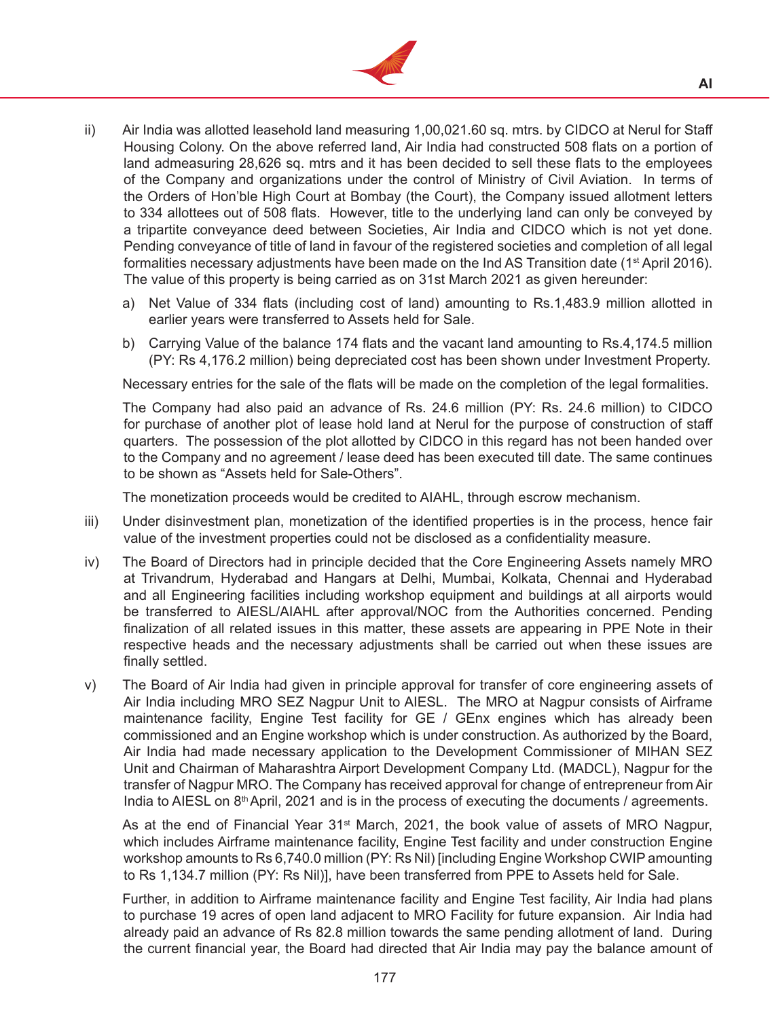

- ii) Air India was allotted leasehold land measuring 1,00,021.60 sq. mtrs. by CIDCO at Nerul for Staff Housing Colony. On the above referred land, Air India had constructed 508 flats on a portion of land admeasuring 28,626 sq. mtrs and it has been decided to sell these flats to the employees of the Company and organizations under the control of Ministry of Civil Aviation. In terms of the Orders of Hon'ble High Court at Bombay (the Court), the Company issued allotment letters to 334 allottees out of 508 flats. However, title to the underlying land can only be conveyed by a tripartite conveyance deed between Societies, Air India and CIDCO which is not yet done. Pending conveyance of title of land in favour of the registered societies and completion of all legal formalities necessary adjustments have been made on the Ind AS Transition date ( $1<sup>st</sup>$  April 2016). The value of this property is being carried as on 31st March 2021 as given hereunder:
	- a) Net Value of 334 flats (including cost of land) amounting to Rs.1,483.9 million allotted in earlier years were transferred to Assets held for Sale.
	- b) Carrying Value of the balance 174 flats and the vacant land amounting to Rs.4,174.5 million (PY: Rs 4,176.2 million) being depreciated cost has been shown under Investment Property.

Necessary entries for the sale of the flats will be made on the completion of the legal formalities.

 The Company had also paid an advance of Rs. 24.6 million (PY: Rs. 24.6 million) to CIDCO for purchase of another plot of lease hold land at Nerul for the purpose of construction of staff quarters. The possession of the plot allotted by CIDCO in this regard has not been handed over to the Company and no agreement / lease deed has been executed till date. The same continues to be shown as "Assets held for Sale-Others".

 The monetization proceeds would be credited to AIAHL, through escrow mechanism.

- iii) Under disinvestment plan, monetization of the identified properties is in the process, hence fair value of the investment properties could not be disclosed as a confidentiality measure.
- iv) The Board of Directors had in principle decided that the Core Engineering Assets namely MRO at Trivandrum, Hyderabad and Hangars at Delhi, Mumbai, Kolkata, Chennai and Hyderabad and all Engineering facilities including workshop equipment and buildings at all airports would be transferred to AIESL/AIAHL after approval/NOC from the Authorities concerned. Pending finalization of all related issues in this matter, these assets are appearing in PPE Note in their respective heads and the necessary adjustments shall be carried out when these issues are finally settled.
- v) The Board of Air India had given in principle approval for transfer of core engineering assets of Air India including MRO SEZ Nagpur Unit to AIESL. The MRO at Nagpur consists of Airframe maintenance facility, Engine Test facility for GE / GEnx engines which has already been commissioned and an Engine workshop which is under construction. As authorized by the Board, Air India had made necessary application to the Development Commissioner of MIHAN SEZ Unit and Chairman of Maharashtra Airport Development Company Ltd. (MADCL), Nagpur for the transfer of Nagpur MRO. The Company has received approval for change of entrepreneur from Air India to AIESL on 8th April, 2021 and is in the process of executing the documents / agreements.

As at the end of Financial Year 31<sup>st</sup> March, 2021, the book value of assets of MRO Nagpur, which includes Airframe maintenance facility, Engine Test facility and under construction Engine workshop amounts to Rs 6,740.0 million (PY: Rs Nil) [including Engine Workshop CWIP amounting to Rs 1,134.7 million (PY: Rs Nil)], have been transferred from PPE to Assets held for Sale.

 Further, in addition to Airframe maintenance facility and Engine Test facility, Air India had plans to purchase 19 acres of open land adjacent to MRO Facility for future expansion. Air India had already paid an advance of Rs 82.8 million towards the same pending allotment of land. During the current financial year, the Board had directed that Air India may pay the balance amount of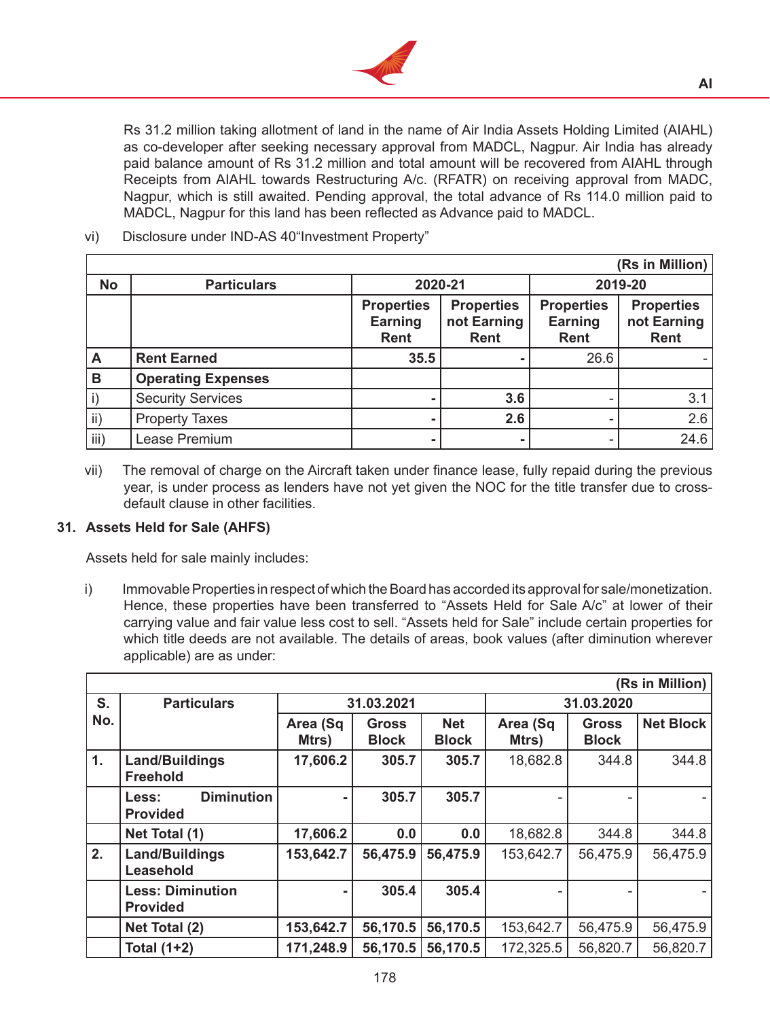

Rs 31.2 million taking allotment of land in the name of Air India Assets Holding Limited (AIAHL) as co-developer after seeking necessary approval from MADCL, Nagpur. Air India has already paid balance amount of Rs 31.2 million and total amount will be recovered from AIAHL through Receipts from AIAHL towards Restructuring A/c. (RFATR) on receiving approval from MADC, Nagpur, which is still awaited. Pending approval, the total advance of Rs 114.0 million paid to MADCL, Nagpur for this land has been reflected as Advance paid to MADCL.

# vi) Disclosure under IND-AS 40"Investment Property"

|               |                           |                                             |                                                 |                                             | (Rs in Million)                          |
|---------------|---------------------------|---------------------------------------------|-------------------------------------------------|---------------------------------------------|------------------------------------------|
| <b>No</b>     | <b>Particulars</b>        |                                             | 2020-21                                         |                                             | 2019-20                                  |
|               |                           | <b>Properties</b><br>Earning<br><b>Rent</b> | <b>Properties</b><br>not Earning<br><b>Rent</b> | <b>Properties</b><br>Earning<br><b>Rent</b> | <b>Properties</b><br>not Earning<br>Rent |
| A             | <b>Rent Earned</b>        | 35.5                                        |                                                 | 26.6                                        |                                          |
| B             | <b>Operating Expenses</b> |                                             |                                                 |                                             |                                          |
| $\mathsf{i}$  | <b>Security Services</b>  |                                             | 3.6                                             | ۰                                           | 3.1                                      |
| $\mathsf{ii}$ | <b>Property Taxes</b>     |                                             | 2.6                                             | ۰                                           | 2.6                                      |
| iii)          | Lease Premium             |                                             |                                                 | ۰                                           | 24.6                                     |

vii) The removal of charge on the Aircraft taken under finance lease, fully repaid during the previous year, is under process as lenders have not yet given the NOC for the title transfer due to crossdefault clause in other facilities.

# **31. Assets Held for Sale (AHFS)**

 Assets held for sale mainly includes:

i) Immovable Properties in respect of which the Board has accorded its approval for sale/monetization. Hence, these properties have been transferred to "Assets Held for Sale A/c" at lower of their carrying value and fair value less cost to sell. "Assets held for Sale" include certain properties for which title deeds are not available. The details of areas, book values (after diminution wherever applicable) are as under:

|     | (Rs in Million)                                      |                   |                              |                            |                   |                              |                  |
|-----|------------------------------------------------------|-------------------|------------------------------|----------------------------|-------------------|------------------------------|------------------|
| S.  | <b>Particulars</b>                                   | 31.03.2021        |                              |                            |                   | 31.03.2020                   |                  |
| No. |                                                      | Area (Sq<br>Mtrs) | <b>Gross</b><br><b>Block</b> | <b>Net</b><br><b>Block</b> | Area (Sq<br>Mtrs) | <b>Gross</b><br><b>Block</b> | <b>Net Block</b> |
| 1.  | Land/Buildings<br><b>Freehold</b>                    | 17,606.2          | 305.7                        | 305.7                      | 18,682.8          | 344.8                        | 344.8            |
|     | <b>Diminution</b><br><b>Less:</b><br><b>Provided</b> |                   | 305.7                        | 305.7                      |                   |                              |                  |
|     | Net Total (1)                                        | 17,606.2          | 0.0                          | 0.0                        | 18,682.8          | 344.8                        | 344.8            |
| 2.  | Land/Buildings<br>Leasehold                          | 153,642.7         | 56,475.9                     | 56,475.9                   | 153,642.7         | 56,475.9                     | 56,475.9         |
|     | <b>Less: Diminution</b><br><b>Provided</b>           |                   | 305.4                        | 305.4                      |                   |                              |                  |
|     | Net Total (2)                                        | 153,642.7         | 56,170.5                     | 56,170.5                   | 153,642.7         | 56,475.9                     | 56,475.9         |
|     | <b>Total (1+2)</b>                                   | 171,248.9         | 56,170.5                     | 56,170.5                   | 172,325.5         | 56,820.7                     | 56,820.7         |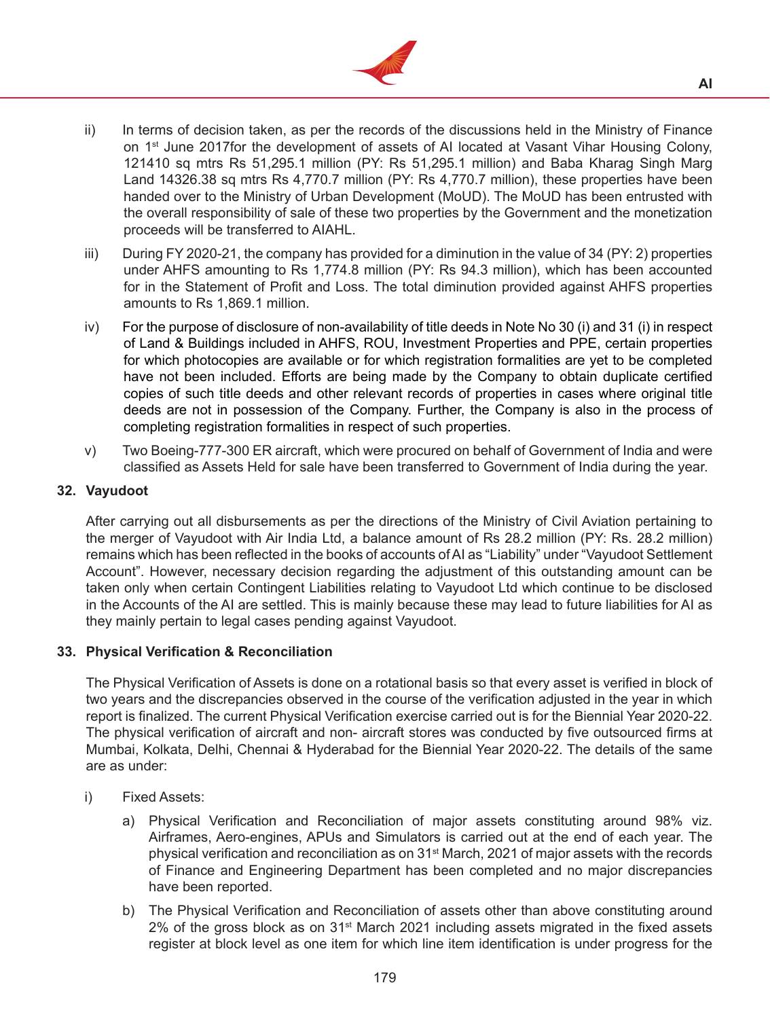

- ii) In terms of decision taken, as per the records of the discussions held in the Ministry of Finance on 1st June 2017for the development of assets of AI located at Vasant Vihar Housing Colony, 121410 sq mtrs Rs 51,295.1 million (PY: Rs 51,295.1 million) and Baba Kharag Singh Marg Land 14326.38 sq mtrs Rs 4,770.7 million (PY: Rs 4,770.7 million), these properties have been handed over to the Ministry of Urban Development (MoUD). The MoUD has been entrusted with the overall responsibility of sale of these two properties by the Government and the monetization proceeds will be transferred to AIAHL.
- iii) During FY 2020-21, the company has provided for a diminution in the value of 34 (PY: 2) properties under AHFS amounting to Rs 1,774.8 million (PY: Rs 94.3 million), which has been accounted for in the Statement of Profit and Loss. The total diminution provided against AHFS properties amounts to Rs 1,869.1 million.
- iv) For the purpose of disclosure of non-availability of title deeds in Note No 30 (i) and 31 (i) in respect of Land & Buildings included in AHFS, ROU, Investment Properties and PPE, certain properties for which photocopies are available or for which registration formalities are yet to be completed have not been included. Efforts are being made by the Company to obtain duplicate certified copies of such title deeds and other relevant records of properties in cases where original title deeds are not in possession of the Company. Further, the Company is also in the process of completing registration formalities in respect of such properties.
- v) Two Boeing-777-300 ER aircraft, which were procured on behalf of Government of India and were classified as Assets Held for sale have been transferred to Government of India during the year.

## **32. Vayudoot**

 After carrying out all disbursements as per the directions of the Ministry of Civil Aviation pertaining to the merger of Vayudoot with Air India Ltd, a balance amount of Rs 28.2 million (PY: Rs. 28.2 million) remains which has been reflected in the books of accounts of AI as "Liability" under "Vayudoot Settlement Account". However, necessary decision regarding the adjustment of this outstanding amount can be taken only when certain Contingent Liabilities relating to Vayudoot Ltd which continue to be disclosed in the Accounts of the AI are settled. This is mainly because these may lead to future liabilities for AI as they mainly pertain to legal cases pending against Vayudoot.

# **33. Physical Verification & Reconciliation**

 The Physical Verification of Assets is done on a rotational basis so that every asset is verified in block of two years and the discrepancies observed in the course of the verification adjusted in the year in which report is finalized. The current Physical Verification exercise carried out is for the Biennial Year 2020-22. The physical verification of aircraft and non- aircraft stores was conducted by five outsourced firms at Mumbai, Kolkata, Delhi, Chennai & Hyderabad for the Biennial Year 2020-22. The details of the same are as under:

- i) Fixed Assets:
	- a) Physical Verification and Reconciliation of major assets constituting around 98% viz. Airframes, Aero-engines, APUs and Simulators is carried out at the end of each year. The physical verification and reconciliation as on  $31<sup>st</sup>$  March, 2021 of major assets with the records of Finance and Engineering Department has been completed and no major discrepancies have been reported.
	- b) The Physical Verification and Reconciliation of assets other than above constituting around 2% of the gross block as on 31<sup>st</sup> March 2021 including assets migrated in the fixed assets register at block level as one item for which line item identification is under progress for the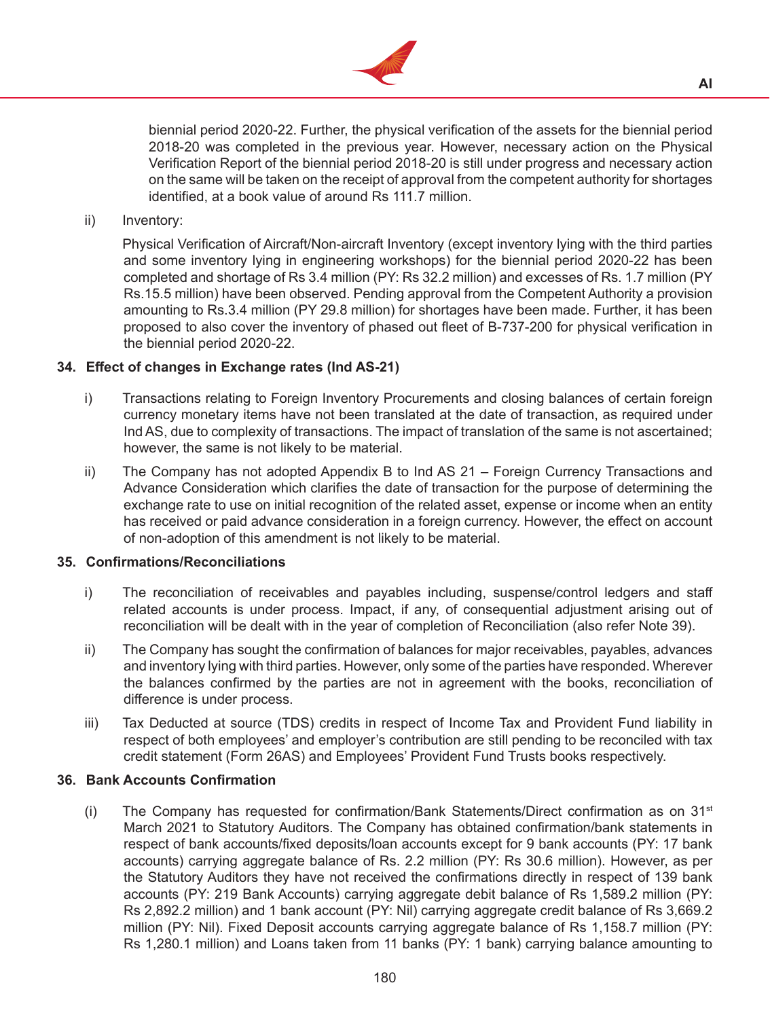

biennial period 2020-22. Further, the physical verification of the assets for the biennial period 2018-20 was completed in the previous year. However, necessary action on the Physical Verification Report of the biennial period 2018-20 is still under progress and necessary action on the same will be taken on the receipt of approval from the competent authority for shortages identified, at a book value of around Rs 111.7 million.

ii) Inventory:

 Physical Verification of Aircraft/Non-aircraft Inventory (except inventory lying with the third parties and some inventory lying in engineering workshops) for the biennial period 2020-22 has been completed and shortage of Rs 3.4 million (PY: Rs 32.2 million) and excesses of Rs. 1.7 million (PY Rs.15.5 million) have been observed. Pending approval from the Competent Authority a provision amounting to Rs.3.4 million (PY 29.8 million) for shortages have been made. Further, it has been proposed to also cover the inventory of phased out fleet of B-737-200 for physical verification in the biennial period 2020-22.

## **34. Effect of changes in Exchange rates (Ind AS-21)**

- i) Transactions relating to Foreign Inventory Procurements and closing balances of certain foreign currency monetary items have not been translated at the date of transaction, as required under Ind AS, due to complexity of transactions. The impact of translation of the same is not ascertained; however, the same is not likely to be material.
- ii) The Company has not adopted Appendix B to Ind AS 21 Foreign Currency Transactions and Advance Consideration which clarifies the date of transaction for the purpose of determining the exchange rate to use on initial recognition of the related asset, expense or income when an entity has received or paid advance consideration in a foreign currency. However, the effect on account of non-adoption of this amendment is not likely to be material.

### **35. Confirmations/Reconciliations**

- i) The reconciliation of receivables and payables including, suspense/control ledgers and staff related accounts is under process. Impact, if any, of consequential adjustment arising out of reconciliation will be dealt with in the year of completion of Reconciliation (also refer Note 39).
- ii) The Company has sought the confirmation of balances for major receivables, payables, advances and inventory lying with third parties. However, only some of the parties have responded. Wherever the balances confirmed by the parties are not in agreement with the books, reconciliation of difference is under process.
- iii) Tax Deducted at source (TDS) credits in respect of Income Tax and Provident Fund liability in respect of both employees' and employer's contribution are still pending to be reconciled with tax credit statement (Form 26AS) and Employees' Provident Fund Trusts books respectively.

### **36. Bank Accounts Confirmation**

(i) The Company has requested for confirmation/Bank Statements/Direct confirmation as on  $31<sup>st</sup>$ March 2021 to Statutory Auditors. The Company has obtained confirmation/bank statements in respect of bank accounts/fixed deposits/loan accounts except for 9 bank accounts (PY: 17 bank accounts) carrying aggregate balance of Rs. 2.2 million (PY: Rs 30.6 million). However, as per the Statutory Auditors they have not received the confirmations directly in respect of 139 bank accounts (PY: 219 Bank Accounts) carrying aggregate debit balance of Rs 1,589.2 million (PY: Rs 2,892.2 million) and 1 bank account (PY: Nil) carrying aggregate credit balance of Rs 3,669.2 million (PY: Nil). Fixed Deposit accounts carrying aggregate balance of Rs 1,158.7 million (PY: Rs 1,280.1 million) and Loans taken from 11 banks (PY: 1 bank) carrying balance amounting to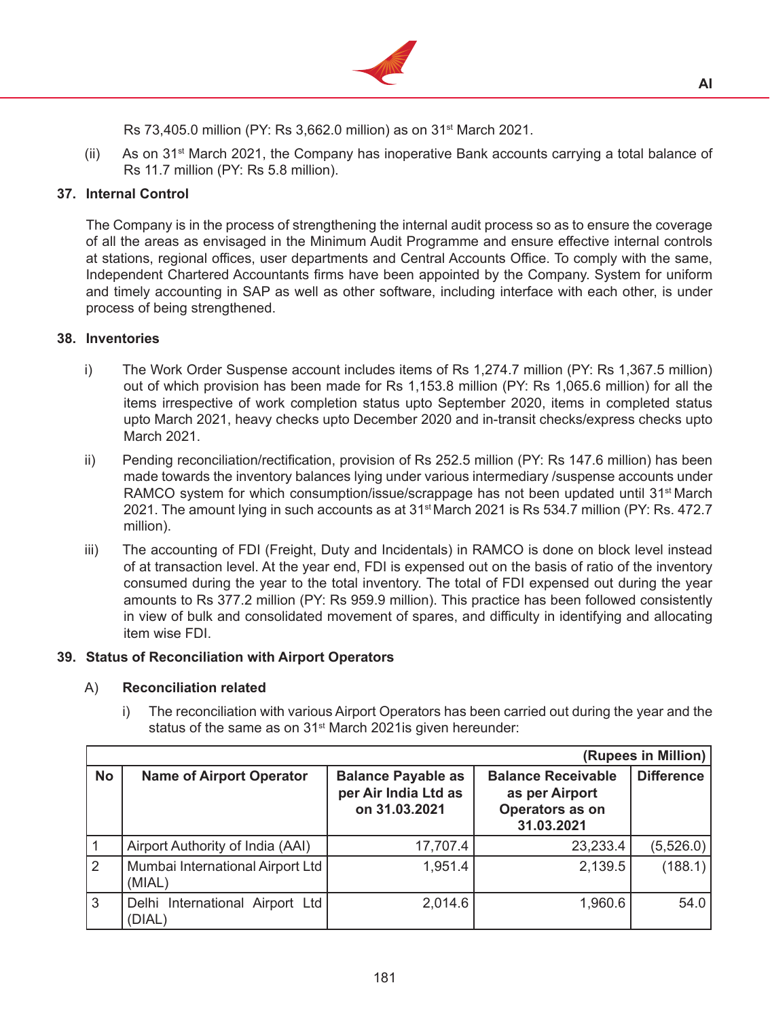

Rs 73,405.0 million (PY: Rs 3,662.0 million) as on 31st March 2021.

 $(ii)$  As on 31<sup>st</sup> March 2021, the Company has inoperative Bank accounts carrying a total balance of Rs 11.7 million (PY: Rs 5.8 million).

# **37. Internal Control**

The Company is in the process of strengthening the internal audit process so as to ensure the coverage of all the areas as envisaged in the Minimum Audit Programme and ensure effective internal controls at stations, regional offices, user departments and Central Accounts Office. To comply with the same, Independent Chartered Accountants firms have been appointed by the Company. System for uniform and timely accounting in SAP as well as other software, including interface with each other, is under process of being strengthened.

# **38. Inventories**

- i) The Work Order Suspense account includes items of Rs 1,274.7 million (PY: Rs 1,367.5 million) out of which provision has been made for Rs 1,153.8 million (PY: Rs 1,065.6 million) for all the items irrespective of work completion status upto September 2020, items in completed status upto March 2021, heavy checks upto December 2020 and in-transit checks/express checks upto March 2021.
- ii) Pending reconciliation/rectification, provision of Rs 252.5 million (PY: Rs 147.6 million) has been made towards the inventory balances lying under various intermediary /suspense accounts under RAMCO system for which consumption/issue/scrappage has not been updated until 31<sup>st</sup> March 2021. The amount lying in such accounts as at 31<sup>st</sup> March 2021 is Rs 534.7 million (PY: Rs. 472.7 million).
- iii) The accounting of FDI (Freight, Duty and Incidentals) in RAMCO is done on block level instead of at transaction level. At the year end, FDI is expensed out on the basis of ratio of the inventory consumed during the year to the total inventory. The total of FDI expensed out during the year amounts to Rs 377.2 million (PY: Rs 959.9 million). This practice has been followed consistently in view of bulk and consolidated movement of spares, and difficulty in identifying and allocating item wise FDI.

# **39. Status of Reconciliation with Airport Operators**

# A) **Reconciliation related**

i) The reconciliation with various Airport Operators has been carried out during the year and the status of the same as on  $31<sup>st</sup>$  March 2021 is given hereunder:

|              |                                            |                                                                    |                                                                              | (Rupees in Million) |
|--------------|--------------------------------------------|--------------------------------------------------------------------|------------------------------------------------------------------------------|---------------------|
| <b>No</b>    | <b>Name of Airport Operator</b>            | <b>Balance Payable as</b><br>per Air India Ltd as<br>on 31.03.2021 | <b>Balance Receivable</b><br>as per Airport<br>Operators as on<br>31.03.2021 | <b>Difference</b>   |
|              | Airport Authority of India (AAI)           | 17,707.4                                                           | 23,233.4                                                                     | (5,526.0)           |
| 2            | Mumbai International Airport Ltd<br>(MIAL) | 1,951.4                                                            | 2,139.5                                                                      | (188.1)             |
| $\mathbf{3}$ | Delhi International Airport Ltd<br>(DIAL)  | 2,014.6                                                            | 1,960.6                                                                      | 54.0                |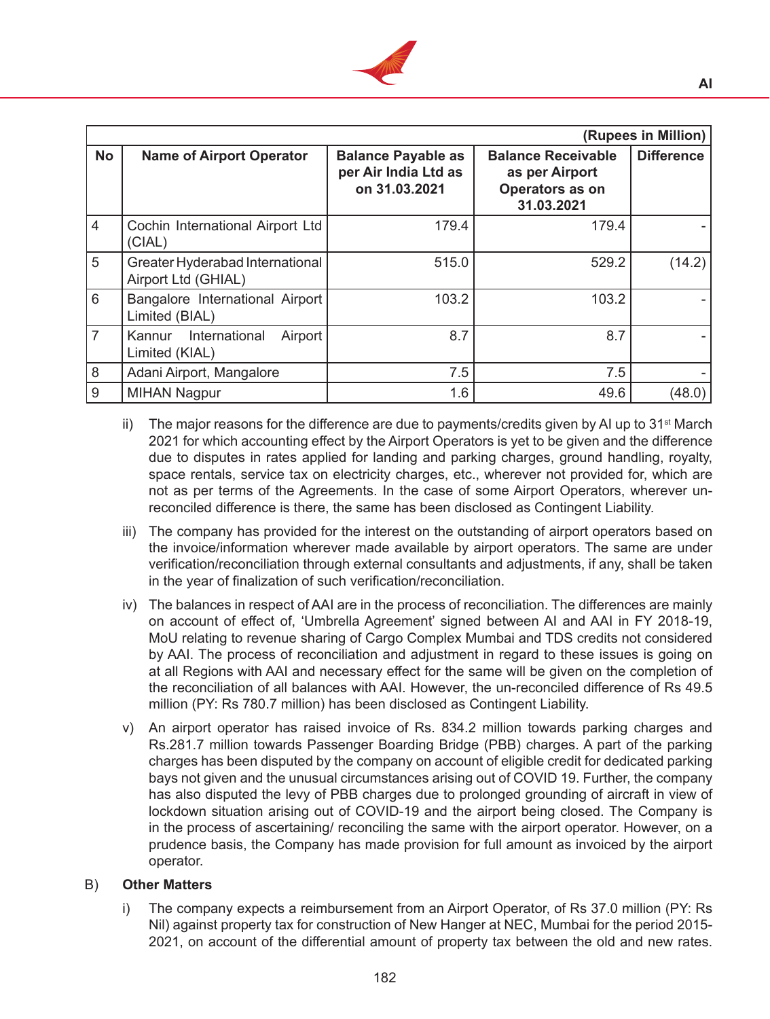

|                 |                                                        |                                                                    |                                                                              | (Rupees in Million) |
|-----------------|--------------------------------------------------------|--------------------------------------------------------------------|------------------------------------------------------------------------------|---------------------|
| <b>No</b>       | <b>Name of Airport Operator</b>                        | <b>Balance Payable as</b><br>per Air India Ltd as<br>on 31.03.2021 | <b>Balance Receivable</b><br>as per Airport<br>Operators as on<br>31.03.2021 | <b>Difference</b>   |
| $\vert 4 \vert$ | Cochin International Airport Ltd<br>(CIAL)             | 179.4                                                              | 179.4                                                                        |                     |
| 5               | Greater Hyderabad International<br>Airport Ltd (GHIAL) | 515.0                                                              | 529.2                                                                        | (14.2)              |
| 6               | Bangalore International Airport<br>Limited (BIAL)      | 103.2                                                              | 103.2                                                                        |                     |
| 7               | International<br>Airport<br>Kannur<br>Limited (KIAL)   | 8.7                                                                | 8.7                                                                          |                     |
| 8               | Adani Airport, Mangalore                               | 7.5                                                                | 7.5                                                                          |                     |
| 9               | <b>MIHAN Nagpur</b>                                    | 1.6                                                                | 49.6                                                                         | (48.0)              |

- ii) The major reasons for the difference are due to payments/credits given by AI up to  $31<sup>st</sup>$  March 2021 for which accounting effect by the Airport Operators is yet to be given and the difference due to disputes in rates applied for landing and parking charges, ground handling, royalty, space rentals, service tax on electricity charges, etc., wherever not provided for, which are not as per terms of the Agreements. In the case of some Airport Operators, wherever unreconciled difference is there, the same has been disclosed as Contingent Liability.
- iii) The company has provided for the interest on the outstanding of airport operators based on the invoice/information wherever made available by airport operators. The same are under verification/reconciliation through external consultants and adjustments, if any, shall be taken in the year of finalization of such verification/reconciliation.
- iv) The balances in respect of AAI are in the process of reconciliation. The differences are mainly on account of effect of, 'Umbrella Agreement' signed between AI and AAI in FY 2018-19, MoU relating to revenue sharing of Cargo Complex Mumbai and TDS credits not considered by AAI. The process of reconciliation and adjustment in regard to these issues is going on at all Regions with AAI and necessary effect for the same will be given on the completion of the reconciliation of all balances with AAI. However, the un-reconciled difference of Rs 49.5 million (PY: Rs 780.7 million) has been disclosed as Contingent Liability.
- v) An airport operator has raised invoice of Rs. 834.2 million towards parking charges and Rs.281.7 million towards Passenger Boarding Bridge (PBB) charges. A part of the parking charges has been disputed by the company on account of eligible credit for dedicated parking bays not given and the unusual circumstances arising out of COVID 19. Further, the company has also disputed the levy of PBB charges due to prolonged grounding of aircraft in view of lockdown situation arising out of COVID-19 and the airport being closed. The Company is in the process of ascertaining/ reconciling the same with the airport operator. However, on a prudence basis, the Company has made provision for full amount as invoiced by the airport operator.

### B) **Other Matters**

i) The company expects a reimbursement from an Airport Operator, of Rs 37.0 million (PY: Rs Nil) against property tax for construction of New Hanger at NEC, Mumbai for the period 2015- 2021, on account of the differential amount of property tax between the old and new rates.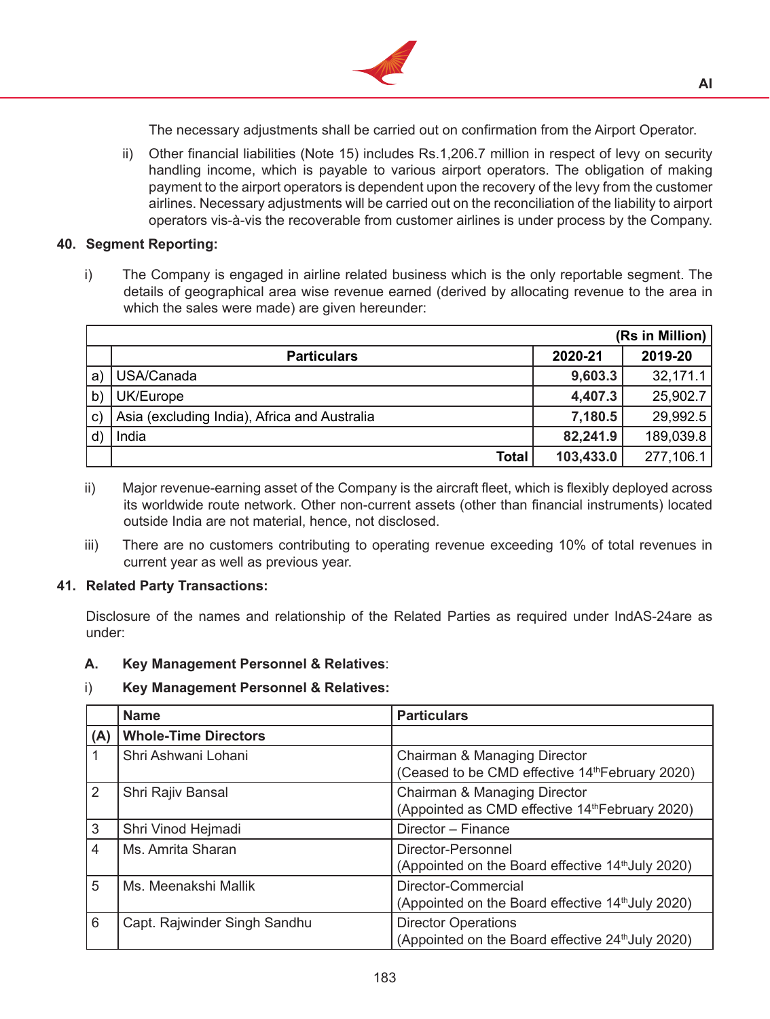

The necessary adjustments shall be carried out on confirmation from the Airport Operator.

ii) Other financial liabilities (Note 15) includes Rs.1,206.7 million in respect of levy on security handling income, which is payable to various airport operators. The obligation of making payment to the airport operators is dependent upon the recovery of the levy from the customer airlines. Necessary adjustments will be carried out on the reconciliation of the liability to airport operators vis-à-vis the recoverable from customer airlines is under process by the Company.

### **40. Segment Reporting:**

i) The Company is engaged in airline related business which is the only reportable segment. The details of geographical area wise revenue earned (derived by allocating revenue to the area in which the sales were made) are given hereunder:

|              |                                              |           | (Rs in Million) |
|--------------|----------------------------------------------|-----------|-----------------|
|              | <b>Particulars</b>                           | 2020-21   | 2019-20         |
| $\mathbf{a}$ | USA/Canada                                   | 9,603.3   | 32,171.1        |
| $\mathsf{b}$ | UK/Europe                                    | 4,407.3   | 25,902.7        |
| $\mathbf{C}$ | Asia (excluding India), Africa and Australia | 7,180.5   | 29,992.5        |
|              | India                                        | 82,241.9  | 189,039.8       |
|              | <b>Total</b>                                 | 103,433.0 | 277,106.1       |

- ii) Major revenue-earning asset of the Company is the aircraft fleet, which is flexibly deployed across its worldwide route network. Other non-current assets (other than financial instruments) located outside India are not material, hence, not disclosed.
- iii) There are no customers contributing to operating revenue exceeding 10% of total revenues in current year as well as previous year.

#### **41. Related Party Transactions:**

Disclosure of the names and relationship of the Related Parties as required under IndAS-24are as under:

### **A. Key Management Personnel & Relatives**:

### i) **Key Management Personnel & Relatives:**

|     | <b>Name</b>                  | <b>Particulars</b>                                                                          |
|-----|------------------------------|---------------------------------------------------------------------------------------------|
| (A) | <b>Whole-Time Directors</b>  |                                                                                             |
|     | Shri Ashwani Lohani          | Chairman & Managing Director<br>(Ceased to be CMD effective 14 <sup>th</sup> February 2020) |
| 2   | Shri Rajiv Bansal            | Chairman & Managing Director<br>(Appointed as CMD effective 14th February 2020)             |
| 3   | Shri Vinod Hejmadi           | Director - Finance                                                                          |
| 4   | Ms. Amrita Sharan            | Director-Personnel<br>(Appointed on the Board effective 14 <sup>th</sup> July 2020)         |
| 5   | Ms. Meenakshi Mallik         | Director-Commercial<br>(Appointed on the Board effective 14 <sup>th</sup> July 2020)        |
| 6   | Capt. Rajwinder Singh Sandhu | <b>Director Operations</b><br>(Appointed on the Board effective 24 <sup>th</sup> July 2020) |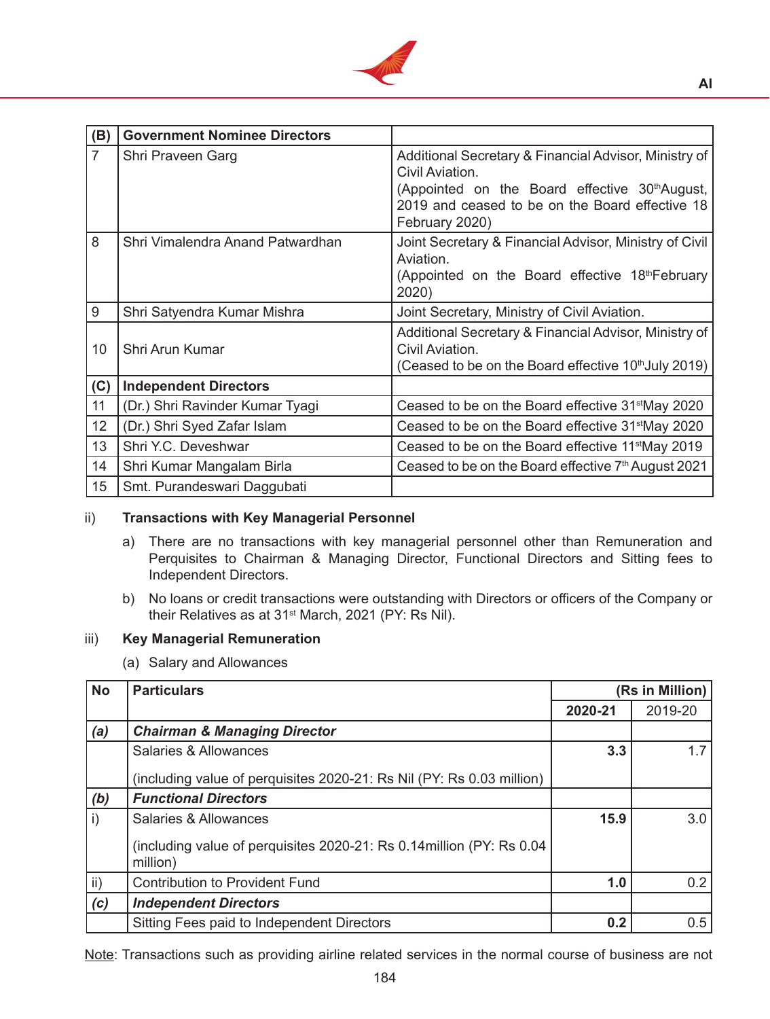

| (B)            | <b>Government Nominee Directors</b> |                                                                                                                                                                                                 |
|----------------|-------------------------------------|-------------------------------------------------------------------------------------------------------------------------------------------------------------------------------------------------|
| $\overline{7}$ | Shri Praveen Garg                   | Additional Secretary & Financial Advisor, Ministry of<br>Civil Aviation.<br>(Appointed on the Board effective 30th August,<br>2019 and ceased to be on the Board effective 18<br>February 2020) |
| 8              | Shri Vimalendra Anand Patwardhan    | Joint Secretary & Financial Advisor, Ministry of Civil<br>Aviation.<br>(Appointed on the Board effective 18th February<br>2020)                                                                 |
| 9              | Shri Satyendra Kumar Mishra         | Joint Secretary, Ministry of Civil Aviation.                                                                                                                                                    |
| 10             | Shri Arun Kumar                     | Additional Secretary & Financial Advisor, Ministry of<br>Civil Aviation.<br>(Ceased to be on the Board effective 10th July 2019)                                                                |
| (C)            | <b>Independent Directors</b>        |                                                                                                                                                                                                 |
| 11             | (Dr.) Shri Ravinder Kumar Tyagi     | Ceased to be on the Board effective 31 <sup>st</sup> May 2020                                                                                                                                   |
| 12             | (Dr.) Shri Syed Zafar Islam         | Ceased to be on the Board effective 31 <sup>st</sup> May 2020                                                                                                                                   |
| 13             | Shri Y.C. Deveshwar                 | Ceased to be on the Board effective 11 <sup>st</sup> May 2019                                                                                                                                   |
| 14             | Shri Kumar Mangalam Birla           | Ceased to be on the Board effective $7th$ August 2021                                                                                                                                           |
| 15             | Smt. Purandeswari Daggubati         |                                                                                                                                                                                                 |

### ii) **Transactions with Key Managerial Personnel**

- a) There are no transactions with key managerial personnel other than Remuneration and Perquisites to Chairman & Managing Director, Functional Directors and Sitting fees to Independent Directors.
- b) No loans or credit transactions were outstanding with Directors or officers of the Company or their Relatives as at 31<sup>st</sup> March, 2021 (PY: Rs Nil).

### iii) **Key Managerial Remuneration**

(a) Salary and Allowances

| <b>No</b>    | <b>Particulars</b>                                                                | (Rs in Million) |         |
|--------------|-----------------------------------------------------------------------------------|-----------------|---------|
|              |                                                                                   | 2020-21         | 2019-20 |
| (a)          | <b>Chairman &amp; Managing Director</b>                                           |                 |         |
|              | Salaries & Allowances                                                             | 3.3             | 17      |
|              | (including value of perquisites 2020-21: Rs Nil (PY: Rs 0.03 million)             |                 |         |
| (b)          | <b>Functional Directors</b>                                                       |                 |         |
| $\mathsf{i}$ | Salaries & Allowances                                                             | 15.9            | 3.0     |
|              | (including value of perquisites 2020-21: Rs 0.14million (PY: Rs 0.04)<br>million) |                 |         |
| ii)          | <b>Contribution to Provident Fund</b>                                             | 1.0             | 0.2     |
| (c)          | <b>Independent Directors</b>                                                      |                 |         |
|              | Sitting Fees paid to Independent Directors                                        | 0.2             | 0.5     |

Note: Transactions such as providing airline related services in the normal course of business are not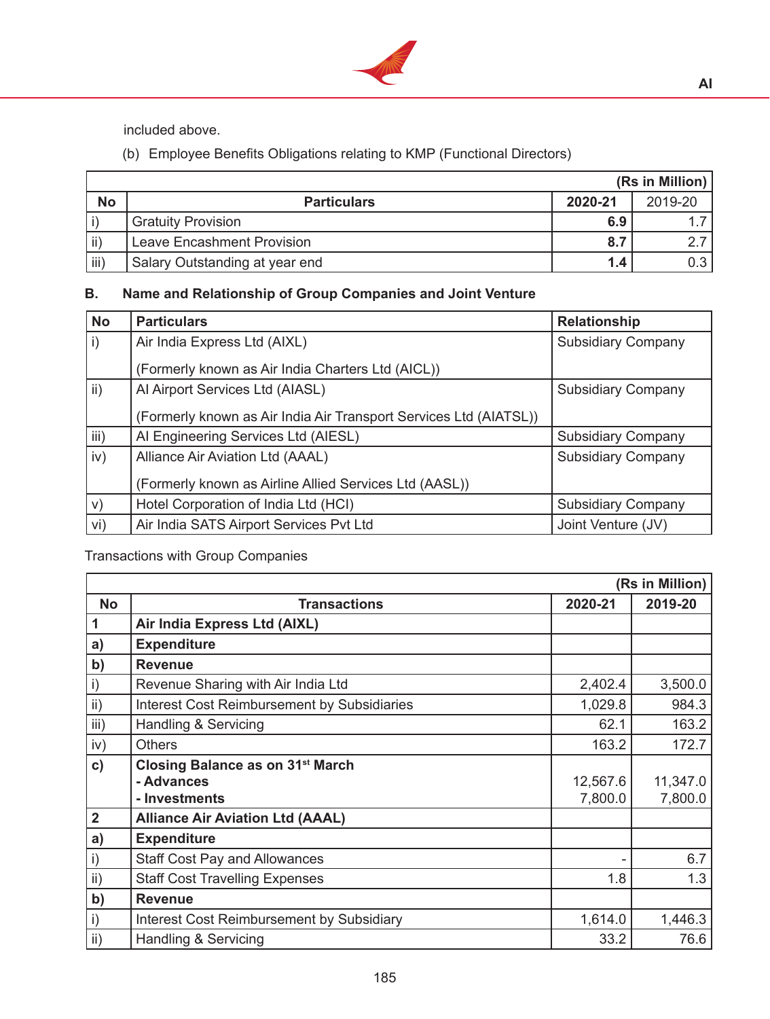

included above.

(b) Employee Benefits Obligations relating to KMP (Functional Directors)

|           |                                   |                  | (Rs in Million) |
|-----------|-----------------------------------|------------------|-----------------|
| <b>No</b> | <b>Particulars</b>                | 2020-21          | 2019-20         |
|           | Gratuity Provision                | 6.9              |                 |
| ii)       | <b>Leave Encashment Provision</b> |                  |                 |
| iii)      | Salary Outstanding at year end    | 1.4 <sub>1</sub> |                 |

# **B. Name and Relationship of Group Companies and Joint Venture**

| <b>No</b> | <b>Particulars</b>                                                | <b>Relationship</b>       |
|-----------|-------------------------------------------------------------------|---------------------------|
| i)        | Air India Express Ltd (AIXL)                                      | <b>Subsidiary Company</b> |
|           | (Formerly known as Air India Charters Ltd (AICL))                 |                           |
| ii)       | Al Airport Services Ltd (AIASL)                                   | <b>Subsidiary Company</b> |
|           | (Formerly known as Air India Air Transport Services Ltd (AIATSL)) |                           |
| iii)      | AI Engineering Services Ltd (AIESL)                               | <b>Subsidiary Company</b> |
| iv)       | Alliance Air Aviation Ltd (AAAL)                                  | <b>Subsidiary Company</b> |
|           | (Formerly known as Airline Allied Services Ltd (AASL))            |                           |
| V)        | Hotel Corporation of India Ltd (HCI)                              | <b>Subsidiary Company</b> |
| Vi)       | Air India SATS Airport Services Pvt Ltd                           | Joint Venture (JV)        |

Transactions with Group Companies

|                 |                                                    |          | (Rs in Million) |
|-----------------|----------------------------------------------------|----------|-----------------|
| <b>No</b>       | <b>Transactions</b>                                | 2020-21  | 2019-20         |
| 1               | Air India Express Ltd (AIXL)                       |          |                 |
| a)              | <b>Expenditure</b>                                 |          |                 |
| b)              | <b>Revenue</b>                                     |          |                 |
| $\mathsf{i}$    | Revenue Sharing with Air India Ltd                 | 2,402.4  | 3,500.0         |
| ii)             | <b>Interest Cost Reimbursement by Subsidiaries</b> | 1,029.8  | 984.3           |
| iii)            | Handling & Servicing                               | 62.1     | 163.2           |
| iv)             | <b>Others</b>                                      | 163.2    | 172.7           |
| $\mathbf{c})$   | Closing Balance as on 31 <sup>st</sup> March       |          |                 |
|                 | - Advances                                         | 12,567.6 | 11,347.0        |
|                 | - Investments                                      | 7,800.0  | 7,800.0         |
| $\overline{2}$  | <b>Alliance Air Aviation Ltd (AAAL)</b>            |          |                 |
| a)              | <b>Expenditure</b>                                 |          |                 |
| $\mathsf{i}$    | <b>Staff Cost Pay and Allowances</b>               |          | 6.7             |
| ii)             | <b>Staff Cost Travelling Expenses</b>              | 1.8      | 1.3             |
| b)              | <b>Revenue</b>                                     |          |                 |
| $\mathsf{i}$    | Interest Cost Reimbursement by Subsidiary          | 1,614.0  | 1,446.3         |
| $\mathsf{ii}$ ) | Handling & Servicing                               | 33.2     | 76.6            |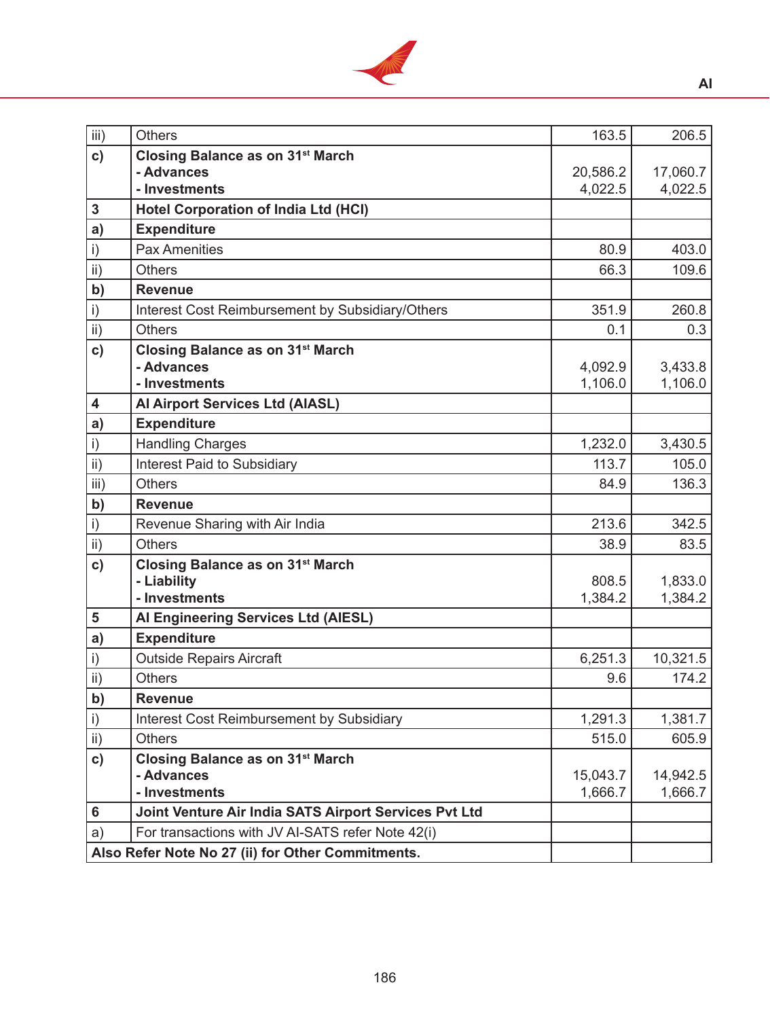

| iii)                    | Others                                                                                                 | 163.5    | 206.5    |
|-------------------------|--------------------------------------------------------------------------------------------------------|----------|----------|
| $\mathbf{c})$           | Closing Balance as on 31 <sup>st</sup> March                                                           |          |          |
|                         | - Advances                                                                                             | 20,586.2 | 17,060.7 |
|                         | - Investments                                                                                          | 4,022.5  | 4,022.5  |
| $\mathbf 3$             | <b>Hotel Corporation of India Ltd (HCI)</b>                                                            |          |          |
| a)                      | <b>Expenditure</b>                                                                                     |          |          |
| $\mathsf{i}$            | <b>Pax Amenities</b>                                                                                   | 80.9     | 403.0    |
| $\mathsf{ii}$ )         | <b>Others</b>                                                                                          | 66.3     | 109.6    |
| b)                      | <b>Revenue</b>                                                                                         |          |          |
| $\mathsf{i}$            | Interest Cost Reimbursement by Subsidiary/Others                                                       | 351.9    | 260.8    |
| $\mathsf{ii}$           | <b>Others</b>                                                                                          | 0.1      | 0.3      |
| $\mathbf{c})$           | <b>Closing Balance as on 31st March</b>                                                                |          |          |
|                         | - Advances                                                                                             | 4,092.9  | 3,433.8  |
|                         | - Investments                                                                                          | 1,106.0  | 1,106.0  |
| $\overline{\mathbf{4}}$ | Al Airport Services Ltd (AIASL)                                                                        |          |          |
| a)                      | <b>Expenditure</b>                                                                                     |          |          |
| $\mathsf{i}$            | <b>Handling Charges</b>                                                                                | 1,232.0  | 3,430.5  |
| $\mathsf{ii}$ )         | <b>Interest Paid to Subsidiary</b>                                                                     | 113.7    | 105.0    |
| iii)                    | <b>Others</b>                                                                                          | 84.9     | 136.3    |
|                         |                                                                                                        |          |          |
| b)                      | <b>Revenue</b>                                                                                         |          |          |
| $\mathsf{i}$            | Revenue Sharing with Air India                                                                         | 213.6    | 342.5    |
| $\overline{ii}$         | <b>Others</b>                                                                                          | 38.9     | 83.5     |
| c)                      | Closing Balance as on 31 <sup>st</sup> March                                                           |          |          |
|                         | - Liability                                                                                            | 808.5    | 1,833.0  |
|                         | - Investments                                                                                          | 1,384.2  | 1,384.2  |
| $\overline{\mathbf{5}}$ | Al Engineering Services Ltd (AIESL)                                                                    |          |          |
| a)                      | <b>Expenditure</b>                                                                                     |          |          |
| $\mathsf{i}$            | <b>Outside Repairs Aircraft</b>                                                                        | 6,251.3  | 10,321.5 |
| $\overline{ii}$         | <b>Others</b>                                                                                          | 9.6      | 174.2    |
| b)                      | <b>Revenue</b>                                                                                         |          |          |
| $\mathsf{i}$            | Interest Cost Reimbursement by Subsidiary                                                              | 1,291.3  | 1,381.7  |
| $\mathsf{ii}$           | <b>Others</b>                                                                                          | 515.0    | 605.9    |
| c)                      | Closing Balance as on 31 <sup>st</sup> March                                                           |          |          |
|                         | - Advances                                                                                             | 15,043.7 | 14,942.5 |
|                         | - Investments                                                                                          | 1,666.7  | 1,666.7  |
| 6                       | Joint Venture Air India SATS Airport Services Pvt Ltd                                                  |          |          |
| a)                      | For transactions with JV AI-SATS refer Note 42(i)<br>Also Refer Note No 27 (ii) for Other Commitments. |          |          |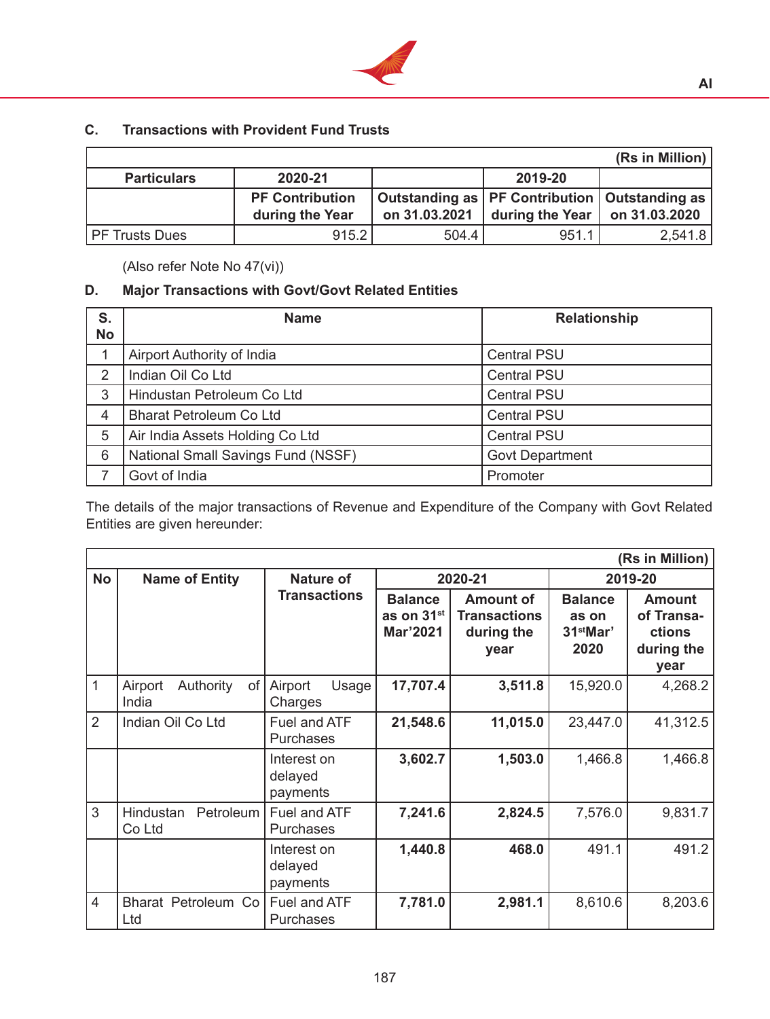

# **C. Transactions with Provident Fund Trusts**

|                       |                                           |               |                                                                                            | (Rs in Million) |
|-----------------------|-------------------------------------------|---------------|--------------------------------------------------------------------------------------------|-----------------|
| <b>Particulars</b>    | 2020-21                                   |               | 2019-20                                                                                    |                 |
|                       | <b>PF Contribution</b><br>during the Year | on 31.03.2021 | Outstanding as   PF Contribution   Outstanding as<br>during the Year $\vert$ on 31.03.2020 |                 |
| <b>PF Trusts Dues</b> | 915.2                                     | 504.4         | 951.1                                                                                      | 2,541.8         |

(Also refer Note No 47(vi))

# **D. Major Transactions with Govt/Govt Related Entities**

| S.<br><b>No</b> | <b>Name</b>                               | <b>Relationship</b>    |
|-----------------|-------------------------------------------|------------------------|
|                 | Airport Authority of India                | <b>Central PSU</b>     |
| $\mathcal{P}$   | Indian Oil Co Ltd                         | <b>Central PSU</b>     |
| 3               | Hindustan Petroleum Co Ltd                | <b>Central PSU</b>     |
| $\overline{4}$  | <b>Bharat Petroleum Co Ltd</b>            | <b>Central PSU</b>     |
| 5               | Air India Assets Holding Co Ltd           | <b>Central PSU</b>     |
| 6               | <b>National Small Savings Fund (NSSF)</b> | <b>Govt Department</b> |
|                 | Govt of India                             | Promoter               |

The details of the major transactions of Revenue and Expenditure of the Company with Govt Related Entities are given hereunder:

|                | (Rs in Million)                     |                                    |                                                 |                                                               |                                                          |                                                             |  |
|----------------|-------------------------------------|------------------------------------|-------------------------------------------------|---------------------------------------------------------------|----------------------------------------------------------|-------------------------------------------------------------|--|
| <b>No</b>      | <b>Name of Entity</b>               | <b>Nature of</b>                   |                                                 | 2020-21                                                       |                                                          | 2019-20                                                     |  |
|                |                                     | <b>Transactions</b>                | <b>Balance</b><br>as on 31st<br><b>Mar'2021</b> | <b>Amount of</b><br><b>Transactions</b><br>during the<br>year | <b>Balance</b><br>as on<br>31 <sup>st</sup> Mar'<br>2020 | <b>Amount</b><br>of Transa-<br>ctions<br>during the<br>year |  |
| 1              | Authority<br>of<br>Airport<br>India | Airport<br>Usage<br>Charges        | 17,707.4                                        | 3,511.8                                                       | 15,920.0                                                 | 4,268.2                                                     |  |
| $\overline{2}$ | Indian Oil Co Ltd                   | Fuel and ATF<br><b>Purchases</b>   | 21,548.6                                        | 11,015.0                                                      | 23,447.0                                                 | 41,312.5                                                    |  |
|                |                                     | Interest on<br>delayed<br>payments | 3,602.7                                         | 1,503.0                                                       | 1,466.8                                                  | 1,466.8                                                     |  |
| 3              | Hindustan<br>Petroleum<br>Co Ltd    | Fuel and ATF<br><b>Purchases</b>   | 7,241.6                                         | 2,824.5                                                       | 7,576.0                                                  | 9,831.7                                                     |  |
|                |                                     | Interest on<br>delayed<br>payments | 1,440.8                                         | 468.0                                                         | 491.1                                                    | 491.2                                                       |  |
| $\overline{4}$ | Bharat Petroleum Co<br>Ltd          | Fuel and ATF<br><b>Purchases</b>   | 7,781.0                                         | 2,981.1                                                       | 8,610.6                                                  | 8,203.6                                                     |  |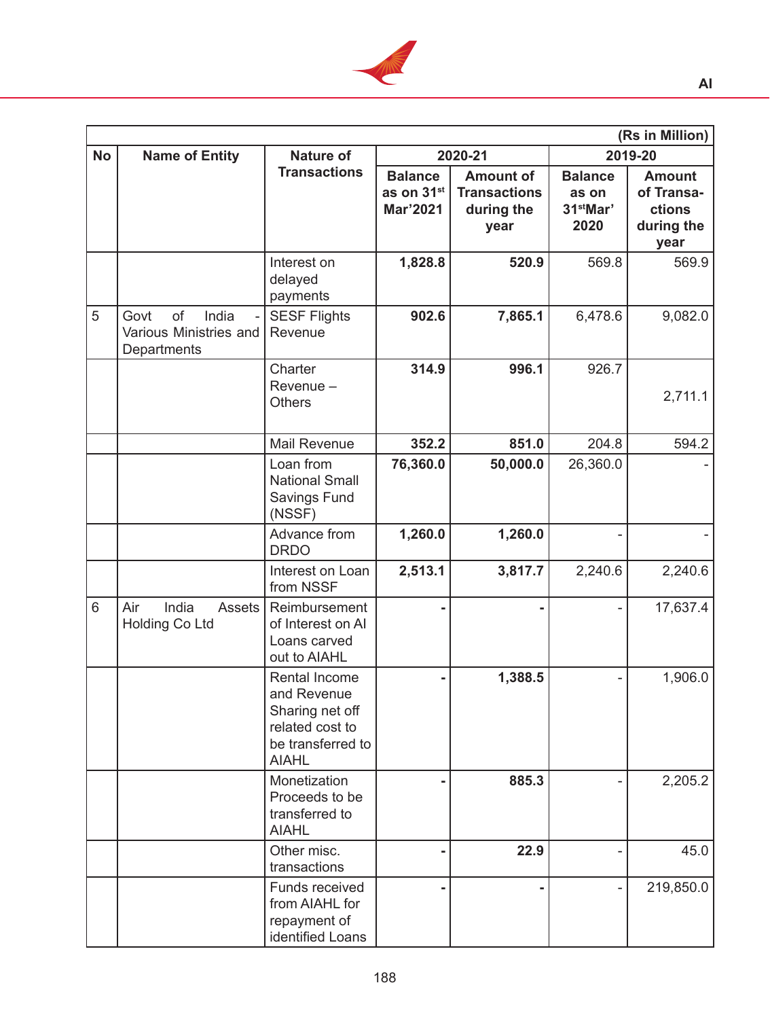

|           | (Rs in Million)                                              |                                                                                                         |                                                      |                                                               |                                                          |                                                             |
|-----------|--------------------------------------------------------------|---------------------------------------------------------------------------------------------------------|------------------------------------------------------|---------------------------------------------------------------|----------------------------------------------------------|-------------------------------------------------------------|
| <b>No</b> | <b>Name of Entity</b>                                        | <b>Nature of</b>                                                                                        |                                                      | 2020-21                                                       |                                                          | 2019-20                                                     |
|           |                                                              | <b>Transactions</b>                                                                                     | <b>Balance</b><br>as on 31 <sup>st</sup><br>Mar'2021 | <b>Amount of</b><br><b>Transactions</b><br>during the<br>year | <b>Balance</b><br>as on<br>31 <sup>st</sup> Mar'<br>2020 | <b>Amount</b><br>of Transa-<br>ctions<br>during the<br>year |
|           |                                                              | Interest on<br>delayed<br>payments                                                                      | 1,828.8                                              | 520.9                                                         | 569.8                                                    | 569.9                                                       |
| 5         | of<br>India<br>Govt<br>Various Ministries and<br>Departments | <b>SESF Flights</b><br>Revenue                                                                          | 902.6                                                | 7,865.1                                                       | 6,478.6                                                  | 9,082.0                                                     |
|           |                                                              | Charter<br>Revenue -<br><b>Others</b>                                                                   | 314.9                                                | 996.1                                                         | 926.7                                                    | 2,711.1                                                     |
|           |                                                              | <b>Mail Revenue</b>                                                                                     | 352.2                                                | 851.0                                                         | 204.8                                                    | 594.2                                                       |
|           |                                                              | Loan from<br><b>National Small</b><br><b>Savings Fund</b><br>(NSSF)                                     | 76,360.0                                             | 50,000.0                                                      | 26,360.0                                                 |                                                             |
|           |                                                              | Advance from<br><b>DRDO</b>                                                                             | 1,260.0                                              | 1,260.0                                                       |                                                          |                                                             |
|           |                                                              | Interest on Loan<br>from NSSF                                                                           | 2,513.1                                              | 3,817.7                                                       | 2,240.6                                                  | 2,240.6                                                     |
| 6         | India<br>Air<br><b>Assets</b><br><b>Holding Co Ltd</b>       | Reimbursement<br>of Interest on AI<br>Loans carved<br>out to AIAHL                                      | -                                                    |                                                               |                                                          | 17,637.4                                                    |
|           |                                                              | Rental Income<br>and Revenue<br>Sharing net off<br>related cost to<br>be transferred to<br><b>AIAHL</b> |                                                      | 1,388.5                                                       |                                                          | 1,906.0                                                     |
|           |                                                              | Monetization<br>Proceeds to be<br>transferred to<br><b>AIAHL</b>                                        |                                                      | 885.3                                                         |                                                          | 2,205.2                                                     |
|           |                                                              | Other misc.<br>transactions                                                                             |                                                      | 22.9                                                          |                                                          | 45.0                                                        |
|           |                                                              | Funds received<br>from AIAHL for<br>repayment of<br>identified Loans                                    | -                                                    |                                                               |                                                          | 219,850.0                                                   |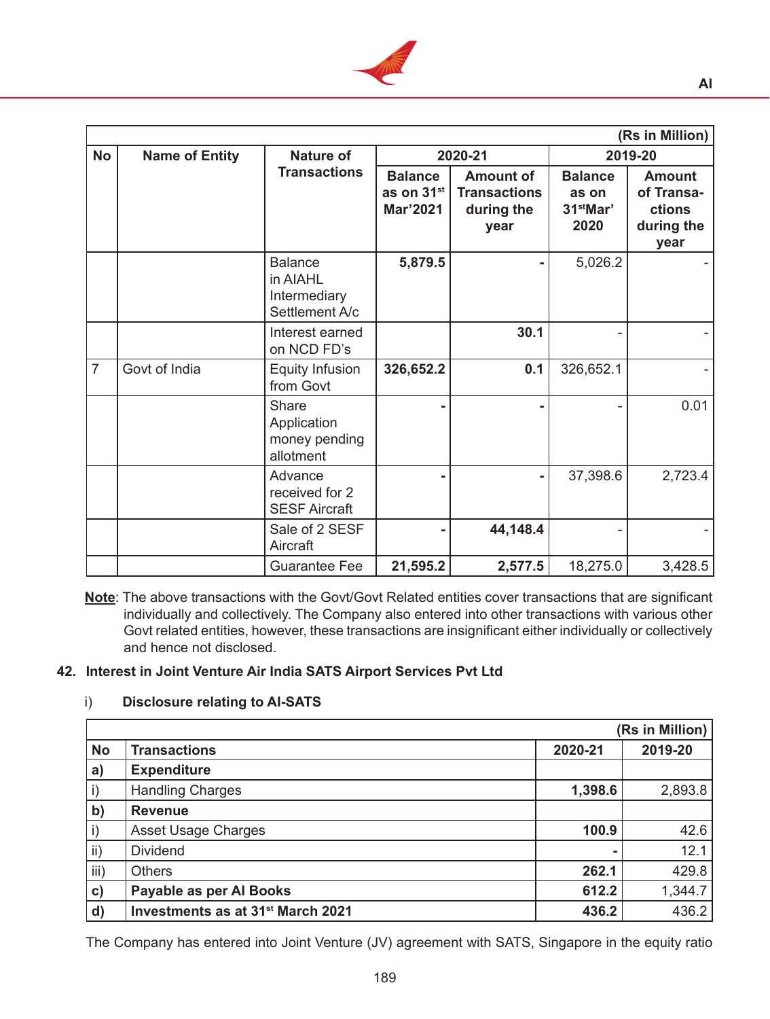

|                | (Rs in Million)       |                                                              |                                                             |                                                               |                                                          |                                                             |  |
|----------------|-----------------------|--------------------------------------------------------------|-------------------------------------------------------------|---------------------------------------------------------------|----------------------------------------------------------|-------------------------------------------------------------|--|
| <b>No</b>      | <b>Name of Entity</b> | <b>Nature of</b>                                             |                                                             | 2020-21                                                       |                                                          | 2019-20                                                     |  |
|                |                       | <b>Transactions</b>                                          | <b>Balance</b><br>as on 31 <sup>st</sup><br><b>Mar'2021</b> | <b>Amount of</b><br><b>Transactions</b><br>during the<br>year | <b>Balance</b><br>as on<br>31 <sup>st</sup> Mar'<br>2020 | <b>Amount</b><br>of Transa-<br>ctions<br>during the<br>year |  |
|                |                       | <b>Balance</b><br>in AIAHL<br>Intermediary<br>Settlement A/c | 5,879.5                                                     |                                                               | 5,026.2                                                  |                                                             |  |
|                |                       | Interest earned<br>on NCD FD's                               |                                                             | 30.1                                                          |                                                          |                                                             |  |
| $\overline{7}$ | Govt of India         | <b>Equity Infusion</b><br>from Govt                          | 326,652.2                                                   | 0.1                                                           | 326,652.1                                                |                                                             |  |
|                |                       | Share<br>Application<br>money pending<br>allotment           |                                                             |                                                               |                                                          | 0.01                                                        |  |
|                |                       | Advance<br>received for 2<br><b>SESF Aircraft</b>            |                                                             |                                                               | 37,398.6                                                 | 2,723.4                                                     |  |
|                |                       | Sale of 2 SESF<br>Aircraft                                   |                                                             | 44,148.4                                                      |                                                          |                                                             |  |
|                |                       | <b>Guarantee Fee</b>                                         | 21,595.2                                                    | 2,577.5                                                       | 18,275.0                                                 | 3,428.5                                                     |  |

**Note**: The above transactions with the Govt/Govt Related entities cover transactions that are significant individually and collectively. The Company also entered into other transactions with various other Govt related entities, however, these transactions are insignificant either individually or collectively and hence not disclosed.

# **42. Interest in Joint Venture Air India SATS Airport Services Pvt Ltd**

### i) **Disclosure relating to AI-SATS**

|               |                                               |         | (Rs in Million) |
|---------------|-----------------------------------------------|---------|-----------------|
| <b>No</b>     | <b>Transactions</b>                           | 2020-21 | 2019-20         |
| a)            | <b>Expenditure</b>                            |         |                 |
| $\mathsf{i}$  | <b>Handling Charges</b>                       | 1,398.6 | 2,893.8         |
| $\mathbf{b}$  | <b>Revenue</b>                                |         |                 |
| $\mathsf{i}$  | <b>Asset Usage Charges</b>                    | 100.9   | 42.6            |
| ii)           | <b>Dividend</b>                               |         | 12.1            |
| iii)          | <b>Others</b>                                 | 262.1   | 429.8           |
| $\mathbf{c})$ | Payable as per Al Books                       | 612.2   | 1,344.7         |
| $\mathbf{d}$  | Investments as at 31 <sup>st</sup> March 2021 | 436.2   | 436.2           |

 The Company has entered into Joint Venture (JV) agreement with SATS, Singapore in the equity ratio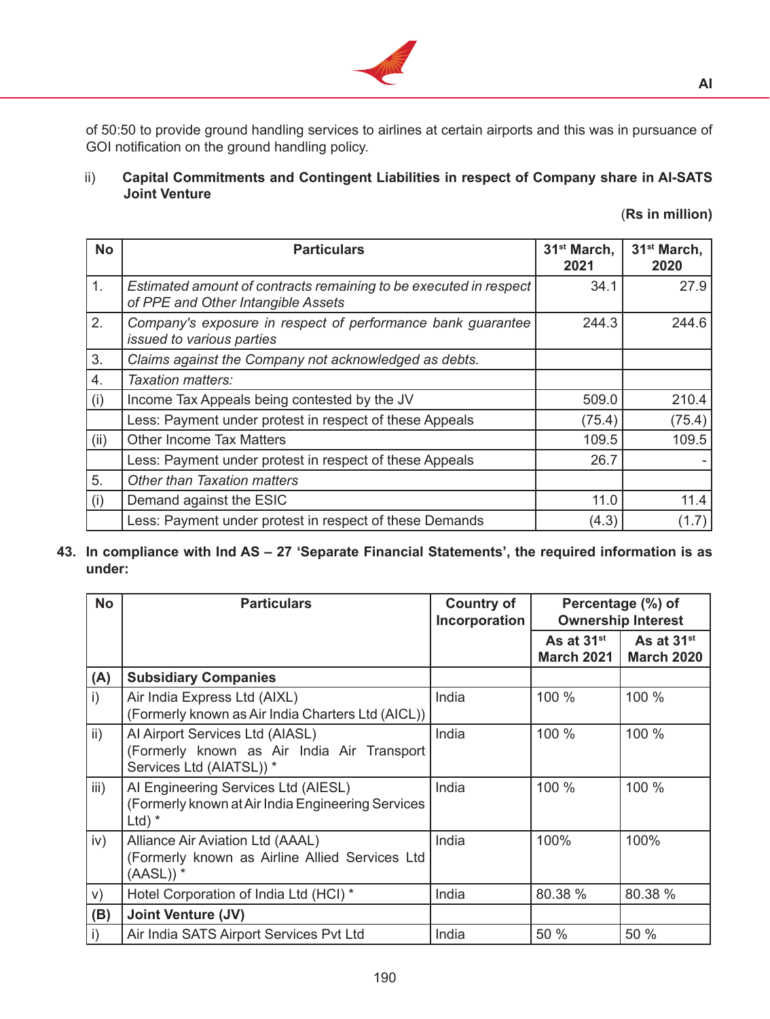

of 50:50 to provide ground handling services to airlines at certain airports and this was in pursuance of GOI notification on the ground handling policy.

ii) **Capital Commitments and Contingent Liabilities in respect of Company share in AI-SATS Joint Venture**

|  |  |  | (Rs in million) |  |
|--|--|--|-----------------|--|
|--|--|--|-----------------|--|

| <b>No</b> | <b>Particulars</b>                                                                                      | 31 <sup>st</sup> March,<br>2021 | 31 <sup>st</sup> March,<br>2020 |
|-----------|---------------------------------------------------------------------------------------------------------|---------------------------------|---------------------------------|
| 1.        | Estimated amount of contracts remaining to be executed in respect<br>of PPE and Other Intangible Assets | 34.1                            | 27.9                            |
| 2.        | Company's exposure in respect of performance bank guarantee<br>issued to various parties                | 244.3                           | 244.6                           |
| 3.        | Claims against the Company not acknowledged as debts.                                                   |                                 |                                 |
| 4.        | Taxation matters:                                                                                       |                                 |                                 |
| (i)       | Income Tax Appeals being contested by the JV                                                            | 509.0                           | 210.4                           |
|           | Less: Payment under protest in respect of these Appeals                                                 | (75.4)                          | (75.4)                          |
| (ii)      | <b>Other Income Tax Matters</b>                                                                         | 109.5                           | 109.5                           |
|           | Less: Payment under protest in respect of these Appeals                                                 | 26.7                            |                                 |
| 5.        | <b>Other than Taxation matters</b>                                                                      |                                 |                                 |
| (i)       | Demand against the ESIC                                                                                 | 11.0                            | 11.4                            |
|           | Less: Payment under protest in respect of these Demands                                                 | (4.3)                           | (1.7)                           |

**43. In compliance with Ind AS – 27 'Separate Financial Statements', the required information is as under:**

| <b>No</b>       | <b>Particulars</b>                                                                                        | <b>Country of</b><br>Incorporation | Percentage (%) of<br><b>Ownership Interest</b> |                                             |
|-----------------|-----------------------------------------------------------------------------------------------------------|------------------------------------|------------------------------------------------|---------------------------------------------|
|                 |                                                                                                           |                                    | As at 31 <sup>st</sup><br>March 2021           | As at 31 <sup>st</sup><br><b>March 2020</b> |
| (A)             | <b>Subsidiary Companies</b>                                                                               |                                    |                                                |                                             |
| i)              | Air India Express Ltd (AIXL)<br>(Formerly known as Air India Charters Ltd (AICL))                         | India                              | 100 %                                          | 100 %                                       |
| $\mathsf{ii}$ ) | Al Airport Services Ltd (AIASL)<br>(Formerly known as Air India Air Transport<br>Services Ltd (AIATSL)) * | India                              | 100 %                                          | 100 %                                       |
| iii)            | Al Engineering Services Ltd (AIESL)<br>(Formerly known at Air India Engineering Services<br>Ltd) $*$      | India                              | 100 %                                          | 100 %                                       |
| iv)             | Alliance Air Aviation Ltd (AAAL)<br>(Formerly known as Airline Allied Services Ltd<br>$(AASL))^*$         | India                              | 100%                                           | 100%                                        |
| V)              | Hotel Corporation of India Ltd (HCI) *                                                                    | India                              | 80.38 %                                        | 80.38 %                                     |
| (B)             | <b>Joint Venture (JV)</b>                                                                                 |                                    |                                                |                                             |
| $\mathsf{i}$    | Air India SATS Airport Services Pvt Ltd                                                                   | India                              | 50 %                                           | 50 %                                        |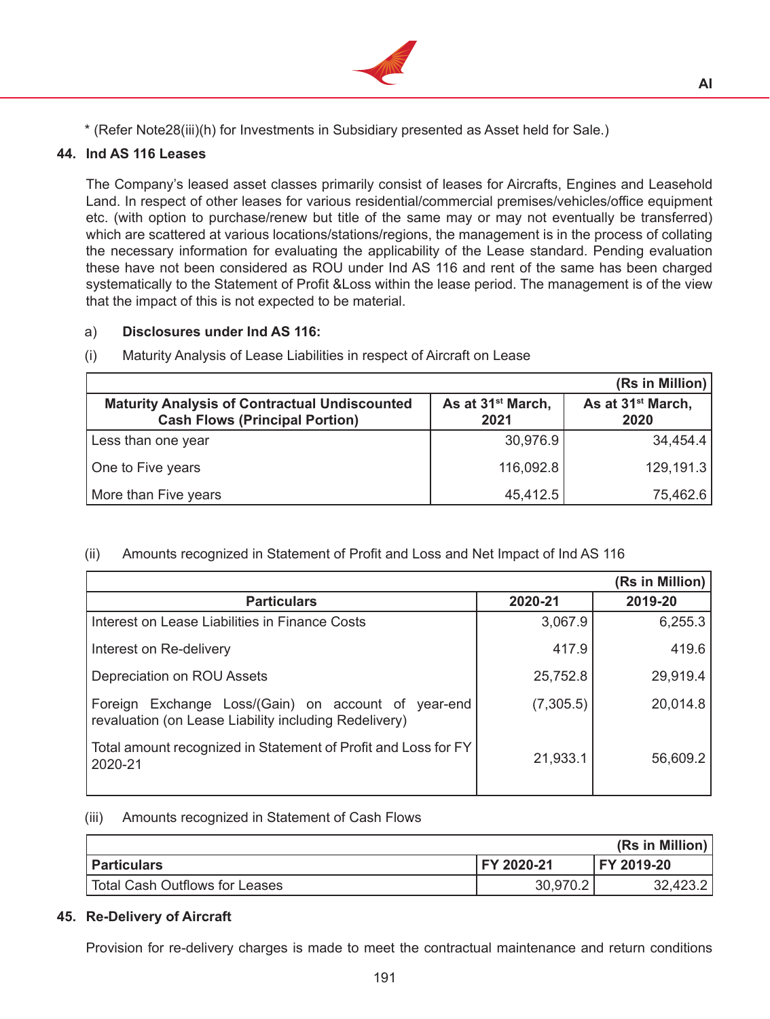

\* (Refer Note28(iii)(h) for Investments in Subsidiary presented as Asset held for Sale.)

# **44. Ind AS 116 Leases**

 The Company's leased asset classes primarily consist of leases for Aircrafts, Engines and Leasehold Land. In respect of other leases for various residential/commercial premises/vehicles/office equipment etc. (with option to purchase/renew but title of the same may or may not eventually be transferred) which are scattered at various locations/stations/regions, the management is in the process of collating the necessary information for evaluating the applicability of the Lease standard. Pending evaluation these have not been considered as ROU under Ind AS 116 and rent of the same has been charged systematically to the Statement of Profit &Loss within the lease period. The management is of the view that the impact of this is not expected to be material.

### a) **Disclosures under Ind AS 116:**

|                                                                                               |                                       | (Rs in Million)                       |
|-----------------------------------------------------------------------------------------------|---------------------------------------|---------------------------------------|
| <b>Maturity Analysis of Contractual Undiscounted</b><br><b>Cash Flows (Principal Portion)</b> | As at 31 <sup>st</sup> March,<br>2021 | As at 31 <sup>st</sup> March,<br>2020 |
| Less than one year                                                                            | 30,976.9                              | 34,454.4                              |
| One to Five years                                                                             | 116,092.8                             | 129,191.3                             |
| More than Five years                                                                          | 45,412.5                              | 75,462.6                              |

### (i) Maturity Analysis of Lease Liabilities in respect of Aircraft on Lease

# (ii) Amounts recognized in Statement of Profit and Loss and Net Impact of Ind AS 116

|                                                                                                              |           | (Rs in Million) |
|--------------------------------------------------------------------------------------------------------------|-----------|-----------------|
| <b>Particulars</b>                                                                                           | 2020-21   | 2019-20         |
| Interest on Lease Liabilities in Finance Costs                                                               | 3,067.9   | 6,255.3         |
| Interest on Re-delivery                                                                                      | 417.9     | 419.6           |
| Depreciation on ROU Assets                                                                                   | 25,752.8  | 29,919.4        |
| Foreign Exchange Loss/(Gain) on account of year-end<br>revaluation (on Lease Liability including Redelivery) | (7,305.5) | 20,014.8        |
| Total amount recognized in Statement of Profit and Loss for FY<br>2020-21                                    | 21,933.1  | 56,609.2        |

### (iii) Amounts recognized in Statement of Cash Flows

|                                       |            | (Rs in Million) |
|---------------------------------------|------------|-----------------|
| Particulars                           | FY 2020-21 | FY 2019-20      |
| <b>Total Cash Outflows for Leases</b> | 30,970.2   | 32,423.2        |

# **45. Re-Delivery of Aircraft**

Provision for re-delivery charges is made to meet the contractual maintenance and return conditions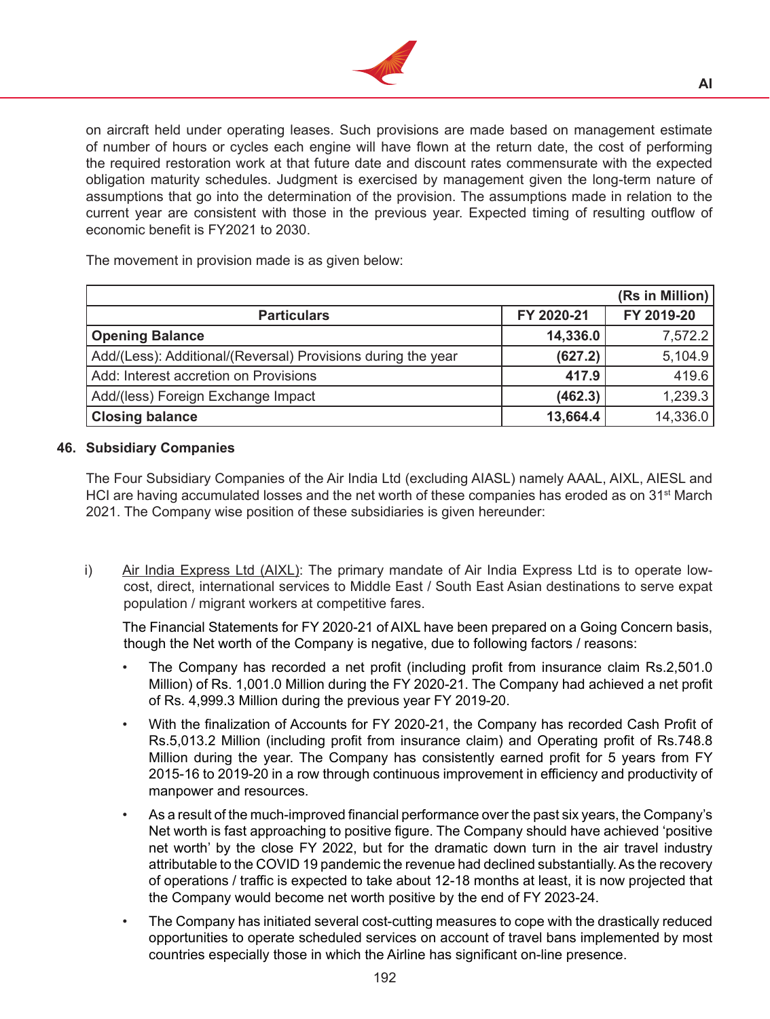

on aircraft held under operating leases. Such provisions are made based on management estimate of number of hours or cycles each engine will have flown at the return date, the cost of performing the required restoration work at that future date and discount rates commensurate with the expected obligation maturity schedules. Judgment is exercised by management given the long-term nature of assumptions that go into the determination of the provision. The assumptions made in relation to the current year are consistent with those in the previous year. Expected timing of resulting outflow of economic benefit is FY2021 to 2030.

 The movement in provision made is as given below:

|                                                              |            | (Rs in Million) |
|--------------------------------------------------------------|------------|-----------------|
| <b>Particulars</b>                                           | FY 2020-21 | FY 2019-20      |
| <b>Opening Balance</b>                                       | 14,336.0   | 7,572.2         |
| Add/(Less): Additional/(Reversal) Provisions during the year | (627.2)    | 5,104.9         |
| Add: Interest accretion on Provisions                        | 417.9      | 419.6           |
| Add/(less) Foreign Exchange Impact                           | (462.3)    | 1,239.3         |
| <b>Closing balance</b>                                       | 13,664.4   | 14,336.0        |

### **46. Subsidiary Companies**

The Four Subsidiary Companies of the Air India Ltd (excluding AIASL) namely AAAL, AIXL, AIESL and HCI are having accumulated losses and the net worth of these companies has eroded as on  $31<sup>st</sup>$  March 2021. The Company wise position of these subsidiaries is given hereunder:

i) Air India Express Ltd (AIXL): The primary mandate of Air India Express Ltd is to operate lowcost, direct, international services to Middle East / South East Asian destinations to serve expat population / migrant workers at competitive fares.

 The Financial Statements for FY 2020-21 of AIXL have been prepared on a Going Concern basis, though the Net worth of the Company is negative, due to following factors / reasons:

- The Company has recorded a net profit (including profit from insurance claim Rs.2,501.0 Million) of Rs. 1,001.0 Million during the FY 2020-21. The Company had achieved a net profit of Rs. 4,999.3 Million during the previous year FY 2019-20.
- With the finalization of Accounts for FY 2020-21, the Company has recorded Cash Profit of Rs.5,013.2 Million (including profit from insurance claim) and Operating profit of Rs.748.8 Million during the year. The Company has consistently earned profit for 5 years from FY 2015-16 to 2019-20 in a row through continuous improvement in efficiency and productivity of manpower and resources.
- As a result of the much-improved financial performance over the past six years, the Company's Net worth is fast approaching to positive figure. The Company should have achieved 'positive net worth' by the close FY 2022, but for the dramatic down turn in the air travel industry attributable to the COVID 19 pandemic the revenue had declined substantially. As the recovery of operations / traffic is expected to take about 12-18 months at least, it is now projected that the Company would become net worth positive by the end of FY 2023-24.
- The Company has initiated several cost-cutting measures to cope with the drastically reduced opportunities to operate scheduled services on account of travel bans implemented by most countries especially those in which the Airline has significant on-line presence.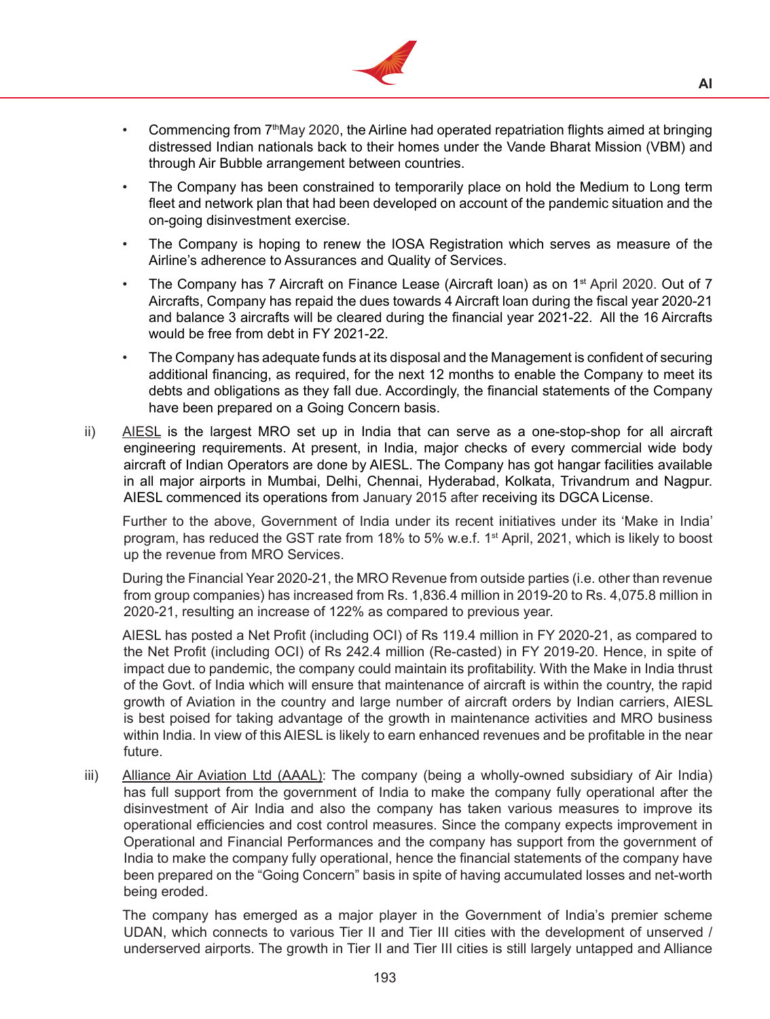

- Commencing from  $7<sup>th</sup>$ May 2020, the Airline had operated repatriation flights aimed at bringing distressed Indian nationals back to their homes under the Vande Bharat Mission (VBM) and through Air Bubble arrangement between countries.
- The Company has been constrained to temporarily place on hold the Medium to Long term fleet and network plan that had been developed on account of the pandemic situation and the on-going disinvestment exercise.
- The Company is hoping to renew the IOSA Registration which serves as measure of the Airline's adherence to Assurances and Quality of Services.
- The Company has 7 Aircraft on Finance Lease (Aircraft loan) as on  $1<sup>st</sup>$  April 2020. Out of 7 Aircrafts, Company has repaid the dues towards 4 Aircraft loan during the fiscal year 2020-21 and balance 3 aircrafts will be cleared during the financial year 2021-22. All the 16 Aircrafts would be free from debt in FY 2021-22.
- The Company has adequate funds at its disposal and the Management is confident of securing additional financing, as required, for the next 12 months to enable the Company to meet its debts and obligations as they fall due. Accordingly, the financial statements of the Company have been prepared on a Going Concern basis.
- ii) AIESL is the largest MRO set up in India that can serve as a one-stop-shop for all aircraft engineering requirements. At present, in India, major checks of every commercial wide body aircraft of Indian Operators are done by AIESL. The Company has got hangar facilities available in all major airports in Mumbai, Delhi, Chennai, Hyderabad, Kolkata, Trivandrum and Nagpur. AIESL commenced its operations from January 2015 after receiving its DGCA License.

Further to the above, Government of India under its recent initiatives under its 'Make in India' program, has reduced the GST rate from 18% to 5% w.e.f. 1st April, 2021, which is likely to boost up the revenue from MRO Services.

During the Financial Year 2020-21, the MRO Revenue from outside parties (i.e. other than revenue from group companies) has increased from Rs. 1,836.4 million in 2019-20 to Rs. 4,075.8 million in 2020-21, resulting an increase of 122% as compared to previous year.

AIESL has posted a Net Profit (including OCI) of Rs 119.4 million in FY 2020-21, as compared to the Net Profit (including OCI) of Rs 242.4 million (Re-casted) in FY 2019-20. Hence, in spite of impact due to pandemic, the company could maintain its profitability. With the Make in India thrust of the Govt. of India which will ensure that maintenance of aircraft is within the country, the rapid growth of Aviation in the country and large number of aircraft orders by Indian carriers, AIESL is best poised for taking advantage of the growth in maintenance activities and MRO business within India. In view of this AIESL is likely to earn enhanced revenues and be profitable in the near future.

iii) Alliance Air Aviation Ltd (AAAL): The company (being a wholly-owned subsidiary of Air India) has full support from the government of India to make the company fully operational after the disinvestment of Air India and also the company has taken various measures to improve its operational efficiencies and cost control measures. Since the company expects improvement in Operational and Financial Performances and the company has support from the government of India to make the company fully operational, hence the financial statements of the company have been prepared on the "Going Concern" basis in spite of having accumulated losses and net-worth being eroded.

The company has emerged as a major player in the Government of India's premier scheme UDAN, which connects to various Tier II and Tier III cities with the development of unserved / underserved airports. The growth in Tier II and Tier III cities is still largely untapped and Alliance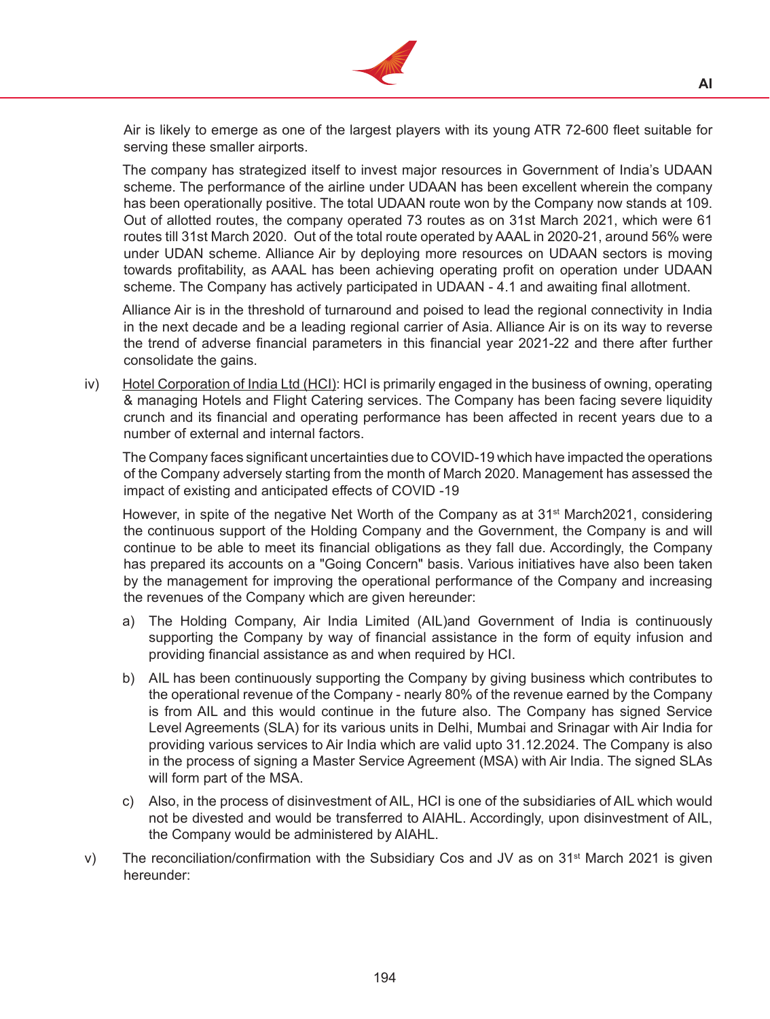

Air is likely to emerge as one of the largest players with its young ATR 72-600 fleet suitable for serving these smaller airports.

The company has strategized itself to invest major resources in Government of India's UDAAN scheme. The performance of the airline under UDAAN has been excellent wherein the company has been operationally positive. The total UDAAN route won by the Company now stands at 109. Out of allotted routes, the company operated 73 routes as on 31st March 2021, which were 61 routes till 31st March 2020. Out of the total route operated by AAAL in 2020-21, around 56% were under UDAN scheme. Alliance Air by deploying more resources on UDAAN sectors is moving towards profitability, as AAAL has been achieving operating profit on operation under UDAAN scheme. The Company has actively participated in UDAAN - 4.1 and awaiting final allotment.

Alliance Air is in the threshold of turnaround and poised to lead the regional connectivity in India in the next decade and be a leading regional carrier of Asia. Alliance Air is on its way to reverse the trend of adverse financial parameters in this financial year 2021-22 and there after further consolidate the gains.

iv) Hotel Corporation of India Ltd (HCI): HCI is primarily engaged in the business of owning, operating & managing Hotels and Flight Catering services. The Company has been facing severe liquidity crunch and its financial and operating performance has been affected in recent years due to a number of external and internal factors.

 The Company faces significant uncertainties due to COVID-19 which have impacted the operations of the Company adversely starting from the month of March 2020. Management has assessed the impact of existing and anticipated effects of COVID -19

However, in spite of the negative Net Worth of the Company as at 31<sup>st</sup> March2021, considering the continuous support of the Holding Company and the Government, the Company is and will continue to be able to meet its financial obligations as they fall due. Accordingly, the Company has prepared its accounts on a "Going Concern" basis. Various initiatives have also been taken by the management for improving the operational performance of the Company and increasing the revenues of the Company which are given hereunder:

- a) The Holding Company, Air India Limited (AIL)and Government of India is continuously supporting the Company by way of financial assistance in the form of equity infusion and providing financial assistance as and when required by HCI.
- b) AIL has been continuously supporting the Company by giving business which contributes to the operational revenue of the Company - nearly 80% of the revenue earned by the Company is from AIL and this would continue in the future also. The Company has signed Service Level Agreements (SLA) for its various units in Delhi, Mumbai and Srinagar with Air India for providing various services to Air India which are valid upto 31.12.2024. The Company is also in the process of signing a Master Service Agreement (MSA) with Air India. The signed SLAs will form part of the MSA.
- c) Also, in the process of disinvestment of AIL, HCI is one of the subsidiaries of AIL which would not be divested and would be transferred to AIAHL. Accordingly, upon disinvestment of AIL, the Company would be administered by AIAHL.
- v) The reconciliation/confirmation with the Subsidiary Cos and JV as on  $31<sup>st</sup>$  March 2021 is given hereunder: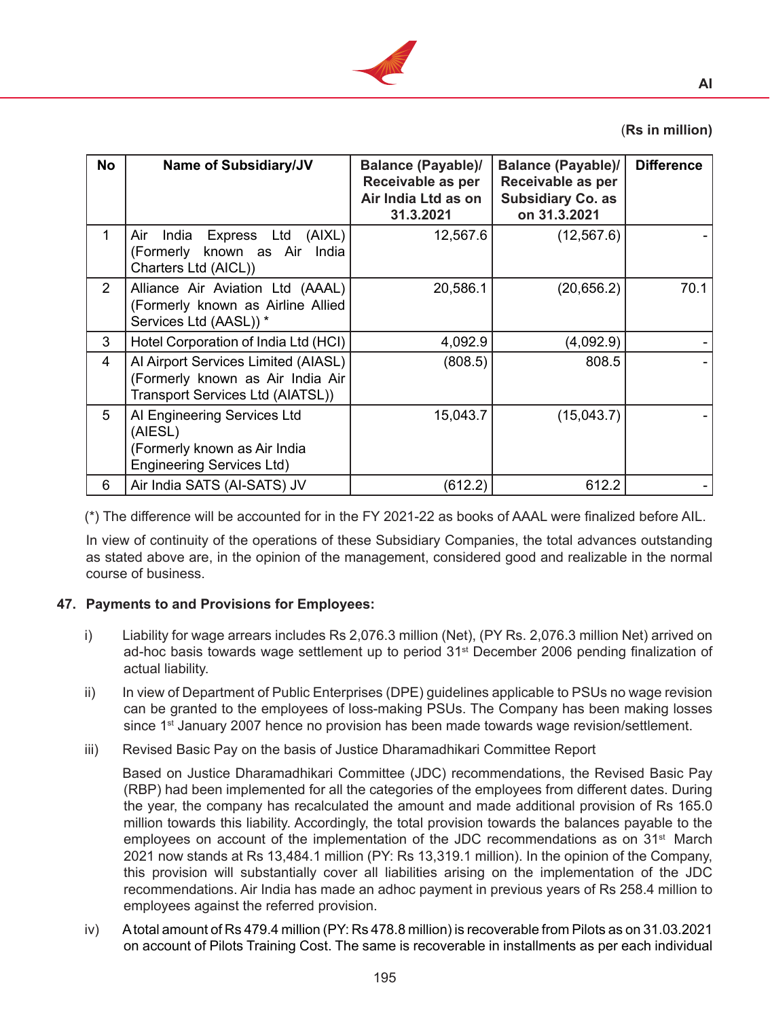

# (**Rs in million)**

| No             | <b>Name of Subsidiary/JV</b>                                                                                | <b>Balance (Payable)/</b><br>Receivable as per<br>Air India Ltd as on<br>31.3.2021 | <b>Balance (Payable)/</b><br>Receivable as per<br><b>Subsidiary Co. as</b><br>on 31.3.2021 | <b>Difference</b> |
|----------------|-------------------------------------------------------------------------------------------------------------|------------------------------------------------------------------------------------|--------------------------------------------------------------------------------------------|-------------------|
| 1              | Express Ltd (AIXL)<br>India<br>Air<br>(Formerly known as Air<br>India<br>Charters Ltd (AICL))               | 12,567.6                                                                           | (12, 567.6)                                                                                |                   |
| $\overline{2}$ | Alliance Air Aviation Ltd (AAAL)<br>(Formerly known as Airline Allied<br>Services Ltd (AASL)) *             | 20,586.1                                                                           | (20, 656.2)                                                                                | 70.1              |
| 3              | Hotel Corporation of India Ltd (HCI)                                                                        | 4,092.9                                                                            | (4,092.9)                                                                                  |                   |
| 4              | Al Airport Services Limited (AIASL)<br>(Formerly known as Air India Air<br>Transport Services Ltd (AIATSL)) | (808.5)                                                                            | 808.5                                                                                      |                   |
| 5              | Al Engineering Services Ltd<br>(AIESL)<br>(Formerly known as Air India<br><b>Engineering Services Ltd)</b>  | 15,043.7                                                                           | (15,043.7)                                                                                 |                   |
| 6              | Air India SATS (AI-SATS) JV                                                                                 | (612.2)                                                                            | 612.2                                                                                      |                   |

(\*) The difference will be accounted for in the FY 2021-22 as books of AAAL were finalized before AIL.

 In view of continuity of the operations of these Subsidiary Companies, the total advances outstanding as stated above are, in the opinion of the management, considered good and realizable in the normal course of business.

### **47. Payments to and Provisions for Employees:**

- i) Liability for wage arrears includes Rs 2,076.3 million (Net), (PY Rs. 2,076.3 million Net) arrived on ad-hoc basis towards wage settlement up to period 31<sup>st</sup> December 2006 pending finalization of actual liability.
- ii) In view of Department of Public Enterprises (DPE) guidelines applicable to PSUs no wage revision can be granted to the employees of loss-making PSUs. The Company has been making losses since  $1<sup>st</sup>$  January 2007 hence no provision has been made towards wage revision/settlement.
- iii) Revised Basic Pay on the basis of Justice Dharamadhikari Committee Report

 Based on Justice Dharamadhikari Committee (JDC) recommendations, the Revised Basic Pay (RBP) had been implemented for all the categories of the employees from different dates. During the year, the company has recalculated the amount and made additional provision of Rs 165.0 million towards this liability. Accordingly, the total provision towards the balances payable to the employees on account of the implementation of the JDC recommendations as on 31<sup>st</sup> March 2021 now stands at Rs 13,484.1 million (PY: Rs 13,319.1 million). In the opinion of the Company, this provision will substantially cover all liabilities arising on the implementation of the JDC recommendations. Air India has made an adhoc payment in previous years of Rs 258.4 million to employees against the referred provision.

iv) Atotal amount of Rs 479.4 million (PY: Rs 478.8 million) is recoverable from Pilots as on 31.03.2021 on account of Pilots Training Cost. The same is recoverable in installments as per each individual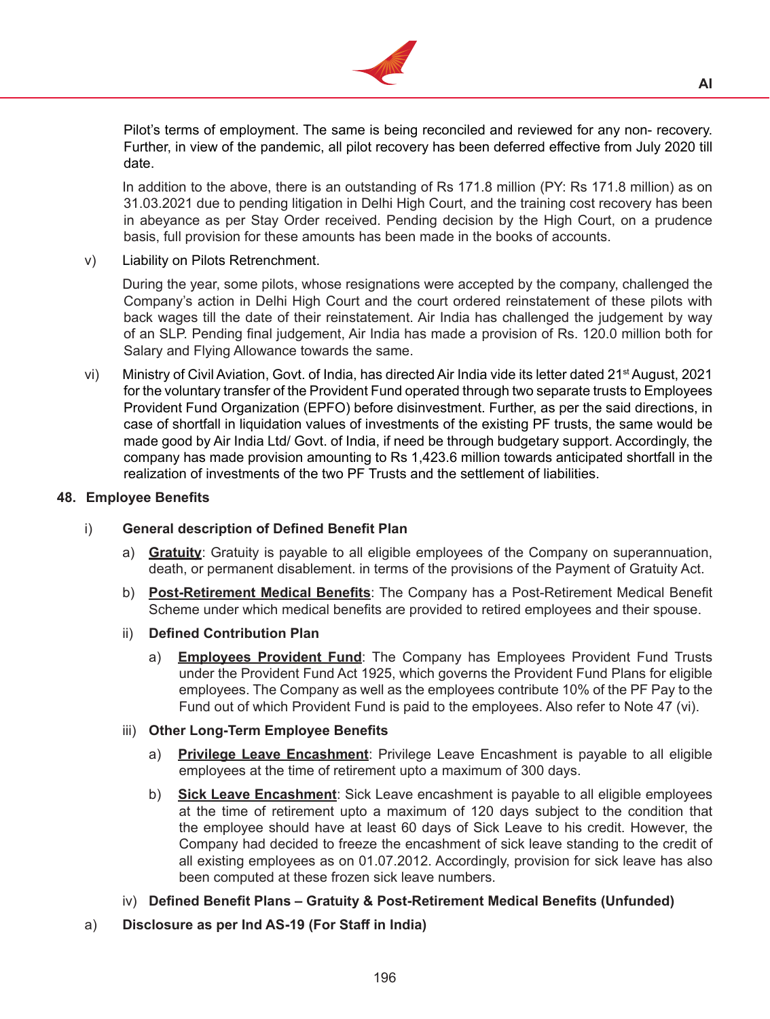

Pilot's terms of employment. The same is being reconciled and reviewed for any non- recovery. Further, in view of the pandemic, all pilot recovery has been deferred effective from July 2020 till date.

 In addition to the above, there is an outstanding of Rs 171.8 million (PY: Rs 171.8 million) as on 31.03.2021 due to pending litigation in Delhi High Court, and the training cost recovery has been in abeyance as per Stay Order received. Pending decision by the High Court, on a prudence basis, full provision for these amounts has been made in the books of accounts.

v) Liability on Pilots Retrenchment.

During the year, some pilots, whose resignations were accepted by the company, challenged the Company's action in Delhi High Court and the court ordered reinstatement of these pilots with back wages till the date of their reinstatement. Air India has challenged the judgement by way of an SLP. Pending final judgement, Air India has made a provision of Rs. 120.0 million both for Salary and Flying Allowance towards the same.

vi) Ministry of Civil Aviation, Govt. of India, has directed Air India vide its letter dated 21<sup>st</sup> August, 2021 for the voluntary transfer of the Provident Fund operated through two separate trusts to Employees Provident Fund Organization (EPFO) before disinvestment. Further, as per the said directions, in case of shortfall in liquidation values of investments of the existing PF trusts, the same would be made good by Air India Ltd/ Govt. of India, if need be through budgetary support. Accordingly, the company has made provision amounting to Rs 1,423.6 million towards anticipated shortfall in the realization of investments of the two PF Trusts and the settlement of liabilities.

### **48. Employee Benefits**

# i) **General description of Defined Benefit Plan**

- a) **Gratuity**: Gratuity is payable to all eligible employees of the Company on superannuation, death, or permanent disablement. in terms of the provisions of the Payment of Gratuity Act.
- b) **Post-Retirement Medical Benefits**: The Company has a Post-Retirement Medical Benefit Scheme under which medical benefits are provided to retired employees and their spouse.
- ii) **Defined Contribution Plan** 
	- a) **Employees Provident Fund**: The Company has Employees Provident Fund Trusts under the Provident Fund Act 1925, which governs the Provident Fund Plans for eligible employees. The Company as well as the employees contribute 10% of the PF Pay to the Fund out of which Provident Fund is paid to the employees. Also refer to Note 47 (vi).
- iii) **Other Long-Term Employee Benefits**
	- a) **Privilege Leave Encashment**: Privilege Leave Encashment is payable to all eligible employees at the time of retirement upto a maximum of 300 days.
	- b) **Sick Leave Encashment**: Sick Leave encashment is payable to all eligible employees at the time of retirement upto a maximum of 120 days subject to the condition that the employee should have at least 60 days of Sick Leave to his credit. However, the Company had decided to freeze the encashment of sick leave standing to the credit of all existing employees as on 01.07.2012. Accordingly, provision for sick leave has also been computed at these frozen sick leave numbers.
- iv) **Defined Benefit Plans Gratuity & Post-Retirement Medical Benefits (Unfunded)**
- a) **Disclosure as per Ind AS-19 (For Staff in India)**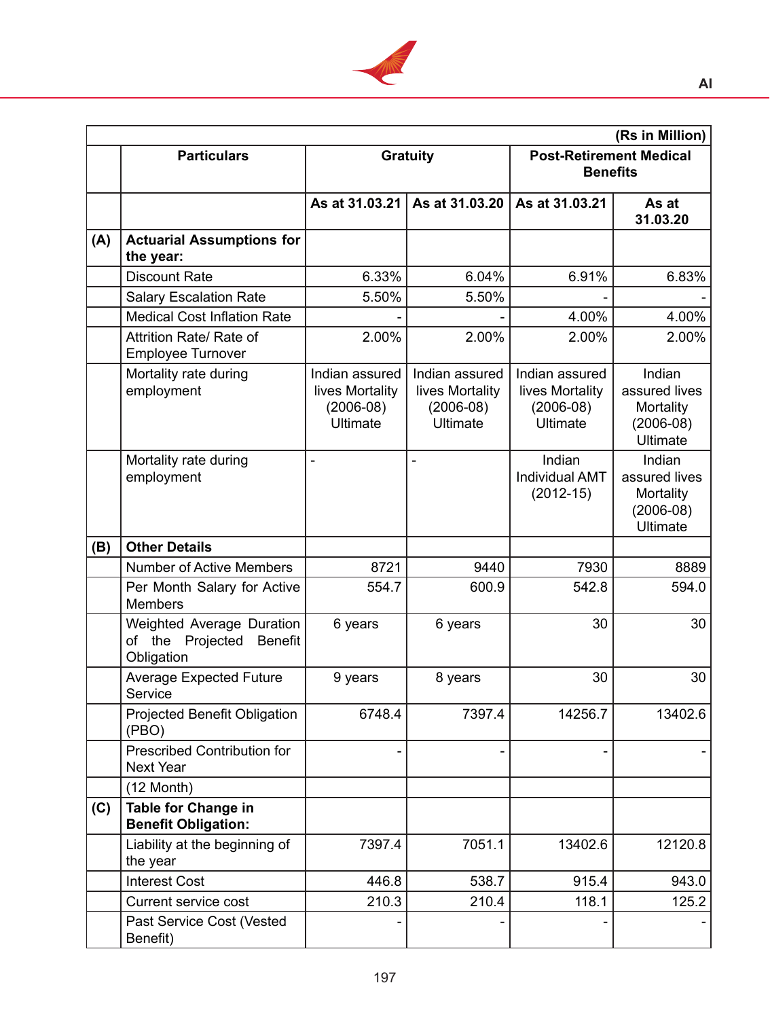

|     | (Rs in Million)                                                            |                                                                     |                                                                     |                                                                     |                                                                        |  |
|-----|----------------------------------------------------------------------------|---------------------------------------------------------------------|---------------------------------------------------------------------|---------------------------------------------------------------------|------------------------------------------------------------------------|--|
|     | <b>Particulars</b>                                                         |                                                                     | <b>Gratuity</b>                                                     | <b>Post-Retirement Medical</b><br><b>Benefits</b>                   |                                                                        |  |
|     |                                                                            | As at 31.03.21                                                      | As at 31.03.20                                                      | As at 31.03.21                                                      | As at<br>31.03.20                                                      |  |
| (A) | <b>Actuarial Assumptions for</b><br>the year:                              |                                                                     |                                                                     |                                                                     |                                                                        |  |
|     | <b>Discount Rate</b>                                                       | 6.33%                                                               | 6.04%                                                               | 6.91%                                                               | 6.83%                                                                  |  |
|     | <b>Salary Escalation Rate</b>                                              | 5.50%                                                               | 5.50%                                                               |                                                                     |                                                                        |  |
|     | <b>Medical Cost Inflation Rate</b>                                         |                                                                     |                                                                     | 4.00%                                                               | 4.00%                                                                  |  |
|     | Attrition Rate/ Rate of<br><b>Employee Turnover</b>                        | 2.00%                                                               | 2.00%                                                               | 2.00%                                                               | 2.00%                                                                  |  |
|     | Mortality rate during<br>employment                                        | Indian assured<br>lives Mortality<br>$(2006-08)$<br><b>Ultimate</b> | Indian assured<br>lives Mortality<br>$(2006-08)$<br><b>Ultimate</b> | Indian assured<br>lives Mortality<br>$(2006-08)$<br><b>Ultimate</b> | Indian<br>assured lives<br>Mortality<br>$(2006-08)$<br><b>Ultimate</b> |  |
|     | Mortality rate during<br>employment                                        |                                                                     |                                                                     | Indian<br><b>Individual AMT</b><br>$(2012 - 15)$                    | Indian<br>assured lives<br>Mortality<br>$(2006-08)$<br><b>Ultimate</b> |  |
| (B) | <b>Other Details</b>                                                       |                                                                     |                                                                     |                                                                     |                                                                        |  |
|     | <b>Number of Active Members</b>                                            | 8721                                                                | 9440                                                                | 7930                                                                | 8889                                                                   |  |
|     | Per Month Salary for Active<br><b>Members</b>                              | 554.7                                                               | 600.9                                                               | 542.8                                                               | 594.0                                                                  |  |
|     | <b>Weighted Average Duration</b><br>of the Projected Benefit<br>Obligation | 6 years                                                             | 6 years                                                             | 30                                                                  | 30                                                                     |  |
|     | <b>Average Expected Future</b><br>Service                                  | 9 years                                                             | 8 years                                                             | 30                                                                  | 30                                                                     |  |
|     | <b>Projected Benefit Obligation</b><br>(PBO)                               | 6748.4                                                              | 7397.4                                                              | 14256.7                                                             | 13402.6                                                                |  |
|     | <b>Prescribed Contribution for</b><br><b>Next Year</b>                     |                                                                     |                                                                     |                                                                     |                                                                        |  |
|     | $(12 \text{ Month})$                                                       |                                                                     |                                                                     |                                                                     |                                                                        |  |
| (C) | <b>Table for Change in</b><br><b>Benefit Obligation:</b>                   |                                                                     |                                                                     |                                                                     |                                                                        |  |
|     | Liability at the beginning of<br>the year                                  | 7397.4                                                              | 7051.1                                                              | 13402.6                                                             | 12120.8                                                                |  |
|     | <b>Interest Cost</b>                                                       | 446.8                                                               | 538.7                                                               | 915.4                                                               | 943.0                                                                  |  |
|     | <b>Current service cost</b>                                                | 210.3                                                               | 210.4                                                               | 118.1                                                               | 125.2                                                                  |  |
|     | Past Service Cost (Vested<br>Benefit)                                      |                                                                     |                                                                     |                                                                     |                                                                        |  |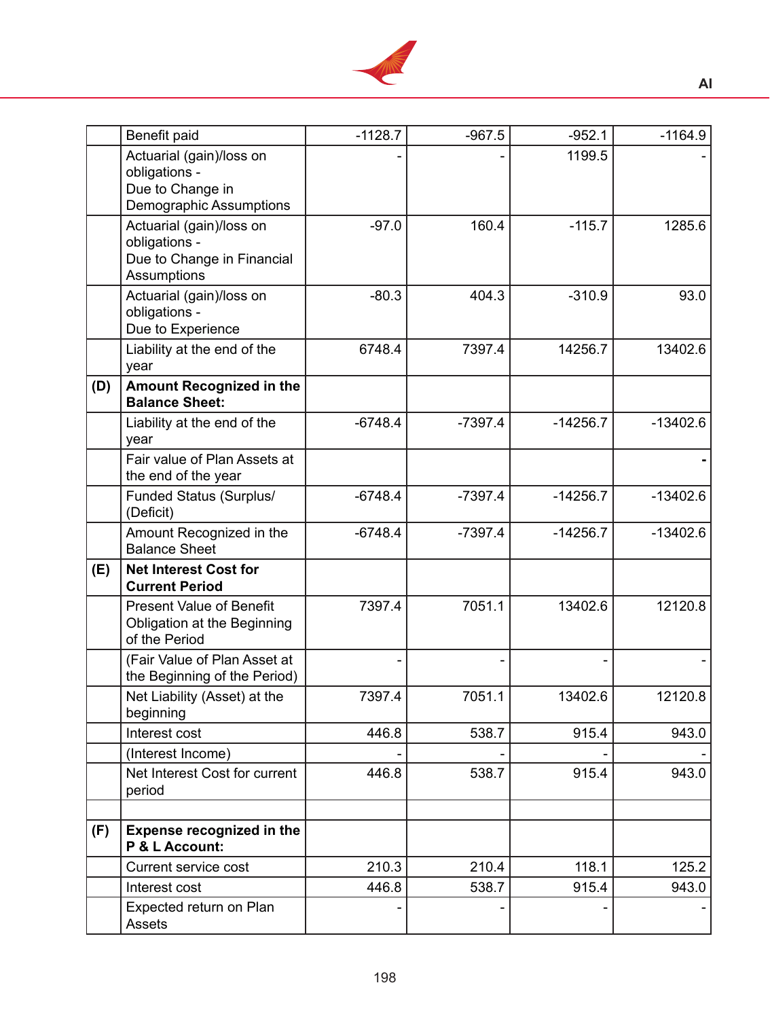

|     | Benefit paid                                                                                  | $-1128.7$ | $-967.5$  | $-952.1$   | $-1164.9$  |
|-----|-----------------------------------------------------------------------------------------------|-----------|-----------|------------|------------|
|     | Actuarial (gain)/loss on<br>obligations -<br>Due to Change in<br>Demographic Assumptions      |           |           | 1199.5     |            |
|     | Actuarial (gain)/loss on<br>obligations -<br>Due to Change in Financial<br><b>Assumptions</b> | $-97.0$   | 160.4     | $-115.7$   | 1285.6     |
|     | Actuarial (gain)/loss on<br>obligations -<br>Due to Experience                                | $-80.3$   | 404.3     | $-310.9$   | 93.0       |
|     | Liability at the end of the<br>year                                                           | 6748.4    | 7397.4    | 14256.7    | 13402.6    |
| (D) | <b>Amount Recognized in the</b><br><b>Balance Sheet:</b>                                      |           |           |            |            |
|     | Liability at the end of the<br>year                                                           | $-6748.4$ | $-7397.4$ | $-14256.7$ | $-13402.6$ |
|     | Fair value of Plan Assets at<br>the end of the year                                           |           |           |            |            |
|     | <b>Funded Status (Surplus/</b><br>(Deficit)                                                   | $-6748.4$ | $-7397.4$ | $-14256.7$ | $-13402.6$ |
|     | Amount Recognized in the<br><b>Balance Sheet</b>                                              | $-6748.4$ | $-7397.4$ | $-14256.7$ | $-13402.6$ |
| (E) | <b>Net Interest Cost for</b><br><b>Current Period</b>                                         |           |           |            |            |
|     | <b>Present Value of Benefit</b><br>Obligation at the Beginning<br>of the Period               | 7397.4    | 7051.1    | 13402.6    | 12120.8    |
|     | (Fair Value of Plan Asset at<br>the Beginning of the Period)                                  |           |           |            |            |
|     | Net Liability (Asset) at the<br>beginning                                                     | 7397.4    | 7051.1    | 13402.6    | 12120.8    |
|     | Interest cost                                                                                 | 446.8     | 538.7     | 915.4      | 943.0      |
|     | (Interest Income)                                                                             |           |           |            |            |
|     | Net Interest Cost for current<br>period                                                       | 446.8     | 538.7     | 915.4      | 943.0      |
| (F) | <b>Expense recognized in the</b><br>P & L Account:                                            |           |           |            |            |
|     | Current service cost                                                                          | 210.3     | 210.4     | 118.1      | 125.2      |
|     | Interest cost                                                                                 | 446.8     | 538.7     | 915.4      | 943.0      |
|     | Expected return on Plan<br>Assets                                                             |           |           |            |            |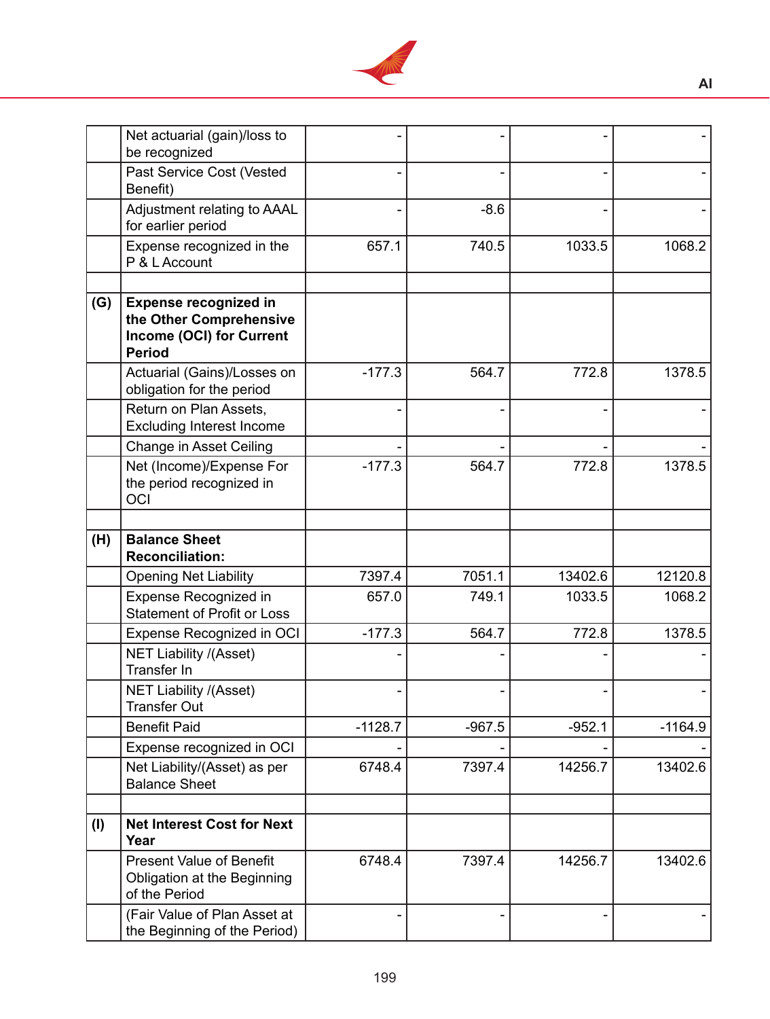

|     | Net actuarial (gain)/loss to<br>be recognized                                                        |           |          |          |           |
|-----|------------------------------------------------------------------------------------------------------|-----------|----------|----------|-----------|
|     | Past Service Cost (Vested<br>Benefit)                                                                |           |          |          |           |
|     | Adjustment relating to AAAL<br>for earlier period                                                    |           | $-8.6$   |          |           |
|     | Expense recognized in the<br>P & L Account                                                           | 657.1     | 740.5    | 1033.5   | 1068.2    |
| (G) | <b>Expense recognized in</b><br>the Other Comprehensive<br>Income (OCI) for Current<br><b>Period</b> |           |          |          |           |
|     | Actuarial (Gains)/Losses on<br>obligation for the period                                             | $-177.3$  | 564.7    | 772.8    | 1378.5    |
|     | Return on Plan Assets,<br><b>Excluding Interest Income</b>                                           |           |          |          |           |
|     | <b>Change in Asset Ceiling</b>                                                                       |           |          |          |           |
|     | Net (Income)/Expense For<br>the period recognized in<br>OCI                                          | $-177.3$  | 564.7    | 772.8    | 1378.5    |
|     |                                                                                                      |           |          |          |           |
| (H) | <b>Balance Sheet</b><br><b>Reconciliation:</b>                                                       |           |          |          |           |
|     | <b>Opening Net Liability</b>                                                                         | 7397.4    | 7051.1   | 13402.6  | 12120.8   |
|     | <b>Expense Recognized in</b><br><b>Statement of Profit or Loss</b>                                   | 657.0     | 749.1    | 1033.5   | 1068.2    |
|     | <b>Expense Recognized in OCI</b>                                                                     | $-177.3$  | 564.7    | 772.8    | 1378.5    |
|     | <b>NET Liability /(Asset)</b><br><b>Transfer In</b>                                                  |           |          |          |           |
|     | <b>NET Liability /(Asset)</b><br><b>Transfer Out</b>                                                 |           |          |          |           |
|     | <b>Benefit Paid</b>                                                                                  | $-1128.7$ | $-967.5$ | $-952.1$ | $-1164.9$ |
|     | Expense recognized in OCI                                                                            |           |          |          |           |
|     | Net Liability/(Asset) as per<br><b>Balance Sheet</b>                                                 | 6748.4    | 7397.4   | 14256.7  | 13402.6   |
| (1) | <b>Net Interest Cost for Next</b><br>Year                                                            |           |          |          |           |
|     | <b>Present Value of Benefit</b><br>Obligation at the Beginning<br>of the Period                      | 6748.4    | 7397.4   | 14256.7  | 13402.6   |
|     | (Fair Value of Plan Asset at<br>the Beginning of the Period)                                         |           |          |          |           |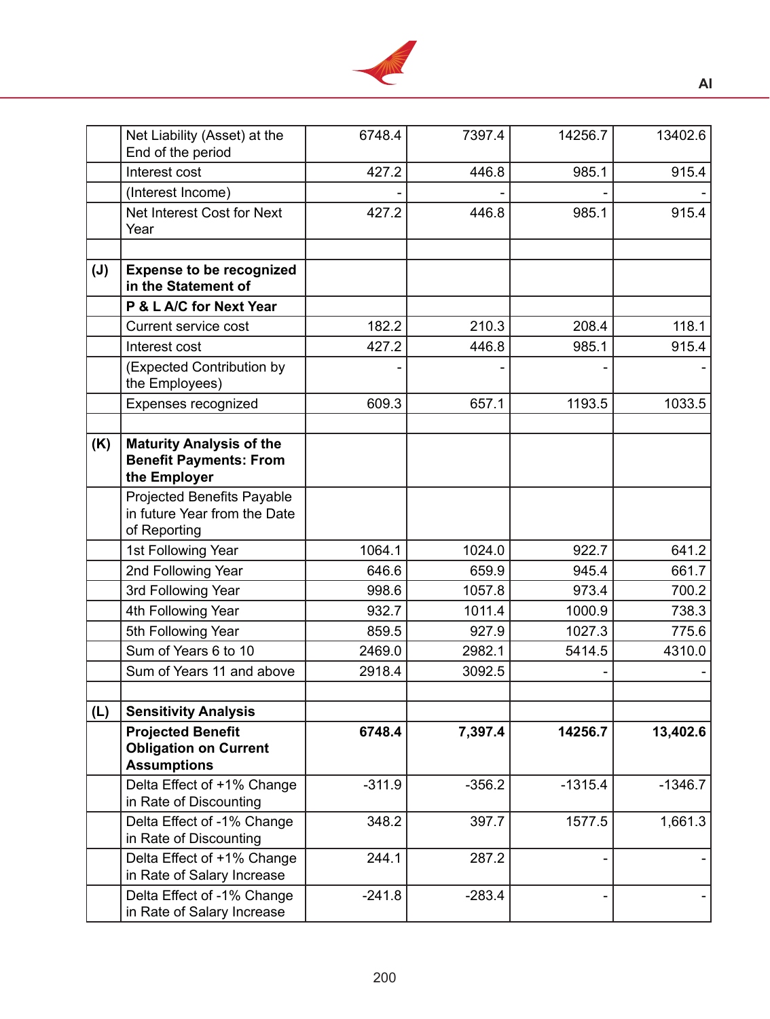

|                | Net Liability (Asset) at the<br>End of the period                                | 6748.4   | 7397.4   | 14256.7   | 13402.6   |
|----------------|----------------------------------------------------------------------------------|----------|----------|-----------|-----------|
|                | Interest cost                                                                    | 427.2    | 446.8    | 985.1     | 915.4     |
|                | (Interest Income)                                                                |          |          |           |           |
|                | Net Interest Cost for Next<br>Year                                               | 427.2    | 446.8    | 985.1     | 915.4     |
| $(\mathsf{J})$ | <b>Expense to be recognized</b><br>in the Statement of                           |          |          |           |           |
|                | P & L A/C for Next Year                                                          |          |          |           |           |
|                | <b>Current service cost</b>                                                      | 182.2    | 210.3    | 208.4     | 118.1     |
|                | Interest cost                                                                    | 427.2    | 446.8    | 985.1     | 915.4     |
|                | (Expected Contribution by<br>the Employees)                                      |          |          |           |           |
|                | Expenses recognized                                                              | 609.3    | 657.1    | 1193.5    | 1033.5    |
| (K)            | <b>Maturity Analysis of the</b><br><b>Benefit Payments: From</b><br>the Employer |          |          |           |           |
|                | Projected Benefits Payable<br>in future Year from the Date<br>of Reporting       |          |          |           |           |
|                | 1st Following Year                                                               | 1064.1   | 1024.0   | 922.7     | 641.2     |
|                | 2nd Following Year                                                               | 646.6    | 659.9    | 945.4     | 661.7     |
|                | 3rd Following Year                                                               | 998.6    | 1057.8   | 973.4     | 700.2     |
|                | 4th Following Year                                                               | 932.7    | 1011.4   | 1000.9    | 738.3     |
|                | 5th Following Year                                                               | 859.5    | 927.9    | 1027.3    | 775.6     |
|                | Sum of Years 6 to 10                                                             | 2469.0   | 2982.1   | 5414.5    | 4310.0    |
|                | Sum of Years 11 and above                                                        | 2918.4   | 3092.5   |           |           |
|                |                                                                                  |          |          |           |           |
| (L)            | <b>Sensitivity Analysis</b>                                                      |          |          |           |           |
|                | <b>Projected Benefit</b><br><b>Obligation on Current</b><br><b>Assumptions</b>   | 6748.4   | 7,397.4  | 14256.7   | 13,402.6  |
|                | Delta Effect of +1% Change<br>in Rate of Discounting                             | $-311.9$ | $-356.2$ | $-1315.4$ | $-1346.7$ |
|                | Delta Effect of -1% Change<br>in Rate of Discounting                             | 348.2    | 397.7    | 1577.5    | 1,661.3   |
|                | Delta Effect of +1% Change<br>in Rate of Salary Increase                         | 244.1    | 287.2    |           |           |
|                | Delta Effect of -1% Change<br>in Rate of Salary Increase                         | $-241.8$ | $-283.4$ |           |           |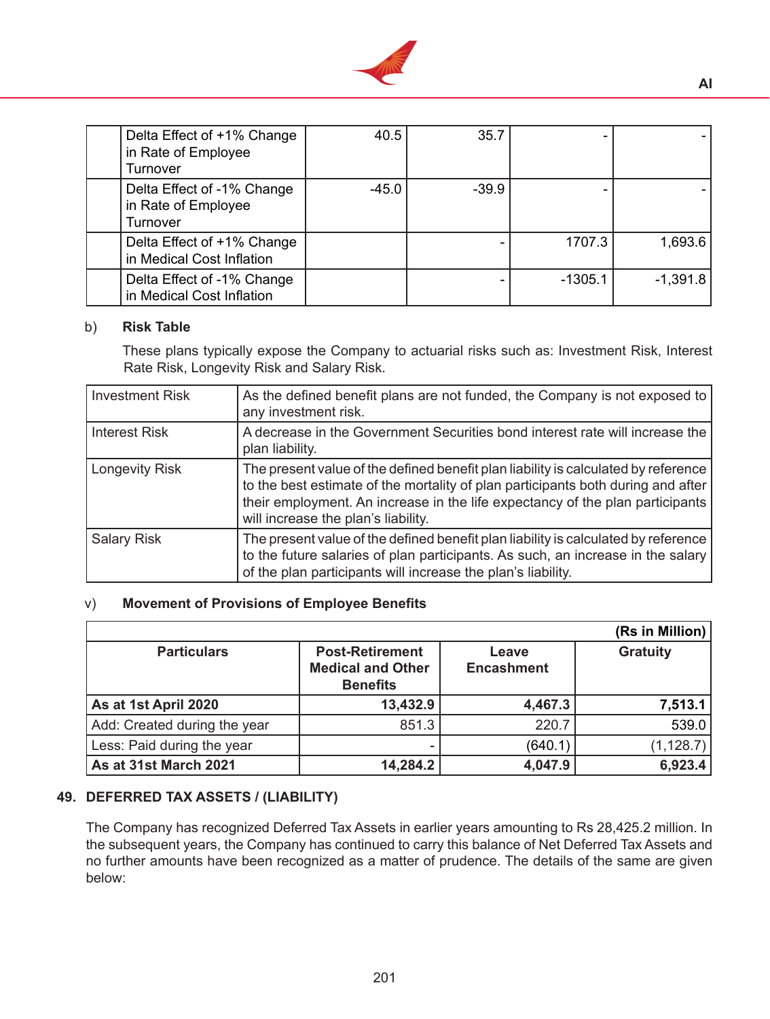

| Delta Effect of +1% Change<br>in Rate of Employee<br>Turnover | 40.5    | 35.7    |           |            |
|---------------------------------------------------------------|---------|---------|-----------|------------|
| Delta Effect of -1% Change<br>in Rate of Employee<br>Turnover | $-45.0$ | $-39.9$ |           |            |
| Delta Effect of +1% Change<br>in Medical Cost Inflation       |         |         | 1707.3    | 1,693.6    |
| Delta Effect of -1% Change<br>in Medical Cost Inflation       |         |         | $-1305.1$ | $-1,391.8$ |

#### b) **Risk Table**

 These plans typically expose the Company to actuarial risks such as: Investment Risk, Interest Rate Risk, Longevity Risk and Salary Risk.

| <b>Investment Risk</b> | As the defined benefit plans are not funded, the Company is not exposed to<br>any investment risk.                                                                                                                                                                                             |
|------------------------|------------------------------------------------------------------------------------------------------------------------------------------------------------------------------------------------------------------------------------------------------------------------------------------------|
| <b>Interest Risk</b>   | A decrease in the Government Securities bond interest rate will increase the<br>plan liability.                                                                                                                                                                                                |
| Longevity Risk         | The present value of the defined benefit plan liability is calculated by reference<br>to the best estimate of the mortality of plan participants both during and after<br>their employment. An increase in the life expectancy of the plan participants<br>will increase the plan's liability. |
| <b>Salary Risk</b>     | The present value of the defined benefit plan liability is calculated by reference<br>to the future salaries of plan participants. As such, an increase in the salary<br>of the plan participants will increase the plan's liability.                                                          |

### v) **Movement of Provisions of Employee Benefits**

|                              |                                                                       |                            | (Rs in Million) |
|------------------------------|-----------------------------------------------------------------------|----------------------------|-----------------|
| <b>Particulars</b>           | <b>Post-Retirement</b><br><b>Medical and Other</b><br><b>Benefits</b> | Leave<br><b>Encashment</b> | <b>Gratuity</b> |
| As at 1st April 2020         | 13,432.9                                                              | 4,467.3                    | 7,513.1         |
| Add: Created during the year | 851.3                                                                 | 220.7                      | 539.0           |
| Less: Paid during the year   |                                                                       | (640.1)                    | (1, 128.7)      |
| As at 31st March 2021        | 14,284.2                                                              | 4,047.9                    | 6,923.4         |

## **49. DEFERRED TAX ASSETS / (LIABILITY)**

The Company has recognized Deferred Tax Assets in earlier years amounting to Rs 28,425.2 million. In the subsequent years, the Company has continued to carry this balance of Net Deferred Tax Assets and no further amounts have been recognized as a matter of prudence. The details of the same are given below: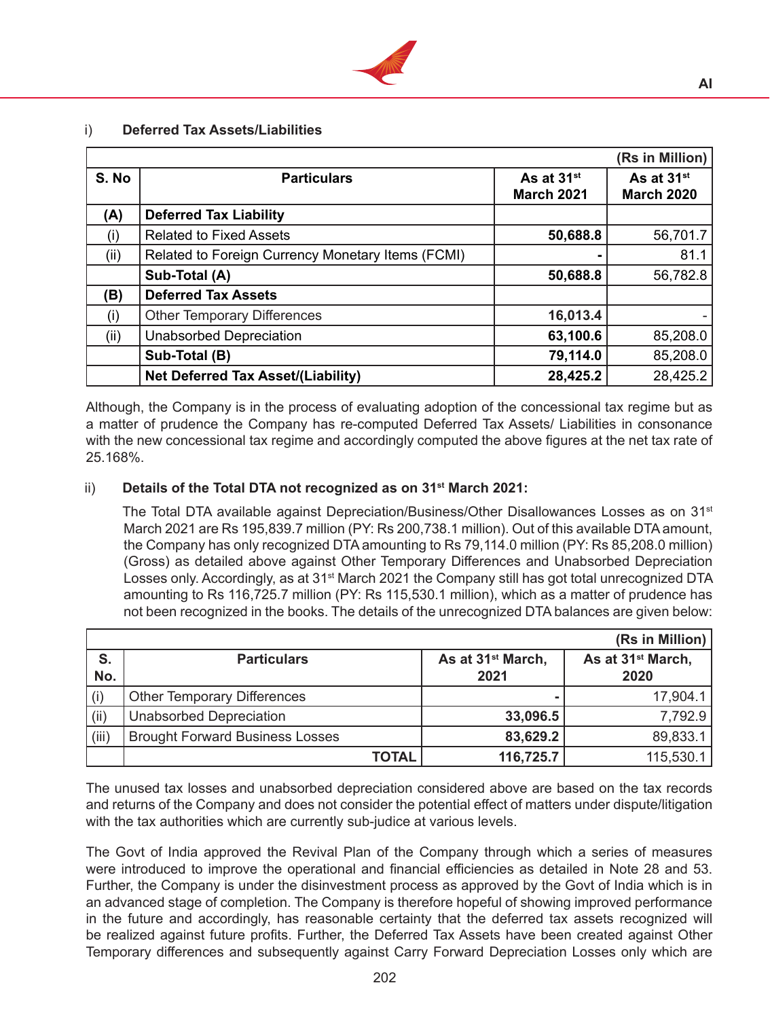

## i) **Deferred Tax Assets/Liabilities**

|       |                                                   |                                             | (Rs in Million)                             |
|-------|---------------------------------------------------|---------------------------------------------|---------------------------------------------|
| S. No | <b>Particulars</b>                                | As at 31 <sup>st</sup><br><b>March 2021</b> | As at 31 <sup>st</sup><br><b>March 2020</b> |
| (A)   | <b>Deferred Tax Liability</b>                     |                                             |                                             |
| (i)   | <b>Related to Fixed Assets</b>                    | 50,688.8                                    | 56,701.7                                    |
| (ii)  | Related to Foreign Currency Monetary Items (FCMI) |                                             | 81.1                                        |
|       | Sub-Total (A)                                     | 50,688.8                                    | 56,782.8                                    |
| (B)   | <b>Deferred Tax Assets</b>                        |                                             |                                             |
| (i)   | <b>Other Temporary Differences</b>                | 16,013.4                                    |                                             |
| (i)   | <b>Unabsorbed Depreciation</b>                    | 63,100.6                                    | 85,208.0                                    |
|       | Sub-Total (B)                                     | 79,114.0                                    | 85,208.0                                    |
|       | <b>Net Deferred Tax Asset/(Liability)</b>         | 28,425.2                                    | 28,425.2                                    |

 Although, the Company is in the process of evaluating adoption of the concessional tax regime but as a matter of prudence the Company has re-computed Deferred Tax Assets/ Liabilities in consonance with the new concessional tax regime and accordingly computed the above figures at the net tax rate of 25.168%.

# ii) **Details of the Total DTA not recognized as on 31st March 2021:**

The Total DTA available against Depreciation/Business/Other Disallowances Losses as on  $31<sup>st</sup>$ March 2021 are Rs 195,839.7 million (PY: Rs 200,738.1 million). Out of this available DTAamount, the Company has only recognized DTA amounting to Rs 79,114.0 million (PY: Rs 85,208.0 million) (Gross) as detailed above against Other Temporary Differences and Unabsorbed Depreciation Losses only. Accordingly, as at 31<sup>st</sup> March 2021 the Company still has got total unrecognized DTA amounting to Rs 116,725.7 million (PY: Rs 115,530.1 million), which as a matter of prudence has not been recognized in the books. The details of the unrecognized DTA balances are given below:

|           |                                        |                                       | (Rs in Million)                       |
|-----------|----------------------------------------|---------------------------------------|---------------------------------------|
| S.<br>No. | <b>Particulars</b>                     | As at 31 <sup>st</sup> March,<br>2021 | As at 31 <sup>st</sup> March,<br>2020 |
| (i)       | <b>Other Temporary Differences</b>     |                                       | 17,904.1                              |
| (ii)      | <b>Unabsorbed Depreciation</b>         | 33,096.5                              | 7,792.9                               |
| (iii)     | <b>Brought Forward Business Losses</b> | 83,629.2                              | 89,833.1                              |
|           | <b>TOTAL</b>                           | 116,725.7                             | 115,530.1                             |

 The unused tax losses and unabsorbed depreciation considered above are based on the tax records and returns of the Company and does not consider the potential effect of matters under dispute/litigation with the tax authorities which are currently sub-judice at various levels.

The Govt of India approved the Revival Plan of the Company through which a series of measures were introduced to improve the operational and financial efficiencies as detailed in Note 28 and 53. Further, the Company is under the disinvestment process as approved by the Govt of India which is in an advanced stage of completion. The Company is therefore hopeful of showing improved performance in the future and accordingly, has reasonable certainty that the deferred tax assets recognized will be realized against future profits. Further, the Deferred Tax Assets have been created against Other Temporary differences and subsequently against Carry Forward Depreciation Losses only which are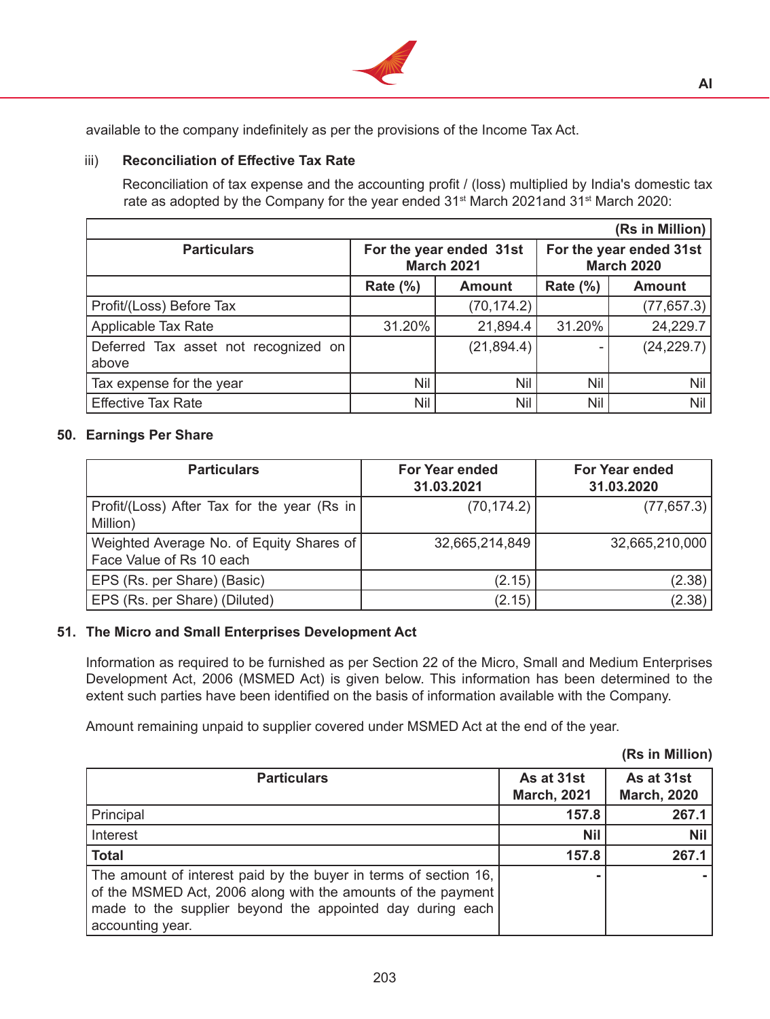

available to the company indefinitely as per the provisions of the Income Tax Act.

## iii) **Reconciliation of Effective Tax Rate**

Reconciliation of tax expense and the accounting profit / (loss) multiplied by India's domestic tax rate as adopted by the Company for the year ended 31<sup>st</sup> March 2021and 31<sup>st</sup> March 2020:

|                                               |                                              |               |                 | (Rs in Million)                              |
|-----------------------------------------------|----------------------------------------------|---------------|-----------------|----------------------------------------------|
| <b>Particulars</b>                            | For the year ended 31st<br><b>March 2021</b> |               |                 | For the year ended 31st<br><b>March 2020</b> |
|                                               | Rate $(\%)$                                  | <b>Amount</b> | <b>Rate (%)</b> | <b>Amount</b>                                |
| Profit/(Loss) Before Tax                      |                                              | (70, 174.2)   |                 | (77, 657.3)                                  |
| Applicable Tax Rate                           | 31.20%                                       | 21,894.4      | 31.20%          | 24,229.7                                     |
| Deferred Tax asset not recognized on<br>above |                                              | (21, 894.4)   |                 | (24, 229.7)                                  |
| Tax expense for the year                      | Nil                                          | Nil           | Nil             | Nil                                          |
| <b>Effective Tax Rate</b>                     | Nil                                          | Nil           | Nil             | Nil                                          |

### **50. Earnings Per Share**

| <b>Particulars</b>                                                   | <b>For Year ended</b><br>31.03.2021 | <b>For Year ended</b><br>31.03.2020 |
|----------------------------------------------------------------------|-------------------------------------|-------------------------------------|
| Profit/(Loss) After Tax for the year (Rs in<br>Million)              | (70, 174.2)                         | (77, 657.3)                         |
| Weighted Average No. of Equity Shares of<br>Face Value of Rs 10 each | 32,665,214,849                      | 32,665,210,000                      |
| EPS (Rs. per Share) (Basic)                                          | (2.15)                              | (2.38)                              |
| EPS (Rs. per Share) (Diluted)                                        | (2.15)                              | (2.38)                              |

### **51. The Micro and Small Enterprises Development Act**

Information as required to be furnished as per Section 22 of the Micro, Small and Medium Enterprises Development Act, 2006 (MSMED Act) is given below. This information has been determined to the extent such parties have been identified on the basis of information available with the Company.

Amount remaining unpaid to supplier covered under MSMED Act at the end of the year.

|  |  |  | (Rs in Million) |
|--|--|--|-----------------|
|--|--|--|-----------------|

| <b>Particulars</b>                                               | As at 31st         | As at 31st         |
|------------------------------------------------------------------|--------------------|--------------------|
|                                                                  | <b>March, 2021</b> | <b>March, 2020</b> |
| Principal                                                        | 157.8              | 267.1              |
| Interest                                                         | <b>Nil</b>         | <b>Nil</b>         |
| <b>Total</b>                                                     | 157.8              | 267.1              |
| The amount of interest paid by the buyer in terms of section 16, |                    |                    |
| of the MSMED Act, 2006 along with the amounts of the payment     |                    |                    |
| made to the supplier beyond the appointed day during each        |                    |                    |
| accounting year.                                                 |                    |                    |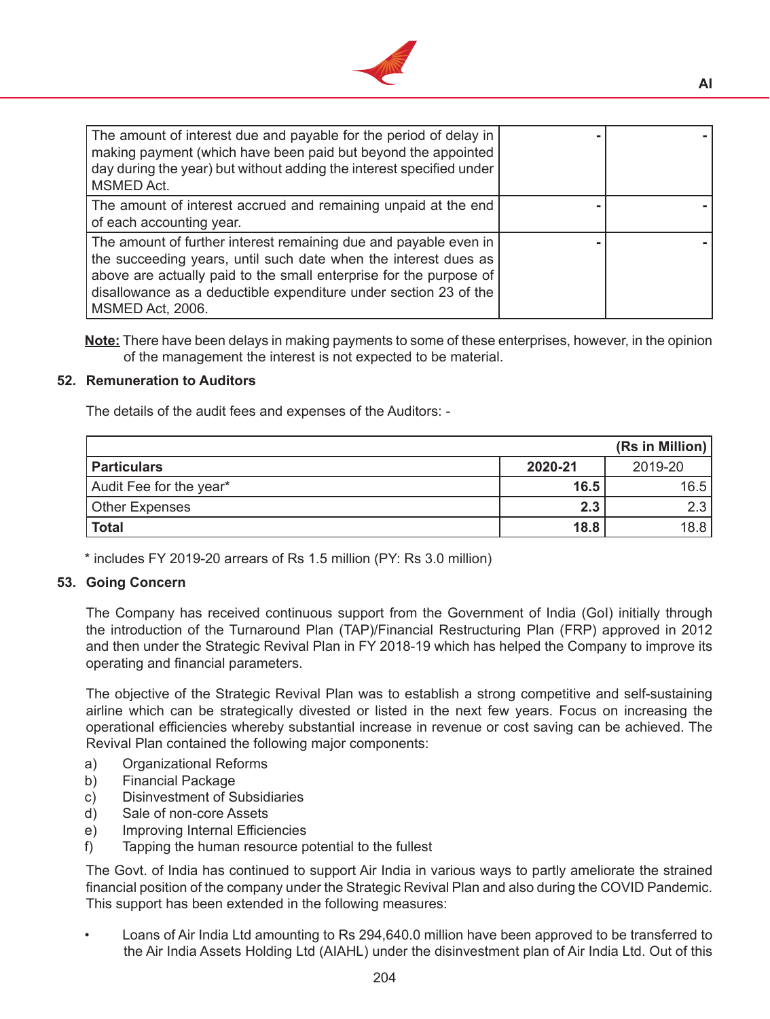

| The amount of interest due and payable for the period of delay in<br>making payment (which have been paid but beyond the appointed<br>day during the year) but without adding the interest specified under<br><b>MSMED Act.</b>                                                                   |  |
|---------------------------------------------------------------------------------------------------------------------------------------------------------------------------------------------------------------------------------------------------------------------------------------------------|--|
| The amount of interest accrued and remaining unpaid at the end<br>of each accounting year.                                                                                                                                                                                                        |  |
| The amount of further interest remaining due and payable even in<br>the succeeding years, until such date when the interest dues as<br>above are actually paid to the small enterprise for the purpose of<br>disallowance as a deductible expenditure under section 23 of the<br>MSMED Act, 2006. |  |

**Note:** There have been delays in making payments to some of these enterprises, however, in the opinion of the management the interest is not expected to be material.

### **52. Remuneration to Auditors**

 The details of the audit fees and expenses of the Auditors: -

|                         |         | (Rs in Million) |
|-------------------------|---------|-----------------|
| <b>Particulars</b>      | 2020-21 | 2019-20         |
| Audit Fee for the year* | 16.5    | 16.5            |
| Other Expenses          | 2.3     | 2.3             |
| Total                   | 18.8    | 18.8            |

\* includes FY 2019-20 arrears of Rs 1.5 million (PY: Rs 3.0 million)

### **53. Going Concern**

The Company has received continuous support from the Government of India (GoI) initially through the introduction of the Turnaround Plan (TAP)/Financial Restructuring Plan (FRP) approved in 2012 and then under the Strategic Revival Plan in FY 2018-19 which has helped the Company to improve its operating and financial parameters.

 The objective of the Strategic Revival Plan was to establish a strong competitive and self-sustaining airline which can be strategically divested or listed in the next few years. Focus on increasing the operational efficiencies whereby substantial increase in revenue or cost saving can be achieved. The Revival Plan contained the following major components:

- a) Organizational Reforms
- b) Financial Package
- c) Disinvestment of Subsidiaries
- d) Sale of non-core Assets
- e) Improving Internal Efficiencies
- f) Tapping the human resource potential to the fullest

The Govt. of India has continued to support Air India in various ways to partly ameliorate the strained financial position of the company under the Strategic Revival Plan and also during the COVID Pandemic. This support has been extended in the following measures:

Loans of Air India Ltd amounting to Rs 294,640.0 million have been approved to be transferred to the Air India Assets Holding Ltd (AIAHL) under the disinvestment plan of Air India Ltd. Out of this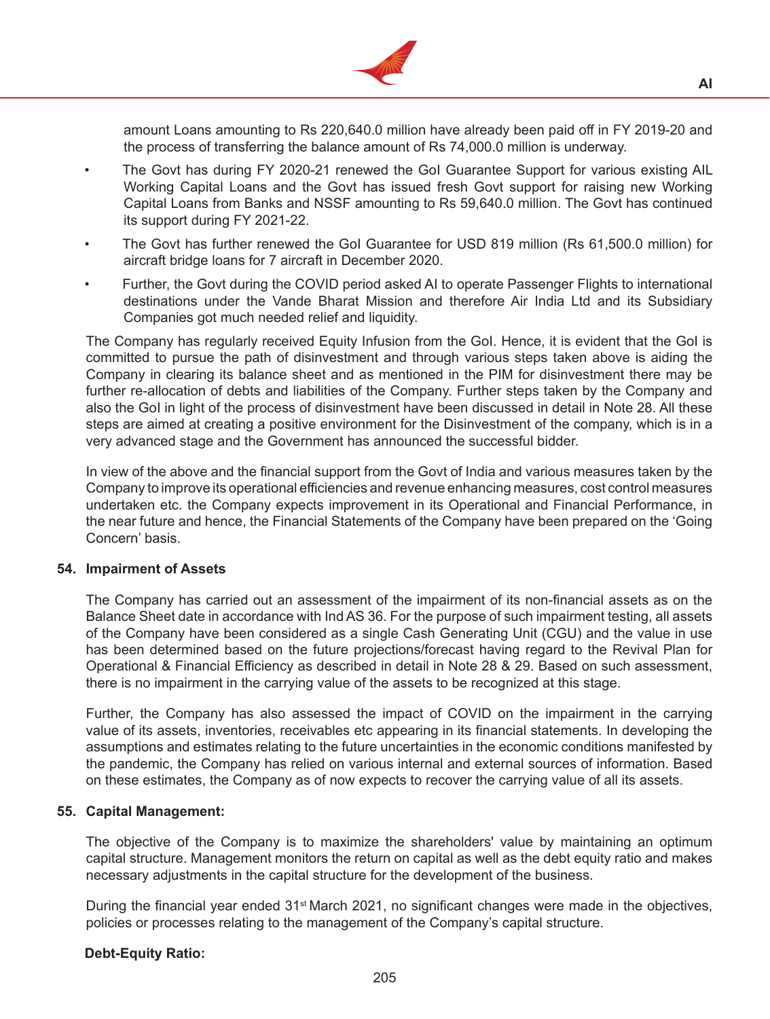

amount Loans amounting to Rs 220,640.0 million have already been paid off in FY 2019-20 and the process of transferring the balance amount of Rs 74,000.0 million is underway.

- The Govt has during FY 2020-21 renewed the GoI Guarantee Support for various existing AIL Working Capital Loans and the Govt has issued fresh Govt support for raising new Working Capital Loans from Banks and NSSF amounting to Rs 59,640.0 million. The Govt has continued its support during FY 2021-22.
- The Govt has further renewed the GoI Guarantee for USD 819 million (Rs 61,500.0 million) for aircraft bridge loans for 7 aircraft in December 2020.
- Further, the Govt during the COVID period asked AI to operate Passenger Flights to international destinations under the Vande Bharat Mission and therefore Air India Ltd and its Subsidiary Companies got much needed relief and liquidity.

 The Company has regularly received Equity Infusion from the GoI. Hence, it is evident that the GoI is committed to pursue the path of disinvestment and through various steps taken above is aiding the Company in clearing its balance sheet and as mentioned in the PIM for disinvestment there may be further re-allocation of debts and liabilities of the Company. Further steps taken by the Company and also the GoI in light of the process of disinvestment have been discussed in detail in Note 28. All these steps are aimed at creating a positive environment for the Disinvestment of the company, which is in a very advanced stage and the Government has announced the successful bidder.

 In view of the above and the financial support from the Govt of India and various measures taken by the Company to improve its operational efficiencies and revenue enhancing measures, cost control measures undertaken etc. the Company expects improvement in its Operational and Financial Performance, in the near future and hence, the Financial Statements of the Company have been prepared on the 'Going Concern' basis.

#### **54. Impairment of Assets**

The Company has carried out an assessment of the impairment of its non-financial assets as on the Balance Sheet date in accordance with Ind AS 36. For the purpose of such impairment testing, all assets of the Company have been considered as a single Cash Generating Unit (CGU) and the value in use has been determined based on the future projections/forecast having regard to the Revival Plan for Operational & Financial Efficiency as described in detail in Note 28 & 29. Based on such assessment, there is no impairment in the carrying value of the assets to be recognized at this stage.

 Further, the Company has also assessed the impact of COVID on the impairment in the carrying value of its assets, inventories, receivables etc appearing in its financial statements. In developing the assumptions and estimates relating to the future uncertainties in the economic conditions manifested by the pandemic, the Company has relied on various internal and external sources of information. Based on these estimates, the Company as of now expects to recover the carrying value of all its assets.

#### **55. Capital Management:**

The objective of the Company is to maximize the shareholders' value by maintaining an optimum capital structure. Management monitors the return on capital as well as the debt equity ratio and makes necessary adjustments in the capital structure for the development of the business.

During the financial year ended  $31<sup>st</sup>$  March 2021, no significant changes were made in the objectives, policies or processes relating to the management of the Company's capital structure.

#### **Debt-Equity Ratio:**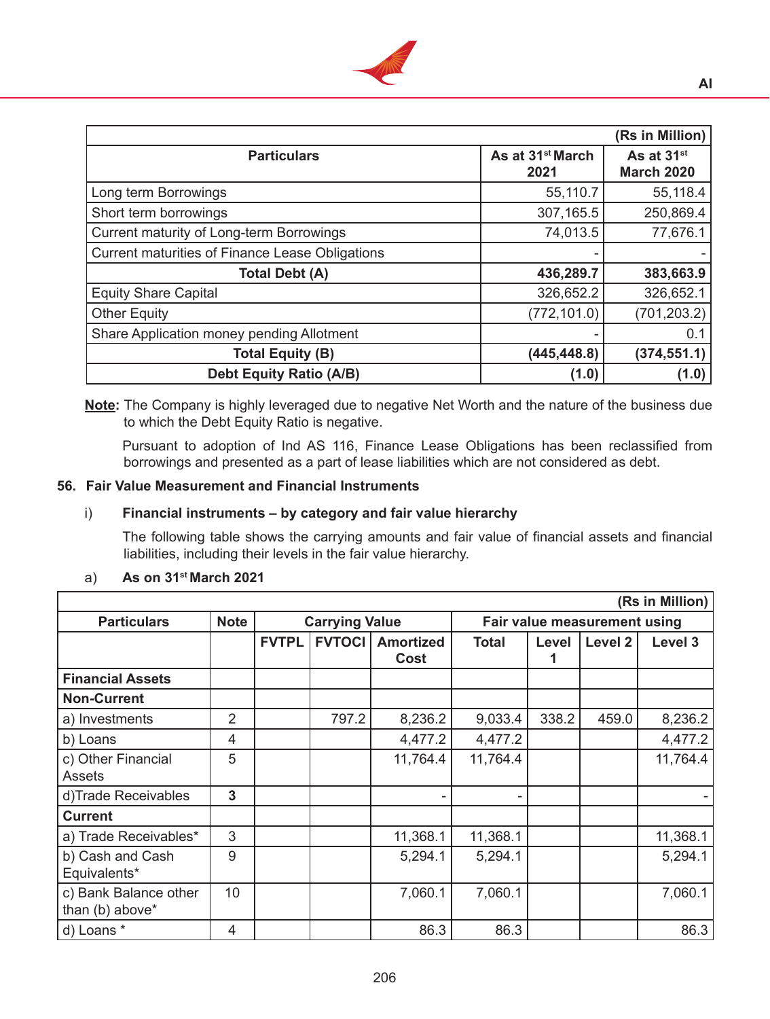

|                                                        |                                      | (Rs in Million)                             |
|--------------------------------------------------------|--------------------------------------|---------------------------------------------|
| <b>Particulars</b>                                     | As at 31 <sup>st</sup> March<br>2021 | As at 31 <sup>st</sup><br><b>March 2020</b> |
| Long term Borrowings                                   | 55,110.7                             | 55,118.4                                    |
| Short term borrowings                                  | 307,165.5                            | 250,869.4                                   |
| <b>Current maturity of Long-term Borrowings</b>        | 74,013.5                             | 77,676.1                                    |
| <b>Current maturities of Finance Lease Obligations</b> |                                      |                                             |
| <b>Total Debt (A)</b>                                  | 436,289.7                            | 383,663.9                                   |
| <b>Equity Share Capital</b>                            | 326,652.2                            | 326,652.1                                   |
| <b>Other Equity</b>                                    | (772, 101.0)                         | (701, 203.2)                                |
| Share Application money pending Allotment              |                                      | 0.1                                         |
| <b>Total Equity (B)</b>                                | (445, 448.8)                         | (374, 551.1)                                |
| <b>Debt Equity Ratio (A/B)</b>                         | (1.0)                                | (1.0)                                       |

**Note:** The Company is highly leveraged due to negative Net Worth and the nature of the business due to which the Debt Equity Ratio is negative.

 Pursuant to adoption of Ind AS 116, Finance Lease Obligations has been reclassified from borrowings and presented as a part of lease liabilities which are not considered as debt.

## **56. Fair Value Measurement and Financial Instruments**

### i) **Financial instruments – by category and fair value hierarchy**

 The following table shows the carrying amounts and fair value of financial assets and financial liabilities, including their levels in the fair value hierarchy.

| (Rs in Million)         |             |              |                                    |          |                              |       |         |          |  |  |
|-------------------------|-------------|--------------|------------------------------------|----------|------------------------------|-------|---------|----------|--|--|
| <b>Particulars</b>      | <b>Note</b> |              | <b>Carrying Value</b>              |          | Fair value measurement using |       |         |          |  |  |
|                         |             | <b>FVTPL</b> | <b>FVTOCII</b><br><b>Amortized</b> |          | <b>Total</b>                 | Level | Level 2 | Level 3  |  |  |
|                         |             |              |                                    | Cost     |                              |       |         |          |  |  |
| <b>Financial Assets</b> |             |              |                                    |          |                              |       |         |          |  |  |
| <b>Non-Current</b>      |             |              |                                    |          |                              |       |         |          |  |  |
| a) Investments          | 2           |              | 797.2                              | 8,236.2  | 9,033.4                      | 338.2 | 459.0   | 8,236.2  |  |  |
| b) Loans                | 4           |              |                                    | 4,477.2  | 4,477.2                      |       |         | 4,477.2  |  |  |
| c) Other Financial      | 5           |              |                                    | 11,764.4 | 11,764.4                     |       |         | 11,764.4 |  |  |
| <b>Assets</b>           |             |              |                                    |          |                              |       |         |          |  |  |
| d)Trade Receivables     | 3           |              |                                    |          |                              |       |         |          |  |  |
| <b>Current</b>          |             |              |                                    |          |                              |       |         |          |  |  |
| a) Trade Receivables*   | 3           |              |                                    | 11,368.1 | 11,368.1                     |       |         | 11,368.1 |  |  |
| b) Cash and Cash        | 9           |              |                                    | 5,294.1  | 5,294.1                      |       |         | 5,294.1  |  |  |
| Equivalents*            |             |              |                                    |          |                              |       |         |          |  |  |
| c) Bank Balance other   | 10          |              |                                    | 7,060.1  | 7,060.1                      |       |         | 7,060.1  |  |  |
| than (b) above*         |             |              |                                    |          |                              |       |         |          |  |  |
| d) Loans *              | 4           |              |                                    | 86.3     | 86.3                         |       |         | 86.3     |  |  |

### a) **As on 31st March 2021**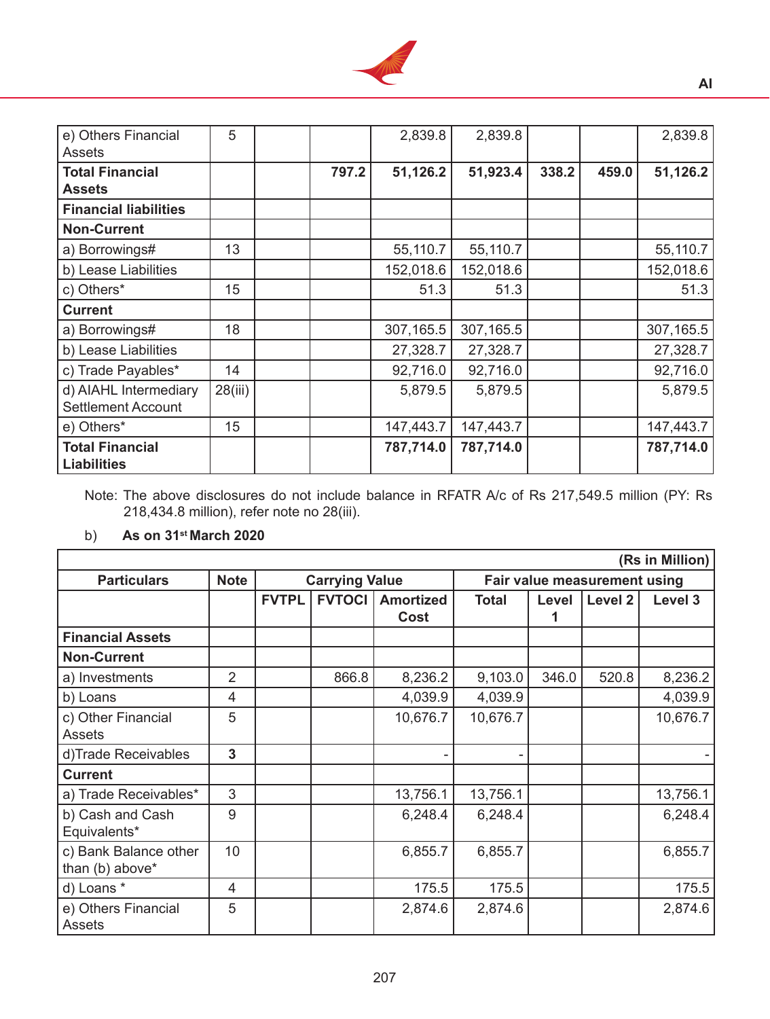

| e) Others Financial<br><b>Assets</b>               | 5       |       | 2,839.8   | 2,839.8   |       |       | 2,839.8   |
|----------------------------------------------------|---------|-------|-----------|-----------|-------|-------|-----------|
| <b>Total Financial</b><br><b>Assets</b>            |         | 797.2 | 51,126.2  | 51,923.4  | 338.2 | 459.0 | 51,126.2  |
| <b>Financial liabilities</b>                       |         |       |           |           |       |       |           |
| <b>Non-Current</b>                                 |         |       |           |           |       |       |           |
| a) Borrowings#                                     | 13      |       | 55,110.7  | 55,110.7  |       |       | 55,110.7  |
| b) Lease Liabilities                               |         |       | 152,018.6 | 152,018.6 |       |       | 152,018.6 |
| c) Others*                                         | 15      |       | 51.3      | 51.3      |       |       | 51.3      |
| <b>Current</b>                                     |         |       |           |           |       |       |           |
| a) Borrowings#                                     | 18      |       | 307,165.5 | 307,165.5 |       |       | 307,165.5 |
| b) Lease Liabilities                               |         |       | 27,328.7  | 27,328.7  |       |       | 27,328.7  |
| c) Trade Payables*                                 | 14      |       | 92,716.0  | 92,716.0  |       |       | 92,716.0  |
| d) AIAHL Intermediary<br><b>Settlement Account</b> | 28(iii) |       | 5,879.5   | 5,879.5   |       |       | 5,879.5   |
| e) Others*                                         | 15      |       | 147,443.7 | 147,443.7 |       |       | 147,443.7 |
| <b>Total Financial</b><br><b>Liabilities</b>       |         |       | 787,714.0 | 787,714.0 |       |       | 787,714.0 |

Note: The above disclosures do not include balance in RFATR A/c of Rs 217,549.5 million (PY: Rs 218,434.8 million), refer note no 28(iii).

# b) **As on 31st March 2020**

| (Rs in Million)                          |                |                       |               |                          |                              |       |         |          |  |  |
|------------------------------------------|----------------|-----------------------|---------------|--------------------------|------------------------------|-------|---------|----------|--|--|
| <b>Particulars</b>                       | <b>Note</b>    | <b>Carrying Value</b> |               |                          | Fair value measurement using |       |         |          |  |  |
|                                          |                | <b>FVTPL</b>          | <b>FVTOCI</b> | <b>Amortized</b><br>Cost | <b>Total</b>                 | Level | Level 2 | Level 3  |  |  |
| <b>Financial Assets</b>                  |                |                       |               |                          |                              |       |         |          |  |  |
| <b>Non-Current</b>                       |                |                       |               |                          |                              |       |         |          |  |  |
| a) Investments                           | $\overline{2}$ |                       | 866.8         | 8,236.2                  | 9,103.0                      | 346.0 | 520.8   | 8,236.2  |  |  |
| b) Loans                                 | 4              |                       |               | 4,039.9                  | 4,039.9                      |       |         | 4,039.9  |  |  |
| c) Other Financial<br><b>Assets</b>      | 5              |                       |               | 10,676.7                 | 10,676.7                     |       |         | 10,676.7 |  |  |
| d)Trade Receivables                      | 3              |                       |               |                          |                              |       |         |          |  |  |
| <b>Current</b>                           |                |                       |               |                          |                              |       |         |          |  |  |
| a) Trade Receivables*                    | 3              |                       |               | 13,756.1                 | 13,756.1                     |       |         | 13,756.1 |  |  |
| b) Cash and Cash<br>Equivalents*         | 9              |                       |               | 6,248.4                  | 6,248.4                      |       |         | 6,248.4  |  |  |
| c) Bank Balance other<br>than (b) above* | 10             |                       |               | 6,855.7                  | 6,855.7                      |       |         | 6,855.7  |  |  |
| d) Loans *                               | 4              |                       |               | 175.5                    | 175.5                        |       |         | 175.5    |  |  |
| e) Others Financial<br>Assets            | 5              |                       |               | 2,874.6                  | 2,874.6                      |       |         | 2,874.6  |  |  |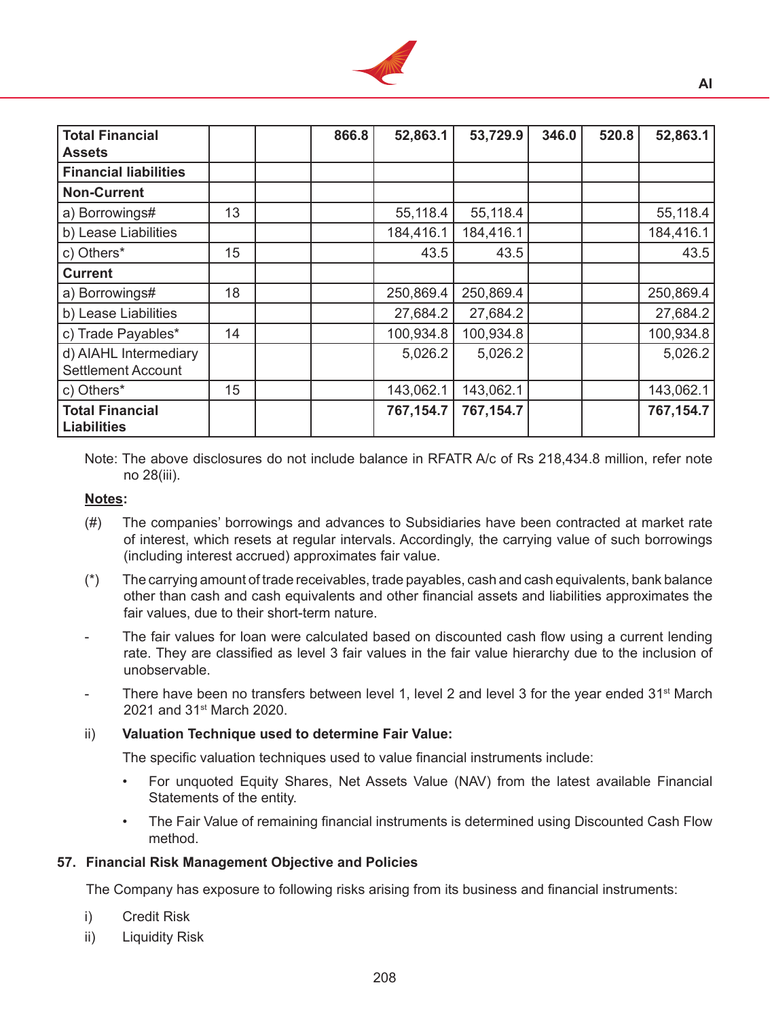

**AI**

| <b>Total Financial</b><br><b>Assets</b>            |    | 866.8 | 52,863.1  | 53,729.9  | 346.0 | 520.8 | 52,863.1  |
|----------------------------------------------------|----|-------|-----------|-----------|-------|-------|-----------|
| <b>Financial liabilities</b>                       |    |       |           |           |       |       |           |
| <b>Non-Current</b>                                 |    |       |           |           |       |       |           |
| a) Borrowings#                                     | 13 |       | 55,118.4  | 55,118.4  |       |       | 55,118.4  |
| b) Lease Liabilities                               |    |       | 184,416.1 | 184,416.1 |       |       | 184,416.1 |
| c) Others*                                         | 15 |       | 43.5      | 43.5      |       |       | 43.5      |
| <b>Current</b>                                     |    |       |           |           |       |       |           |
| a) Borrowings#                                     | 18 |       | 250,869.4 | 250,869.4 |       |       | 250,869.4 |
| b) Lease Liabilities                               |    |       | 27,684.2  | 27,684.2  |       |       | 27,684.2  |
| c) Trade Payables*                                 | 14 |       | 100,934.8 | 100,934.8 |       |       | 100,934.8 |
| d) AIAHL Intermediary<br><b>Settlement Account</b> |    |       | 5,026.2   | 5,026.2   |       |       | 5,026.2   |
| c) Others*                                         | 15 |       | 143,062.1 | 143,062.1 |       |       | 143,062.1 |
| <b>Total Financial</b><br><b>Liabilities</b>       |    |       | 767,154.7 | 767,154.7 |       |       | 767,154.7 |

Note: The above disclosures do not include balance in RFATR A/c of Rs 218,434.8 million, refer note no 28(iii).

#### **Notes:**

- (#) The companies' borrowings and advances to Subsidiaries have been contracted at market rate of interest, which resets at regular intervals. Accordingly, the carrying value of such borrowings (including interest accrued) approximates fair value.
- (\*) The carrying amount of trade receivables, trade payables, cash and cash equivalents, bank balance other than cash and cash equivalents and other financial assets and liabilities approximates the fair values, due to their short-term nature.
- The fair values for loan were calculated based on discounted cash flow using a current lending rate. They are classified as level 3 fair values in the fair value hierarchy due to the inclusion of unobservable.
- There have been no transfers between level 1, level 2 and level 3 for the year ended  $31<sup>st</sup>$  March 2021 and 31<sup>st</sup> March 2020.

#### ii) **Valuation Technique used to determine Fair Value:**

 The specific valuation techniques used to value financial instruments include:

- For unquoted Equity Shares, Net Assets Value (NAV) from the latest available Financial Statements of the entity.
- The Fair Value of remaining financial instruments is determined using Discounted Cash Flow method.

#### **57. Financial Risk Management Objective and Policies**

The Company has exposure to following risks arising from its business and financial instruments:

- i) Credit Risk
- ii) Liquidity Risk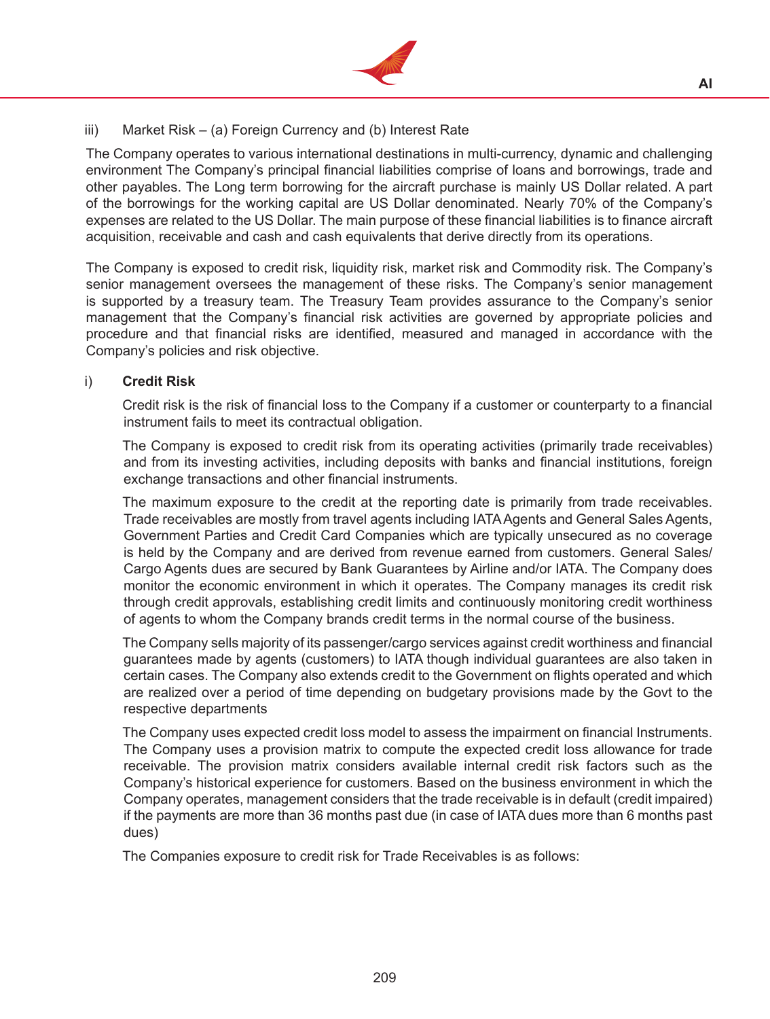

**AI**

# $iii)$  Market Risk – (a) Foreign Currency and (b) Interest Rate

 The Company operates to various international destinations in multi-currency, dynamic and challenging environment The Company's principal financial liabilities comprise of loans and borrowings, trade and other payables. The Long term borrowing for the aircraft purchase is mainly US Dollar related. A part of the borrowings for the working capital are US Dollar denominated. Nearly 70% of the Company's expenses are related to the US Dollar. The main purpose of these financial liabilities is to finance aircraft acquisition, receivable and cash and cash equivalents that derive directly from its operations.

 The Company is exposed to credit risk, liquidity risk, market risk and Commodity risk. The Company's senior management oversees the management of these risks. The Company's senior management is supported by a treasury team. The Treasury Team provides assurance to the Company's senior management that the Company's financial risk activities are governed by appropriate policies and procedure and that financial risks are identified, measured and managed in accordance with the Company's policies and risk objective.

## i) **Credit Risk**

Credit risk is the risk of financial loss to the Company if a customer or counterparty to a financial instrument fails to meet its contractual obligation.

 The Company is exposed to credit risk from its operating activities (primarily trade receivables) and from its investing activities, including deposits with banks and financial institutions, foreign exchange transactions and other financial instruments.

 The maximum exposure to the credit at the reporting date is primarily from trade receivables. Trade receivables are mostly from travel agents including IATAAgents and General Sales Agents, Government Parties and Credit Card Companies which are typically unsecured as no coverage is held by the Company and are derived from revenue earned from customers. General Sales/ Cargo Agents dues are secured by Bank Guarantees by Airline and/or IATA. The Company does monitor the economic environment in which it operates. The Company manages its credit risk through credit approvals, establishing credit limits and continuously monitoring credit worthiness of agents to whom the Company brands credit terms in the normal course of the business.

 The Company sells majority of its passenger/cargo services against credit worthiness and financial guarantees made by agents (customers) to IATA though individual guarantees are also taken in certain cases. The Company also extends credit to the Government on flights operated and which are realized over a period of time depending on budgetary provisions made by the Govt to the respective departments

 The Company uses expected credit loss model to assess the impairment on financial Instruments. The Company uses a provision matrix to compute the expected credit loss allowance for trade receivable. The provision matrix considers available internal credit risk factors such as the Company's historical experience for customers. Based on the business environment in which the Company operates, management considers that the trade receivable is in default (credit impaired) if the payments are more than 36 months past due (in case of IATA dues more than 6 months past dues)

 The Companies exposure to credit risk for Trade Receivables is as follows: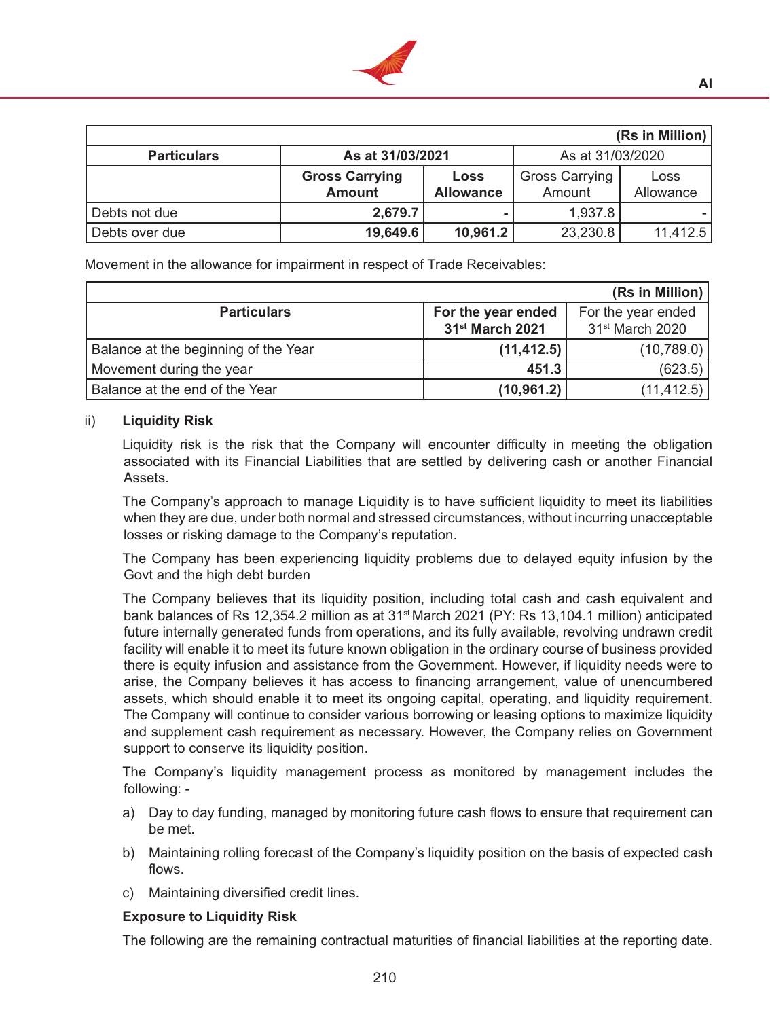

| (Rs in Million)    |                       |                  |                       |           |  |  |  |  |  |
|--------------------|-----------------------|------------------|-----------------------|-----------|--|--|--|--|--|
| <b>Particulars</b> | As at 31/03/2021      |                  | As at 31/03/2020      |           |  |  |  |  |  |
|                    | <b>Gross Carrying</b> | <b>Loss</b>      | <b>Gross Carrying</b> | Loss      |  |  |  |  |  |
|                    | <b>Amount</b>         | <b>Allowance</b> | Amount                | Allowance |  |  |  |  |  |
| Debts not due      | 2,679.7               |                  | 1,937.8               |           |  |  |  |  |  |
| Debts over due     | 19,649.6              | 10,961.2         | 23,230.8              | 11,412.5  |  |  |  |  |  |

Movement in the allowance for impairment in respect of Trade Receivables:

|                                      |                             | $(Rs in$ Million)           |
|--------------------------------------|-----------------------------|-----------------------------|
| <b>Particulars</b>                   | For the year ended          | For the year ended          |
|                                      | 31 <sup>st</sup> March 2021 | 31 <sup>st</sup> March 2020 |
| Balance at the beginning of the Year | (11, 412.5)                 | (10,789.0)                  |
| Movement during the year             | 451.3                       | (623.5)                     |
| Balance at the end of the Year       | (10, 961.2)                 | (11, 412.5)                 |

#### ii) **Liquidity Risk**

Liquidity risk is the risk that the Company will encounter difficulty in meeting the obligation associated with its Financial Liabilities that are settled by delivering cash or another Financial Assets.

 The Company's approach to manage Liquidity is to have sufficient liquidity to meet its liabilities when they are due, under both normal and stressed circumstances, without incurring unacceptable losses or risking damage to the Company's reputation.

 The Company has been experiencing liquidity problems due to delayed equity infusion by the Govt and the high debt burden

 The Company believes that its liquidity position, including total cash and cash equivalent and bank balances of Rs 12,354.2 million as at 31st March 2021 (PY: Rs 13,104.1 million) anticipated future internally generated funds from operations, and its fully available, revolving undrawn credit facility will enable it to meet its future known obligation in the ordinary course of business provided there is equity infusion and assistance from the Government. However, if liquidity needs were to arise, the Company believes it has access to financing arrangement, value of unencumbered assets, which should enable it to meet its ongoing capital, operating, and liquidity requirement. The Company will continue to consider various borrowing or leasing options to maximize liquidity and supplement cash requirement as necessary. However, the Company relies on Government support to conserve its liquidity position.

 The Company's liquidity management process as monitored by management includes the following: -

- a) Day to day funding, managed by monitoring future cash flows to ensure that requirement can be met.
- b) Maintaining rolling forecast of the Company's liquidity position on the basis of expected cash flows.
- c) Maintaining diversified credit lines.

#### **Exposure to Liquidity Risk**

 The following are the remaining contractual maturities of financial liabilities at the reporting date.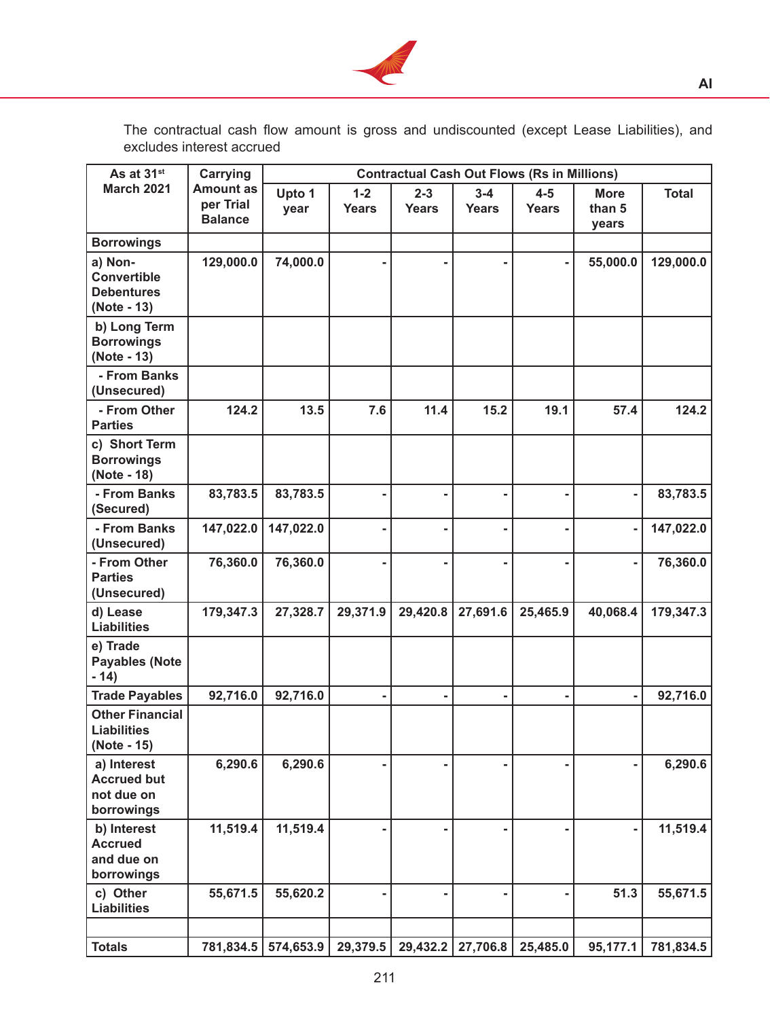

The contractual cash flow amount is gross and undiscounted (except Lease Liabilities), and excludes interest accrued

| As at 31 <sup>st</sup>                                            | <b>Carrying</b>                                 |                |                         |                         |                         | <b>Contractual Cash Out Flows (Rs in Millions)</b> |                                |              |
|-------------------------------------------------------------------|-------------------------------------------------|----------------|-------------------------|-------------------------|-------------------------|----------------------------------------------------|--------------------------------|--------------|
| <b>March 2021</b>                                                 | <b>Amount as</b><br>per Trial<br><b>Balance</b> | Upto 1<br>year | $1 - 2$<br><b>Years</b> | $2 - 3$<br><b>Years</b> | $3 - 4$<br><b>Years</b> | $4 - 5$<br><b>Years</b>                            | <b>More</b><br>than 5<br>years | <b>Total</b> |
| <b>Borrowings</b>                                                 |                                                 |                |                         |                         |                         |                                                    |                                |              |
| a) Non-<br><b>Convertible</b><br><b>Debentures</b><br>(Note - 13) | 129,000.0                                       | 74,000.0       |                         |                         |                         |                                                    | 55,000.0                       | 129,000.0    |
| b) Long Term<br><b>Borrowings</b><br>(Note - 13)                  |                                                 |                |                         |                         |                         |                                                    |                                |              |
| - From Banks<br>(Unsecured)                                       |                                                 |                |                         |                         |                         |                                                    |                                |              |
| - From Other<br><b>Parties</b>                                    | 124.2                                           | 13.5           | 7.6                     | 11.4                    | 15.2                    | 19.1                                               | 57.4                           | 124.2        |
| c) Short Term<br><b>Borrowings</b><br>(Note - 18)                 |                                                 |                |                         |                         |                         |                                                    |                                |              |
| - From Banks<br>(Secured)                                         | 83,783.5                                        | 83,783.5       |                         |                         |                         |                                                    |                                | 83,783.5     |
| - From Banks<br>(Unsecured)                                       | 147,022.0                                       | 147,022.0      |                         |                         |                         |                                                    | -                              | 147,022.0    |
| - From Other<br><b>Parties</b><br>(Unsecured)                     | 76,360.0                                        | 76,360.0       |                         |                         |                         |                                                    |                                | 76,360.0     |
| d) Lease<br><b>Liabilities</b>                                    | 179,347.3                                       | 27,328.7       | 29,371.9                | 29,420.8                | 27,691.6                | 25,465.9                                           | 40,068.4                       | 179,347.3    |
| e) Trade<br><b>Payables (Note</b><br>$-14)$                       |                                                 |                |                         |                         |                         |                                                    |                                |              |
| <b>Trade Payables</b>                                             | 92,716.0                                        | 92,716.0       |                         |                         |                         |                                                    |                                | 92,716.0     |
| <b>Other Financial</b><br><b>Liabilities</b><br>(Note - 15)       |                                                 |                |                         |                         |                         |                                                    |                                |              |
| a) Interest<br><b>Accrued but</b><br>not due on<br>borrowings     | 6,290.6                                         | 6,290.6        |                         |                         |                         |                                                    |                                | 6,290.6      |
| b) Interest<br><b>Accrued</b><br>and due on<br>borrowings         | 11,519.4                                        | 11,519.4       |                         |                         |                         |                                                    |                                | 11,519.4     |
| c) Other<br><b>Liabilities</b>                                    | 55,671.5                                        | 55,620.2       |                         |                         |                         |                                                    | 51.3                           | 55,671.5     |
|                                                                   |                                                 |                |                         |                         |                         |                                                    |                                |              |
| <b>Totals</b>                                                     | 781,834.5                                       | 574,653.9      | 29,379.5                | 29,432.2                | 27,706.8                | 25,485.0                                           | 95,177.1                       | 781,834.5    |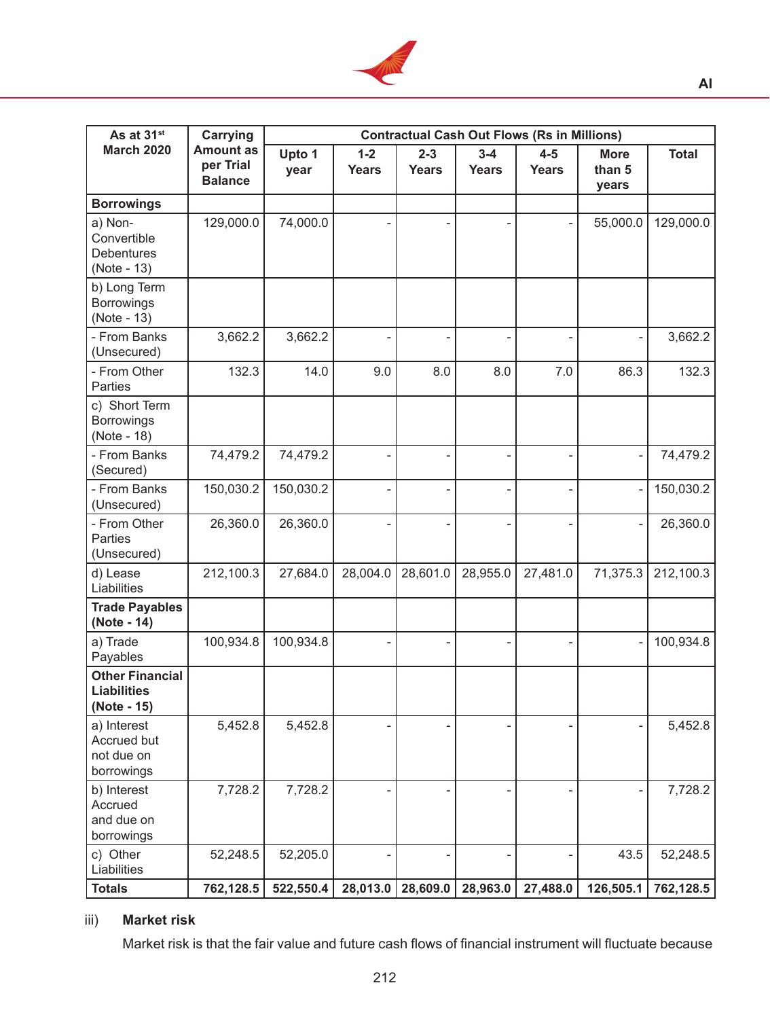

| As at 31 <sup>st</sup>                                      | <b>Carrying</b>                                 |                |                  |                         |                         | <b>Contractual Cash Out Flows (Rs in Millions)</b> |                                |              |
|-------------------------------------------------------------|-------------------------------------------------|----------------|------------------|-------------------------|-------------------------|----------------------------------------------------|--------------------------------|--------------|
| <b>March 2020</b>                                           | <b>Amount as</b><br>per Trial<br><b>Balance</b> | Upto 1<br>year | $1 - 2$<br>Years | $2 - 3$<br><b>Years</b> | $3 - 4$<br><b>Years</b> | $4 - 5$<br>Years                                   | <b>More</b><br>than 5<br>years | <b>Total</b> |
| <b>Borrowings</b>                                           |                                                 |                |                  |                         |                         |                                                    |                                |              |
| a) Non-<br>Convertible<br><b>Debentures</b><br>(Note - 13)  | 129,000.0                                       | 74,000.0       |                  |                         |                         |                                                    | 55,000.0                       | 129,000.0    |
| b) Long Term<br><b>Borrowings</b><br>(Note - 13)            |                                                 |                |                  |                         |                         |                                                    |                                |              |
| - From Banks<br>(Unsecured)                                 | 3,662.2                                         | 3,662.2        |                  |                         |                         |                                                    |                                | 3,662.2      |
| - From Other<br>Parties                                     | 132.3                                           | 14.0           | 9.0              | 8.0                     | 8.0                     | 7.0                                                | 86.3                           | 132.3        |
| c) Short Term<br><b>Borrowings</b><br>(Note - 18)           |                                                 |                |                  |                         |                         |                                                    |                                |              |
| - From Banks<br>(Secured)                                   | 74,479.2                                        | 74,479.2       |                  |                         |                         |                                                    | ÷,                             | 74,479.2     |
| - From Banks<br>(Unsecured)                                 | 150,030.2                                       | 150,030.2      |                  |                         |                         |                                                    |                                | 150,030.2    |
| - From Other<br>Parties<br>(Unsecured)                      | 26,360.0                                        | 26,360.0       |                  |                         |                         |                                                    |                                | 26,360.0     |
| d) Lease<br>Liabilities                                     | 212,100.3                                       | 27,684.0       | 28,004.0         | 28,601.0                | 28,955.0                | 27,481.0                                           | 71,375.3                       | 212,100.3    |
| <b>Trade Payables</b><br>(Note - 14)                        |                                                 |                |                  |                         |                         |                                                    |                                |              |
| a) Trade<br>Payables                                        | 100,934.8                                       | 100,934.8      |                  |                         |                         |                                                    |                                | 100,934.8    |
| <b>Other Financial</b><br><b>Liabilities</b><br>(Note - 15) |                                                 |                |                  |                         |                         |                                                    |                                |              |
| a) Interest<br>Accrued but<br>not due on<br>borrowings      | 5,452.8                                         | 5,452.8        |                  |                         |                         |                                                    |                                | 5,452.8      |
| b) Interest<br>Accrued<br>and due on<br>borrowings          | 7,728.2                                         | 7,728.2        |                  |                         |                         |                                                    |                                | 7,728.2      |
| c) Other<br>Liabilities                                     | 52,248.5                                        | 52,205.0       |                  |                         |                         |                                                    | 43.5                           | 52,248.5     |
| <b>Totals</b>                                               | 762,128.5                                       | 522,550.4      | 28,013.0         | 28,609.0                | 28,963.0                | 27,488.0                                           | 126,505.1                      | 762,128.5    |

# iii) **Market risk**

 Market risk is that the fair value and future cash flows of financial instrument will fluctuate because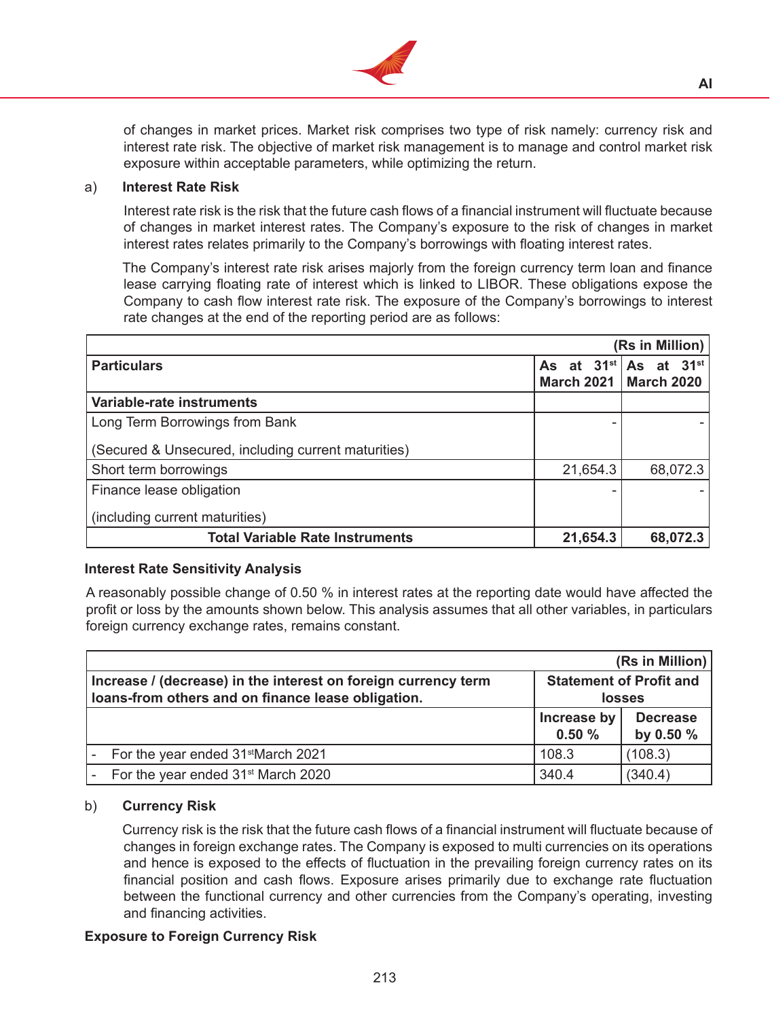

of changes in market prices. Market risk comprises two type of risk namely: currency risk and interest rate risk. The objective of market risk management is to manage and control market risk exposure within acceptable parameters, while optimizing the return.

### a) **Interest Rate Risk**

 Interest rate risk is the risk that the future cash flows of a financial instrument will fluctuate because of changes in market interest rates. The Company's exposure to the risk of changes in market interest rates relates primarily to the Company's borrowings with floating interest rates.

 The Company's interest rate risk arises majorly from the foreign currency term loan and finance lease carrying floating rate of interest which is linked to LIBOR. These obligations expose the Company to cash flow interest rate risk. The exposure of the Company's borrowings to interest rate changes at the end of the reporting period are as follows:

|                                                     |          | (Rs in Million)                                            |
|-----------------------------------------------------|----------|------------------------------------------------------------|
| <b>Particulars</b>                                  |          | As at $31^{st}$ As at $31^{st}$<br>March 2021   March 2020 |
| Variable-rate instruments                           |          |                                                            |
| Long Term Borrowings from Bank                      |          |                                                            |
| (Secured & Unsecured, including current maturities) |          |                                                            |
| Short term borrowings                               | 21,654.3 | 68,072.3                                                   |
| Finance lease obligation                            |          |                                                            |
| (including current maturities)                      |          |                                                            |
| <b>Total Variable Rate Instruments</b>              | 21,654.3 | 68,072.3                                                   |

## **Interest Rate Sensitivity Analysis**

A reasonably possible change of 0.50 % in interest rates at the reporting date would have affected the profit or loss by the amounts shown below. This analysis assumes that all other variables, in particulars foreign currency exchange rates, remains constant.

|                                                                                                                      |                      | (Rs in Million)                                 |
|----------------------------------------------------------------------------------------------------------------------|----------------------|-------------------------------------------------|
| Increase / (decrease) in the interest on foreign currency term<br>loans-from others and on finance lease obligation. |                      | <b>Statement of Profit and</b><br><b>losses</b> |
|                                                                                                                      | Increase by<br>0.50% | <b>Decrease</b><br>by 0.50 %                    |
| For the year ended 31 <sup>st</sup> March 2021                                                                       | 108.3                | (108.3)                                         |
| For the year ended 31 <sup>st</sup> March 2020                                                                       | 340.4                | (340.4)                                         |

#### b) **Currency Risk**

Currency risk is the risk that the future cash flows of a financial instrument will fluctuate because of changes in foreign exchange rates. The Company is exposed to multi currencies on its operations and hence is exposed to the effects of fluctuation in the prevailing foreign currency rates on its financial position and cash flows. Exposure arises primarily due to exchange rate fluctuation between the functional currency and other currencies from the Company's operating, investing and financing activities.

## **Exposure to Foreign Currency Risk**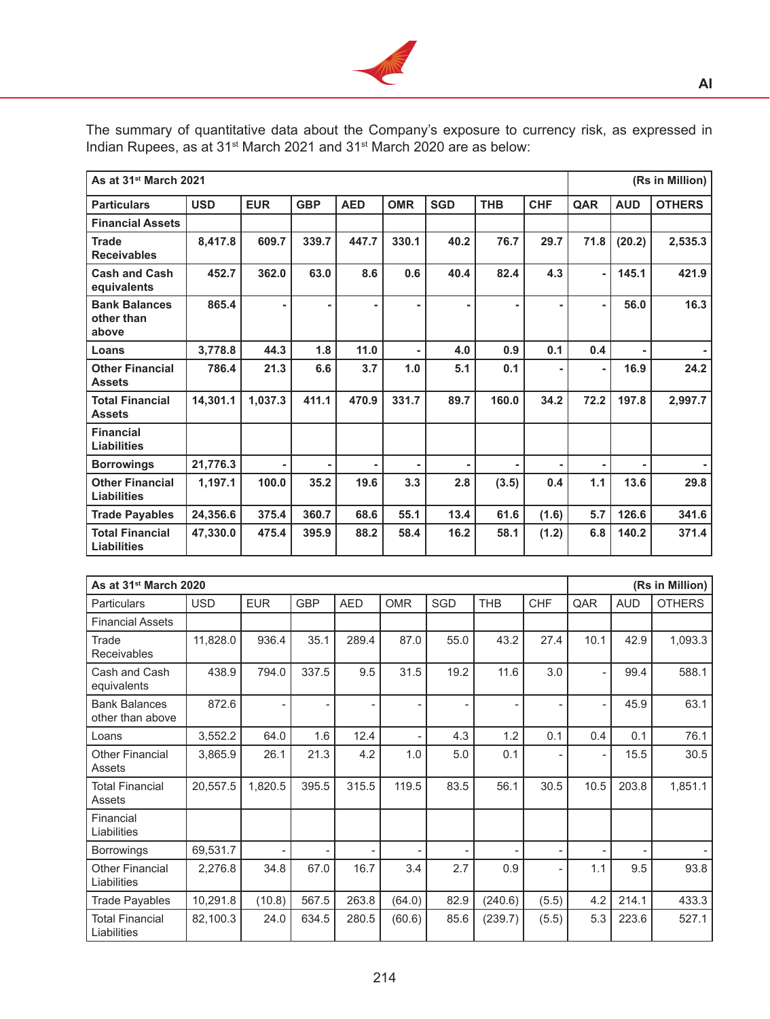

The summary of quantitative data about the Company's exposure to currency risk, as expressed in Indian Rupees, as at 31<sup>st</sup> March 2021 and 31<sup>st</sup> March 2020 are as below:

| As at 31 <sup>st</sup> March 2021            |            |            |            |                |            |            |            |            |      |            | (Rs in Million) |
|----------------------------------------------|------------|------------|------------|----------------|------------|------------|------------|------------|------|------------|-----------------|
| <b>Particulars</b>                           | <b>USD</b> | <b>EUR</b> | <b>GBP</b> | <b>AED</b>     | <b>OMR</b> | <b>SGD</b> | <b>THB</b> | <b>CHF</b> | QAR  | <b>AUD</b> | <b>OTHERS</b>   |
| <b>Financial Assets</b>                      |            |            |            |                |            |            |            |            |      |            |                 |
| <b>Trade</b><br><b>Receivables</b>           | 8,417.8    | 609.7      | 339.7      | 447.7          | 330.1      | 40.2       | 76.7       | 29.7       | 71.8 | (20.2)     | 2,535.3         |
| <b>Cash and Cash</b><br>equivalents          | 452.7      | 362.0      | 63.0       | 8.6            | 0.6        | 40.4       | 82.4       | 4.3        |      | 145.1      | 421.9           |
| <b>Bank Balances</b><br>other than<br>above  | 865.4      |            |            | $\blacksquare$ |            |            |            |            |      | 56.0       | 16.3            |
| Loans                                        | 3,778.8    | 44.3       | 1.8        | 11.0           | ۰          | 4.0        | 0.9        | 0.1        | 0.4  |            |                 |
| <b>Other Financial</b><br><b>Assets</b>      | 786.4      | 21.3       | 6.6        | 3.7            | 1.0        | 5.1        | 0.1        |            |      | 16.9       | 24.2            |
| <b>Total Financial</b><br><b>Assets</b>      | 14,301.1   | 1,037.3    | 411.1      | 470.9          | 331.7      | 89.7       | 160.0      | 34.2       | 72.2 | 197.8      | 2,997.7         |
| <b>Financial</b><br><b>Liabilities</b>       |            |            |            |                |            |            |            |            |      |            |                 |
| <b>Borrowings</b>                            | 21,776.3   |            | ۰          |                |            |            |            |            |      |            |                 |
| <b>Other Financial</b><br><b>Liabilities</b> | 1,197.1    | 100.0      | 35.2       | 19.6           | 3.3        | 2.8        | (3.5)      | 0.4        | 1.1  | 13.6       | 29.8            |
| <b>Trade Payables</b>                        | 24,356.6   | 375.4      | 360.7      | 68.6           | 55.1       | 13.4       | 61.6       | (1.6)      | 5.7  | 126.6      | 341.6           |
| <b>Total Financial</b><br>Liabilities        | 47,330.0   | 475.4      | 395.9      | 88.2           | 58.4       | 16.2       | 58.1       | (1.2)      | 6.8  | 140.2      | 371.4           |

| As at 31 <sup>st</sup> March 2020        |            |            |            |            |            | (Rs in Million) |            |                          |      |            |               |
|------------------------------------------|------------|------------|------------|------------|------------|-----------------|------------|--------------------------|------|------------|---------------|
| <b>Particulars</b>                       | <b>USD</b> | <b>EUR</b> | <b>GBP</b> | <b>AED</b> | <b>OMR</b> | SGD             | <b>THB</b> | <b>CHF</b>               | QAR  | <b>AUD</b> | <b>OTHERS</b> |
| <b>Financial Assets</b>                  |            |            |            |            |            |                 |            |                          |      |            |               |
| Trade<br><b>Receivables</b>              | 11,828.0   | 936.4      | 35.1       | 289.4      | 87.0       | 55.0            | 43.2       | 27.4                     | 10.1 | 42.9       | 1,093.3       |
| Cash and Cash<br>equivalents             | 438.9      | 794.0      | 337.5      | 9.5        | 31.5       | 19.2            | 11.6       | 3.0                      |      | 99.4       | 588.1         |
| <b>Bank Balances</b><br>other than above | 872.6      | -          |            |            |            |                 |            | $\overline{\phantom{0}}$ |      | 45.9       | 63.1          |
| Loans                                    | 3,552.2    | 64.0       | 1.6        | 12.4       |            | 4.3             | 1.2        | 0.1                      | 0.4  | 0.1        | 76.1          |
| <b>Other Financial</b><br>Assets         | 3,865.9    | 26.1       | 21.3       | 4.2        | 1.0        | 5.0             | 0.1        | $\overline{\phantom{0}}$ |      | 15.5       | 30.5          |
| <b>Total Financial</b><br>Assets         | 20,557.5   | 1,820.5    | 395.5      | 315.5      | 119.5      | 83.5            | 56.1       | 30.5                     | 10.5 | 203.8      | 1,851.1       |
| Financial<br>Liabilities                 |            |            |            |            |            |                 |            |                          |      |            |               |
| <b>Borrowings</b>                        | 69,531.7   | -          |            |            |            |                 |            | -                        |      | -          |               |
| <b>Other Financial</b><br>Liabilities    | 2,276.8    | 34.8       | 67.0       | 16.7       | 3.4        | 2.7             | 0.9        | $\overline{\phantom{0}}$ | 1.1  | 9.5        | 93.8          |
| <b>Trade Payables</b>                    | 10,291.8   | (10.8)     | 567.5      | 263.8      | (64.0)     | 82.9            | (240.6)    | (5.5)                    | 4.2  | 214.1      | 433.3         |
| <b>Total Financial</b><br>Liabilities    | 82,100.3   | 24.0       | 634.5      | 280.5      | (60.6)     | 85.6            | (239.7)    | (5.5)                    | 5.3  | 223.6      | 527.1         |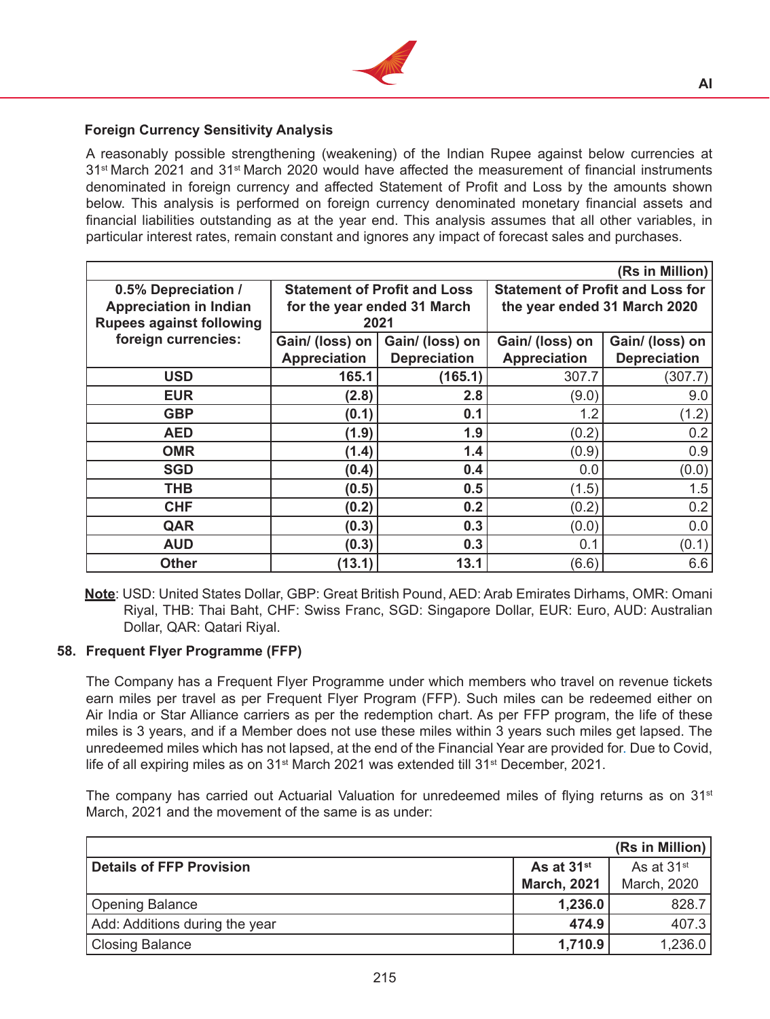

## **Foreign Currency Sensitivity Analysis**

 A reasonably possible strengthening (weakening) of the Indian Rupee against below currencies at 31st March 2021 and 31st March 2020 would have affected the measurement of financial instruments denominated in foreign currency and affected Statement of Profit and Loss by the amounts shown below. This analysis is performed on foreign currency denominated monetary financial assets and financial liabilities outstanding as at the year end. This analysis assumes that all other variables, in particular interest rates, remain constant and ignores any impact of forecast sales and purchases.

|                                                                                         |                                        |                                                                            |                                                                         | (Rs in Million)                        |  |
|-----------------------------------------------------------------------------------------|----------------------------------------|----------------------------------------------------------------------------|-------------------------------------------------------------------------|----------------------------------------|--|
| 0.5% Depreciation /<br><b>Appreciation in Indian</b><br><b>Rupees against following</b> |                                        | <b>Statement of Profit and Loss</b><br>for the year ended 31 March<br>2021 | <b>Statement of Profit and Loss for</b><br>the year ended 31 March 2020 |                                        |  |
| foreign currencies:                                                                     | Gain/ (loss) on<br><b>Appreciation</b> | Gain/ (loss) on<br><b>Depreciation</b>                                     | Gain/ (loss) on<br><b>Appreciation</b>                                  | Gain/ (loss) on<br><b>Depreciation</b> |  |
| <b>USD</b>                                                                              | 165.1                                  | (165.1)                                                                    | 307.7                                                                   | (307.7)                                |  |
| <b>EUR</b>                                                                              | (2.8)                                  | 2.8                                                                        | (9.0)                                                                   | 9.0                                    |  |
| <b>GBP</b>                                                                              | (0.1)                                  | 0.1                                                                        | 1.2                                                                     | (1.2)                                  |  |
| <b>AED</b>                                                                              | (1.9)                                  | 1.9                                                                        | (0.2)                                                                   | 0.2                                    |  |
| <b>OMR</b>                                                                              | (1.4)                                  | 1.4                                                                        | (0.9)                                                                   | 0.9                                    |  |
| <b>SGD</b>                                                                              | (0.4)                                  | 0.4                                                                        | 0.0                                                                     | (0.0)                                  |  |
| <b>THB</b>                                                                              | (0.5)                                  | 0.5                                                                        | (1.5)                                                                   | 1.5                                    |  |
| <b>CHF</b>                                                                              | (0.2)                                  | 0.2                                                                        | (0.2)                                                                   | 0.2                                    |  |
| QAR                                                                                     | (0.3)                                  | 0.3                                                                        | (0.0)                                                                   | 0.0                                    |  |
| <b>AUD</b>                                                                              | (0.3)                                  | 0.3                                                                        | 0.1                                                                     | (0.1)                                  |  |
| <b>Other</b>                                                                            | (13.1)                                 | 13.1                                                                       | (6.6)                                                                   | 6.6                                    |  |

**Note**: USD: United States Dollar, GBP: Great British Pound, AED: Arab Emirates Dirhams, OMR: Omani Riyal, THB: Thai Baht, CHF: Swiss Franc, SGD: Singapore Dollar, EUR: Euro, AUD: Australian Dollar, QAR: Qatari Riyal.

#### **58. Frequent Flyer Programme (FFP)**

The Company has a Frequent Flyer Programme under which members who travel on revenue tickets earn miles per travel as per Frequent Flyer Program (FFP). Such miles can be redeemed either on Air India or Star Alliance carriers as per the redemption chart. As per FFP program, the life of these miles is 3 years, and if a Member does not use these miles within 3 years such miles get lapsed. The unredeemed miles which has not lapsed, at the end of the Financial Year are provided for. Due to Covid, life of all expiring miles as on 31<sup>st</sup> March 2021 was extended till 31<sup>st</sup> December, 2021.

The company has carried out Actuarial Valuation for unredeemed miles of flying returns as on  $31<sup>st</sup>$ March, 2021 and the movement of the same is as under:

|                                 |                        | (Rs in Million)        |
|---------------------------------|------------------------|------------------------|
| <b>Details of FFP Provision</b> | As at 31 <sup>st</sup> | As at 31 <sup>st</sup> |
|                                 | <b>March, 2021</b>     | March, 2020            |
| <b>Opening Balance</b>          | 1,236.0                | 828.7                  |
| Add: Additions during the year  | 474.9                  | 407.3                  |
| Closing Balance                 | 1,710.9                | 1,236.0                |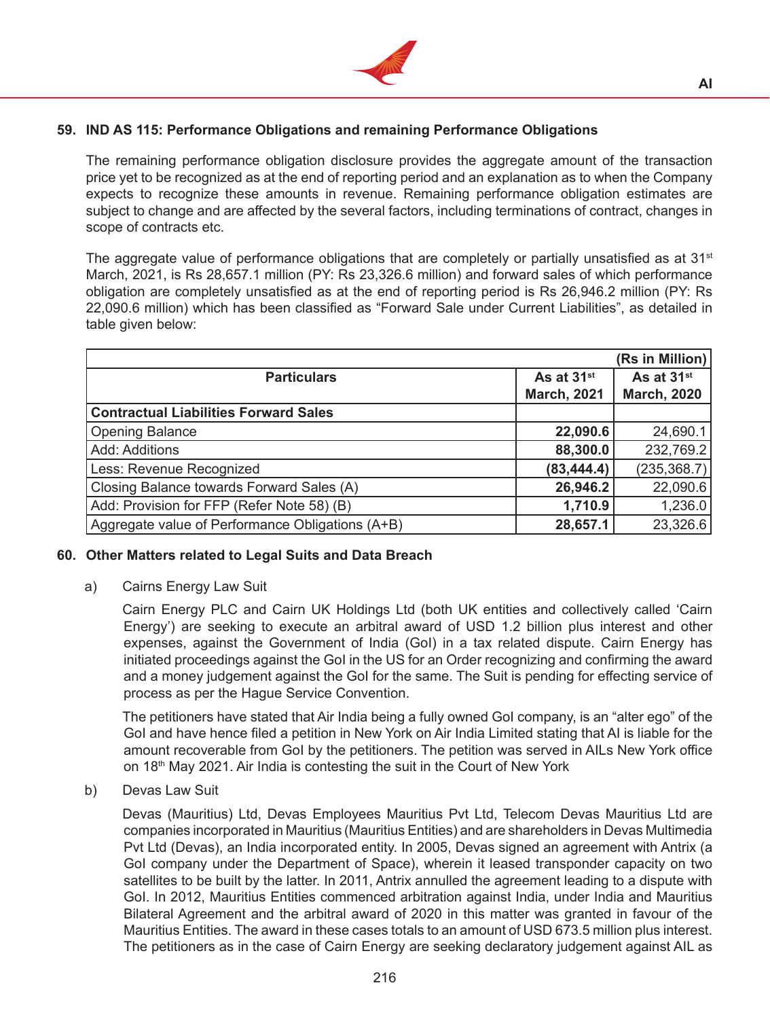

# **59. IND AS 115: Performance Obligations and remaining Performance Obligations**

The remaining performance obligation disclosure provides the aggregate amount of the transaction price yet to be recognized as at the end of reporting period and an explanation as to when the Company expects to recognize these amounts in revenue. Remaining performance obligation estimates are subject to change and are affected by the several factors, including terminations of contract, changes in scope of contracts etc.

The aggregate value of performance obligations that are completely or partially unsatisfied as at  $31<sup>st</sup>$ March, 2021, is Rs 28,657.1 million (PY: Rs 23,326.6 million) and forward sales of which performance obligation are completely unsatisfied as at the end of reporting period is Rs 26,946.2 million (PY: Rs 22,090.6 million) which has been classified as "Forward Sale under Current Liabilities", as detailed in table given below:

|                                                  |                        | (Rs in Million)        |
|--------------------------------------------------|------------------------|------------------------|
| <b>Particulars</b>                               | As at 31 <sup>st</sup> | As at 31 <sup>st</sup> |
|                                                  | <b>March, 2021</b>     | <b>March, 2020</b>     |
| <b>Contractual Liabilities Forward Sales</b>     |                        |                        |
| <b>Opening Balance</b>                           | 22,090.6               | 24,690.1               |
| Add: Additions                                   | 88,300.0               | 232,769.2              |
| Less: Revenue Recognized                         | (83, 444.4)            | (235, 368.7)           |
| Closing Balance towards Forward Sales (A)        | 26,946.2               | 22,090.6               |
| Add: Provision for FFP (Refer Note 58) (B)       | 1,710.9                | 1,236.0                |
| Aggregate value of Performance Obligations (A+B) | 28,657.1               | 23,326.6               |

#### **60. Other Matters related to Legal Suits and Data Breach**

a) Cairns Energy Law Suit

 Cairn Energy PLC and Cairn UK Holdings Ltd (both UK entities and collectively called 'Cairn Energy') are seeking to execute an arbitral award of USD 1.2 billion plus interest and other expenses, against the Government of India (GoI) in a tax related dispute. Cairn Energy has initiated proceedings against the GoI in the US for an Order recognizing and confirming the award and a money judgement against the GoI for the same. The Suit is pending for effecting service of process as per the Hague Service Convention.

 The petitioners have stated that Air India being a fully owned GoI company, is an "alter ego" of the GoI and have hence filed a petition in New York on Air India Limited stating that AI is liable for the amount recoverable from GoI by the petitioners. The petition was served in AILs New York office on 18<sup>th</sup> May 2021. Air India is contesting the suit in the Court of New York

b) Devas Law Suit

 Devas (Mauritius) Ltd, Devas Employees Mauritius Pvt Ltd, Telecom Devas Mauritius Ltd are companies incorporated in Mauritius (Mauritius Entities) and are shareholders in Devas Multimedia Pvt Ltd (Devas), an India incorporated entity. In 2005, Devas signed an agreement with Antrix (a GoI company under the Department of Space), wherein it leased transponder capacity on two satellites to be built by the latter. In 2011, Antrix annulled the agreement leading to a dispute with GoI. In 2012, Mauritius Entities commenced arbitration against India, under India and Mauritius Bilateral Agreement and the arbitral award of 2020 in this matter was granted in favour of the Mauritius Entities. The award in these cases totals to an amount of USD 673.5 million plus interest. The petitioners as in the case of Cairn Energy are seeking declaratory judgement against AIL as